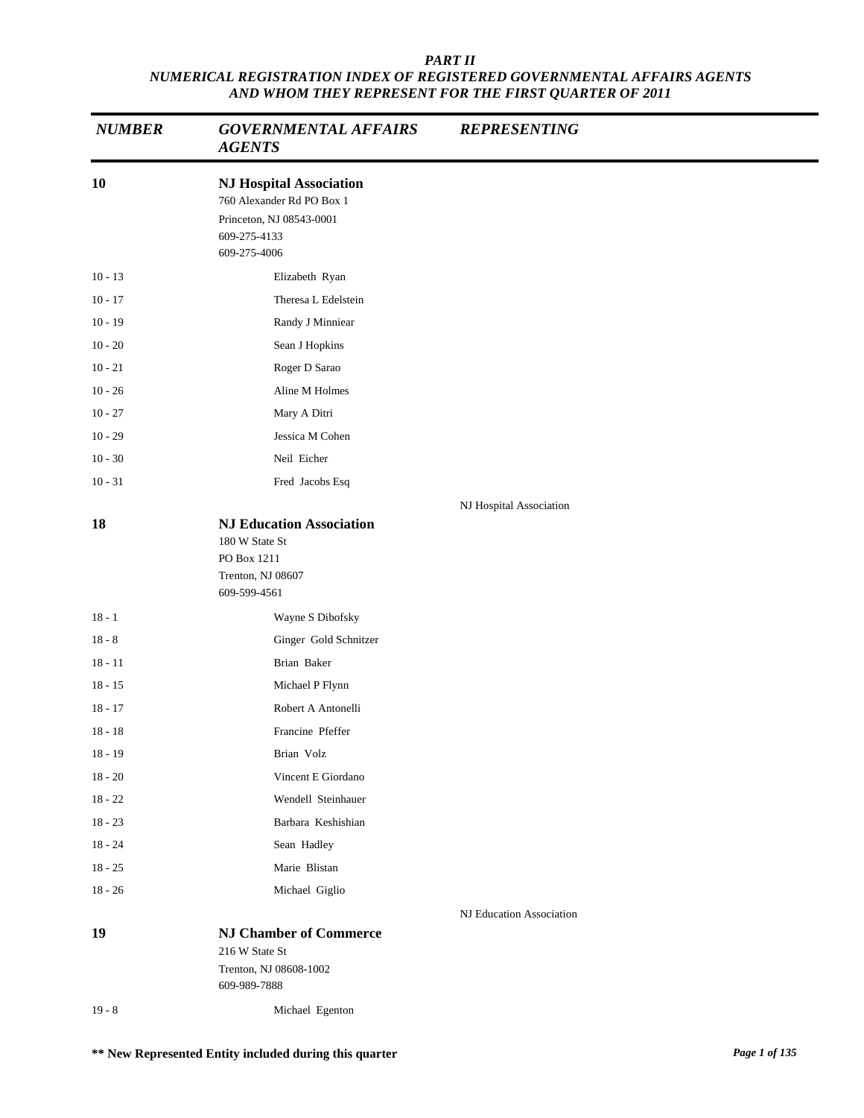| <b>NUMBER</b> | <b>GOVERNMENTAL AFFAIRS</b><br><b>AGENTS</b>                                                                            | <b>REPRESENTING</b>      |
|---------------|-------------------------------------------------------------------------------------------------------------------------|--------------------------|
| 10            | <b>NJ Hospital Association</b><br>760 Alexander Rd PO Box 1<br>Princeton, NJ 08543-0001<br>609-275-4133<br>609-275-4006 |                          |
| $10 - 13$     | Elizabeth Ryan                                                                                                          |                          |
| $10 - 17$     | Theresa L Edelstein                                                                                                     |                          |
| $10 - 19$     | Randy J Minniear                                                                                                        |                          |
| $10 - 20$     | Sean J Hopkins                                                                                                          |                          |
| $10 - 21$     | Roger D Sarao                                                                                                           |                          |
| $10 - 26$     | Aline M Holmes                                                                                                          |                          |
| $10 - 27$     | Mary A Ditri                                                                                                            |                          |
| $10 - 29$     | Jessica M Cohen                                                                                                         |                          |
| $10 - 30$     | Neil Eicher                                                                                                             |                          |
| $10 - 31$     | Fred Jacobs Esq                                                                                                         |                          |
|               |                                                                                                                         | NJ Hospital Association  |
|               | 180 W State St<br>PO Box 1211<br>Trenton, NJ 08607<br>609-599-4561                                                      |                          |
| $18 - 1$      | Wayne S Dibofsky                                                                                                        |                          |
| $18 - 8$      | Ginger Gold Schnitzer                                                                                                   |                          |
| $18 - 11$     | Brian Baker                                                                                                             |                          |
| $18 - 15$     | Michael P Flynn                                                                                                         |                          |
| $18 - 17$     | Robert A Antonelli                                                                                                      |                          |
| $18 - 18$     | Francine Pfeffer                                                                                                        |                          |
| $18 - 19$     | Brian Volz                                                                                                              |                          |
| $18 - 20$     | Vincent E Giordano                                                                                                      |                          |
| $18 - 22$     | Wendell Steinhauer                                                                                                      |                          |
| $18 - 23$     | Barbara Keshishian                                                                                                      |                          |
| $18 - 24$     | Sean Hadley                                                                                                             |                          |
| $18 - 25$     | Marie Blistan                                                                                                           |                          |
| $18 - 26$     | Michael Giglio                                                                                                          |                          |
| 19            | <b>NJ Chamber of Commerce</b><br>216 W State St<br>Trenton, NJ 08608-1002<br>609-989-7888                               | NJ Education Association |
| $19 - 8$      | Michael Egenton                                                                                                         |                          |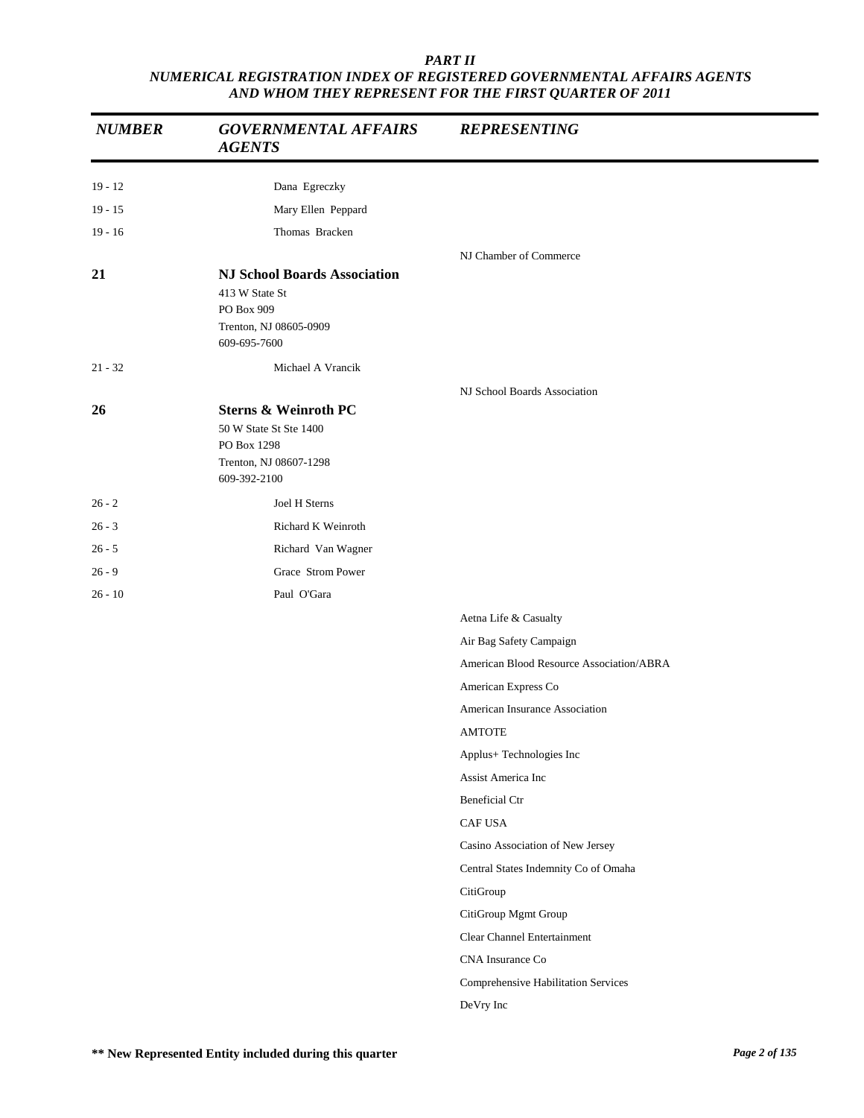| <b>NUMBER</b> | <b>GOVERNMENTAL AFFAIRS</b><br><b>AGENTS</b>                                                                       | <b>REPRESENTING</b>                      |
|---------------|--------------------------------------------------------------------------------------------------------------------|------------------------------------------|
| $19 - 12$     | Dana Egreczky                                                                                                      |                                          |
| $19 - 15$     | Mary Ellen Peppard                                                                                                 |                                          |
| $19 - 16$     | Thomas Bracken                                                                                                     |                                          |
| 21            | <b>NJ School Boards Association</b>                                                                                | NJ Chamber of Commerce                   |
|               | 413 W State St<br>PO Box 909<br>Trenton, NJ 08605-0909<br>609-695-7600                                             |                                          |
| $21 - 32$     | Michael A Vrancik                                                                                                  |                                          |
|               |                                                                                                                    | NJ School Boards Association             |
| 26            | <b>Sterns &amp; Weinroth PC</b><br>50 W State St Ste 1400<br>PO Box 1298<br>Trenton, NJ 08607-1298<br>609-392-2100 |                                          |
| $26 - 2$      | Joel H Sterns                                                                                                      |                                          |
| $26 - 3$      | Richard K Weinroth                                                                                                 |                                          |
| $26 - 5$      | Richard Van Wagner                                                                                                 |                                          |
| $26 - 9$      | Grace Strom Power                                                                                                  |                                          |
| $26 - 10$     | Paul O'Gara                                                                                                        |                                          |
|               |                                                                                                                    | Aetna Life & Casualty                    |
|               |                                                                                                                    | Air Bag Safety Campaign                  |
|               |                                                                                                                    | American Blood Resource Association/ABRA |
|               |                                                                                                                    | American Express Co                      |
|               |                                                                                                                    | American Insurance Association           |
|               |                                                                                                                    | <b>AMTOTE</b>                            |
|               |                                                                                                                    | Applus+ Technologies Inc                 |
|               |                                                                                                                    | Assist America Inc                       |
|               |                                                                                                                    | <b>Beneficial Ctr</b>                    |
|               |                                                                                                                    | CAF USA                                  |
|               |                                                                                                                    | Casino Association of New Jersey         |
|               |                                                                                                                    | Central States Indemnity Co of Omaha     |
|               |                                                                                                                    | CitiGroup                                |
|               |                                                                                                                    | CitiGroup Mgmt Group                     |
|               |                                                                                                                    | <b>Clear Channel Entertainment</b>       |
|               |                                                                                                                    | CNA Insurance Co                         |
|               |                                                                                                                    | Comprehensive Habilitation Services      |
|               |                                                                                                                    | DeVry Inc                                |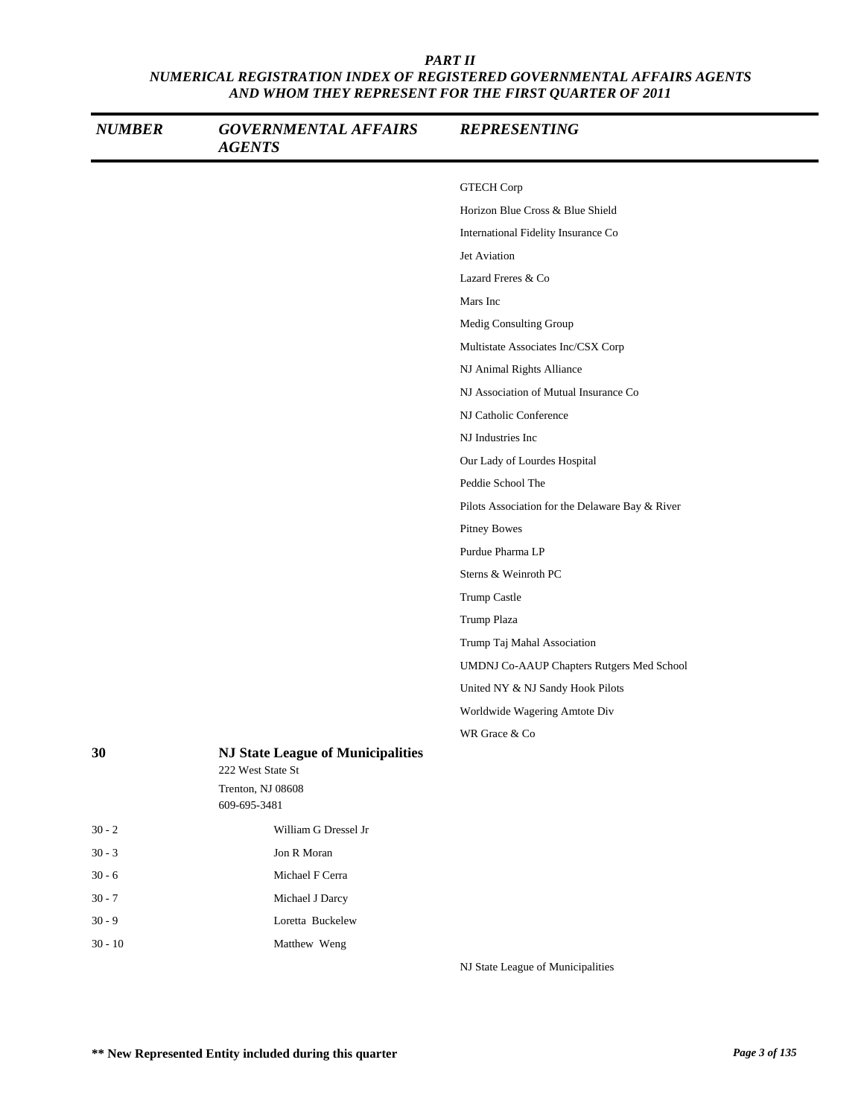| <b>NUMBER</b> | <b>GOVERNMENTAL AFFAIRS</b><br><b>AGENTS</b>                                                       | <b>REPRESENTING</b>                             |
|---------------|----------------------------------------------------------------------------------------------------|-------------------------------------------------|
|               |                                                                                                    | <b>GTECH Corp</b>                               |
|               |                                                                                                    | Horizon Blue Cross & Blue Shield                |
|               |                                                                                                    | International Fidelity Insurance Co             |
|               |                                                                                                    | Jet Aviation                                    |
|               |                                                                                                    | Lazard Freres & Co                              |
|               |                                                                                                    | Mars Inc                                        |
|               |                                                                                                    | Medig Consulting Group                          |
|               |                                                                                                    | Multistate Associates Inc/CSX Corp              |
|               |                                                                                                    | NJ Animal Rights Alliance                       |
|               |                                                                                                    | NJ Association of Mutual Insurance Co           |
|               |                                                                                                    | NJ Catholic Conference                          |
|               |                                                                                                    | NJ Industries Inc                               |
|               |                                                                                                    | Our Lady of Lourdes Hospital                    |
|               |                                                                                                    | Peddie School The                               |
|               |                                                                                                    | Pilots Association for the Delaware Bay & River |
|               |                                                                                                    | <b>Pitney Bowes</b>                             |
|               |                                                                                                    | Purdue Pharma LP                                |
|               |                                                                                                    | Sterns & Weinroth PC                            |
|               |                                                                                                    | Trump Castle                                    |
|               |                                                                                                    | Trump Plaza                                     |
|               |                                                                                                    | Trump Taj Mahal Association                     |
|               |                                                                                                    | UMDNJ Co-AAUP Chapters Rutgers Med School       |
|               |                                                                                                    | United NY & NJ Sandy Hook Pilots                |
|               |                                                                                                    | Worldwide Wagering Amtote Div                   |
|               |                                                                                                    | WR Grace & Co                                   |
| 30            | <b>NJ State League of Municipalities</b><br>222 West State St<br>Trenton, NJ 08608<br>609-695-3481 |                                                 |
| $30 - 2$      | William G Dressel Jr                                                                               |                                                 |
| $30 - 3$      | Jon R Moran                                                                                        |                                                 |
| $30 - 6$      | Michael F Cerra                                                                                    |                                                 |
| $30 - 7$      | Michael J Darcy                                                                                    |                                                 |
| $30 - 9$      | Loretta Buckelew                                                                                   |                                                 |
| $30 - 10$     | Matthew Weng                                                                                       |                                                 |
|               |                                                                                                    | NJ State League of Municipalities               |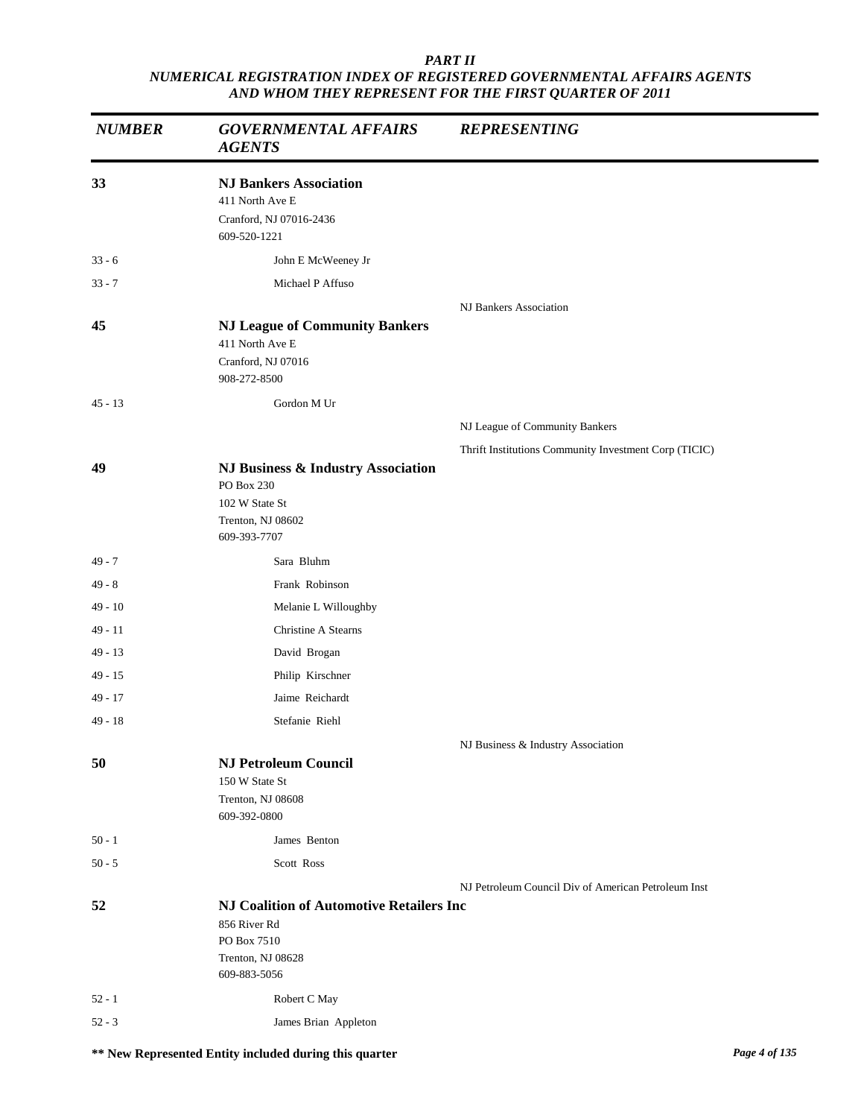| <b>NUMBER</b> | <b>GOVERNMENTAL AFFAIRS</b><br><b>AGENTS</b>                                                                        | <b>REPRESENTING</b>                                   |
|---------------|---------------------------------------------------------------------------------------------------------------------|-------------------------------------------------------|
| 33            | <b>NJ Bankers Association</b><br>411 North Ave E<br>Cranford, NJ 07016-2436<br>609-520-1221                         |                                                       |
| $33 - 6$      | John E McWeeney Jr                                                                                                  |                                                       |
| $33 - 7$      | Michael P Affuso                                                                                                    |                                                       |
|               |                                                                                                                     | NJ Bankers Association                                |
| 45            | <b>NJ League of Community Bankers</b><br>411 North Ave E<br>Cranford, NJ 07016<br>908-272-8500                      |                                                       |
| $45 - 13$     | Gordon M Ur                                                                                                         |                                                       |
|               |                                                                                                                     | NJ League of Community Bankers                        |
|               |                                                                                                                     | Thrift Institutions Community Investment Corp (TICIC) |
| 49            | NJ Business & Industry Association<br>PO Box 230<br>102 W State St<br>Trenton, NJ 08602<br>609-393-7707             |                                                       |
| 49 - 7        | Sara Bluhm                                                                                                          |                                                       |
| 49 - 8        | Frank Robinson                                                                                                      |                                                       |
| 49 - 10       | Melanie L Willoughby                                                                                                |                                                       |
| 49 - 11       | Christine A Stearns                                                                                                 |                                                       |
| $49 - 13$     | David Brogan                                                                                                        |                                                       |
| 49 - 15       | Philip Kirschner                                                                                                    |                                                       |
| 49 - 17       | Jaime Reichardt                                                                                                     |                                                       |
| 49 - 18       | Stefanie Riehl                                                                                                      |                                                       |
|               |                                                                                                                     | NJ Business & Industry Association                    |
| 50            | <b>NJ Petroleum Council</b><br>150 W State St<br>Trenton, NJ 08608<br>609-392-0800                                  |                                                       |
| $50 - 1$      | James Benton                                                                                                        |                                                       |
| $50 - 5$      | Scott Ross                                                                                                          |                                                       |
|               |                                                                                                                     | NJ Petroleum Council Div of American Petroleum Inst   |
| 52            | <b>NJ Coalition of Automotive Retailers Inc</b><br>856 River Rd<br>PO Box 7510<br>Trenton, NJ 08628<br>609-883-5056 |                                                       |
| $52 - 1$      | Robert C May                                                                                                        |                                                       |
| $52 - 3$      | James Brian Appleton                                                                                                |                                                       |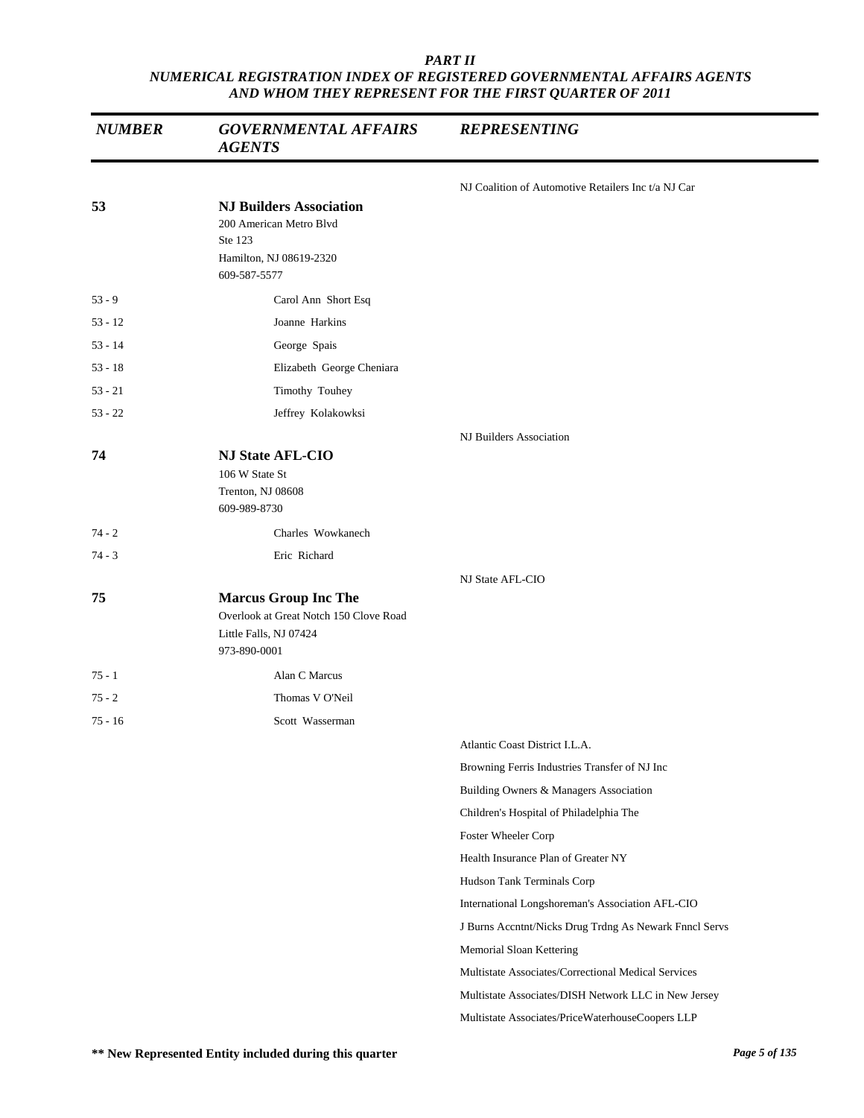| <b>NUMBER</b> | <b>GOVERNMENTAL AFFAIRS</b><br><b>AGENTS</b>                                                                    | <b>REPRESENTING</b>                                    |
|---------------|-----------------------------------------------------------------------------------------------------------------|--------------------------------------------------------|
|               |                                                                                                                 | NJ Coalition of Automotive Retailers Inc t/a NJ Car    |
| 53            | <b>NJ Builders Association</b><br>200 American Metro Blvd<br>Ste 123<br>Hamilton, NJ 08619-2320<br>609-587-5577 |                                                        |
| $53 - 9$      | Carol Ann Short Esq                                                                                             |                                                        |
| $53 - 12$     | Joanne Harkins                                                                                                  |                                                        |
| $53 - 14$     | George Spais                                                                                                    |                                                        |
| $53 - 18$     | Elizabeth George Cheniara                                                                                       |                                                        |
| $53 - 21$     | Timothy Touhey                                                                                                  |                                                        |
| $53 - 22$     | Jeffrey Kolakowksi                                                                                              |                                                        |
|               |                                                                                                                 | NJ Builders Association                                |
| 74            | <b>NJ State AFL-CIO</b><br>106 W State St<br>Trenton, NJ 08608<br>609-989-8730                                  |                                                        |
| $74 - 2$      | Charles Wowkanech                                                                                               |                                                        |
| $74 - 3$      | Eric Richard                                                                                                    |                                                        |
|               |                                                                                                                 | NJ State AFL-CIO                                       |
| 75            | <b>Marcus Group Inc The</b><br>Overlook at Great Notch 150 Clove Road<br>Little Falls, NJ 07424<br>973-890-0001 |                                                        |
| $75 - 1$      | Alan C Marcus                                                                                                   |                                                        |
| $75 - 2$      | Thomas V O'Neil                                                                                                 |                                                        |
| $75 - 16$     | Scott Wasserman                                                                                                 |                                                        |
|               |                                                                                                                 | Atlantic Coast District I.L.A.                         |
|               |                                                                                                                 | Browning Ferris Industries Transfer of NJ Inc          |
|               |                                                                                                                 | Building Owners & Managers Association                 |
|               |                                                                                                                 | Children's Hospital of Philadelphia The                |
|               |                                                                                                                 | Foster Wheeler Corp                                    |
|               |                                                                                                                 | Health Insurance Plan of Greater NY                    |
|               |                                                                                                                 | Hudson Tank Terminals Corp                             |
|               |                                                                                                                 | International Longshoreman's Association AFL-CIO       |
|               |                                                                                                                 | J Burns Accntnt/Nicks Drug Trdng As Newark Fnncl Servs |
|               |                                                                                                                 | Memorial Sloan Kettering                               |
|               |                                                                                                                 | Multistate Associates/Correctional Medical Services    |
|               |                                                                                                                 | Multistate Associates/DISH Network LLC in New Jersey   |
|               |                                                                                                                 | Multistate Associates/PriceWaterhouseCoopers LLP       |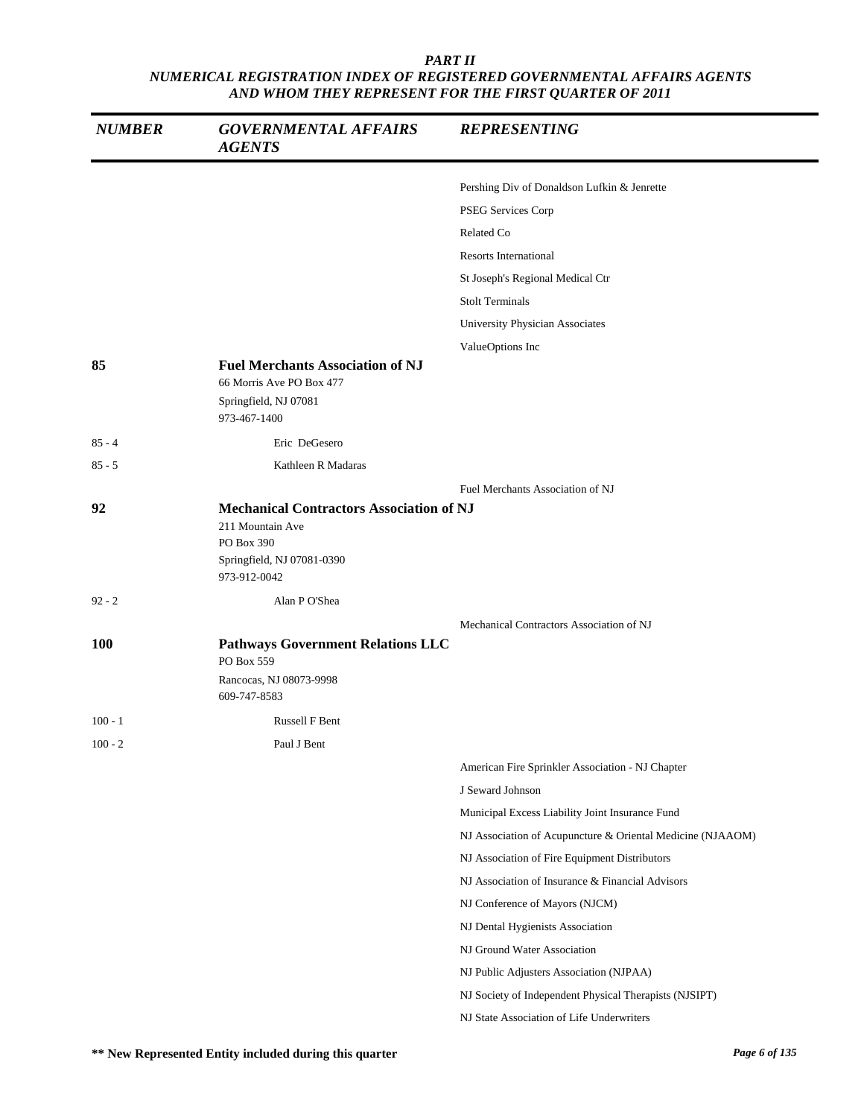| <b>NUMBER</b> | <b>GOVERNMENTAL AFFAIRS</b><br><b>AGENTS</b>                                                                                    | <b>REPRESENTING</b>                                        |
|---------------|---------------------------------------------------------------------------------------------------------------------------------|------------------------------------------------------------|
|               |                                                                                                                                 | Pershing Div of Donaldson Lufkin & Jenrette                |
|               |                                                                                                                                 | PSEG Services Corp                                         |
|               |                                                                                                                                 | Related Co                                                 |
|               |                                                                                                                                 | <b>Resorts International</b>                               |
|               |                                                                                                                                 | St Joseph's Regional Medical Ctr                           |
|               |                                                                                                                                 | <b>Stolt Terminals</b>                                     |
|               |                                                                                                                                 | University Physician Associates                            |
|               |                                                                                                                                 | ValueOptions Inc                                           |
| 85            | <b>Fuel Merchants Association of NJ</b><br>66 Morris Ave PO Box 477                                                             |                                                            |
|               | Springfield, NJ 07081<br>973-467-1400                                                                                           |                                                            |
| $85 - 4$      | Eric DeGesero                                                                                                                   |                                                            |
| $85 - 5$      | Kathleen R Madaras                                                                                                              |                                                            |
|               |                                                                                                                                 | Fuel Merchants Association of NJ                           |
| 92            | <b>Mechanical Contractors Association of NJ</b><br>211 Mountain Ave<br>PO Box 390<br>Springfield, NJ 07081-0390<br>973-912-0042 |                                                            |
| $92 - 2$      | Alan P O'Shea                                                                                                                   |                                                            |
|               |                                                                                                                                 | Mechanical Contractors Association of NJ                   |
| <b>100</b>    | <b>Pathways Government Relations LLC</b><br>PO Box 559<br>Rancocas, NJ 08073-9998<br>609-747-8583                               |                                                            |
| $100 - 1$     | Russell F Bent                                                                                                                  |                                                            |
| $100 - 2$     | Paul J Bent                                                                                                                     |                                                            |
|               |                                                                                                                                 | American Fire Sprinkler Association - NJ Chapter           |
|               |                                                                                                                                 | J Seward Johnson                                           |
|               |                                                                                                                                 | Municipal Excess Liability Joint Insurance Fund            |
|               |                                                                                                                                 | NJ Association of Acupuncture & Oriental Medicine (NJAAOM) |
|               |                                                                                                                                 | NJ Association of Fire Equipment Distributors              |
|               |                                                                                                                                 | NJ Association of Insurance & Financial Advisors           |
|               |                                                                                                                                 | NJ Conference of Mayors (NJCM)                             |
|               |                                                                                                                                 | NJ Dental Hygienists Association                           |
|               |                                                                                                                                 | NJ Ground Water Association                                |
|               |                                                                                                                                 | NJ Public Adjusters Association (NJPAA)                    |
|               |                                                                                                                                 | NJ Society of Independent Physical Therapists (NJSIPT)     |
|               |                                                                                                                                 | NJ State Association of Life Underwriters                  |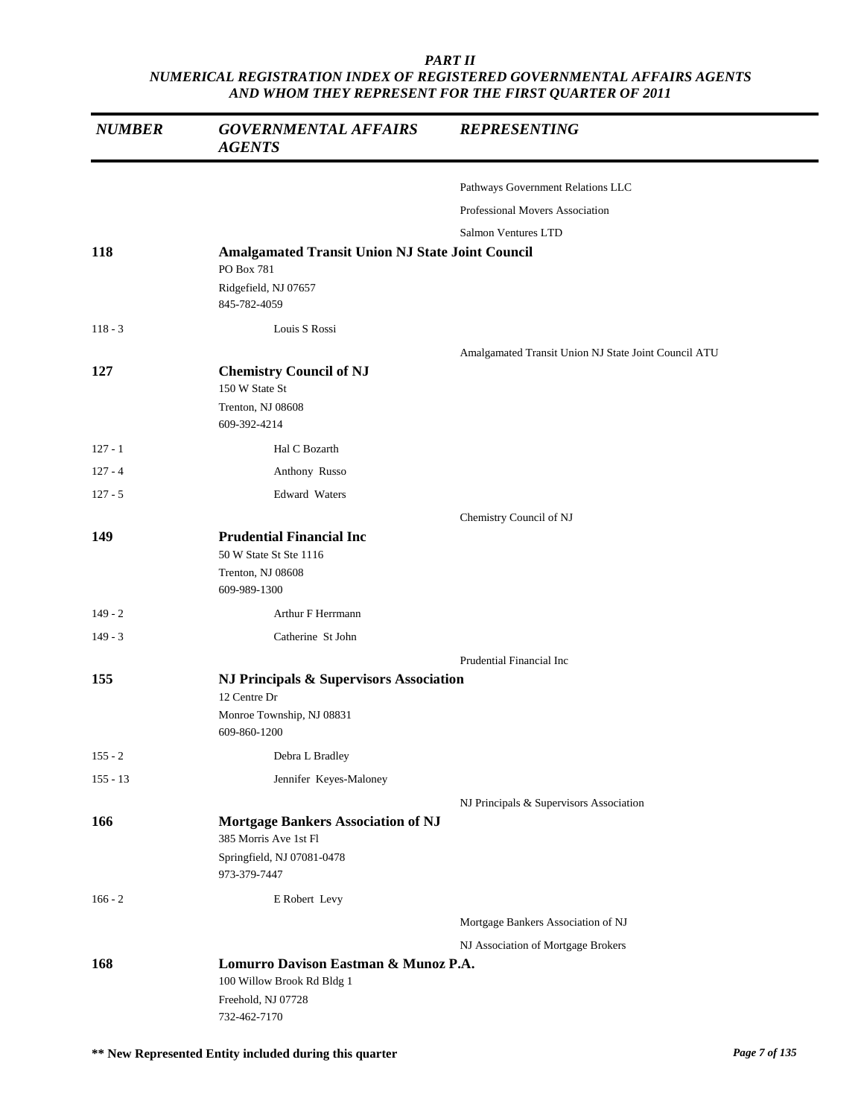| <b>NUMBER</b> | <b>GOVERNMENTAL AFFAIRS</b><br><b>AGENTS</b>                                                                     | <b>REPRESENTING</b>                                  |
|---------------|------------------------------------------------------------------------------------------------------------------|------------------------------------------------------|
|               |                                                                                                                  | Pathways Government Relations LLC                    |
|               |                                                                                                                  | Professional Movers Association                      |
|               |                                                                                                                  | Salmon Ventures LTD                                  |
| 118           | <b>Amalgamated Transit Union NJ State Joint Council</b><br>PO Box 781<br>Ridgefield, NJ 07657                    |                                                      |
|               | 845-782-4059                                                                                                     |                                                      |
| $118 - 3$     | Louis S Rossi                                                                                                    |                                                      |
|               |                                                                                                                  | Amalgamated Transit Union NJ State Joint Council ATU |
| 127           | <b>Chemistry Council of NJ</b><br>150 W State St<br>Trenton, NJ 08608<br>609-392-4214                            |                                                      |
| $127 - 1$     | Hal C Bozarth                                                                                                    |                                                      |
| $127 - 4$     | Anthony Russo                                                                                                    |                                                      |
| $127 - 5$     | Edward Waters                                                                                                    |                                                      |
|               |                                                                                                                  | Chemistry Council of NJ                              |
| 149           | <b>Prudential Financial Inc</b><br>50 W State St Ste 1116<br>Trenton, NJ 08608<br>609-989-1300                   |                                                      |
| $149 - 2$     | Arthur F Herrmann                                                                                                |                                                      |
| $149 - 3$     | Catherine St John                                                                                                |                                                      |
|               |                                                                                                                  | Prudential Financial Inc                             |
| 155           | NJ Principals & Supervisors Association<br>12 Centre Dr<br>Monroe Township, NJ 08831<br>609-860-1200             |                                                      |
| $155 - 2$     | Debra L Bradley                                                                                                  |                                                      |
| $155 - 13$    | Jennifer Keyes-Maloney                                                                                           |                                                      |
| 166           | <b>Mortgage Bankers Association of NJ</b><br>385 Morris Ave 1st Fl<br>Springfield, NJ 07081-0478<br>973-379-7447 | NJ Principals & Supervisors Association              |
| $166 - 2$     | E Robert Levy                                                                                                    |                                                      |
|               |                                                                                                                  | Mortgage Bankers Association of NJ                   |
|               |                                                                                                                  | NJ Association of Mortgage Brokers                   |
| 168           | Lomurro Davison Eastman & Munoz P.A.<br>100 Willow Brook Rd Bldg 1<br>Freehold, NJ 07728<br>732-462-7170         |                                                      |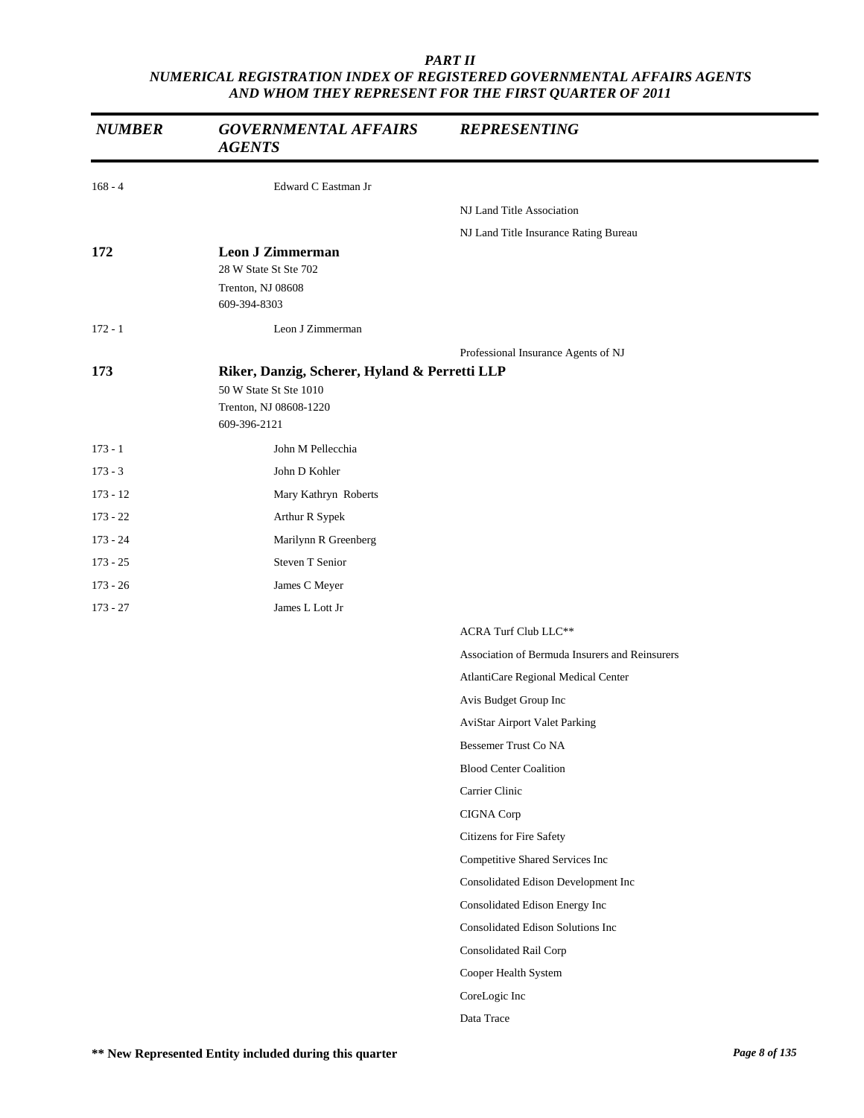| <b>NUMBER</b> | <b>GOVERNMENTAL AFFAIRS</b><br><b>AGENTS</b>  | <b>REPRESENTING</b>                            |
|---------------|-----------------------------------------------|------------------------------------------------|
| $168 - 4$     | Edward C Eastman Jr                           |                                                |
|               |                                               | NJ Land Title Association                      |
|               |                                               | NJ Land Title Insurance Rating Bureau          |
| 172           | <b>Leon J Zimmerman</b>                       |                                                |
|               | 28 W State St Ste 702<br>Trenton, NJ 08608    |                                                |
|               | 609-394-8303                                  |                                                |
| $172 - 1$     | Leon J Zimmerman                              |                                                |
|               |                                               | Professional Insurance Agents of NJ            |
| 173           | Riker, Danzig, Scherer, Hyland & Perretti LLP |                                                |
|               | 50 W State St Ste 1010                        |                                                |
|               | Trenton, NJ 08608-1220<br>609-396-2121        |                                                |
| $173 - 1$     | John M Pellecchia                             |                                                |
| $173 - 3$     | John D Kohler                                 |                                                |
| $173 - 12$    | Mary Kathryn Roberts                          |                                                |
| $173 - 22$    | Arthur R Sypek                                |                                                |
| $173 - 24$    | Marilynn R Greenberg                          |                                                |
| $173 - 25$    | Steven T Senior                               |                                                |
| $173 - 26$    | James C Meyer                                 |                                                |
| $173 - 27$    | James L Lott Jr                               |                                                |
|               |                                               | <b>ACRA Turf Club LLC**</b>                    |
|               |                                               | Association of Bermuda Insurers and Reinsurers |
|               |                                               | AtlantiCare Regional Medical Center            |
|               |                                               | Avis Budget Group Inc                          |
|               |                                               | AviStar Airport Valet Parking                  |
|               |                                               | Bessemer Trust Co NA                           |
|               |                                               | <b>Blood Center Coalition</b>                  |
|               |                                               | Carrier Clinic                                 |
|               |                                               | CIGNA Corp                                     |
|               |                                               | Citizens for Fire Safety                       |
|               |                                               | Competitive Shared Services Inc                |
|               |                                               | Consolidated Edison Development Inc            |
|               |                                               | Consolidated Edison Energy Inc                 |
|               |                                               | Consolidated Edison Solutions Inc              |
|               |                                               | Consolidated Rail Corp                         |
|               |                                               | Cooper Health System                           |
|               |                                               | CoreLogic Inc                                  |
|               |                                               | Data Trace                                     |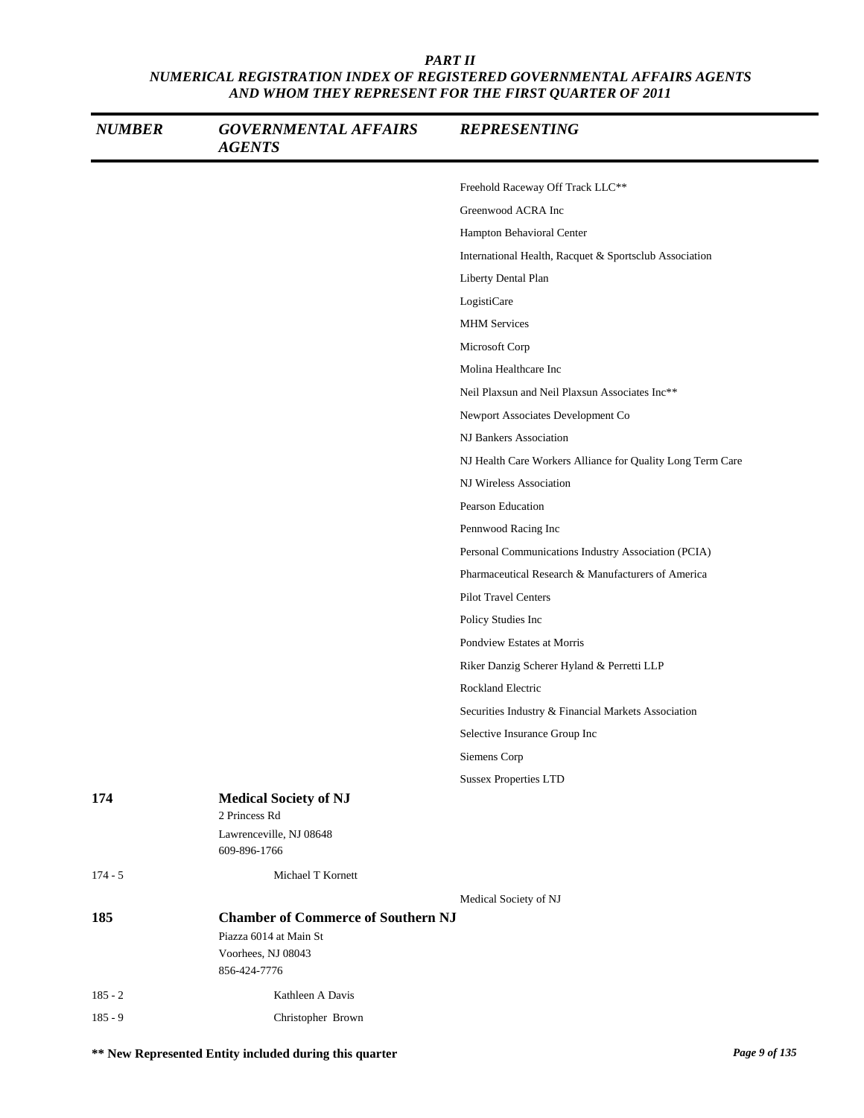| <b>NUMBER</b> | <b>GOVERNMENTAL AFFAIRS</b><br><b>AGENTS</b>  | <b>REPRESENTING</b>                                        |
|---------------|-----------------------------------------------|------------------------------------------------------------|
|               |                                               | Freehold Raceway Off Track LLC**                           |
|               |                                               | Greenwood ACRA Inc                                         |
|               |                                               | Hampton Behavioral Center                                  |
|               |                                               | International Health, Racquet & Sportsclub Association     |
|               |                                               | Liberty Dental Plan                                        |
|               |                                               | LogistiCare                                                |
|               |                                               | <b>MHM</b> Services                                        |
|               |                                               | Microsoft Corp                                             |
|               |                                               | Molina Healthcare Inc                                      |
|               |                                               | Neil Plaxsun and Neil Plaxsun Associates Inc**             |
|               |                                               | Newport Associates Development Co                          |
|               |                                               | NJ Bankers Association                                     |
|               |                                               | NJ Health Care Workers Alliance for Quality Long Term Care |
|               |                                               | NJ Wireless Association                                    |
|               |                                               | Pearson Education                                          |
|               |                                               | Pennwood Racing Inc                                        |
|               |                                               | Personal Communications Industry Association (PCIA)        |
|               |                                               | Pharmaceutical Research & Manufacturers of America         |
|               |                                               | <b>Pilot Travel Centers</b>                                |
|               |                                               | Policy Studies Inc                                         |
|               |                                               | Pondview Estates at Morris                                 |
|               |                                               | Riker Danzig Scherer Hyland & Perretti LLP                 |
|               |                                               | Rockland Electric                                          |
|               |                                               | Securities Industry & Financial Markets Association        |
|               |                                               | Selective Insurance Group Inc                              |
|               |                                               | Siemens Corp                                               |
|               |                                               | <b>Sussex Properties LTD</b>                               |
| 174           | <b>Medical Society of NJ</b><br>2 Princess Rd |                                                            |
|               | Lawrenceville, NJ 08648<br>609-896-1766       |                                                            |
| $174 - 5$     | Michael T Kornett                             |                                                            |
|               |                                               | Medical Society of NJ                                      |
| 185           | <b>Chamber of Commerce of Southern NJ</b>     |                                                            |
|               | Piazza 6014 at Main St                        |                                                            |
|               | Voorhees, NJ 08043<br>856-424-7776            |                                                            |
| $185 - 2$     | Kathleen A Davis                              |                                                            |
| $185 - 9$     | Christopher Brown                             |                                                            |

**\*\* New Represented Entity included during this quarter** *Page 9 of 135*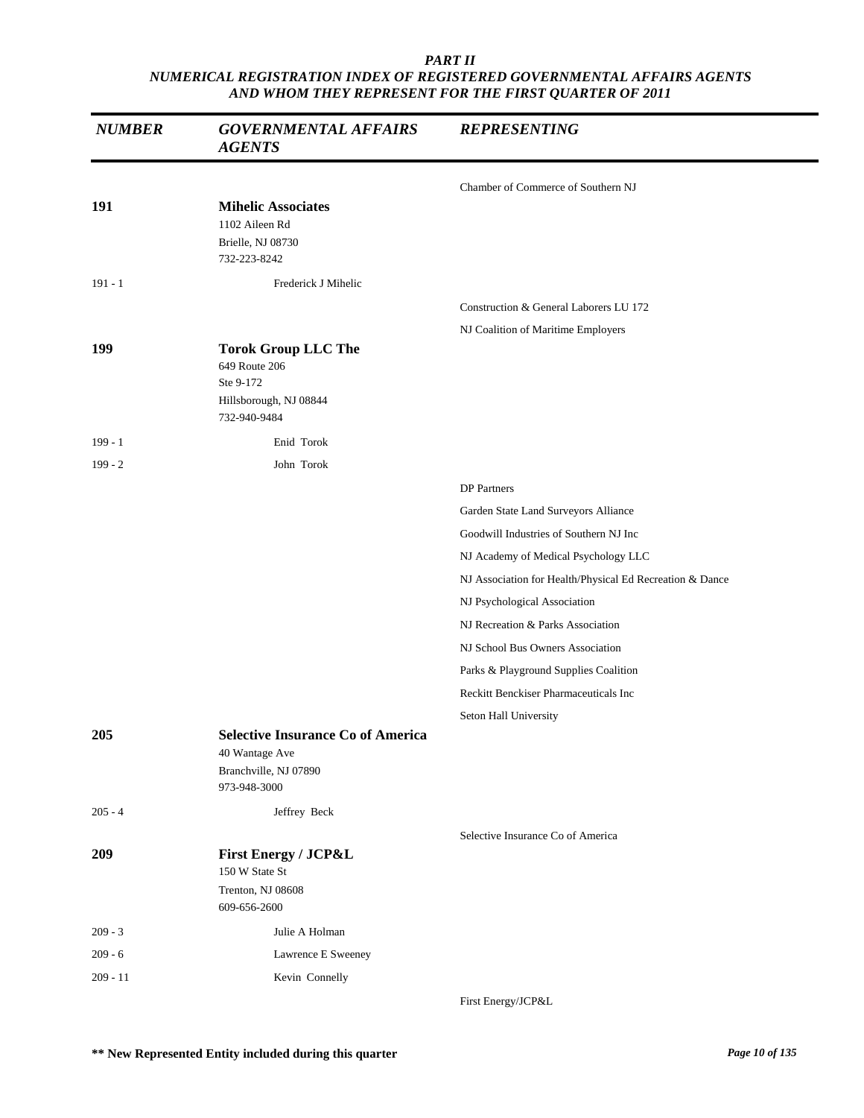| <b>NUMBER</b> | <b>GOVERNMENTAL AFFAIRS</b><br><b>AGENTS</b>                                                        | <b>REPRESENTING</b>                                      |
|---------------|-----------------------------------------------------------------------------------------------------|----------------------------------------------------------|
|               |                                                                                                     | Chamber of Commerce of Southern NJ                       |
| 191           | <b>Mihelic Associates</b><br>1102 Aileen Rd<br>Brielle, NJ 08730<br>732-223-8242                    |                                                          |
| $191 - 1$     | Frederick J Mihelic                                                                                 |                                                          |
|               |                                                                                                     | Construction & General Laborers LU 172                   |
| 199           | <b>Torok Group LLC The</b><br>649 Route 206<br>Ste 9-172<br>Hillsborough, NJ 08844<br>732-940-9484  | NJ Coalition of Maritime Employers                       |
| $199 - 1$     | Enid Torok                                                                                          |                                                          |
| $199 - 2$     | John Torok                                                                                          |                                                          |
|               |                                                                                                     | <b>DP</b> Partners                                       |
|               |                                                                                                     | Garden State Land Surveyors Alliance                     |
|               |                                                                                                     | Goodwill Industries of Southern NJ Inc                   |
|               |                                                                                                     | NJ Academy of Medical Psychology LLC                     |
|               |                                                                                                     | NJ Association for Health/Physical Ed Recreation & Dance |
|               |                                                                                                     | NJ Psychological Association                             |
|               |                                                                                                     | NJ Recreation & Parks Association                        |
|               |                                                                                                     | NJ School Bus Owners Association                         |
|               |                                                                                                     | Parks & Playground Supplies Coalition                    |
|               |                                                                                                     | Reckitt Benckiser Pharmaceuticals Inc                    |
|               |                                                                                                     | Seton Hall University                                    |
| 205           | <b>Selective Insurance Co of America</b><br>40 Wantage Ave<br>Branchville, NJ 07890<br>973-948-3000 |                                                          |
| $205 - 4$     | Jeffrey Beck                                                                                        |                                                          |
|               |                                                                                                     | Selective Insurance Co of America                        |
| 209           | <b>First Energy / JCP&amp;L</b><br>150 W State St<br>Trenton, NJ 08608                              |                                                          |
|               | 609-656-2600                                                                                        |                                                          |
| $209 - 3$     | Julie A Holman                                                                                      |                                                          |
| $209 - 6$     | Lawrence E Sweeney                                                                                  |                                                          |
| $209 - 11$    | Kevin Connelly                                                                                      |                                                          |
|               |                                                                                                     | First Energy/JCP&L                                       |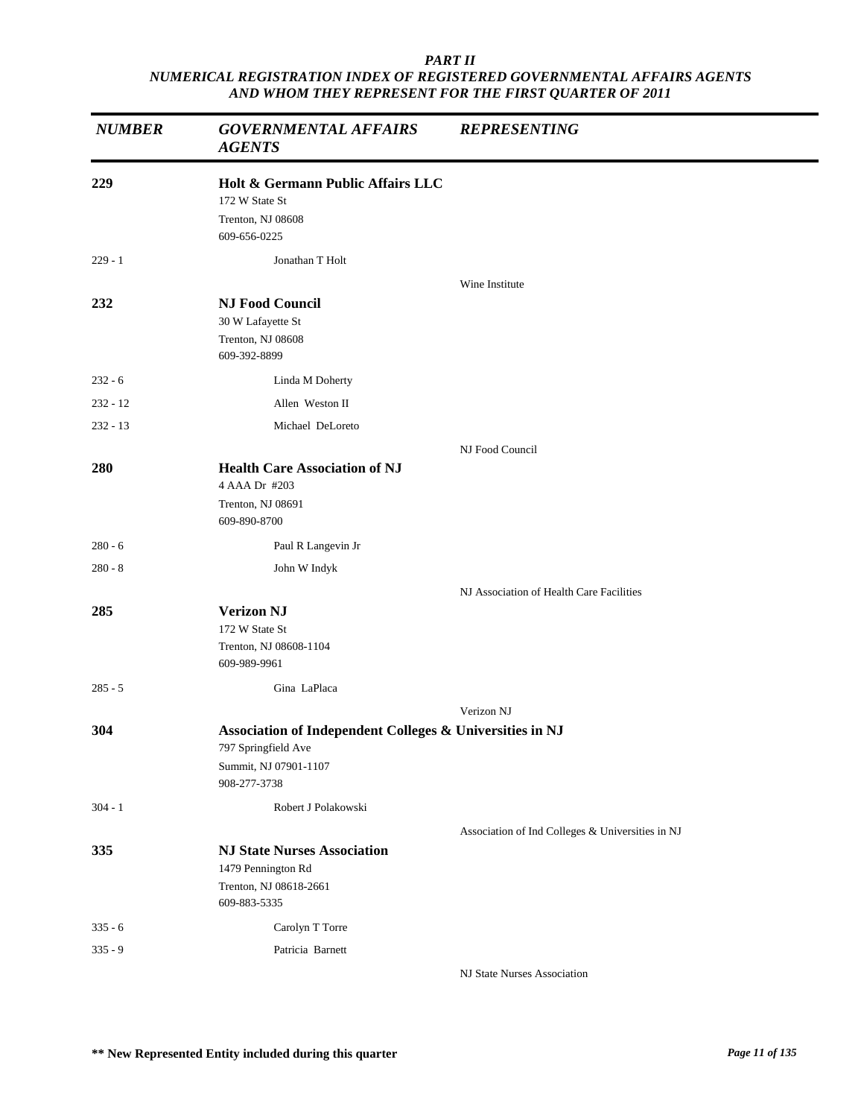| <b>NUMBER</b> | <b>GOVERNMENTAL AFFAIRS</b><br><b>AGENTS</b>                                                                             | <b>REPRESENTING</b>                              |
|---------------|--------------------------------------------------------------------------------------------------------------------------|--------------------------------------------------|
| 229           | Holt & Germann Public Affairs LLC<br>172 W State St<br>Trenton, NJ 08608<br>609-656-0225                                 |                                                  |
| $229 - 1$     | Jonathan T Holt                                                                                                          |                                                  |
| 232           | <b>NJ Food Council</b><br>30 W Lafayette St<br>Trenton, NJ 08608<br>609-392-8899                                         | Wine Institute                                   |
| $232 - 6$     | Linda M Doherty                                                                                                          |                                                  |
| $232 - 12$    | Allen Weston II                                                                                                          |                                                  |
| $232 - 13$    | Michael DeLoreto                                                                                                         |                                                  |
|               |                                                                                                                          | NJ Food Council                                  |
| 280           | <b>Health Care Association of NJ</b><br>4 AAA Dr #203<br>Trenton, NJ 08691<br>609-890-8700                               |                                                  |
| $280 - 6$     | Paul R Langevin Jr                                                                                                       |                                                  |
| $280 - 8$     | John W Indyk                                                                                                             |                                                  |
|               |                                                                                                                          | NJ Association of Health Care Facilities         |
| 285           | <b>Verizon NJ</b><br>172 W State St<br>Trenton, NJ 08608-1104<br>609-989-9961                                            |                                                  |
| $285 - 5$     | Gina LaPlaca                                                                                                             |                                                  |
|               |                                                                                                                          | Verizon NJ                                       |
| 304           | Association of Independent Colleges & Universities in NJ<br>797 Springfield Ave<br>Summit, NJ 07901-1107<br>908-277-3738 |                                                  |
| $304 - 1$     | Robert J Polakowski                                                                                                      |                                                  |
| 335           | <b>NJ State Nurses Association</b><br>1479 Pennington Rd<br>Trenton, NJ 08618-2661<br>609-883-5335                       | Association of Ind Colleges & Universities in NJ |
| $335 - 6$     | Carolyn T Torre                                                                                                          |                                                  |
| $335 - 9$     | Patricia Barnett                                                                                                         |                                                  |
|               |                                                                                                                          | NJ State Nurses Association                      |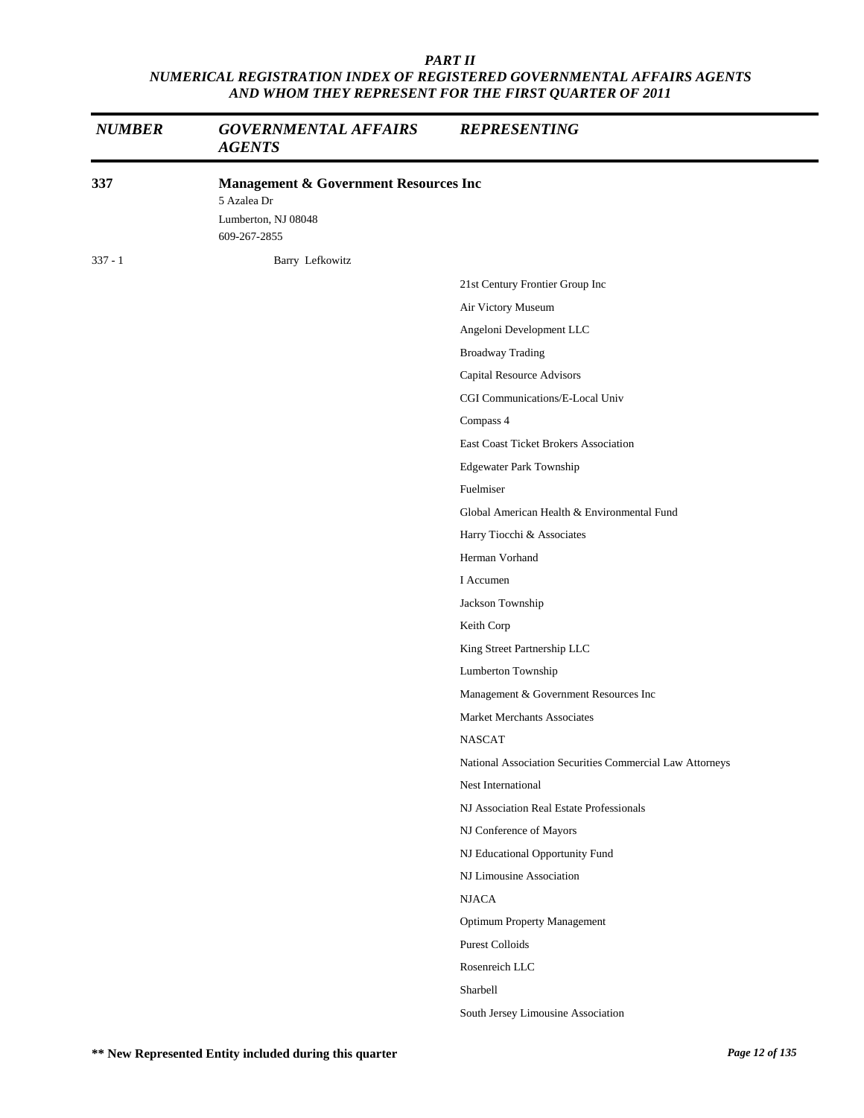| <b>NUMBER</b> | <b>GOVERNMENTAL AFFAIRS</b><br><b>AGENTS</b>                                                           | <b>REPRESENTING</b>                                      |
|---------------|--------------------------------------------------------------------------------------------------------|----------------------------------------------------------|
| 337           | <b>Management &amp; Government Resources Inc</b><br>5 Azalea Dr<br>Lumberton, NJ 08048<br>609-267-2855 |                                                          |
| $337 - 1$     | Barry Lefkowitz                                                                                        |                                                          |
|               |                                                                                                        | 21st Century Frontier Group Inc                          |
|               |                                                                                                        | Air Victory Museum                                       |
|               |                                                                                                        | Angeloni Development LLC                                 |
|               |                                                                                                        | <b>Broadway Trading</b>                                  |
|               |                                                                                                        | Capital Resource Advisors                                |
|               |                                                                                                        | CGI Communications/E-Local Univ                          |
|               |                                                                                                        | Compass 4                                                |
|               |                                                                                                        | East Coast Ticket Brokers Association                    |
|               |                                                                                                        | Edgewater Park Township                                  |
|               |                                                                                                        | Fuelmiser                                                |
|               |                                                                                                        | Global American Health & Environmental Fund              |
|               |                                                                                                        | Harry Tiocchi & Associates                               |
|               |                                                                                                        | Herman Vorhand                                           |
|               |                                                                                                        | I Accumen                                                |
|               |                                                                                                        | Jackson Township                                         |
|               |                                                                                                        | Keith Corp                                               |
|               |                                                                                                        | King Street Partnership LLC                              |
|               |                                                                                                        | Lumberton Township                                       |
|               |                                                                                                        | Management & Government Resources Inc                    |
|               |                                                                                                        | Market Merchants Associates                              |
|               |                                                                                                        | <b>NASCAT</b>                                            |
|               |                                                                                                        | National Association Securities Commercial Law Attorneys |
|               |                                                                                                        | Nest International                                       |
|               |                                                                                                        | NJ Association Real Estate Professionals                 |
|               |                                                                                                        | NJ Conference of Mayors                                  |
|               |                                                                                                        | NJ Educational Opportunity Fund                          |
|               |                                                                                                        | NJ Limousine Association                                 |
|               |                                                                                                        | <b>NJACA</b>                                             |
|               |                                                                                                        | <b>Optimum Property Management</b>                       |
|               |                                                                                                        | <b>Purest Colloids</b>                                   |
|               |                                                                                                        | Rosenreich LLC                                           |
|               |                                                                                                        | Sharbell                                                 |
|               |                                                                                                        | South Jersey Limousine Association                       |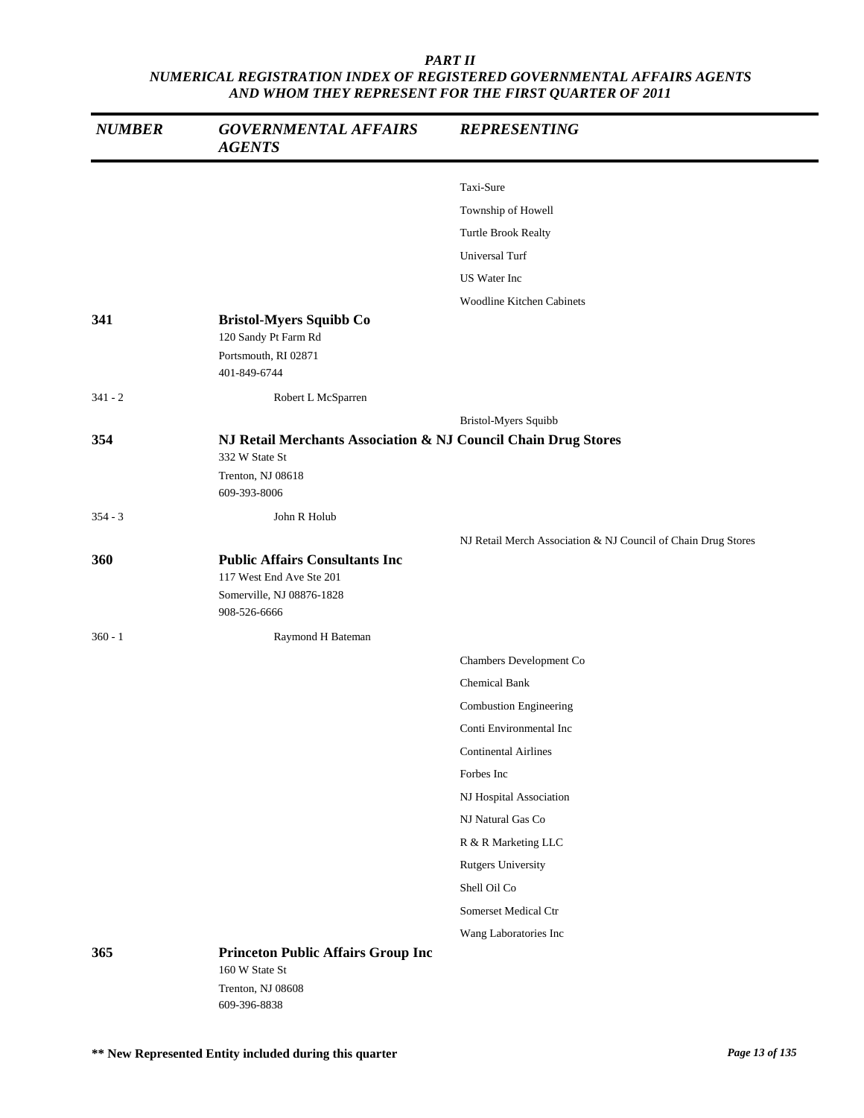| <b>NUMBER</b> | <b>GOVERNMENTAL AFFAIRS</b><br><b>AGENTS</b>                   | <b>REPRESENTING</b>                                           |
|---------------|----------------------------------------------------------------|---------------------------------------------------------------|
|               |                                                                | Taxi-Sure                                                     |
|               |                                                                | Township of Howell                                            |
|               |                                                                | Turtle Brook Realty                                           |
|               |                                                                | Universal Turf                                                |
|               |                                                                | US Water Inc                                                  |
|               |                                                                | <b>Woodline Kitchen Cabinets</b>                              |
| 341           | <b>Bristol-Myers Squibb Co</b>                                 |                                                               |
|               | 120 Sandy Pt Farm Rd                                           |                                                               |
|               | Portsmouth, RI 02871<br>401-849-6744                           |                                                               |
| $341 - 2$     | Robert L McSparren                                             |                                                               |
|               |                                                                | Bristol-Myers Squibb                                          |
| 354           | NJ Retail Merchants Association & NJ Council Chain Drug Stores |                                                               |
|               | 332 W State St<br>Trenton, NJ 08618                            |                                                               |
|               | 609-393-8006                                                   |                                                               |
| $354 - 3$     | John R Holub                                                   |                                                               |
|               |                                                                | NJ Retail Merch Association & NJ Council of Chain Drug Stores |
| 360           | <b>Public Affairs Consultants Inc</b>                          |                                                               |
|               | 117 West End Ave Ste 201                                       |                                                               |
|               | Somerville, NJ 08876-1828<br>908-526-6666                      |                                                               |
| $360 - 1$     | Raymond H Bateman                                              |                                                               |
|               |                                                                | Chambers Development Co                                       |
|               |                                                                | <b>Chemical Bank</b>                                          |
|               |                                                                | Combustion Engineering                                        |
|               |                                                                | Conti Environmental Inc                                       |
|               |                                                                | <b>Continental Airlines</b>                                   |
|               |                                                                | Forbes Inc                                                    |
|               |                                                                | NJ Hospital Association                                       |
|               |                                                                | NJ Natural Gas Co                                             |
|               |                                                                | R & R Marketing LLC                                           |
|               |                                                                | <b>Rutgers University</b>                                     |
|               |                                                                | Shell Oil Co                                                  |
|               |                                                                | Somerset Medical Ctr                                          |
|               |                                                                | Wang Laboratories Inc                                         |
| 365           | <b>Princeton Public Affairs Group Inc</b>                      |                                                               |
|               | 160 W State St<br>Trenton, NJ 08608                            |                                                               |
|               | 609-396-8838                                                   |                                                               |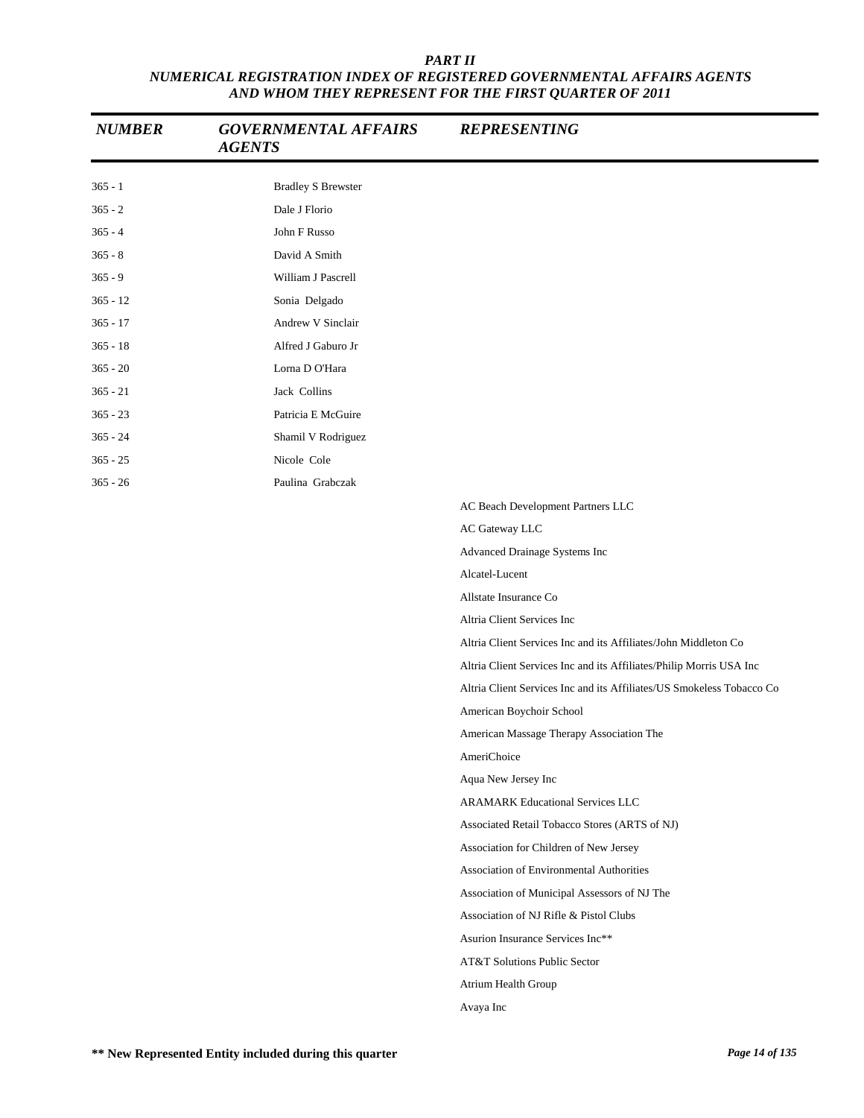| PART II                                                                |
|------------------------------------------------------------------------|
| NUMERICAL REGISTRATION INDEX OF REGISTERED GOVERNMENTAL AFFAIRS AGENTS |
| AND WHOM THEY REPRESENT FOR THE FIRST OUARTER OF 2011                  |

| <b>NUMBER</b> | <b>GOVERNMENTAL AFFAIRS</b><br><b>AGENTS</b> | <b>REPRESENTING</b>                                                   |
|---------------|----------------------------------------------|-----------------------------------------------------------------------|
| $365 - 1$     | <b>Bradley S Brewster</b>                    |                                                                       |
| $365 - 2$     | Dale J Florio                                |                                                                       |
| $365 - 4$     | John F Russo                                 |                                                                       |
| $365 - 8$     | David A Smith                                |                                                                       |
| $365 - 9$     | William J Pascrell                           |                                                                       |
| $365 - 12$    | Sonia Delgado                                |                                                                       |
| $365 - 17$    | Andrew V Sinclair                            |                                                                       |
| $365 - 18$    | Alfred J Gaburo Jr                           |                                                                       |
| $365 - 20$    | Lorna D O'Hara                               |                                                                       |
| $365 - 21$    | Jack Collins                                 |                                                                       |
| $365 - 23$    | Patricia E McGuire                           |                                                                       |
| $365 - 24$    | Shamil V Rodriguez                           |                                                                       |
| $365 - 25$    | Nicole Cole                                  |                                                                       |
| $365 - 26$    | Paulina Grabczak                             |                                                                       |
|               |                                              | AC Beach Development Partners LLC                                     |
|               |                                              | AC Gateway LLC                                                        |
|               |                                              | Advanced Drainage Systems Inc                                         |
|               |                                              | Alcatel-Lucent                                                        |
|               |                                              | Allstate Insurance Co                                                 |
|               |                                              | Altria Client Services Inc                                            |
|               |                                              | Altria Client Services Inc and its Affiliates/John Middleton Co       |
|               |                                              | Altria Client Services Inc and its Affiliates/Philip Morris USA Inc   |
|               |                                              | Altria Client Services Inc and its Affiliates/US Smokeless Tobacco Co |
|               |                                              | American Boychoir School                                              |
|               |                                              | American Massage Therapy Association The                              |
|               |                                              | AmeriChoice                                                           |
|               |                                              | Aqua New Jersey Inc                                                   |
|               |                                              | <b>ARAMARK Educational Services LLC</b>                               |
|               |                                              | Associated Retail Tobacco Stores (ARTS of NJ)                         |
|               |                                              | Association for Children of New Jersey                                |
|               |                                              | Association of Environmental Authorities                              |
|               |                                              | Association of Municipal Assessors of NJ The                          |
|               |                                              | Association of NJ Rifle & Pistol Clubs                                |
|               |                                              | Asurion Insurance Services Inc**                                      |
|               |                                              | AT&T Solutions Public Sector                                          |
|               |                                              | Atrium Health Group                                                   |
|               |                                              | Avaya Inc                                                             |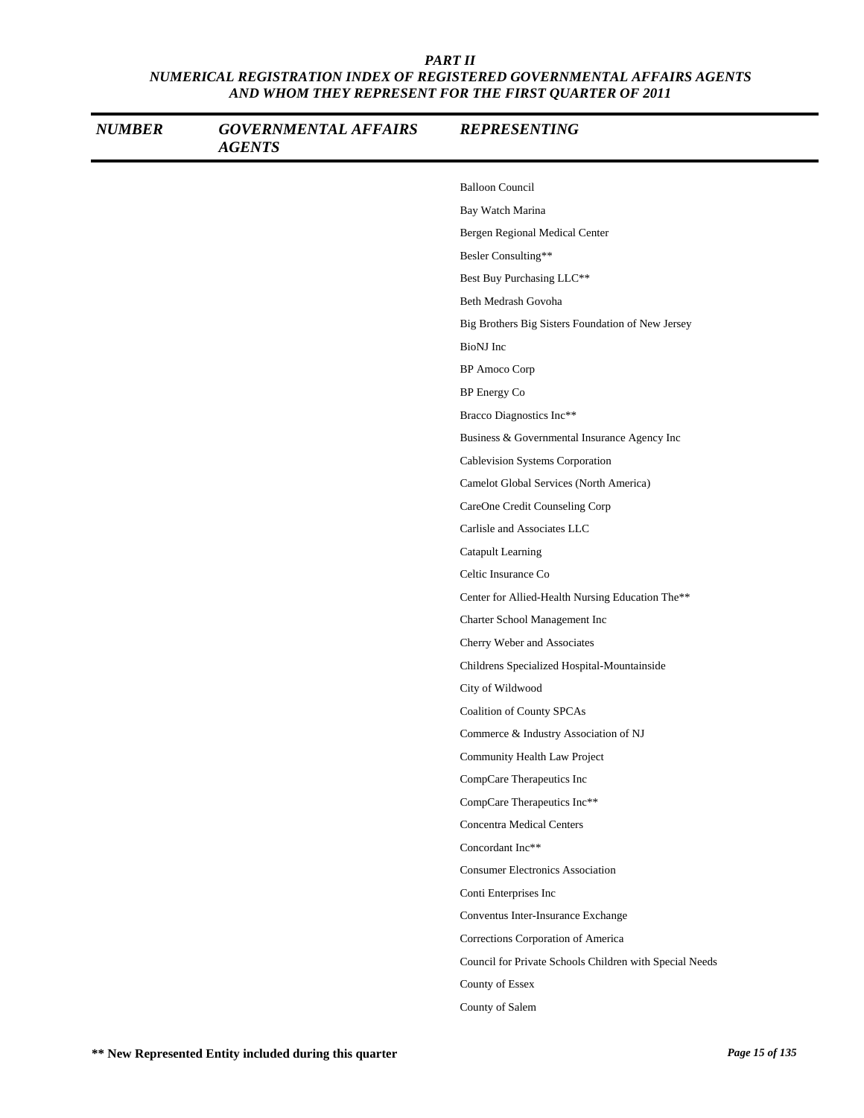| <b>NUMBER</b> | <b>GOVERNMENTAL AFFAIRS</b><br><b>AGENTS</b> | <b>REPRESENTING</b>                                     |
|---------------|----------------------------------------------|---------------------------------------------------------|
|               |                                              | <b>Balloon Council</b>                                  |
|               |                                              | Bay Watch Marina                                        |
|               |                                              | Bergen Regional Medical Center                          |
|               |                                              | Besler Consulting**                                     |
|               |                                              | Best Buy Purchasing LLC**                               |
|               |                                              | Beth Medrash Govoha                                     |
|               |                                              | Big Brothers Big Sisters Foundation of New Jersey       |
|               |                                              | BioNJ Inc                                               |
|               |                                              | BP Amoco Corp                                           |
|               |                                              | <b>BP</b> Energy Co                                     |
|               |                                              | Bracco Diagnostics Inc**                                |
|               |                                              | Business & Governmental Insurance Agency Inc            |
|               |                                              | Cablevision Systems Corporation                         |
|               |                                              | Camelot Global Services (North America)                 |
|               |                                              | CareOne Credit Counseling Corp                          |
|               |                                              | Carlisle and Associates LLC                             |
|               |                                              | Catapult Learning                                       |
|               |                                              | Celtic Insurance Co                                     |
|               |                                              | Center for Allied-Health Nursing Education The**        |
|               |                                              | Charter School Management Inc                           |
|               |                                              | Cherry Weber and Associates                             |
|               |                                              | Childrens Specialized Hospital-Mountainside             |
|               |                                              | City of Wildwood                                        |
|               |                                              | <b>Coalition of County SPCAs</b>                        |
|               |                                              | Commerce & Industry Association of NJ                   |
|               |                                              | Community Health Law Project                            |
|               |                                              | CompCare Therapeutics Inc                               |
|               |                                              | CompCare Therapeutics Inc**                             |
|               |                                              | <b>Concentra Medical Centers</b>                        |
|               |                                              | Concordant Inc**                                        |
|               |                                              | <b>Consumer Electronics Association</b>                 |
|               |                                              | Conti Enterprises Inc                                   |
|               |                                              | Conventus Inter-Insurance Exchange                      |
|               |                                              | Corrections Corporation of America                      |
|               |                                              | Council for Private Schools Children with Special Needs |
|               |                                              | County of Essex                                         |
|               |                                              | County of Salem                                         |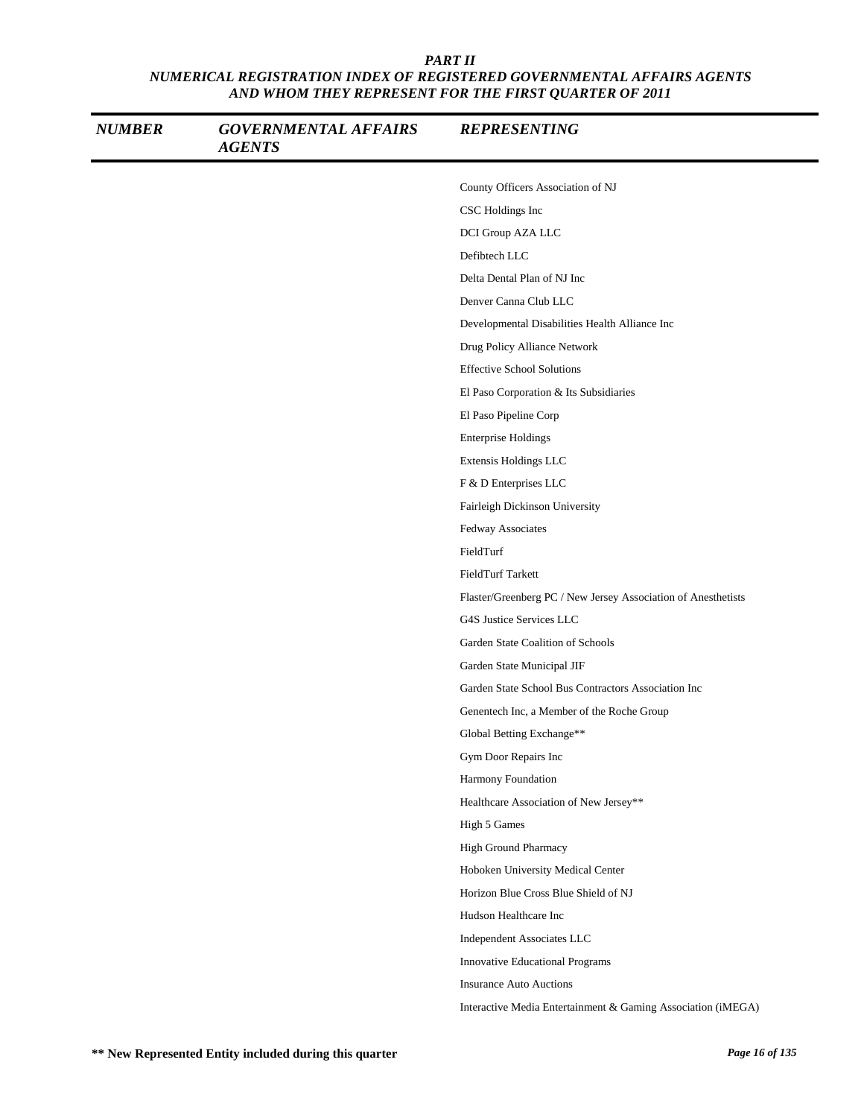| <b>NUMBER</b> | <b>GOVERNMENTAL AFFAIRS</b><br><b>AGENTS</b> | <b>REPRESENTING</b>                                           |
|---------------|----------------------------------------------|---------------------------------------------------------------|
|               |                                              | County Officers Association of NJ                             |
|               |                                              | CSC Holdings Inc                                              |
|               |                                              | DCI Group AZA LLC                                             |
|               |                                              | Defibtech LLC                                                 |
|               |                                              | Delta Dental Plan of NJ Inc                                   |
|               |                                              | Denver Canna Club LLC                                         |
|               |                                              | Developmental Disabilities Health Alliance Inc                |
|               |                                              | Drug Policy Alliance Network                                  |
|               |                                              | <b>Effective School Solutions</b>                             |
|               |                                              | El Paso Corporation & Its Subsidiaries                        |
|               |                                              | El Paso Pipeline Corp                                         |
|               |                                              | <b>Enterprise Holdings</b>                                    |
|               |                                              | Extensis Holdings LLC                                         |
|               |                                              | F & D Enterprises LLC                                         |
|               |                                              | Fairleigh Dickinson University                                |
|               |                                              | Fedway Associates                                             |
|               |                                              | FieldTurf                                                     |
|               |                                              | FieldTurf Tarkett                                             |
|               |                                              | Flaster/Greenberg PC / New Jersey Association of Anesthetists |
|               |                                              | G4S Justice Services LLC                                      |
|               |                                              | Garden State Coalition of Schools                             |
|               |                                              | Garden State Municipal JIF                                    |
|               |                                              | Garden State School Bus Contractors Association Inc           |
|               |                                              | Genentech Inc, a Member of the Roche Group                    |
|               |                                              | Global Betting Exchange**                                     |
|               |                                              | Gym Door Repairs Inc                                          |
|               |                                              | Harmony Foundation                                            |
|               |                                              | Healthcare Association of New Jersey**                        |
|               |                                              | High 5 Games                                                  |
|               |                                              | High Ground Pharmacy                                          |
|               |                                              | Hoboken University Medical Center                             |
|               |                                              | Horizon Blue Cross Blue Shield of NJ                          |
|               |                                              | Hudson Healthcare Inc                                         |
|               |                                              | Independent Associates LLC                                    |
|               |                                              | Innovative Educational Programs                               |
|               |                                              | <b>Insurance Auto Auctions</b>                                |
|               |                                              | Interactive Media Entertainment & Gaming Association (iMEGA)  |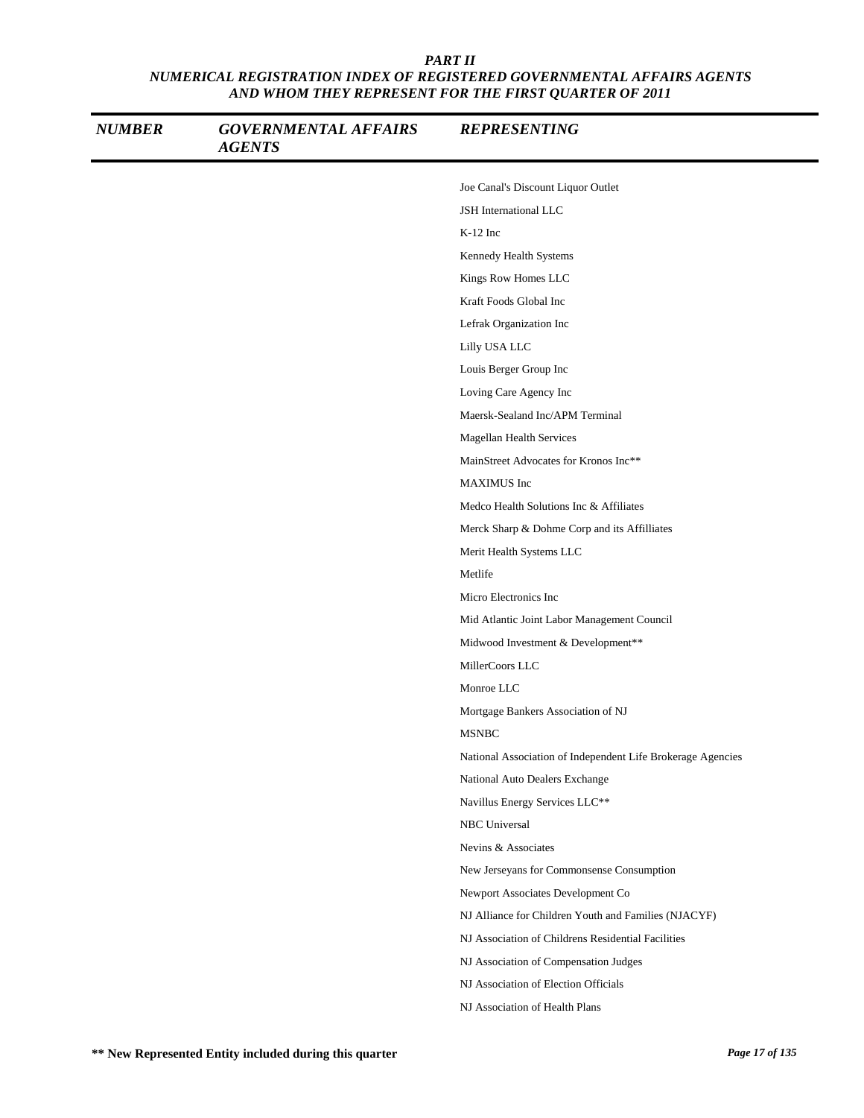| <b>NUMBER</b> | <b>GOVERNMENTAL AFFAIRS</b><br><b>AGENTS</b> | <b>REPRESENTING</b>                                         |
|---------------|----------------------------------------------|-------------------------------------------------------------|
|               |                                              | Joe Canal's Discount Liquor Outlet                          |
|               |                                              | JSH International LLC                                       |
|               |                                              | $K-12$ Inc                                                  |
|               |                                              | Kennedy Health Systems                                      |
|               |                                              | Kings Row Homes LLC                                         |
|               |                                              | Kraft Foods Global Inc                                      |
|               |                                              | Lefrak Organization Inc                                     |
|               |                                              | Lilly USA LLC                                               |
|               |                                              | Louis Berger Group Inc                                      |
|               |                                              | Loving Care Agency Inc                                      |
|               |                                              | Maersk-Sealand Inc/APM Terminal                             |
|               |                                              | Magellan Health Services                                    |
|               |                                              | MainStreet Advocates for Kronos Inc**                       |
|               |                                              | MAXIMUS Inc                                                 |
|               |                                              | Medco Health Solutions Inc & Affiliates                     |
|               |                                              | Merck Sharp & Dohme Corp and its Affilliates                |
|               |                                              | Merit Health Systems LLC                                    |
|               |                                              | Metlife                                                     |
|               |                                              | Micro Electronics Inc                                       |
|               |                                              | Mid Atlantic Joint Labor Management Council                 |
|               |                                              | Midwood Investment & Development**                          |
|               |                                              | MillerCoors LLC                                             |
|               |                                              | Monroe LLC                                                  |
|               |                                              | Mortgage Bankers Association of NJ                          |
|               |                                              | <b>MSNBC</b>                                                |
|               |                                              | National Association of Independent Life Brokerage Agencies |
|               |                                              | National Auto Dealers Exchange                              |
|               |                                              | Navillus Energy Services LLC**                              |
|               |                                              | NBC Universal                                               |
|               |                                              | Nevins & Associates                                         |
|               |                                              | New Jerseyans for Commonsense Consumption                   |
|               |                                              | Newport Associates Development Co                           |
|               |                                              | NJ Alliance for Children Youth and Families (NJACYF)        |
|               |                                              | NJ Association of Childrens Residential Facilities          |
|               |                                              | NJ Association of Compensation Judges                       |
|               |                                              | NJ Association of Election Officials                        |
|               |                                              | NJ Association of Health Plans                              |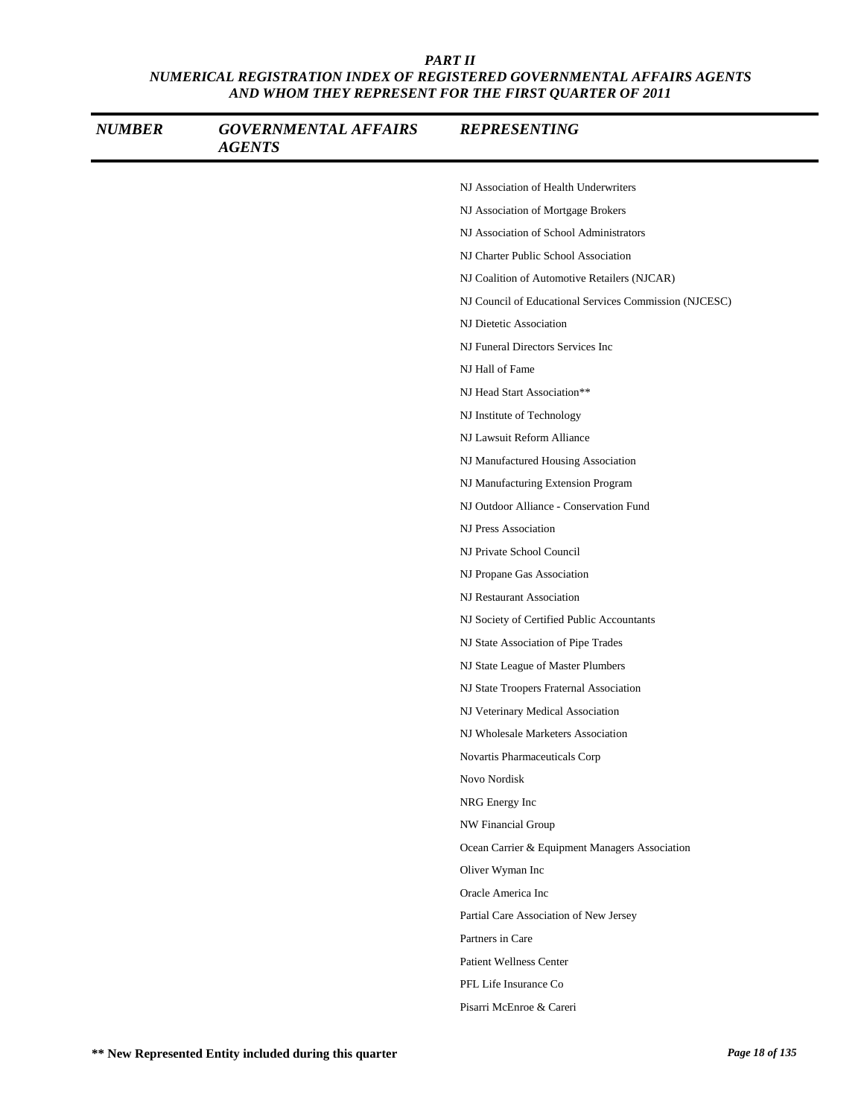| <b>NUMBER</b> | <b>GOVERNMENTAL AFFAIRS</b><br><b>AGENTS</b> | <b>REPRESENTING</b>                                    |
|---------------|----------------------------------------------|--------------------------------------------------------|
|               |                                              | NJ Association of Health Underwriters                  |
|               |                                              | NJ Association of Mortgage Brokers                     |
|               |                                              | NJ Association of School Administrators                |
|               |                                              | NJ Charter Public School Association                   |
|               |                                              | NJ Coalition of Automotive Retailers (NJCAR)           |
|               |                                              | NJ Council of Educational Services Commission (NJCESC) |
|               |                                              | NJ Dietetic Association                                |
|               |                                              | NJ Funeral Directors Services Inc                      |
|               |                                              | NJ Hall of Fame                                        |
|               |                                              | NJ Head Start Association**                            |
|               |                                              | NJ Institute of Technology                             |
|               |                                              | NJ Lawsuit Reform Alliance                             |
|               |                                              | NJ Manufactured Housing Association                    |
|               |                                              | NJ Manufacturing Extension Program                     |
|               |                                              | NJ Outdoor Alliance - Conservation Fund                |
|               |                                              | NJ Press Association                                   |
|               |                                              | NJ Private School Council                              |
|               |                                              | NJ Propane Gas Association                             |
|               |                                              | NJ Restaurant Association                              |
|               |                                              | NJ Society of Certified Public Accountants             |
|               |                                              | NJ State Association of Pipe Trades                    |
|               |                                              | NJ State League of Master Plumbers                     |
|               |                                              | NJ State Troopers Fraternal Association                |
|               |                                              | NJ Veterinary Medical Association                      |
|               |                                              | NJ Wholesale Marketers Association                     |
|               |                                              | Novartis Pharmaceuticals Corp                          |
|               |                                              | Novo Nordisk                                           |
|               |                                              | NRG Energy Inc                                         |
|               |                                              | NW Financial Group                                     |
|               |                                              | Ocean Carrier & Equipment Managers Association         |
|               |                                              | Oliver Wyman Inc                                       |
|               |                                              | Oracle America Inc                                     |
|               |                                              | Partial Care Association of New Jersey                 |
|               |                                              | Partners in Care                                       |
|               |                                              | <b>Patient Wellness Center</b>                         |
|               |                                              | PFL Life Insurance Co                                  |
|               |                                              | Pisarri McEnroe & Careri                               |
|               |                                              |                                                        |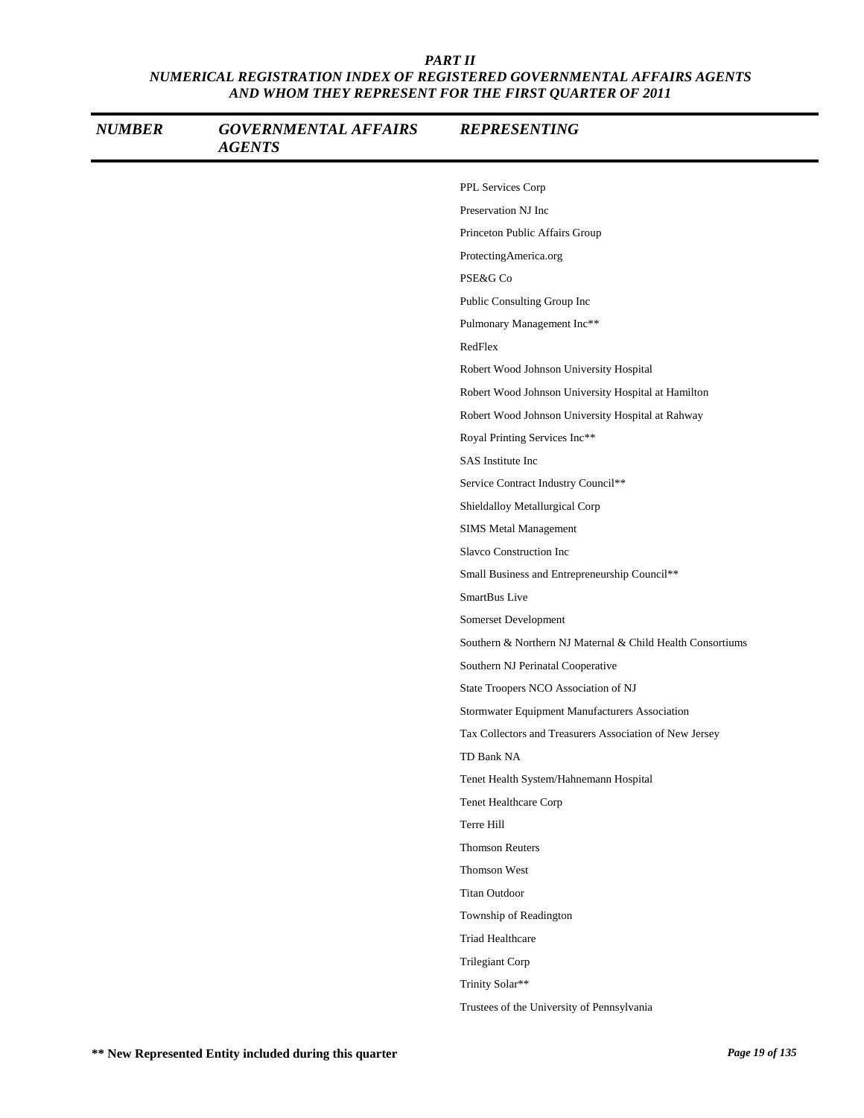| <b>NUMBER</b> | <b>GOVERNMENTAL AFFAIRS</b><br><b>AGENTS</b> | <b>REPRESENTING</b>                                        |
|---------------|----------------------------------------------|------------------------------------------------------------|
|               |                                              | PPL Services Corp                                          |
|               |                                              | Preservation NJ Inc                                        |
|               |                                              | Princeton Public Affairs Group                             |
|               |                                              | ProtectingAmerica.org                                      |
|               |                                              | PSE&G Co                                                   |
|               |                                              | Public Consulting Group Inc                                |
|               |                                              | Pulmonary Management Inc**                                 |
|               |                                              | RedFlex                                                    |
|               |                                              | Robert Wood Johnson University Hospital                    |
|               |                                              | Robert Wood Johnson University Hospital at Hamilton        |
|               |                                              | Robert Wood Johnson University Hospital at Rahway          |
|               |                                              | Royal Printing Services Inc**                              |
|               |                                              | SAS Institute Inc                                          |
|               |                                              | Service Contract Industry Council**                        |
|               |                                              | Shieldalloy Metallurgical Corp                             |
|               |                                              | SIMS Metal Management                                      |
|               |                                              | Slavco Construction Inc                                    |
|               |                                              | Small Business and Entrepreneurship Council**              |
|               |                                              | SmartBus Live                                              |
|               |                                              | Somerset Development                                       |
|               |                                              | Southern & Northern NJ Maternal & Child Health Consortiums |
|               |                                              | Southern NJ Perinatal Cooperative                          |
|               |                                              | State Troopers NCO Association of NJ                       |
|               |                                              | Stormwater Equipment Manufacturers Association             |
|               |                                              | Tax Collectors and Treasurers Association of New Jersey    |
|               |                                              | TD Bank NA                                                 |
|               |                                              | Tenet Health System/Hahnemann Hospital                     |
|               |                                              | Tenet Healthcare Corp                                      |
|               |                                              | Terre Hill                                                 |
|               |                                              | Thomson Reuters                                            |
|               |                                              | Thomson West                                               |
|               |                                              | <b>Titan Outdoor</b>                                       |
|               |                                              | Township of Readington                                     |
|               |                                              | Triad Healthcare                                           |
|               |                                              | Trilegiant Corp                                            |
|               |                                              | Trinity Solar**                                            |
|               |                                              | Trustees of the University of Pennsylvania                 |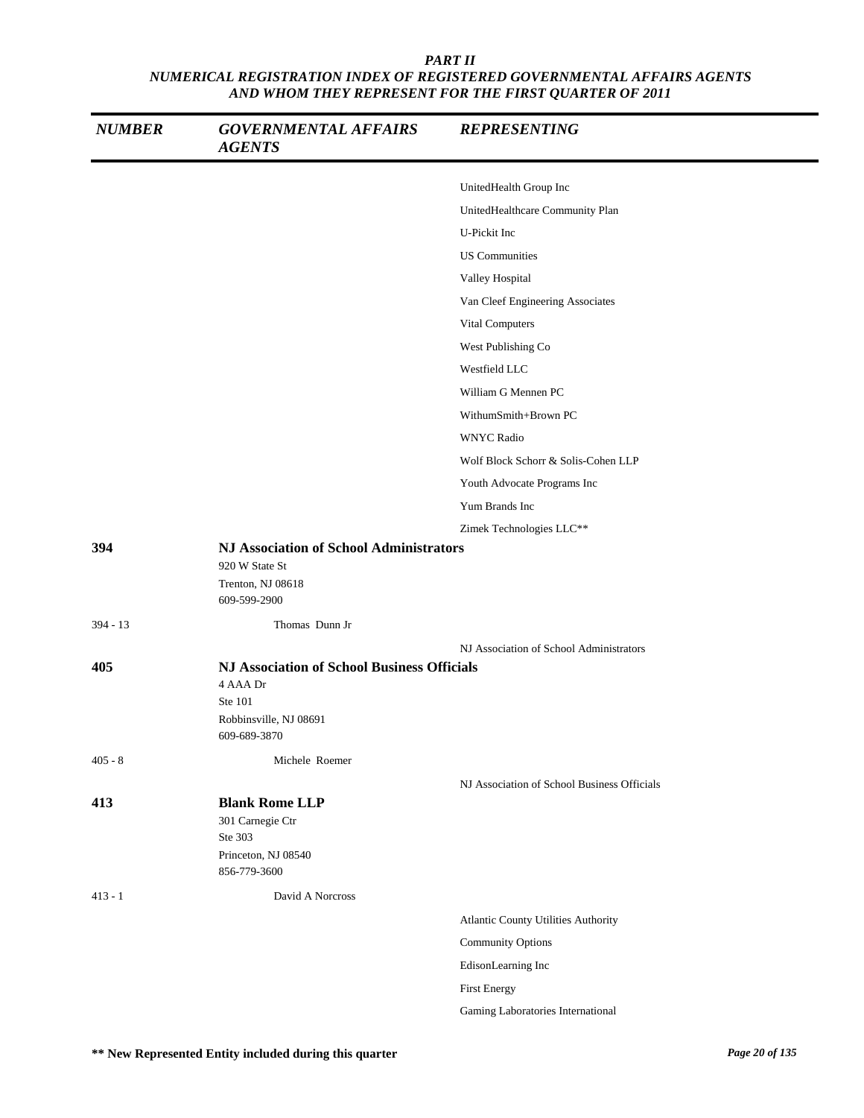| <b>NUMBER</b> | <b>GOVERNMENTAL AFFAIRS</b><br><b>AGENTS</b>                                                                        | <b>REPRESENTING</b>                         |
|---------------|---------------------------------------------------------------------------------------------------------------------|---------------------------------------------|
|               |                                                                                                                     | UnitedHealth Group Inc                      |
|               |                                                                                                                     | UnitedHealthcare Community Plan             |
|               |                                                                                                                     | U-Pickit Inc                                |
|               |                                                                                                                     | <b>US Communities</b>                       |
|               |                                                                                                                     | Valley Hospital                             |
|               |                                                                                                                     | Van Cleef Engineering Associates            |
|               |                                                                                                                     | Vital Computers                             |
|               |                                                                                                                     | West Publishing Co                          |
|               |                                                                                                                     | Westfield LLC                               |
|               |                                                                                                                     | William G Mennen PC                         |
|               |                                                                                                                     | WithumSmith+Brown PC                        |
|               |                                                                                                                     | <b>WNYC Radio</b>                           |
|               |                                                                                                                     | Wolf Block Schorr & Solis-Cohen LLP         |
|               |                                                                                                                     | Youth Advocate Programs Inc                 |
|               |                                                                                                                     | Yum Brands Inc                              |
|               |                                                                                                                     | Zimek Technologies LLC**                    |
| 394           | <b>NJ Association of School Administrators</b><br>920 W State St<br>Trenton, NJ 08618<br>609-599-2900               |                                             |
| $394 - 13$    | Thomas Dunn Jr                                                                                                      |                                             |
| 405           | <b>NJ Association of School Business Officials</b><br>4 AAA Dr<br>Ste 101<br>Robbinsville, NJ 08691<br>609-689-3870 | NJ Association of School Administrators     |
| $405 - 8$     | Michele Roemer                                                                                                      |                                             |
|               |                                                                                                                     | NJ Association of School Business Officials |
| 413           | <b>Blank Rome LLP</b><br>301 Carnegie Ctr<br>Ste 303<br>Princeton, NJ 08540<br>856-779-3600                         |                                             |
| $413 - 1$     | David A Norcross                                                                                                    |                                             |
|               |                                                                                                                     | Atlantic County Utilities Authority         |
|               |                                                                                                                     | <b>Community Options</b>                    |
|               |                                                                                                                     | EdisonLearning Inc                          |
|               |                                                                                                                     | <b>First Energy</b>                         |
|               |                                                                                                                     | Gaming Laboratories International           |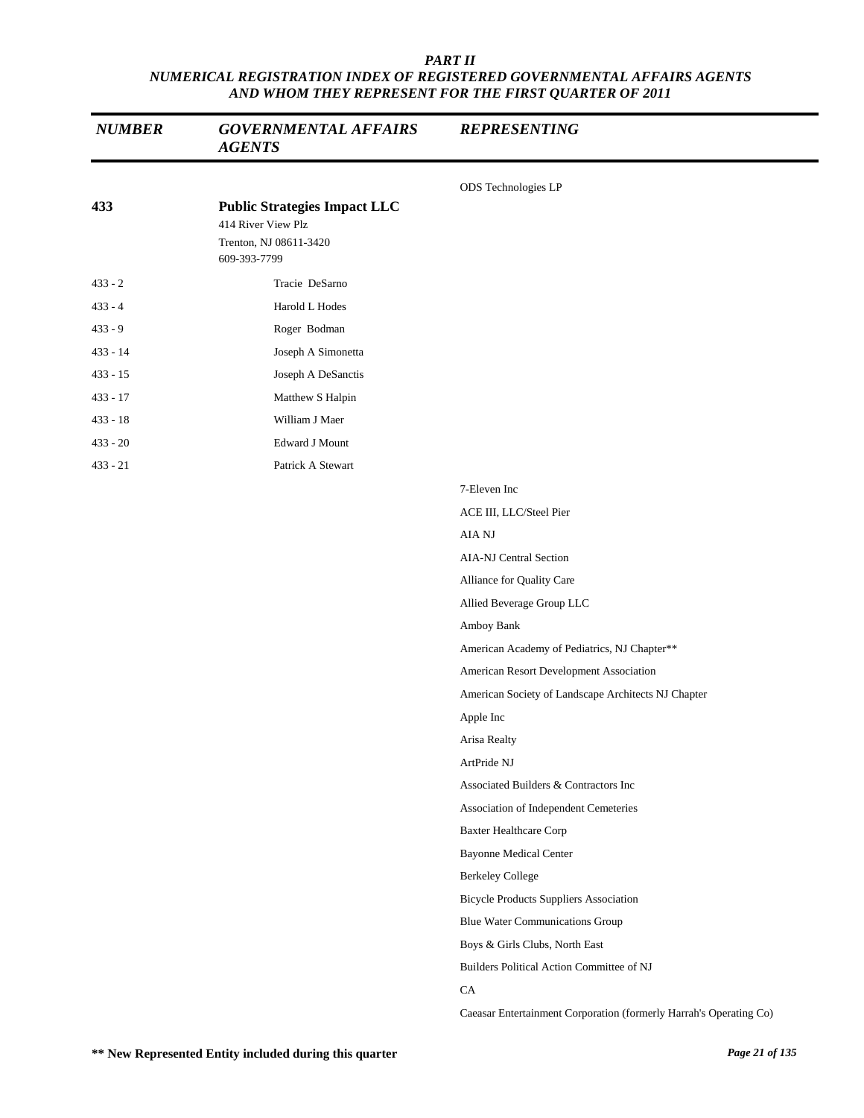| <b>NUMBER</b> | <b>GOVERNMENTAL AFFAIRS</b><br><b>AGENTS</b>                                                        | <b>REPRESENTING</b>                                                |
|---------------|-----------------------------------------------------------------------------------------------------|--------------------------------------------------------------------|
|               |                                                                                                     | ODS Technologies LP                                                |
| 433           | <b>Public Strategies Impact LLC</b><br>414 River View Plz<br>Trenton, NJ 08611-3420<br>609-393-7799 |                                                                    |
| $433 - 2$     | Tracie DeSarno                                                                                      |                                                                    |
| $433 - 4$     | Harold L Hodes                                                                                      |                                                                    |
| $433 - 9$     | Roger Bodman                                                                                        |                                                                    |
| $433 - 14$    | Joseph A Simonetta                                                                                  |                                                                    |
| $433 - 15$    | Joseph A DeSanctis                                                                                  |                                                                    |
| $433 - 17$    | Matthew S Halpin                                                                                    |                                                                    |
| $433 - 18$    | William J Maer                                                                                      |                                                                    |
| $433 - 20$    | <b>Edward J Mount</b>                                                                               |                                                                    |
| $433 - 21$    | Patrick A Stewart                                                                                   |                                                                    |
|               |                                                                                                     | 7-Eleven Inc                                                       |
|               |                                                                                                     | ACE III, LLC/Steel Pier                                            |
|               |                                                                                                     | AIA NJ                                                             |
|               |                                                                                                     | <b>AIA-NJ Central Section</b>                                      |
|               |                                                                                                     | Alliance for Quality Care                                          |
|               |                                                                                                     | Allied Beverage Group LLC                                          |
|               |                                                                                                     | Amboy Bank                                                         |
|               |                                                                                                     | American Academy of Pediatrics, NJ Chapter**                       |
|               |                                                                                                     | American Resort Development Association                            |
|               |                                                                                                     | American Society of Landscape Architects NJ Chapter                |
|               |                                                                                                     | Apple Inc                                                          |
|               |                                                                                                     | Arisa Realty                                                       |
|               |                                                                                                     | ArtPride NJ                                                        |
|               |                                                                                                     | Associated Builders & Contractors Inc                              |
|               |                                                                                                     | Association of Independent Cemeteries                              |
|               |                                                                                                     | <b>Baxter Healthcare Corp</b>                                      |
|               |                                                                                                     | <b>Bayonne Medical Center</b>                                      |
|               |                                                                                                     | <b>Berkeley College</b>                                            |
|               |                                                                                                     | <b>Bicycle Products Suppliers Association</b>                      |
|               |                                                                                                     | <b>Blue Water Communications Group</b>                             |
|               |                                                                                                     | Boys & Girls Clubs, North East                                     |
|               |                                                                                                     | Builders Political Action Committee of NJ                          |
|               |                                                                                                     | CA                                                                 |
|               |                                                                                                     | Caeasar Entertainment Corporation (formerly Harrah's Operating Co) |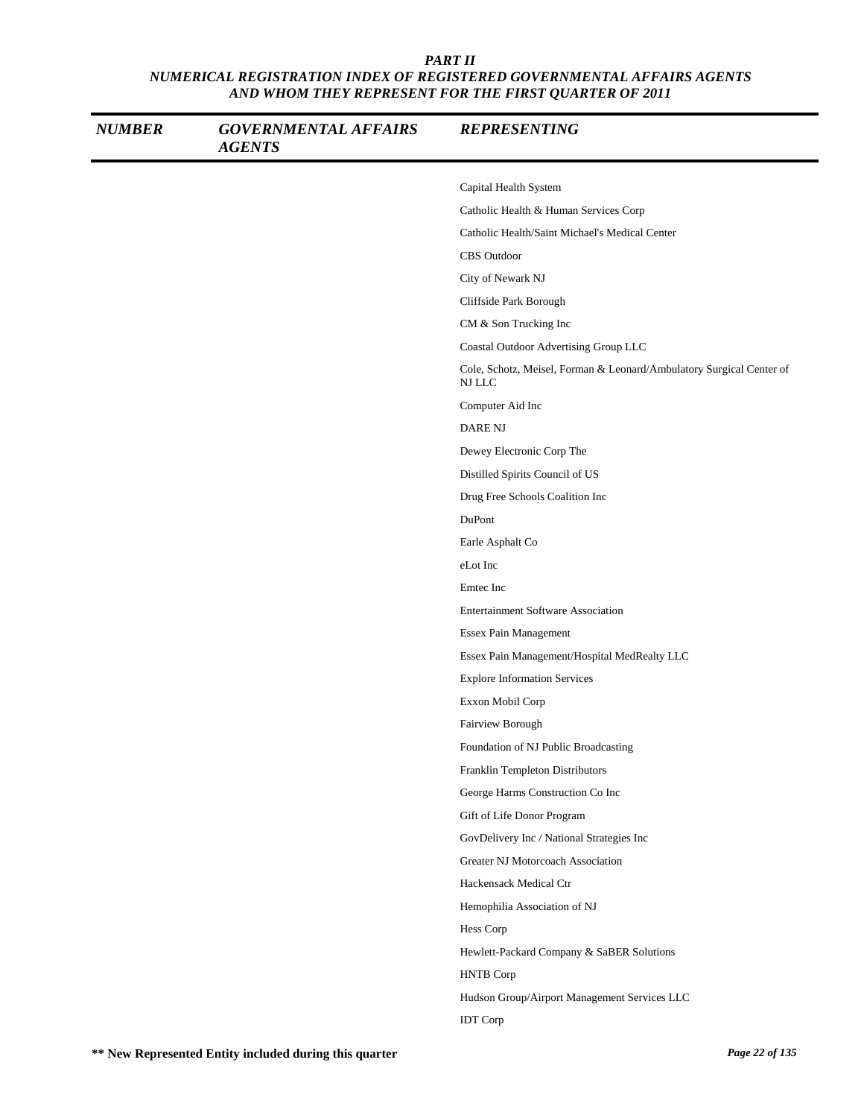| <b>NUMBER</b> | <b>GOVERNMENTAL AFFAIRS</b><br><b>AGENTS</b> | <b>REPRESENTING</b>                                                            |
|---------------|----------------------------------------------|--------------------------------------------------------------------------------|
|               |                                              | Capital Health System                                                          |
|               |                                              | Catholic Health & Human Services Corp                                          |
|               |                                              | Catholic Health/Saint Michael's Medical Center                                 |
|               |                                              | <b>CBS</b> Outdoor                                                             |
|               |                                              | City of Newark NJ                                                              |
|               |                                              | Cliffside Park Borough                                                         |
|               |                                              | CM & Son Trucking Inc                                                          |
|               |                                              | Coastal Outdoor Advertising Group LLC                                          |
|               |                                              | Cole, Schotz, Meisel, Forman & Leonard/Ambulatory Surgical Center of<br>NJ LLC |
|               |                                              | Computer Aid Inc                                                               |
|               |                                              | <b>DARE NJ</b>                                                                 |
|               |                                              | Dewey Electronic Corp The                                                      |
|               |                                              | Distilled Spirits Council of US                                                |
|               |                                              | Drug Free Schools Coalition Inc                                                |
|               |                                              | DuPont                                                                         |
|               |                                              | Earle Asphalt Co                                                               |
|               |                                              | eLot Inc                                                                       |
|               |                                              | Emtec Inc                                                                      |
|               |                                              | <b>Entertainment Software Association</b>                                      |
|               |                                              | Essex Pain Management                                                          |
|               |                                              | Essex Pain Management/Hospital MedRealty LLC                                   |
|               |                                              | <b>Explore Information Services</b>                                            |
|               |                                              | Exxon Mobil Corp                                                               |
|               |                                              | Fairview Borough                                                               |
|               |                                              | Foundation of NJ Public Broadcasting                                           |
|               |                                              | Franklin Templeton Distributors                                                |
|               |                                              | George Harms Construction Co Inc                                               |
|               |                                              | Gift of Life Donor Program                                                     |
|               |                                              | GovDelivery Inc / National Strategies Inc                                      |
|               |                                              | Greater NJ Motorcoach Association                                              |
|               |                                              | Hackensack Medical Ctr                                                         |
|               |                                              | Hemophilia Association of NJ                                                   |
|               |                                              | Hess Corp                                                                      |
|               |                                              | Hewlett-Packard Company & SaBER Solutions                                      |
|               |                                              | <b>HNTB</b> Corp                                                               |
|               |                                              | Hudson Group/Airport Management Services LLC                                   |
|               |                                              | <b>IDT</b> Corp                                                                |
|               |                                              |                                                                                |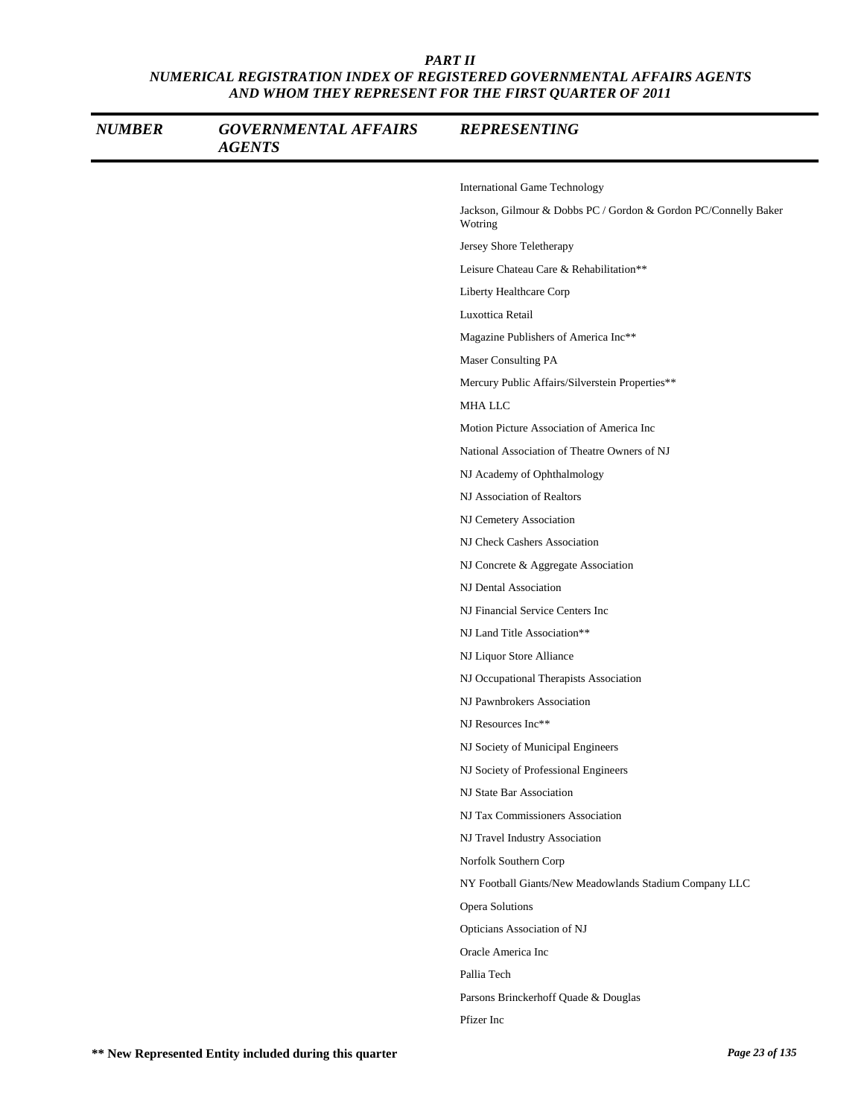| <b>NUMBER</b> | <b>GOVERNMENTAL AFFAIRS</b><br><b>AGENTS</b> | <b>REPRESENTING</b>                                                        |
|---------------|----------------------------------------------|----------------------------------------------------------------------------|
|               |                                              | <b>International Game Technology</b>                                       |
|               |                                              | Jackson, Gilmour & Dobbs PC / Gordon & Gordon PC/Connelly Baker<br>Wotring |
|               |                                              | Jersey Shore Teletherapy                                                   |
|               |                                              | Leisure Chateau Care & Rehabilitation**                                    |
|               |                                              | Liberty Healthcare Corp                                                    |
|               |                                              | Luxottica Retail                                                           |
|               |                                              | Magazine Publishers of America Inc**                                       |
|               |                                              | Maser Consulting PA                                                        |
|               |                                              | Mercury Public Affairs/Silverstein Properties**                            |
|               |                                              | MHA LLC                                                                    |
|               |                                              | Motion Picture Association of America Inc                                  |
|               |                                              | National Association of Theatre Owners of NJ                               |
|               |                                              | NJ Academy of Ophthalmology                                                |
|               |                                              | NJ Association of Realtors                                                 |
|               |                                              | NJ Cemetery Association                                                    |
|               |                                              | NJ Check Cashers Association                                               |
|               |                                              | NJ Concrete & Aggregate Association                                        |
|               |                                              | NJ Dental Association                                                      |
|               |                                              | NJ Financial Service Centers Inc                                           |
|               |                                              | NJ Land Title Association**                                                |
|               |                                              | NJ Liquor Store Alliance                                                   |
|               |                                              | NJ Occupational Therapists Association                                     |
|               |                                              | NJ Pawnbrokers Association                                                 |
|               |                                              | NJ Resources Inc**                                                         |
|               |                                              | NJ Society of Municipal Engineers                                          |
|               |                                              | NJ Society of Professional Engineers                                       |
|               |                                              | NJ State Bar Association                                                   |
|               |                                              | NJ Tax Commissioners Association                                           |
|               |                                              | NJ Travel Industry Association                                             |
|               |                                              | Norfolk Southern Corp                                                      |
|               |                                              | NY Football Giants/New Meadowlands Stadium Company LLC                     |
|               |                                              | Opera Solutions                                                            |
|               |                                              | Opticians Association of NJ                                                |
|               |                                              | Oracle America Inc                                                         |
|               |                                              | Pallia Tech                                                                |
|               |                                              | Parsons Brinckerhoff Quade & Douglas                                       |
|               |                                              | Pfizer Inc                                                                 |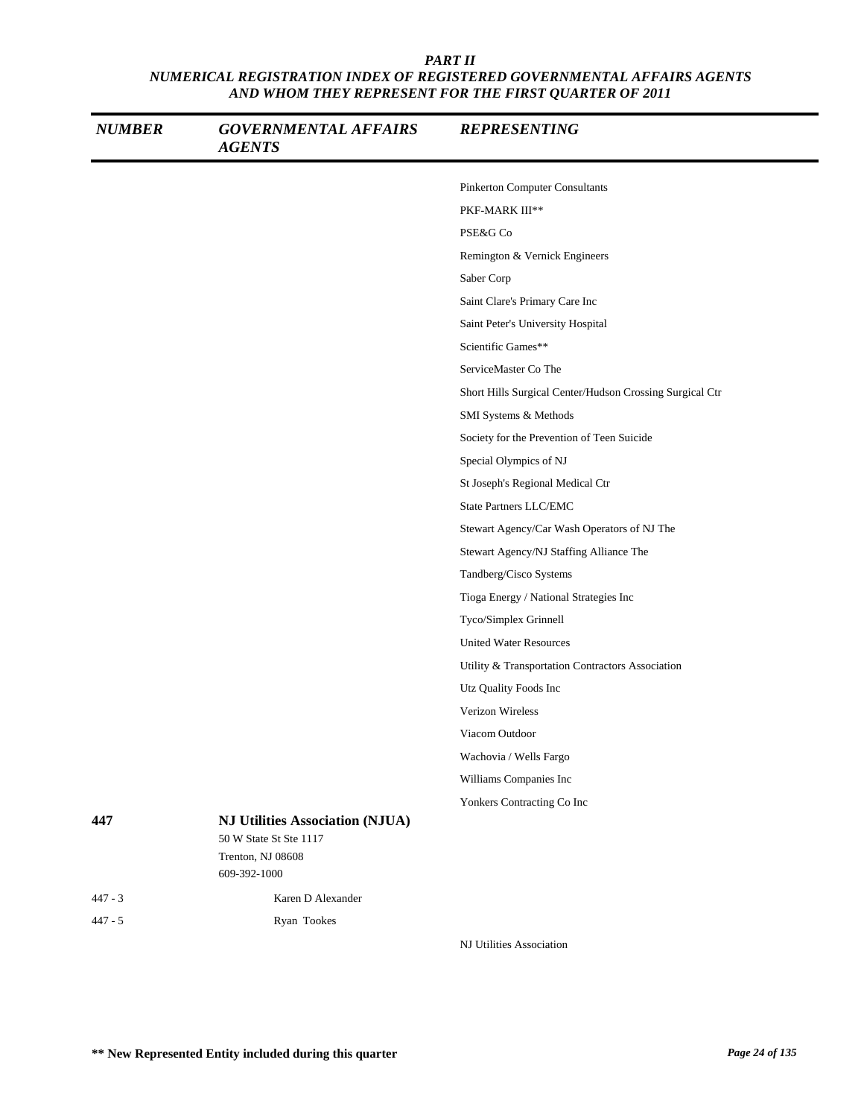| <b>NUMBER</b> | <b>GOVERNMENTAL AFFAIRS</b><br><b>AGENTS</b>                     | <b>REPRESENTING</b>                                      |
|---------------|------------------------------------------------------------------|----------------------------------------------------------|
|               |                                                                  | Pinkerton Computer Consultants                           |
|               |                                                                  | PKF-MARK III**                                           |
|               |                                                                  | PSE&G Co                                                 |
|               |                                                                  | Remington & Vernick Engineers                            |
|               |                                                                  | Saber Corp                                               |
|               |                                                                  | Saint Clare's Primary Care Inc                           |
|               |                                                                  | Saint Peter's University Hospital                        |
|               |                                                                  | Scientific Games**                                       |
|               |                                                                  | ServiceMaster Co The                                     |
|               |                                                                  | Short Hills Surgical Center/Hudson Crossing Surgical Ctr |
|               |                                                                  | SMI Systems & Methods                                    |
|               |                                                                  | Society for the Prevention of Teen Suicide               |
|               |                                                                  | Special Olympics of NJ                                   |
|               |                                                                  | St Joseph's Regional Medical Ctr                         |
|               |                                                                  | State Partners LLC/EMC                                   |
|               |                                                                  | Stewart Agency/Car Wash Operators of NJ The              |
|               |                                                                  | Stewart Agency/NJ Staffing Alliance The                  |
|               |                                                                  | Tandberg/Cisco Systems                                   |
|               |                                                                  | Tioga Energy / National Strategies Inc                   |
|               |                                                                  | Tyco/Simplex Grinnell                                    |
|               |                                                                  | <b>United Water Resources</b>                            |
|               |                                                                  | Utility & Transportation Contractors Association         |
|               |                                                                  | Utz Quality Foods Inc                                    |
|               |                                                                  | Verizon Wireless                                         |
|               |                                                                  | Viacom Outdoor                                           |
|               |                                                                  | Wachovia / Wells Fargo                                   |
|               |                                                                  | Williams Companies Inc                                   |
|               |                                                                  | Yonkers Contracting Co Inc                               |
| 447           | <b>NJ Utilities Association (NJUA)</b><br>50 W State St Ste 1117 |                                                          |
|               | Trenton, NJ 08608<br>609-392-1000                                |                                                          |
| $447 - 3$     | Karen D Alexander                                                |                                                          |
| $447 - 5$     | Ryan Tookes                                                      |                                                          |

NJ Utilities Association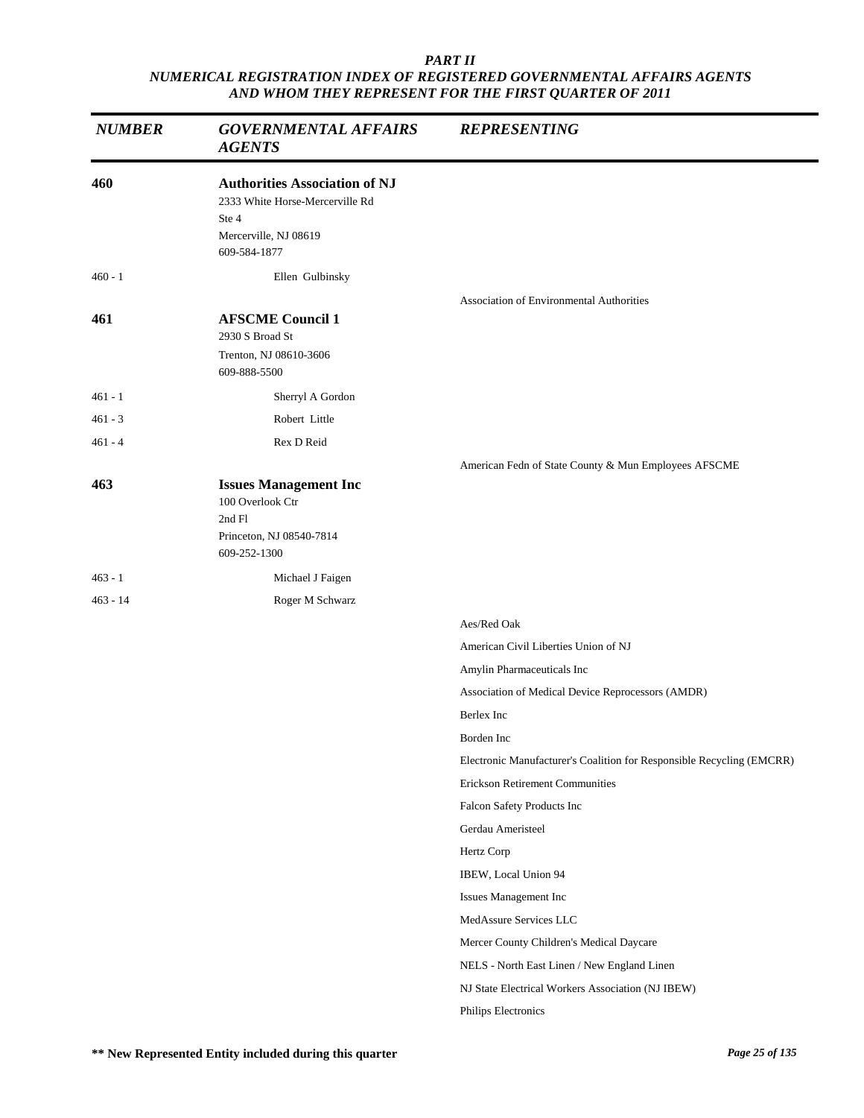| <b>NUMBER</b> | <b>GOVERNMENTAL AFFAIRS</b><br><b>AGENTS</b>                                                                              | <b>REPRESENTING</b>                                                   |
|---------------|---------------------------------------------------------------------------------------------------------------------------|-----------------------------------------------------------------------|
| 460           | <b>Authorities Association of NJ</b><br>2333 White Horse-Mercerville Rd<br>Ste 4<br>Mercerville, NJ 08619<br>609-584-1877 |                                                                       |
| $460 - 1$     | Ellen Gulbinsky                                                                                                           |                                                                       |
| 461           | <b>AFSCME Council 1</b><br>2930 S Broad St<br>Trenton, NJ 08610-3606<br>609-888-5500                                      | <b>Association of Environmental Authorities</b>                       |
| 461 - 1       | Sherryl A Gordon                                                                                                          |                                                                       |
| 461 - 3       | Robert Little                                                                                                             |                                                                       |
| 461 - 4       | Rex D Reid                                                                                                                |                                                                       |
|               |                                                                                                                           | American Fedn of State County & Mun Employees AFSCME                  |
| 463           | <b>Issues Management Inc</b><br>100 Overlook Ctr<br>2nd Fl<br>Princeton, NJ 08540-7814<br>609-252-1300                    |                                                                       |
| $463 - 1$     | Michael J Faigen                                                                                                          |                                                                       |
| 463 - 14      | Roger M Schwarz                                                                                                           |                                                                       |
|               |                                                                                                                           | Aes/Red Oak                                                           |
|               |                                                                                                                           | American Civil Liberties Union of NJ                                  |
|               |                                                                                                                           | Amylin Pharmaceuticals Inc                                            |
|               |                                                                                                                           | Association of Medical Device Reprocessors (AMDR)                     |
|               |                                                                                                                           | Berlex Inc                                                            |
|               |                                                                                                                           | Borden Inc                                                            |
|               |                                                                                                                           | Electronic Manufacturer's Coalition for Responsible Recycling (EMCRR) |
|               |                                                                                                                           | <b>Erickson Retirement Communities</b>                                |
|               |                                                                                                                           | Falcon Safety Products Inc                                            |
|               |                                                                                                                           | Gerdau Ameristeel                                                     |
|               |                                                                                                                           | Hertz Corp                                                            |
|               |                                                                                                                           | IBEW, Local Union 94                                                  |
|               |                                                                                                                           | Issues Management Inc                                                 |
|               |                                                                                                                           | MedAssure Services LLC                                                |
|               |                                                                                                                           | Mercer County Children's Medical Daycare                              |
|               |                                                                                                                           | NELS - North East Linen / New England Linen                           |
|               |                                                                                                                           | NJ State Electrical Workers Association (NJ IBEW)                     |
|               |                                                                                                                           | Philips Electronics                                                   |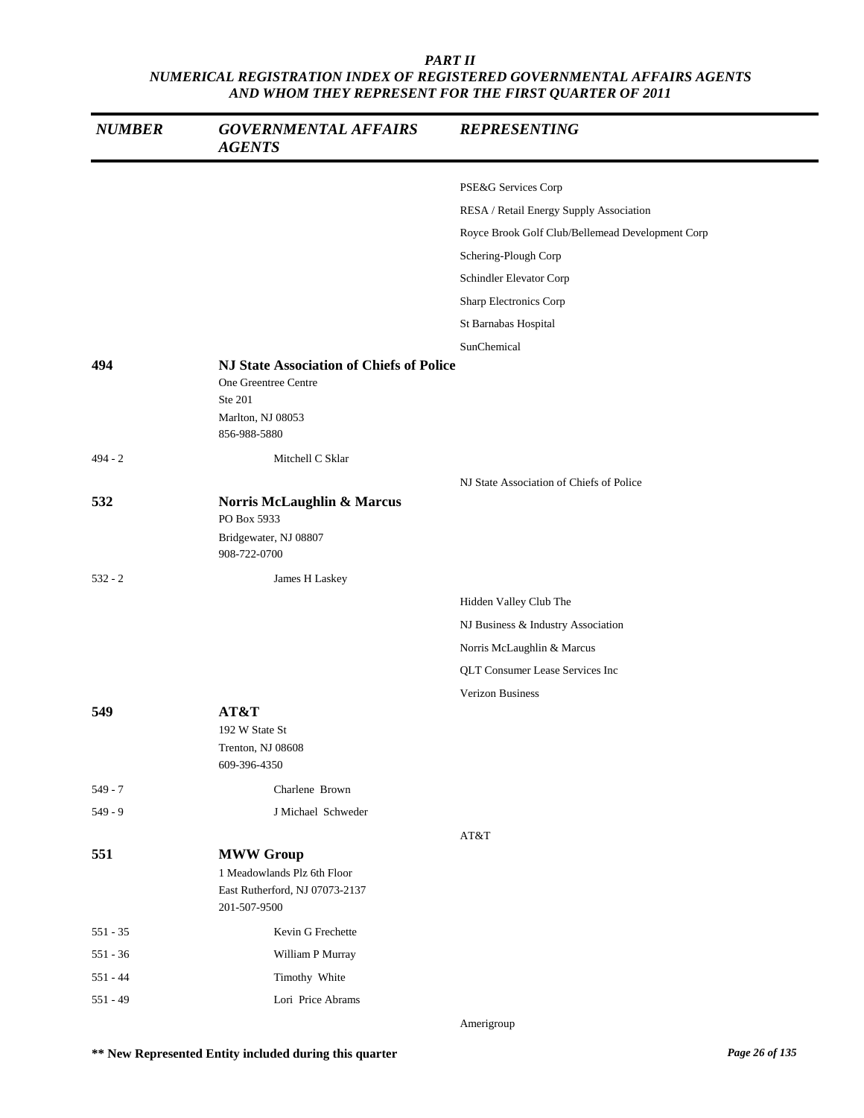| <b>NUMBER</b> | <b>GOVERNMENTAL AFFAIRS</b><br><b>AGENTS</b>                                                                            | <b>REPRESENTING</b>                              |
|---------------|-------------------------------------------------------------------------------------------------------------------------|--------------------------------------------------|
|               |                                                                                                                         |                                                  |
|               |                                                                                                                         | PSE&G Services Corp                              |
|               |                                                                                                                         | RESA / Retail Energy Supply Association          |
|               |                                                                                                                         | Royce Brook Golf Club/Bellemead Development Corp |
|               |                                                                                                                         | Schering-Plough Corp                             |
|               |                                                                                                                         | Schindler Elevator Corp                          |
|               |                                                                                                                         | Sharp Electronics Corp                           |
|               |                                                                                                                         | St Barnabas Hospital                             |
|               |                                                                                                                         | SunChemical                                      |
| 494           | <b>NJ State Association of Chiefs of Police</b><br>One Greentree Centre<br>Ste 201<br>Marlton, NJ 08053<br>856-988-5880 |                                                  |
| $494 - 2$     | Mitchell C Sklar                                                                                                        |                                                  |
|               |                                                                                                                         | NJ State Association of Chiefs of Police         |
| 532           | Norris McLaughlin & Marcus<br>PO Box 5933<br>Bridgewater, NJ 08807<br>908-722-0700                                      |                                                  |
|               |                                                                                                                         |                                                  |
| $532 - 2$     | James H Laskey                                                                                                          |                                                  |
|               |                                                                                                                         | Hidden Valley Club The                           |
|               |                                                                                                                         | NJ Business & Industry Association               |
|               |                                                                                                                         | Norris McLaughlin & Marcus                       |
|               |                                                                                                                         | QLT Consumer Lease Services Inc                  |
|               |                                                                                                                         | <b>Verizon Business</b>                          |
| 549           | AT&T<br>192 W State St<br>Trenton, NJ 08608<br>609-396-4350                                                             |                                                  |
| $549 - 7$     | Charlene Brown                                                                                                          |                                                  |
| $549 - 9$     | J Michael Schweder                                                                                                      |                                                  |
|               |                                                                                                                         | AT&T                                             |
| 551           | <b>MWW Group</b><br>1 Meadowlands Plz 6th Floor<br>East Rutherford, NJ 07073-2137<br>201-507-9500                       |                                                  |
| $551 - 35$    | Kevin G Frechette                                                                                                       |                                                  |
| $551 - 36$    | William P Murray                                                                                                        |                                                  |
| $551 - 44$    | Timothy White                                                                                                           |                                                  |
| $551 - 49$    | Lori Price Abrams                                                                                                       |                                                  |
|               |                                                                                                                         | Amerigroup                                       |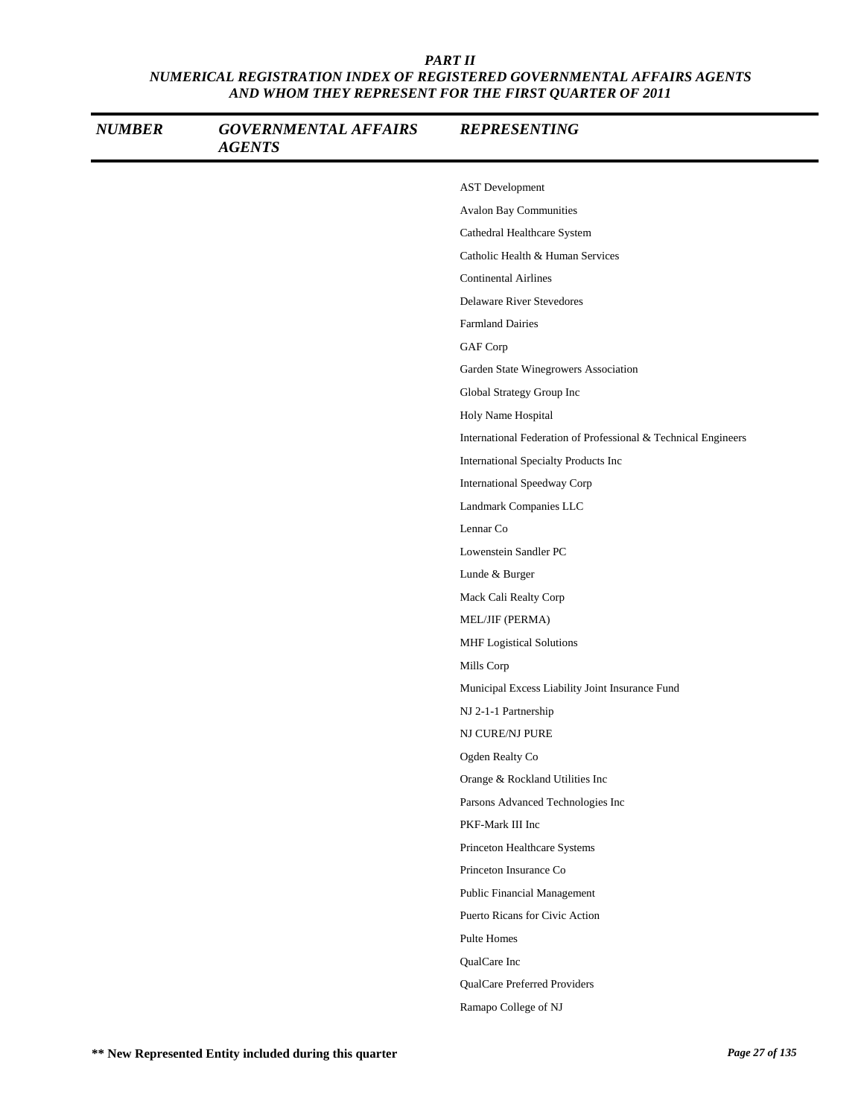| <b>NUMBER</b> | <b>GOVERNMENTAL AFFAIRS</b><br><b>AGENTS</b> | <b>REPRESENTING</b>                                            |
|---------------|----------------------------------------------|----------------------------------------------------------------|
|               |                                              | <b>AST</b> Development                                         |
|               |                                              | <b>Avalon Bay Communities</b>                                  |
|               |                                              | Cathedral Healthcare System                                    |
|               |                                              | Catholic Health & Human Services                               |
|               |                                              | <b>Continental Airlines</b>                                    |
|               |                                              | <b>Delaware River Stevedores</b>                               |
|               |                                              | <b>Farmland Dairies</b>                                        |
|               |                                              | GAF Corp                                                       |
|               |                                              | Garden State Winegrowers Association                           |
|               |                                              | Global Strategy Group Inc                                      |
|               |                                              | Holy Name Hospital                                             |
|               |                                              | International Federation of Professional & Technical Engineers |
|               |                                              | International Specialty Products Inc                           |
|               |                                              | <b>International Speedway Corp</b>                             |
|               |                                              | Landmark Companies LLC                                         |
|               |                                              | Lennar Co                                                      |
|               |                                              | Lowenstein Sandler PC                                          |
|               |                                              | Lunde & Burger                                                 |
|               |                                              | Mack Cali Realty Corp                                          |
|               |                                              | MEL/JIF (PERMA)                                                |
|               |                                              | MHF Logistical Solutions                                       |
|               |                                              | Mills Corp                                                     |
|               |                                              | Municipal Excess Liability Joint Insurance Fund                |
|               |                                              | NJ 2-1-1 Partnership                                           |
|               |                                              | NJ CURE/NJ PURE                                                |
|               |                                              | Ogden Realty Co                                                |
|               |                                              | Orange & Rockland Utilities Inc                                |
|               |                                              | Parsons Advanced Technologies Inc                              |
|               |                                              | PKF-Mark III Inc                                               |
|               |                                              | Princeton Healthcare Systems                                   |
|               |                                              | Princeton Insurance Co                                         |
|               |                                              | <b>Public Financial Management</b>                             |
|               |                                              | Puerto Ricans for Civic Action                                 |
|               |                                              | Pulte Homes                                                    |
|               |                                              | QualCare Inc                                                   |
|               |                                              | QualCare Preferred Providers                                   |
|               |                                              | Ramapo College of NJ                                           |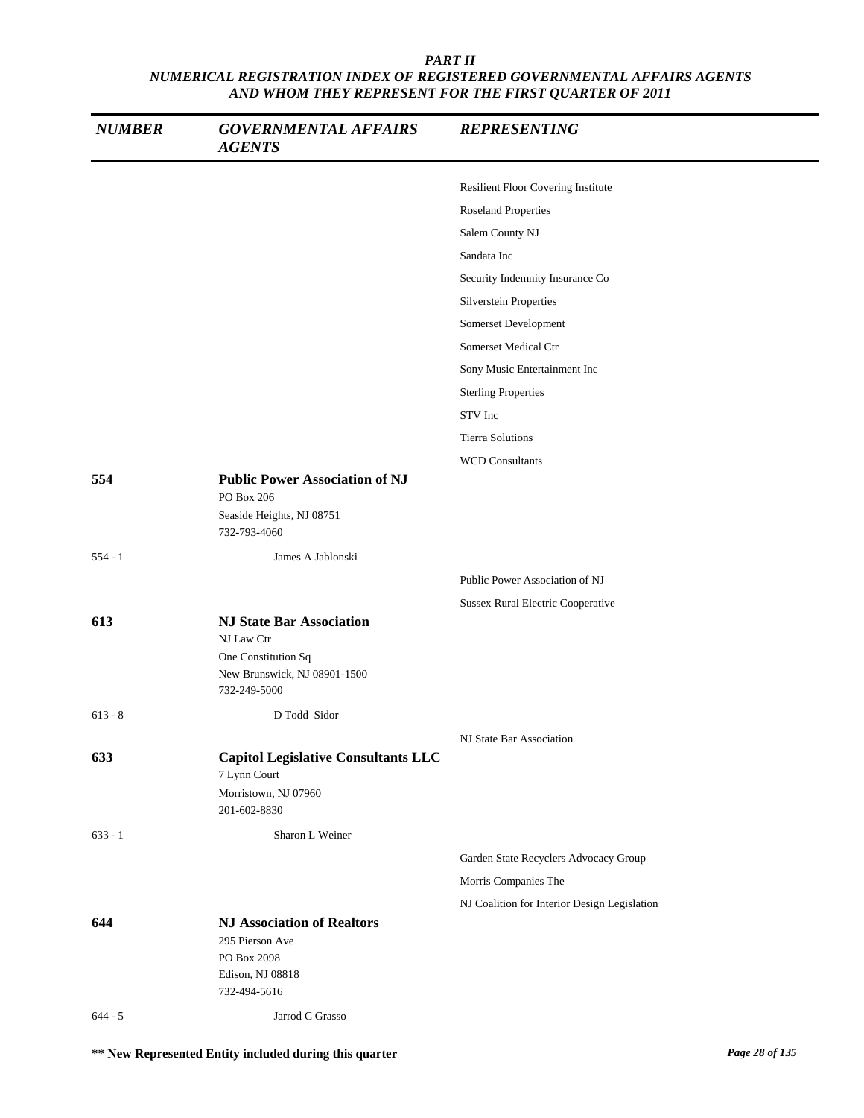| <b>NUMBER</b> | <b>GOVERNMENTAL AFFAIRS</b><br><b>AGENTS</b>                                                                         | <b>REPRESENTING</b>                          |
|---------------|----------------------------------------------------------------------------------------------------------------------|----------------------------------------------|
|               |                                                                                                                      | Resilient Floor Covering Institute           |
|               |                                                                                                                      | <b>Roseland Properties</b>                   |
|               |                                                                                                                      | Salem County NJ                              |
|               |                                                                                                                      | Sandata Inc                                  |
|               |                                                                                                                      | Security Indemnity Insurance Co              |
|               |                                                                                                                      | <b>Silverstein Properties</b>                |
|               |                                                                                                                      | Somerset Development                         |
|               |                                                                                                                      | Somerset Medical Ctr                         |
|               |                                                                                                                      | Sony Music Entertainment Inc                 |
|               |                                                                                                                      | <b>Sterling Properties</b>                   |
|               |                                                                                                                      | STV Inc                                      |
|               |                                                                                                                      | <b>Tierra Solutions</b>                      |
|               |                                                                                                                      | <b>WCD Consultants</b>                       |
| 554           | <b>Public Power Association of NJ</b><br>PO Box 206<br>Seaside Heights, NJ 08751<br>732-793-4060                     |                                              |
| $554 - 1$     | James A Jablonski                                                                                                    |                                              |
|               |                                                                                                                      | Public Power Association of NJ               |
|               |                                                                                                                      | <b>Sussex Rural Electric Cooperative</b>     |
| 613           | <b>NJ State Bar Association</b><br>NJ Law Ctr<br>One Constitution Sq<br>New Brunswick, NJ 08901-1500<br>732-249-5000 |                                              |
| $613 - 8$     | D Todd Sidor                                                                                                         |                                              |
|               |                                                                                                                      | NJ State Bar Association                     |
| 633           | <b>Capitol Legislative Consultants LLC</b><br>7 Lynn Court<br>Morristown, NJ 07960<br>201-602-8830                   |                                              |
| $633 - 1$     | Sharon L Weiner                                                                                                      |                                              |
|               |                                                                                                                      | Garden State Recyclers Advocacy Group        |
|               |                                                                                                                      | Morris Companies The                         |
|               |                                                                                                                      | NJ Coalition for Interior Design Legislation |
| 644           | <b>NJ Association of Realtors</b><br>295 Pierson Ave<br>PO Box 2098<br>Edison, NJ 08818<br>732-494-5616              |                                              |
| $644 - 5$     | Jarrod C Grasso                                                                                                      |                                              |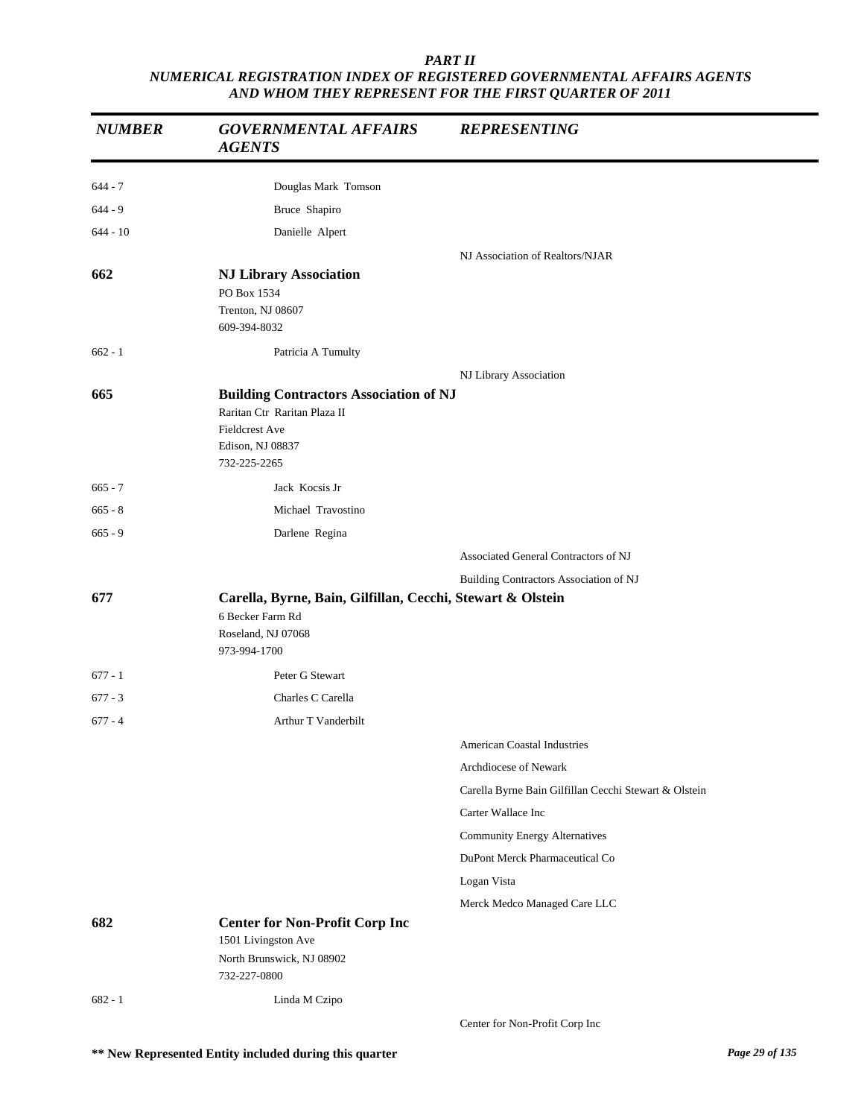| <b>NUMBER</b> | <b>GOVERNMENTAL AFFAIRS</b><br><b>AGENTS</b>                                                                                               | <b>REPRESENTING</b>                                   |
|---------------|--------------------------------------------------------------------------------------------------------------------------------------------|-------------------------------------------------------|
| $644 - 7$     | Douglas Mark Tomson                                                                                                                        |                                                       |
| $644 - 9$     | Bruce Shapiro                                                                                                                              |                                                       |
| $644 - 10$    | Danielle Alpert                                                                                                                            |                                                       |
|               |                                                                                                                                            | NJ Association of Realtors/NJAR                       |
| 662           | <b>NJ Library Association</b><br>PO Box 1534<br>Trenton, NJ 08607<br>609-394-8032                                                          |                                                       |
| $662 - 1$     | Patricia A Tumulty                                                                                                                         |                                                       |
|               |                                                                                                                                            | NJ Library Association                                |
| 665           | <b>Building Contractors Association of NJ</b><br>Raritan Ctr Raritan Plaza II<br><b>Fieldcrest Ave</b><br>Edison, NJ 08837<br>732-225-2265 |                                                       |
| $665 - 7$     | Jack Kocsis Jr                                                                                                                             |                                                       |
| $665 - 8$     | Michael Travostino                                                                                                                         |                                                       |
| $665 - 9$     | Darlene Regina                                                                                                                             |                                                       |
|               |                                                                                                                                            | Associated General Contractors of NJ                  |
|               |                                                                                                                                            | Building Contractors Association of NJ                |
| 677           | Carella, Byrne, Bain, Gilfillan, Cecchi, Stewart & Olstein<br>6 Becker Farm Rd<br>Roseland, NJ 07068<br>973-994-1700                       |                                                       |
| $677 - 1$     | Peter G Stewart                                                                                                                            |                                                       |
| $677 - 3$     | Charles C Carella                                                                                                                          |                                                       |
| $677 - 4$     | Arthur T Vanderbilt                                                                                                                        |                                                       |
|               |                                                                                                                                            | American Coastal Industries                           |
|               |                                                                                                                                            | Archdiocese of Newark                                 |
|               |                                                                                                                                            | Carella Byrne Bain Gilfillan Cecchi Stewart & Olstein |
|               |                                                                                                                                            | Carter Wallace Inc                                    |
|               |                                                                                                                                            | <b>Community Energy Alternatives</b>                  |
|               |                                                                                                                                            | DuPont Merck Pharmaceutical Co                        |
|               |                                                                                                                                            | Logan Vista                                           |
|               |                                                                                                                                            | Merck Medco Managed Care LLC                          |
| 682           | <b>Center for Non-Profit Corp Inc</b><br>1501 Livingston Ave<br>North Brunswick, NJ 08902<br>732-227-0800                                  |                                                       |
| $682 - 1$     | Linda M Czipo                                                                                                                              |                                                       |
|               |                                                                                                                                            | Center for Non-Profit Corp Inc                        |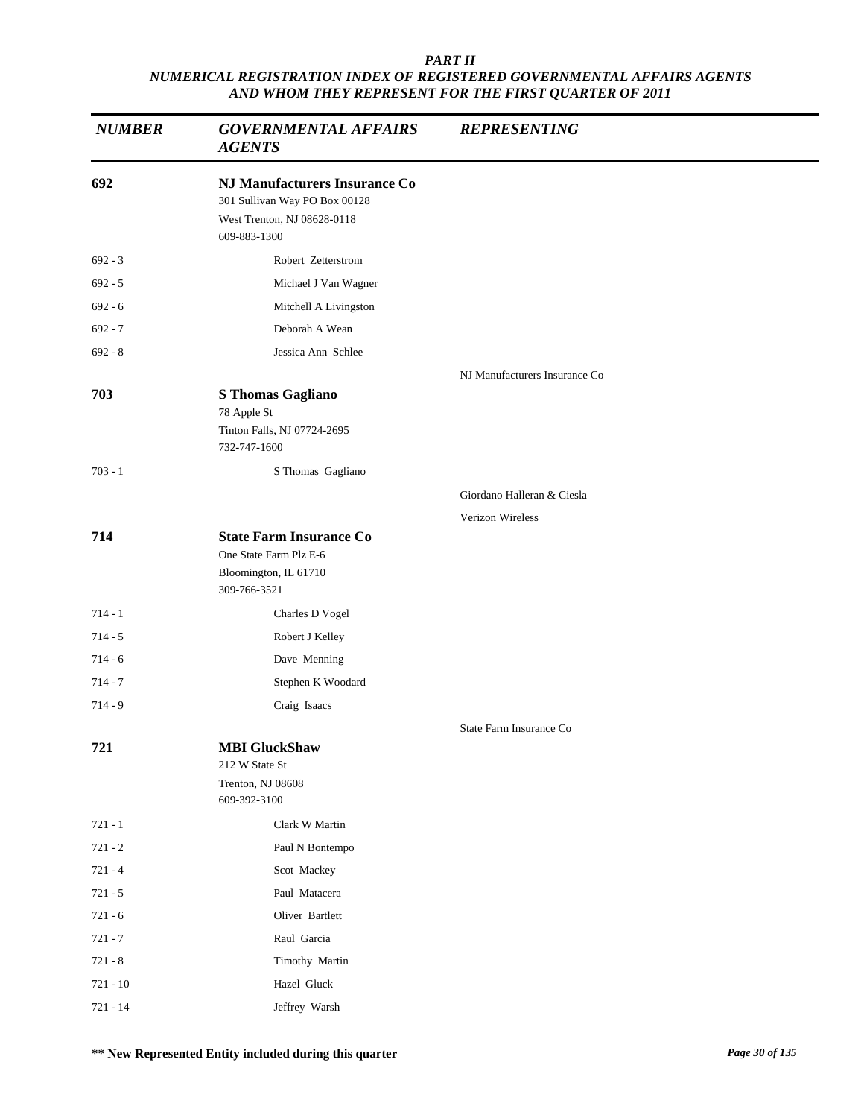| <b>NUMBER</b> | <b>GOVERNMENTAL AFFAIRS</b><br><b>AGENTS</b>                                                                         | <b>REPRESENTING</b>           |
|---------------|----------------------------------------------------------------------------------------------------------------------|-------------------------------|
| 692           | <b>NJ Manufacturers Insurance Co</b><br>301 Sullivan Way PO Box 00128<br>West Trenton, NJ 08628-0118<br>609-883-1300 |                               |
| $692 - 3$     | Robert Zetterstrom                                                                                                   |                               |
| $692 - 5$     | Michael J Van Wagner                                                                                                 |                               |
| $692 - 6$     | Mitchell A Livingston                                                                                                |                               |
| $692 - 7$     | Deborah A Wean                                                                                                       |                               |
| $692 - 8$     | Jessica Ann Schlee                                                                                                   |                               |
| 703           | <b>S</b> Thomas Gagliano<br>78 Apple St<br>Tinton Falls, NJ 07724-2695<br>732-747-1600                               | NJ Manufacturers Insurance Co |
| $703 - 1$     | S Thomas Gagliano                                                                                                    |                               |
|               |                                                                                                                      | Giordano Halleran & Ciesla    |
|               |                                                                                                                      | Verizon Wireless              |
| 714           | <b>State Farm Insurance Co</b><br>One State Farm Plz E-6<br>Bloomington, IL 61710<br>309-766-3521                    |                               |
| $714 - 1$     | Charles D Vogel                                                                                                      |                               |
| $714 - 5$     | Robert J Kelley                                                                                                      |                               |
| $714 - 6$     | Dave Menning                                                                                                         |                               |
| $714 - 7$     | Stephen K Woodard                                                                                                    |                               |
| $714 - 9$     | Craig Isaacs                                                                                                         |                               |
|               |                                                                                                                      | State Farm Insurance Co       |
| 721           | <b>MBI</b> GluckShaw<br>212 W State St<br>Trenton, NJ 08608<br>609-392-3100                                          |                               |
| $721 - 1$     | Clark W Martin                                                                                                       |                               |
| $721 - 2$     | Paul N Bontempo                                                                                                      |                               |
| $721 - 4$     | Scot Mackey                                                                                                          |                               |
| $721 - 5$     | Paul Matacera                                                                                                        |                               |
| $721 - 6$     | Oliver Bartlett                                                                                                      |                               |
| $721 - 7$     | Raul Garcia                                                                                                          |                               |
| $721 - 8$     | Timothy Martin                                                                                                       |                               |
| 721 - 10      | Hazel Gluck                                                                                                          |                               |
| 721 - 14      | Jeffrey Warsh                                                                                                        |                               |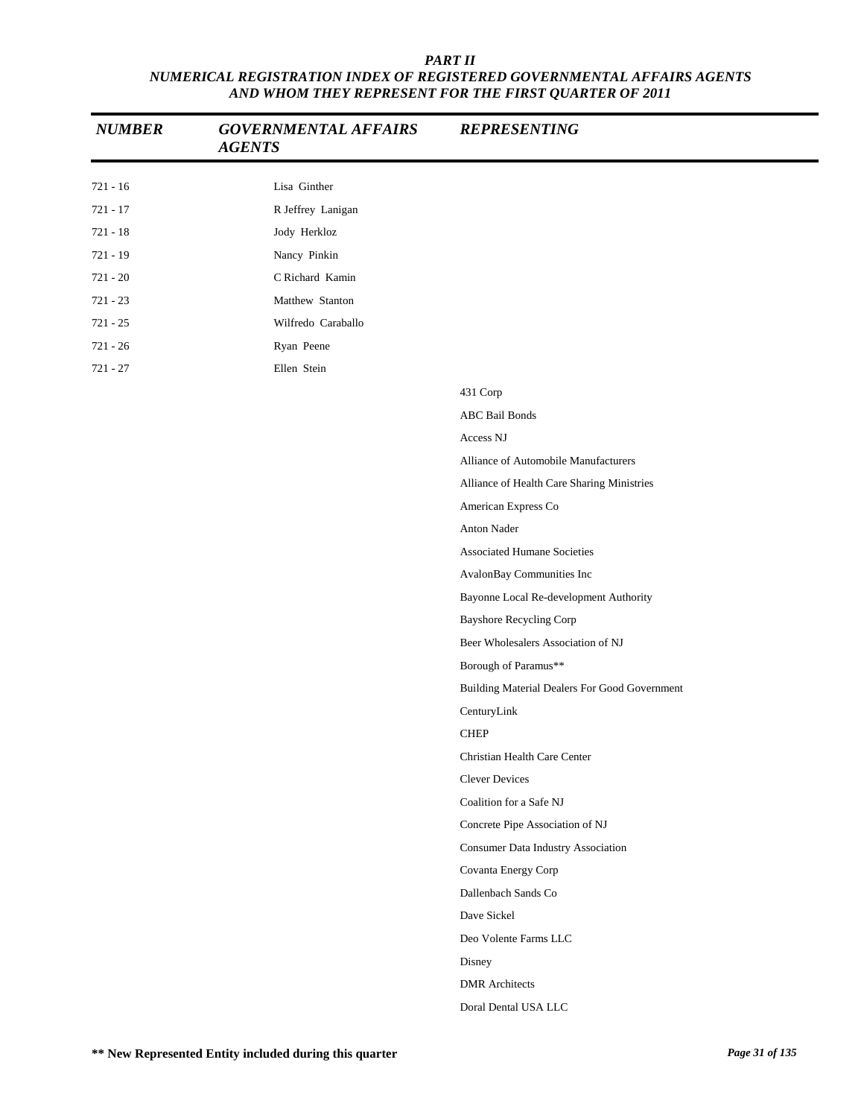| <b>NUMBER</b> | <b>GOVERNMENTAL AFFAIRS</b><br><b>AGENTS</b> | <b>REPRESENTING</b>                           |
|---------------|----------------------------------------------|-----------------------------------------------|
| $721 - 16$    | Lisa Ginther                                 |                                               |
| $721 - 17$    | R Jeffrey Lanigan                            |                                               |
| $721 - 18$    | Jody Herkloz                                 |                                               |
| 721 - 19      | Nancy Pinkin                                 |                                               |
| $721 - 20$    | C Richard Kamin                              |                                               |
| $721 - 23$    | Matthew Stanton                              |                                               |
| $721 - 25$    | Wilfredo Caraballo                           |                                               |
| $721 - 26$    | Ryan Peene                                   |                                               |
| $721 - 27$    | Ellen Stein                                  |                                               |
|               |                                              | 431 Corp                                      |
|               |                                              | <b>ABC Bail Bonds</b>                         |
|               |                                              | Access NJ                                     |
|               |                                              | Alliance of Automobile Manufacturers          |
|               |                                              | Alliance of Health Care Sharing Ministries    |
|               |                                              | American Express Co                           |
|               |                                              | Anton Nader                                   |
|               |                                              | <b>Associated Humane Societies</b>            |
|               |                                              | AvalonBay Communities Inc                     |
|               |                                              | Bayonne Local Re-development Authority        |
|               |                                              | <b>Bayshore Recycling Corp</b>                |
|               |                                              | Beer Wholesalers Association of NJ            |
|               |                                              | Borough of Paramus**                          |
|               |                                              | Building Material Dealers For Good Government |
|               |                                              | CenturyLink                                   |
|               |                                              | <b>CHEP</b>                                   |
|               |                                              | Christian Health Care Center                  |
|               |                                              | <b>Clever Devices</b>                         |
|               |                                              | Coalition for a Safe NJ                       |
|               |                                              | Concrete Pipe Association of NJ               |
|               |                                              | Consumer Data Industry Association            |
|               |                                              | Covanta Energy Corp                           |
|               |                                              | Dallenbach Sands Co                           |
|               |                                              | Dave Sickel                                   |
|               |                                              | Deo Volente Farms LLC                         |
|               |                                              | Disney                                        |
|               |                                              | <b>DMR</b> Architects                         |
|               |                                              | Doral Dental USA LLC                          |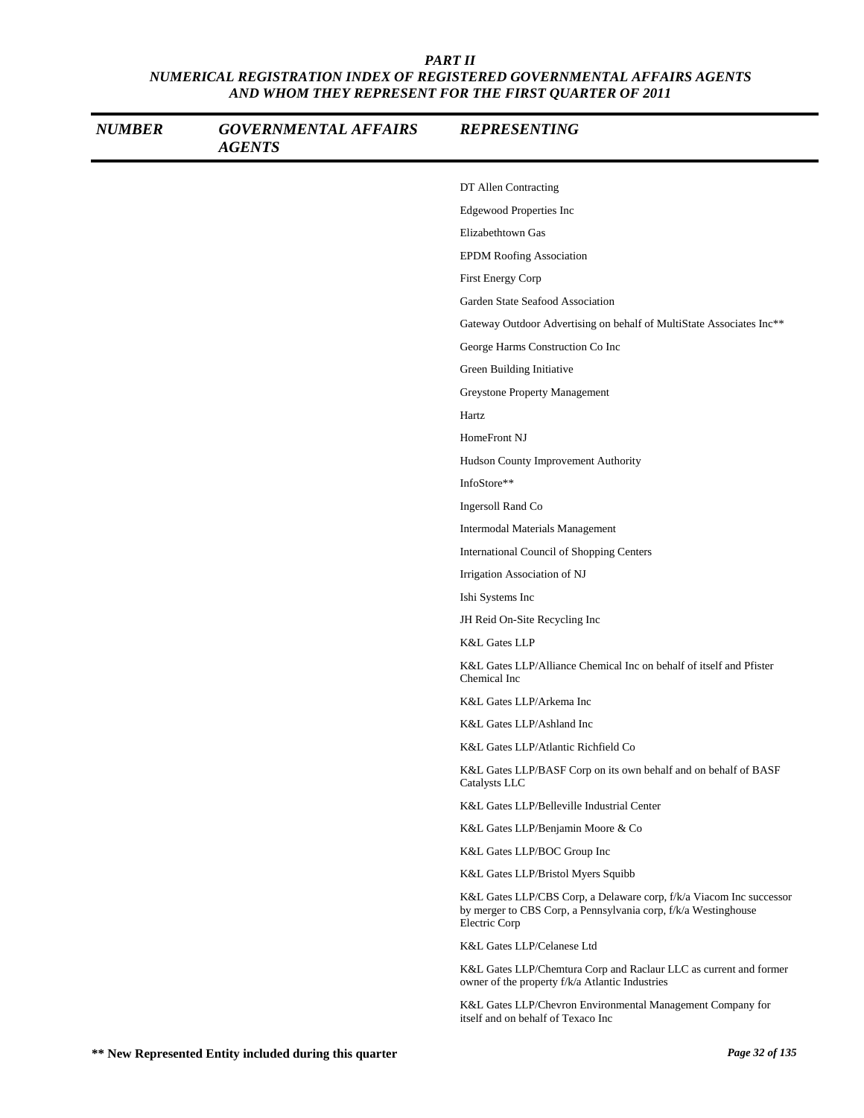| <b>NUMBER</b> | <b>GOVERNMENTAL AFFAIRS</b><br><b>AGENTS</b> | <b>REPRESENTING</b>                                                                                                                                    |
|---------------|----------------------------------------------|--------------------------------------------------------------------------------------------------------------------------------------------------------|
|               |                                              | DT Allen Contracting                                                                                                                                   |
|               |                                              | Edgewood Properties Inc                                                                                                                                |
|               |                                              | Elizabethtown Gas                                                                                                                                      |
|               |                                              | <b>EPDM Roofing Association</b>                                                                                                                        |
|               |                                              | First Energy Corp                                                                                                                                      |
|               |                                              | Garden State Seafood Association                                                                                                                       |
|               |                                              | Gateway Outdoor Advertising on behalf of MultiState Associates Inc**                                                                                   |
|               |                                              | George Harms Construction Co Inc                                                                                                                       |
|               |                                              | Green Building Initiative                                                                                                                              |
|               |                                              | Greystone Property Management                                                                                                                          |
|               |                                              | Hartz                                                                                                                                                  |
|               |                                              | HomeFront NJ                                                                                                                                           |
|               |                                              | Hudson County Improvement Authority                                                                                                                    |
|               |                                              | InfoStore**                                                                                                                                            |
|               |                                              | Ingersoll Rand Co                                                                                                                                      |
|               |                                              | Intermodal Materials Management                                                                                                                        |
|               |                                              | International Council of Shopping Centers                                                                                                              |
|               |                                              | Irrigation Association of NJ                                                                                                                           |
|               |                                              | Ishi Systems Inc                                                                                                                                       |
|               |                                              | JH Reid On-Site Recycling Inc                                                                                                                          |
|               |                                              | <b>K&amp;L Gates LLP</b>                                                                                                                               |
|               |                                              | K&L Gates LLP/Alliance Chemical Inc on behalf of itself and Pfister<br>Chemical Inc                                                                    |
|               |                                              | K&L Gates LLP/Arkema Inc                                                                                                                               |
|               |                                              | K&L Gates LLP/Ashland Inc                                                                                                                              |
|               |                                              | K&L Gates LLP/Atlantic Richfield Co                                                                                                                    |
|               |                                              | K&L Gates LLP/BASF Corp on its own behalf and on behalf of BASF<br>Catalysts LLC                                                                       |
|               |                                              | K&L Gates LLP/Belleville Industrial Center                                                                                                             |
|               |                                              | K&L Gates LLP/Benjamin Moore & Co                                                                                                                      |
|               |                                              | K&L Gates LLP/BOC Group Inc                                                                                                                            |
|               |                                              | K&L Gates LLP/Bristol Myers Squibb                                                                                                                     |
|               |                                              | K&L Gates LLP/CBS Corp, a Delaware corp, f/k/a Viacom Inc successor<br>by merger to CBS Corp, a Pennsylvania corp, f/k/a Westinghouse<br>Electric Corp |
|               |                                              | K&L Gates LLP/Celanese Ltd                                                                                                                             |
|               |                                              | K&L Gates LLP/Chemtura Corp and Raclaur LLC as current and former<br>owner of the property f/k/a Atlantic Industries                                   |
|               |                                              | K&L Gates LLP/Chevron Environmental Management Company for<br>itself and on behalf of Texaco Inc                                                       |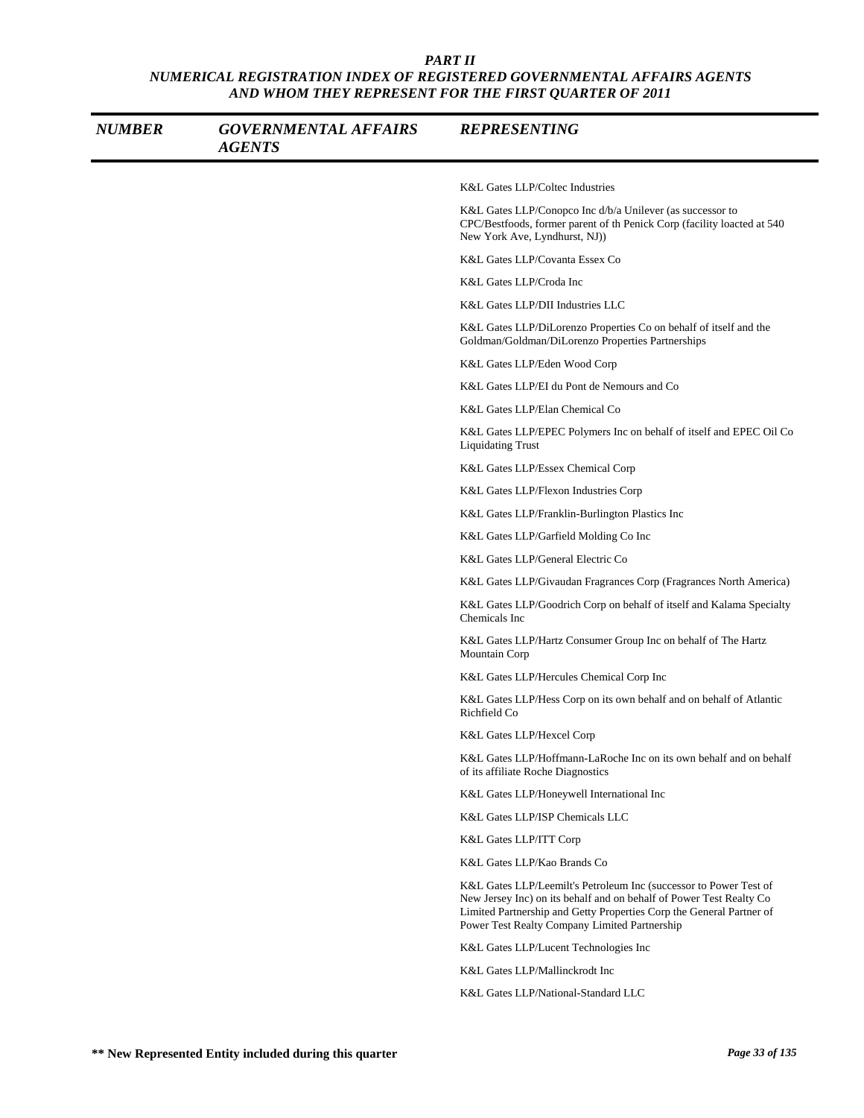| <b>NUMBER</b> | <b>GOVERNMENTAL AFFAIRS</b><br><b>AGENTS</b> | <b>REPRESENTING</b>                                                                                                                                                                                                                                               |
|---------------|----------------------------------------------|-------------------------------------------------------------------------------------------------------------------------------------------------------------------------------------------------------------------------------------------------------------------|
|               |                                              | <b>K&amp;L Gates LLP/Coltec Industries</b>                                                                                                                                                                                                                        |
|               |                                              | K&L Gates LLP/Conopco Inc d/b/a Unilever (as successor to<br>CPC/Bestfoods, former parent of th Penick Corp (facility loacted at 540<br>New York Ave, Lyndhurst, NJ))                                                                                             |
|               |                                              | K&L Gates LLP/Covanta Essex Co                                                                                                                                                                                                                                    |
|               |                                              | K&L Gates LLP/Croda Inc                                                                                                                                                                                                                                           |
|               |                                              | K&L Gates LLP/DII Industries LLC                                                                                                                                                                                                                                  |
|               |                                              | K&L Gates LLP/DiLorenzo Properties Co on behalf of itself and the<br>Goldman/Goldman/DiLorenzo Properties Partnerships                                                                                                                                            |
|               |                                              | K&L Gates LLP/Eden Wood Corp                                                                                                                                                                                                                                      |
|               |                                              | K&L Gates LLP/EI du Pont de Nemours and Co                                                                                                                                                                                                                        |
|               |                                              | K&L Gates LLP/Elan Chemical Co                                                                                                                                                                                                                                    |
|               |                                              | K&L Gates LLP/EPEC Polymers Inc on behalf of itself and EPEC Oil Co<br><b>Liquidating Trust</b>                                                                                                                                                                   |
|               |                                              | K&L Gates LLP/Essex Chemical Corp                                                                                                                                                                                                                                 |
|               |                                              | K&L Gates LLP/Flexon Industries Corp                                                                                                                                                                                                                              |
|               |                                              | K&L Gates LLP/Franklin-Burlington Plastics Inc                                                                                                                                                                                                                    |
|               |                                              | K&L Gates LLP/Garfield Molding Co Inc                                                                                                                                                                                                                             |
|               |                                              | K&L Gates LLP/General Electric Co                                                                                                                                                                                                                                 |
|               |                                              | K&L Gates LLP/Givaudan Fragrances Corp (Fragrances North America)                                                                                                                                                                                                 |
|               |                                              | K&L Gates LLP/Goodrich Corp on behalf of itself and Kalama Specialty<br>Chemicals Inc                                                                                                                                                                             |
|               |                                              | K&L Gates LLP/Hartz Consumer Group Inc on behalf of The Hartz<br>Mountain Corp                                                                                                                                                                                    |
|               |                                              | K&L Gates LLP/Hercules Chemical Corp Inc                                                                                                                                                                                                                          |
|               |                                              | K&L Gates LLP/Hess Corp on its own behalf and on behalf of Atlantic<br>Richfield Co                                                                                                                                                                               |
|               |                                              | K&L Gates LLP/Hexcel Corp                                                                                                                                                                                                                                         |
|               |                                              | K&L Gates LLP/Hoffmann-LaRoche Inc on its own behalf and on behalf<br>of its affiliate Roche Diagnostics                                                                                                                                                          |
|               |                                              | K&L Gates LLP/Honeywell International Inc                                                                                                                                                                                                                         |
|               |                                              | K&L Gates LLP/ISP Chemicals LLC                                                                                                                                                                                                                                   |
|               |                                              | K&L Gates LLP/ITT Corp                                                                                                                                                                                                                                            |
|               |                                              | K&L Gates LLP/Kao Brands Co                                                                                                                                                                                                                                       |
|               |                                              | K&L Gates LLP/Leemilt's Petroleum Inc (successor to Power Test of<br>New Jersey Inc) on its behalf and on behalf of Power Test Realty Co<br>Limited Partnership and Getty Properties Corp the General Partner of<br>Power Test Realty Company Limited Partnership |
|               |                                              | K&L Gates LLP/Lucent Technologies Inc                                                                                                                                                                                                                             |
|               |                                              | K&L Gates LLP/Mallinckrodt Inc                                                                                                                                                                                                                                    |
|               |                                              | K&L Gates LLP/National-Standard LLC                                                                                                                                                                                                                               |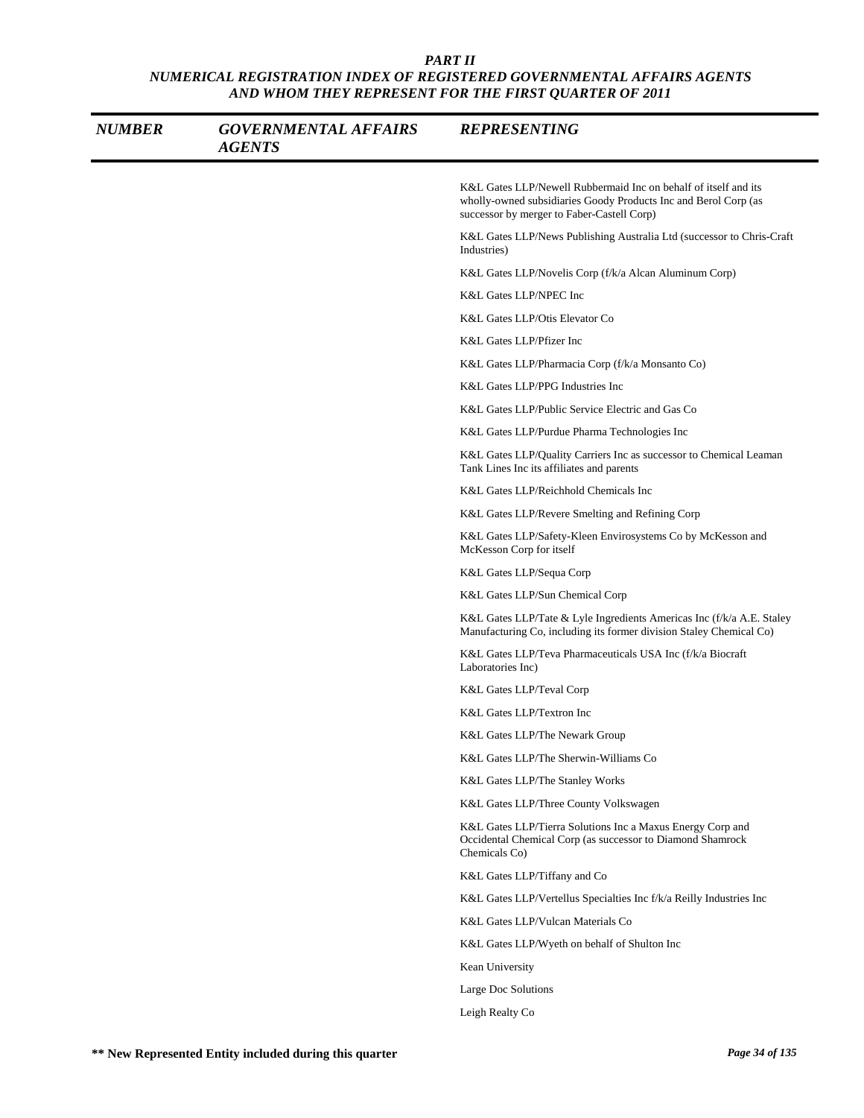| <b>NUMBER</b> | <b>GOVERNMENTAL AFFAIRS</b><br><b>AGENTS</b> | <b>REPRESENTING</b>                                                                                                                                                              |
|---------------|----------------------------------------------|----------------------------------------------------------------------------------------------------------------------------------------------------------------------------------|
|               |                                              | K&L Gates LLP/Newell Rubbermaid Inc on behalf of itself and its<br>wholly-owned subsidiaries Goody Products Inc and Berol Corp (as<br>successor by merger to Faber-Castell Corp) |
|               |                                              | K&L Gates LLP/News Publishing Australia Ltd (successor to Chris-Craft<br>Industries)                                                                                             |
|               |                                              | K&L Gates LLP/Novelis Corp (f/k/a Alcan Aluminum Corp)                                                                                                                           |
|               |                                              | K&L Gates LLP/NPEC Inc                                                                                                                                                           |
|               |                                              | K&L Gates LLP/Otis Elevator Co                                                                                                                                                   |
|               |                                              | K&L Gates LLP/Pfizer Inc                                                                                                                                                         |
|               |                                              | K&L Gates LLP/Pharmacia Corp (f/k/a Monsanto Co)                                                                                                                                 |
|               |                                              | K&L Gates LLP/PPG Industries Inc                                                                                                                                                 |
|               |                                              | K&L Gates LLP/Public Service Electric and Gas Co                                                                                                                                 |
|               |                                              | K&L Gates LLP/Purdue Pharma Technologies Inc                                                                                                                                     |
|               |                                              | K&L Gates LLP/Quality Carriers Inc as successor to Chemical Leaman<br>Tank Lines Inc its affiliates and parents                                                                  |
|               |                                              | K&L Gates LLP/Reichhold Chemicals Inc                                                                                                                                            |
|               |                                              | K&L Gates LLP/Revere Smelting and Refining Corp                                                                                                                                  |
|               |                                              | K&L Gates LLP/Safety-Kleen Envirosystems Co by McKesson and<br>McKesson Corp for itself                                                                                          |
|               |                                              | K&L Gates LLP/Sequa Corp                                                                                                                                                         |
|               |                                              | K&L Gates LLP/Sun Chemical Corp                                                                                                                                                  |
|               |                                              | K&L Gates LLP/Tate & Lyle Ingredients Americas Inc (f/k/a A.E. Staley<br>Manufacturing Co, including its former division Staley Chemical Co)                                     |
|               |                                              | K&L Gates LLP/Teva Pharmaceuticals USA Inc (f/k/a Biocraft)<br>Laboratories Inc)                                                                                                 |
|               |                                              | K&L Gates LLP/Teval Corp                                                                                                                                                         |
|               |                                              | K&L Gates LLP/Textron Inc                                                                                                                                                        |
|               |                                              | K&L Gates LLP/The Newark Group                                                                                                                                                   |
|               |                                              | K&L Gates LLP/The Sherwin-Williams Co                                                                                                                                            |
|               |                                              | K&L Gates LLP/The Stanley Works                                                                                                                                                  |
|               |                                              | K&L Gates LLP/Three County Volkswagen                                                                                                                                            |
|               |                                              | K&L Gates LLP/Tierra Solutions Inc a Maxus Energy Corp and<br>Occidental Chemical Corp (as successor to Diamond Shamrock<br>Chemicals Co)                                        |
|               |                                              | K&L Gates LLP/Tiffany and Co                                                                                                                                                     |
|               |                                              | K&L Gates LLP/Vertellus Specialties Inc f/k/a Reilly Industries Inc                                                                                                              |
|               |                                              | K&L Gates LLP/Vulcan Materials Co                                                                                                                                                |
|               |                                              | K&L Gates LLP/Wyeth on behalf of Shulton Inc                                                                                                                                     |
|               |                                              | Kean University                                                                                                                                                                  |
|               |                                              | Large Doc Solutions                                                                                                                                                              |
|               |                                              | Leigh Realty Co                                                                                                                                                                  |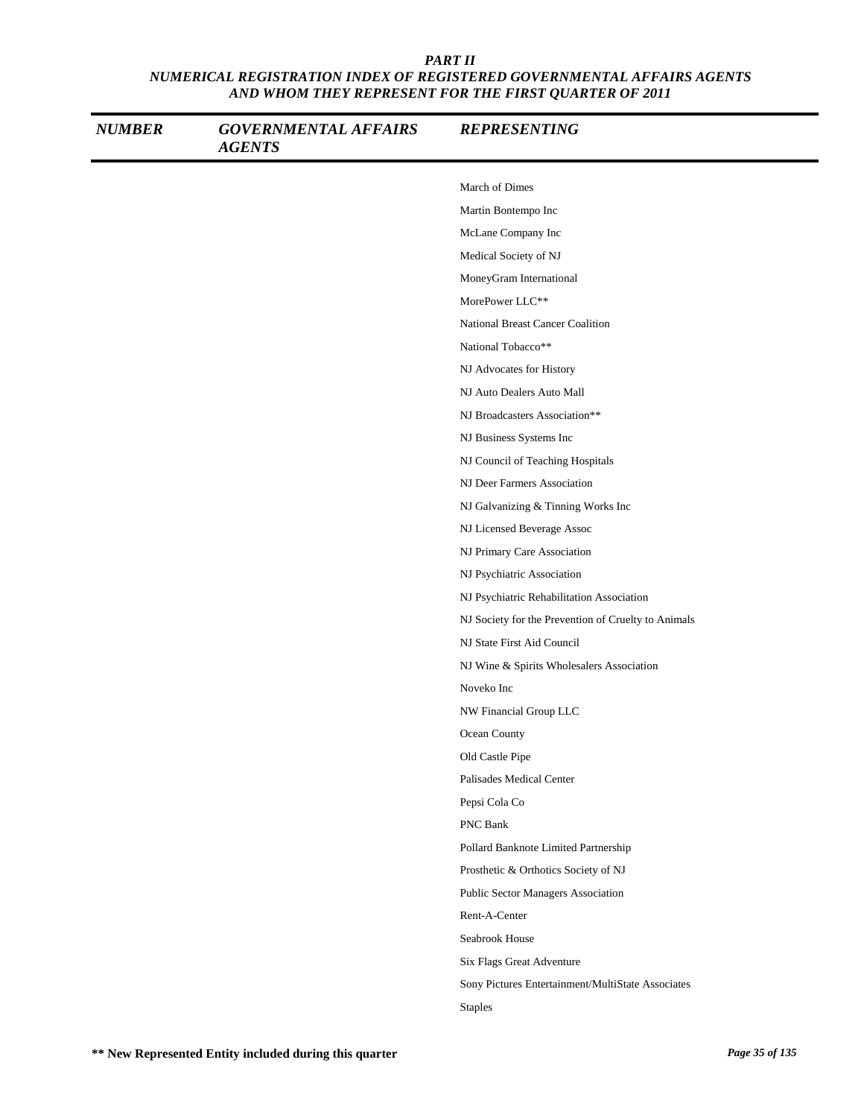| <b>NUMBER</b> | <b>GOVERNMENTAL AFFAIRS</b><br><b>AGENTS</b> | <b>REPRESENTING</b>                                 |
|---------------|----------------------------------------------|-----------------------------------------------------|
|               |                                              | March of Dimes                                      |
|               |                                              | Martin Bontempo Inc                                 |
|               |                                              | McLane Company Inc                                  |
|               |                                              | Medical Society of NJ                               |
|               |                                              | MoneyGram International                             |
|               |                                              | MorePower LLC**                                     |
|               |                                              | National Breast Cancer Coalition                    |
|               |                                              | National Tobacco**                                  |
|               |                                              | NJ Advocates for History                            |
|               |                                              | NJ Auto Dealers Auto Mall                           |
|               |                                              | NJ Broadcasters Association**                       |
|               |                                              | NJ Business Systems Inc                             |
|               |                                              | NJ Council of Teaching Hospitals                    |
|               |                                              | NJ Deer Farmers Association                         |
|               |                                              | NJ Galvanizing & Tinning Works Inc                  |
|               |                                              | NJ Licensed Beverage Assoc                          |
|               |                                              | NJ Primary Care Association                         |
|               |                                              | NJ Psychiatric Association                          |
|               |                                              | NJ Psychiatric Rehabilitation Association           |
|               |                                              | NJ Society for the Prevention of Cruelty to Animals |
|               |                                              | NJ State First Aid Council                          |
|               |                                              | NJ Wine & Spirits Wholesalers Association           |
|               |                                              | Noveko Inc                                          |
|               |                                              | NW Financial Group LLC                              |
|               |                                              | Ocean County                                        |
|               |                                              | Old Castle Pipe                                     |
|               |                                              | Palisades Medical Center                            |
|               |                                              | Pepsi Cola Co                                       |
|               |                                              | PNC Bank                                            |
|               |                                              | Pollard Banknote Limited Partnership                |
|               |                                              | Prosthetic & Orthotics Society of NJ                |
|               |                                              | Public Sector Managers Association                  |
|               |                                              | Rent-A-Center                                       |
|               |                                              | Seabrook House                                      |
|               |                                              | Six Flags Great Adventure                           |
|               |                                              | Sony Pictures Entertainment/MultiState Associates   |
|               |                                              | <b>Staples</b>                                      |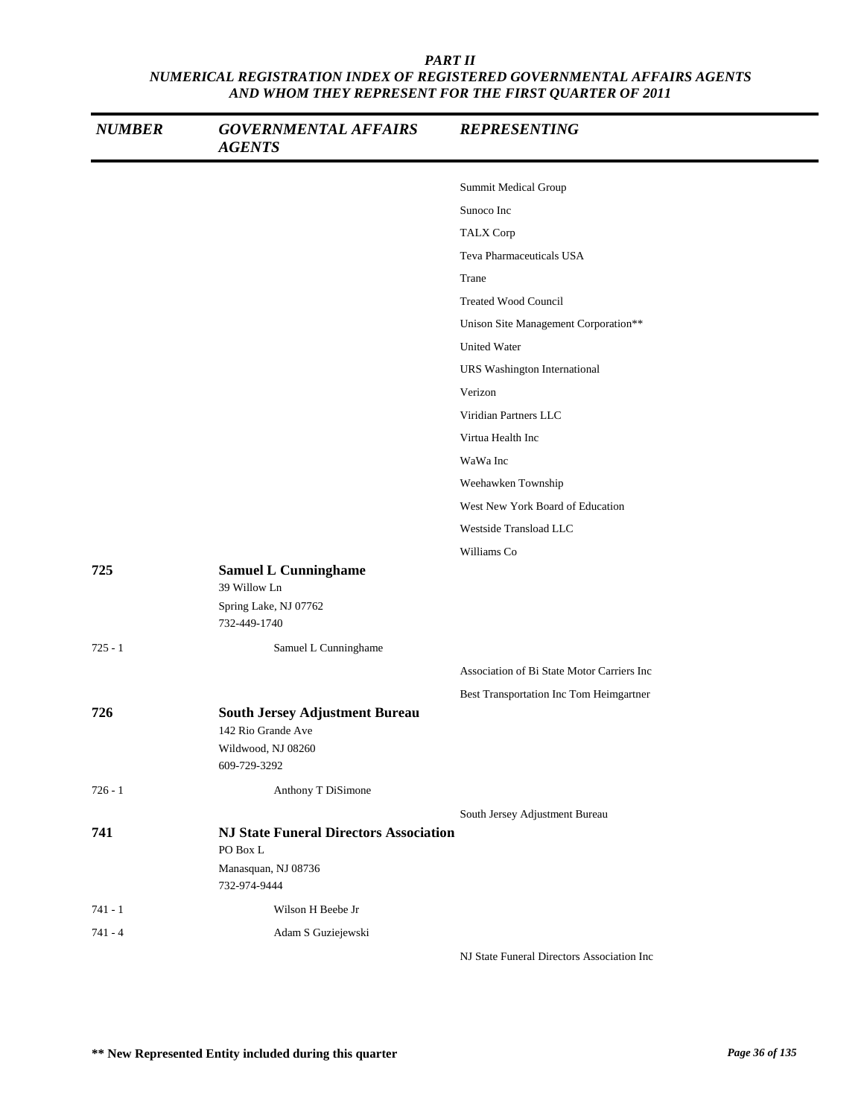| <b>NUMBER</b> | <b>GOVERNMENTAL AFFAIRS</b><br><b>AGENTS</b>                | <b>REPRESENTING</b>                        |
|---------------|-------------------------------------------------------------|--------------------------------------------|
|               |                                                             | Summit Medical Group                       |
|               |                                                             | Sunoco Inc                                 |
|               |                                                             | TALX Corp                                  |
|               |                                                             | Teva Pharmaceuticals USA                   |
|               |                                                             | Trane                                      |
|               |                                                             | <b>Treated Wood Council</b>                |
|               |                                                             | Unison Site Management Corporation**       |
|               |                                                             | <b>United Water</b>                        |
|               |                                                             | URS Washington International               |
|               |                                                             | Verizon                                    |
|               |                                                             | Viridian Partners LLC                      |
|               |                                                             | Virtua Health Inc                          |
|               |                                                             | WaWa Inc                                   |
|               |                                                             | Weehawken Township                         |
|               |                                                             | West New York Board of Education           |
|               |                                                             | Westside Transload LLC                     |
|               |                                                             | Williams Co                                |
| 725           | <b>Samuel L Cunninghame</b><br>39 Willow Ln                 |                                            |
|               | Spring Lake, NJ 07762<br>732-449-1740                       |                                            |
| $725 - 1$     | Samuel L Cunninghame                                        |                                            |
|               |                                                             | Association of Bi State Motor Carriers Inc |
|               |                                                             | Best Transportation Inc Tom Heimgartner    |
| 726           | <b>South Jersey Adjustment Bureau</b><br>142 Rio Grande Ave |                                            |
|               | Wildwood, NJ 08260<br>609-729-3292                          |                                            |
| $726 - 1$     | Anthony T DiSimone                                          |                                            |
|               |                                                             | South Jersey Adjustment Bureau             |
| 741           | <b>NJ State Funeral Directors Association</b><br>PO Box L   |                                            |
|               | Manasquan, NJ 08736<br>732-974-9444                         |                                            |
| $741 - 1$     | Wilson H Beebe Jr                                           |                                            |
| $741 - 4$     | Adam S Guziejewski                                          |                                            |
|               |                                                             | NJ State Funeral Directors Association Inc |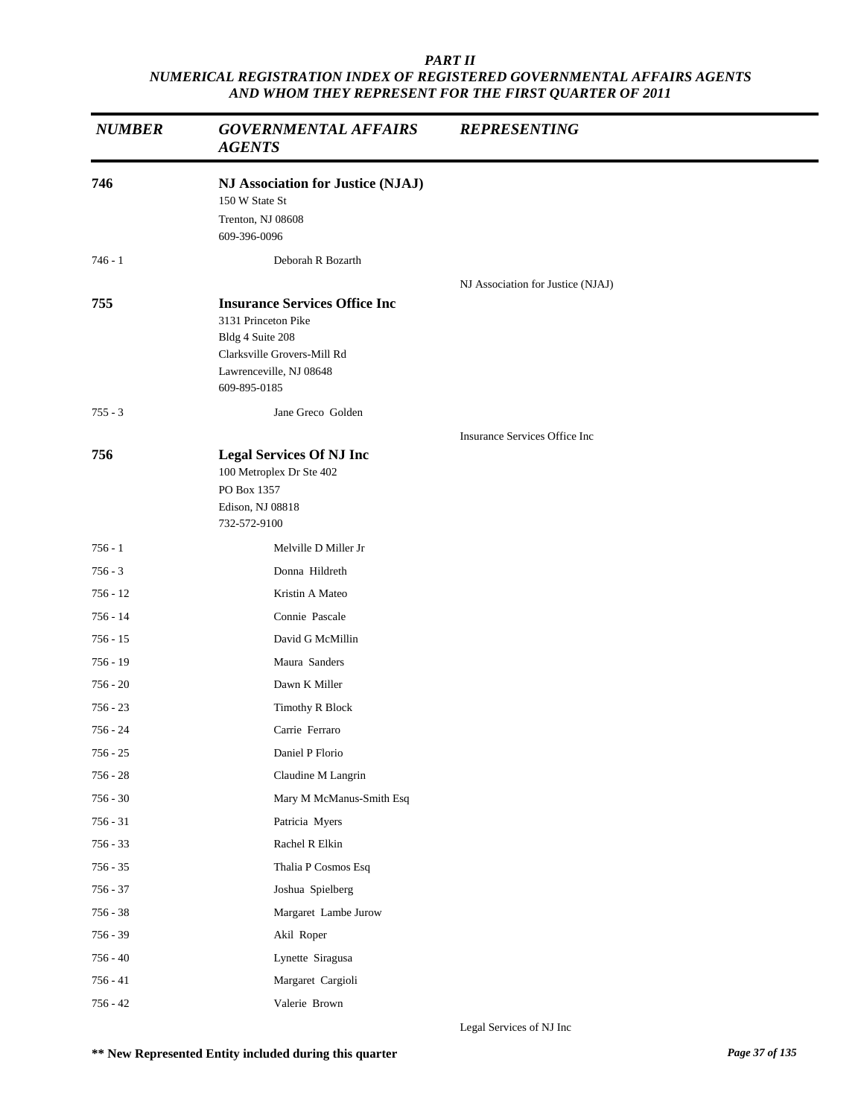| <b>NUMBER</b> | <b>GOVERNMENTAL AFFAIRS</b><br><b>AGENTS</b>                                                                                                              | <b>REPRESENTING</b>               |  |
|---------------|-----------------------------------------------------------------------------------------------------------------------------------------------------------|-----------------------------------|--|
| 746           | NJ Association for Justice (NJAJ)<br>150 W State St<br>Trenton, NJ 08608<br>609-396-0096                                                                  |                                   |  |
| $746 - 1$     | Deborah R Bozarth                                                                                                                                         |                                   |  |
| 755           | <b>Insurance Services Office Inc</b><br>3131 Princeton Pike<br>Bldg 4 Suite 208<br>Clarksville Grovers-Mill Rd<br>Lawrenceville, NJ 08648<br>609-895-0185 | NJ Association for Justice (NJAJ) |  |
| $755 - 3$     | Jane Greco Golden                                                                                                                                         |                                   |  |
| 756           | <b>Legal Services Of NJ Inc</b><br>100 Metroplex Dr Ste 402<br>PO Box 1357<br>Edison, NJ 08818<br>732-572-9100                                            | Insurance Services Office Inc     |  |
| $756 - 1$     | Melville D Miller Jr                                                                                                                                      |                                   |  |
| $756 - 3$     | Donna Hildreth                                                                                                                                            |                                   |  |
| $756 - 12$    | Kristin A Mateo                                                                                                                                           |                                   |  |
| $756 - 14$    | Connie Pascale                                                                                                                                            |                                   |  |
| $756 - 15$    | David G McMillin                                                                                                                                          |                                   |  |
| $756 - 19$    | Maura Sanders                                                                                                                                             |                                   |  |
| $756 - 20$    | Dawn K Miller                                                                                                                                             |                                   |  |
| $756 - 23$    | Timothy R Block                                                                                                                                           |                                   |  |
| 756 - 24      | Carrie Ferraro                                                                                                                                            |                                   |  |
| 756 - 25      | Daniel P Florio                                                                                                                                           |                                   |  |
| $756 - 28$    | Claudine M Langrin                                                                                                                                        |                                   |  |
| $756 - 30$    | Mary M McManus-Smith Esq                                                                                                                                  |                                   |  |
| $756 - 31$    | Patricia Myers                                                                                                                                            |                                   |  |
| $756 - 33$    | Rachel R Elkin                                                                                                                                            |                                   |  |
| $756 - 35$    | Thalia P Cosmos Esq                                                                                                                                       |                                   |  |
| $756 - 37$    | Joshua Spielberg                                                                                                                                          |                                   |  |
| $756 - 38$    | Margaret Lambe Jurow                                                                                                                                      |                                   |  |
| $756 - 39$    | Akil Roper                                                                                                                                                |                                   |  |
| $756 - 40$    | Lynette Siragusa                                                                                                                                          |                                   |  |
| $756 - 41$    | Margaret Cargioli                                                                                                                                         |                                   |  |
| $756 - 42$    | Valerie Brown                                                                                                                                             |                                   |  |

Legal Services of NJ Inc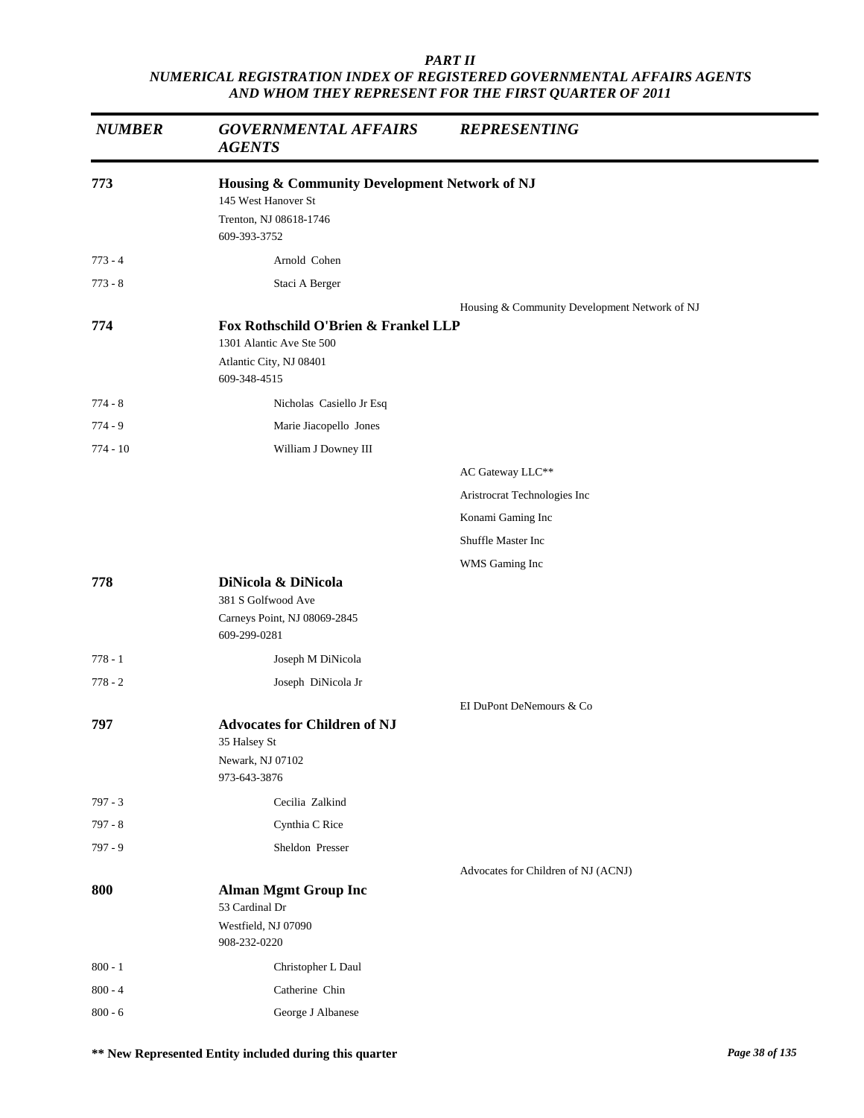| <b>NUMBER</b> | <b>GOVERNMENTAL AFFAIRS</b><br><b>AGENTS</b>                                                                   | <b>REPRESENTING</b>                           |
|---------------|----------------------------------------------------------------------------------------------------------------|-----------------------------------------------|
| 773           | Housing & Community Development Network of NJ<br>145 West Hanover St<br>Trenton, NJ 08618-1746<br>609-393-3752 |                                               |
| $773 - 4$     | Arnold Cohen                                                                                                   |                                               |
| $773 - 8$     | Staci A Berger                                                                                                 |                                               |
|               |                                                                                                                | Housing & Community Development Network of NJ |
| 774           | Fox Rothschild O'Brien & Frankel LLP<br>1301 Alantic Ave Ste 500<br>Atlantic City, NJ 08401<br>609-348-4515    |                                               |
| $774 - 8$     | Nicholas Casiello Jr Esq                                                                                       |                                               |
| $774 - 9$     | Marie Jiacopello Jones                                                                                         |                                               |
| $774 - 10$    | William J Downey III                                                                                           |                                               |
|               |                                                                                                                | AC Gateway LLC**                              |
|               |                                                                                                                | Aristrocrat Technologies Inc                  |
|               |                                                                                                                | Konami Gaming Inc                             |
|               |                                                                                                                | Shuffle Master Inc                            |
|               |                                                                                                                | WMS Gaming Inc                                |
| 778           | DiNicola & DiNicola<br>381 S Golfwood Ave<br>Carneys Point, NJ 08069-2845<br>609-299-0281                      |                                               |
| $778 - 1$     | Joseph M DiNicola                                                                                              |                                               |
| $778 - 2$     | Joseph DiNicola Jr                                                                                             |                                               |
| 797           | <b>Advocates for Children of NJ</b><br>35 Halsey St<br>Newark, NJ 07102                                        | EI DuPont DeNemours & Co                      |
|               | 973-643-3876                                                                                                   |                                               |
| $797 - 3$     | Cecilia Zalkind                                                                                                |                                               |
| $797 - 8$     | Cynthia C Rice<br>Sheldon Presser                                                                              |                                               |
| $797 - 9$     |                                                                                                                |                                               |
| 800           | <b>Alman Mgmt Group Inc</b><br>53 Cardinal Dr<br>Westfield, NJ 07090<br>908-232-0220                           | Advocates for Children of NJ (ACNJ)           |
| $800 - 1$     | Christopher L Daul                                                                                             |                                               |
| $800 - 4$     | Catherine Chin                                                                                                 |                                               |
| $800 - 6$     | George J Albanese                                                                                              |                                               |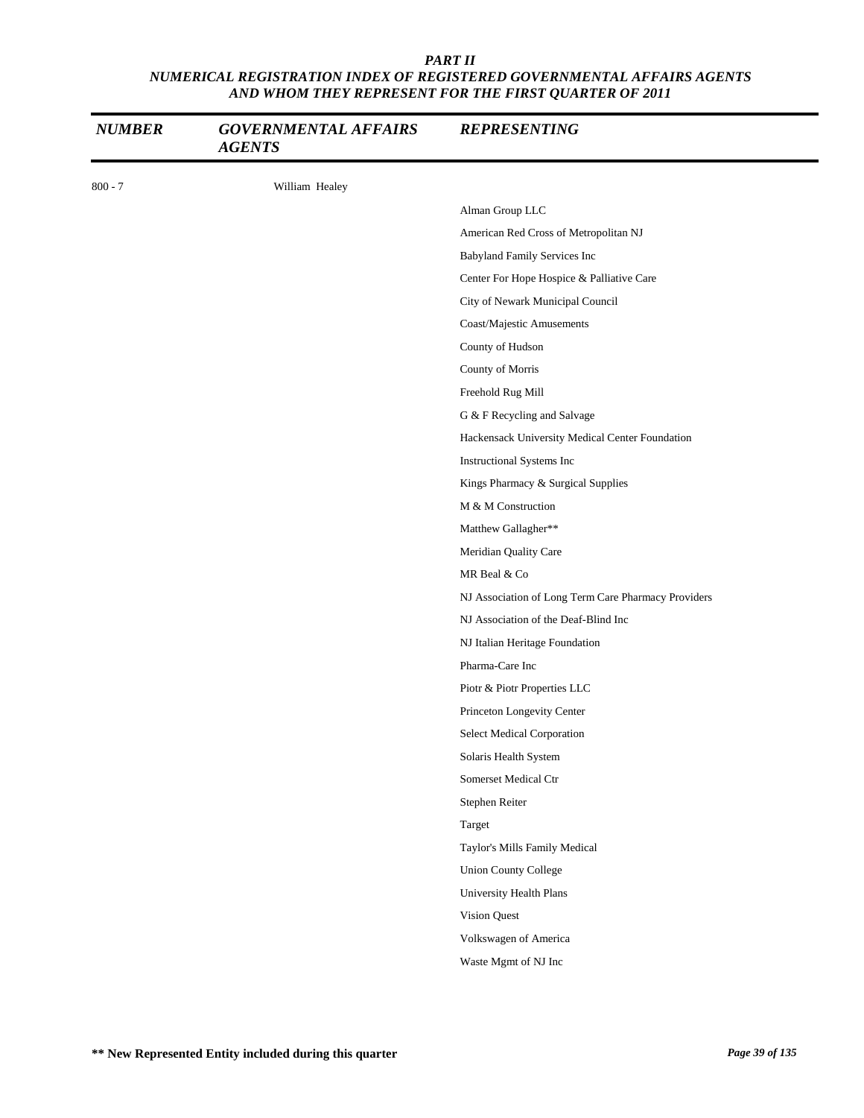| <b>NUMBER</b> | <b>GOVERNMENTAL AFFAIRS</b><br><b>AGENTS</b> | <b>REPRESENTING</b>                                 |
|---------------|----------------------------------------------|-----------------------------------------------------|
| $800 - 7$     | William Healey                               |                                                     |
|               |                                              | Alman Group LLC                                     |
|               |                                              | American Red Cross of Metropolitan NJ               |
|               |                                              | Babyland Family Services Inc                        |
|               |                                              | Center For Hope Hospice & Palliative Care           |
|               |                                              | City of Newark Municipal Council                    |
|               |                                              | Coast/Majestic Amusements                           |
|               |                                              | County of Hudson                                    |
|               |                                              | County of Morris                                    |
|               |                                              | Freehold Rug Mill                                   |
|               |                                              | G & F Recycling and Salvage                         |
|               |                                              | Hackensack University Medical Center Foundation     |
|               |                                              | Instructional Systems Inc                           |
|               |                                              | Kings Pharmacy & Surgical Supplies                  |
|               |                                              | M & M Construction                                  |
|               |                                              | Matthew Gallagher**                                 |
|               |                                              | Meridian Quality Care                               |
|               |                                              | MR Beal & Co                                        |
|               |                                              | NJ Association of Long Term Care Pharmacy Providers |
|               |                                              | NJ Association of the Deaf-Blind Inc                |
|               |                                              | NJ Italian Heritage Foundation                      |
|               |                                              | Pharma-Care Inc                                     |
|               |                                              | Piotr & Piotr Properties LLC                        |
|               |                                              | Princeton Longevity Center                          |
|               |                                              | Select Medical Corporation                          |
|               |                                              | Solaris Health System                               |
|               |                                              | Somerset Medical Ctr                                |
|               |                                              | Stephen Reiter                                      |
|               |                                              | Target                                              |
|               |                                              | Taylor's Mills Family Medical                       |
|               |                                              | <b>Union County College</b>                         |
|               |                                              | University Health Plans                             |
|               |                                              | Vision Quest                                        |
|               |                                              | Volkswagen of America                               |
|               |                                              | Waste Mgmt of NJ Inc                                |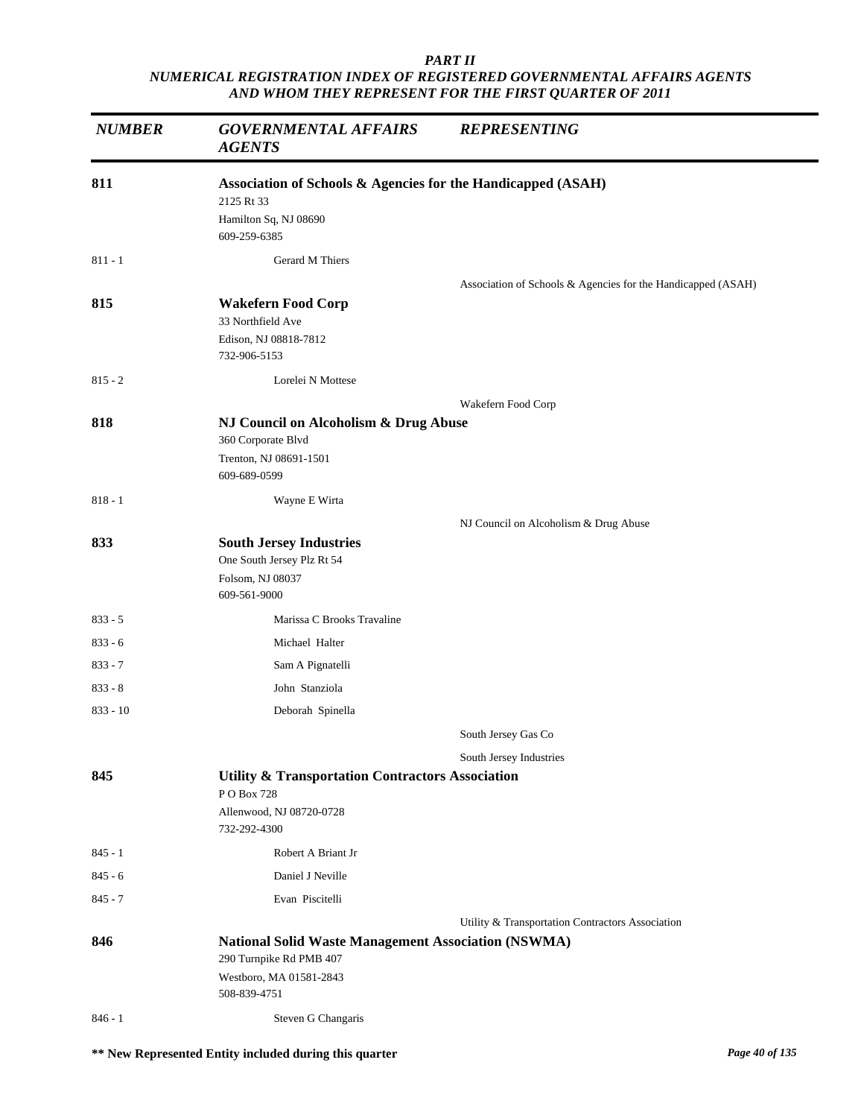| <b>NUMBER</b> | <b>GOVERNMENTAL AFFAIRS</b><br><b>AGENTS</b>                 | <b>REPRESENTING</b>                                          |
|---------------|--------------------------------------------------------------|--------------------------------------------------------------|
| 811           | Association of Schools & Agencies for the Handicapped (ASAH) |                                                              |
|               | 2125 Rt 33                                                   |                                                              |
|               | Hamilton Sq, NJ 08690<br>609-259-6385                        |                                                              |
| $811 - 1$     | Gerard M Thiers                                              |                                                              |
|               |                                                              | Association of Schools & Agencies for the Handicapped (ASAH) |
| 815           | <b>Wakefern Food Corp</b>                                    |                                                              |
|               | 33 Northfield Ave                                            |                                                              |
|               | Edison, NJ 08818-7812                                        |                                                              |
|               | 732-906-5153                                                 |                                                              |
| $815 - 2$     | Lorelei N Mottese                                            |                                                              |
|               |                                                              | Wakefern Food Corp                                           |
| 818           | NJ Council on Alcoholism & Drug Abuse<br>360 Corporate Blvd  |                                                              |
|               | Trenton, NJ 08691-1501                                       |                                                              |
|               | 609-689-0599                                                 |                                                              |
| $818 - 1$     | Wayne E Wirta                                                |                                                              |
|               |                                                              | NJ Council on Alcoholism & Drug Abuse                        |
| 833           | <b>South Jersey Industries</b>                               |                                                              |
|               | One South Jersey Plz Rt 54                                   |                                                              |
|               | Folsom, NJ 08037<br>609-561-9000                             |                                                              |
| $833 - 5$     | Marissa C Brooks Travaline                                   |                                                              |
| $833 - 6$     | Michael Halter                                               |                                                              |
| $833 - 7$     | Sam A Pignatelli                                             |                                                              |
| $833 - 8$     | John Stanziola                                               |                                                              |
| $833 - 10$    | Deborah Spinella                                             |                                                              |
|               |                                                              | South Jersey Gas Co                                          |
|               |                                                              | South Jersey Industries                                      |
| 845           | <b>Utility &amp; Transportation Contractors Association</b>  |                                                              |
|               | P O Box 728<br>Allenwood, NJ 08720-0728                      |                                                              |
|               | 732-292-4300                                                 |                                                              |
| $845 - 1$     | Robert A Briant Jr                                           |                                                              |
| $845 - 6$     | Daniel J Neville                                             |                                                              |
| $845 - 7$     | Evan Piscitelli                                              |                                                              |
|               |                                                              | Utility & Transportation Contractors Association             |
| 846           | <b>National Solid Waste Management Association (NSWMA)</b>   |                                                              |
|               | 290 Turnpike Rd PMB 407<br>Westboro, MA 01581-2843           |                                                              |
|               | 508-839-4751                                                 |                                                              |
| $846 - 1$     | Steven G Changaris                                           |                                                              |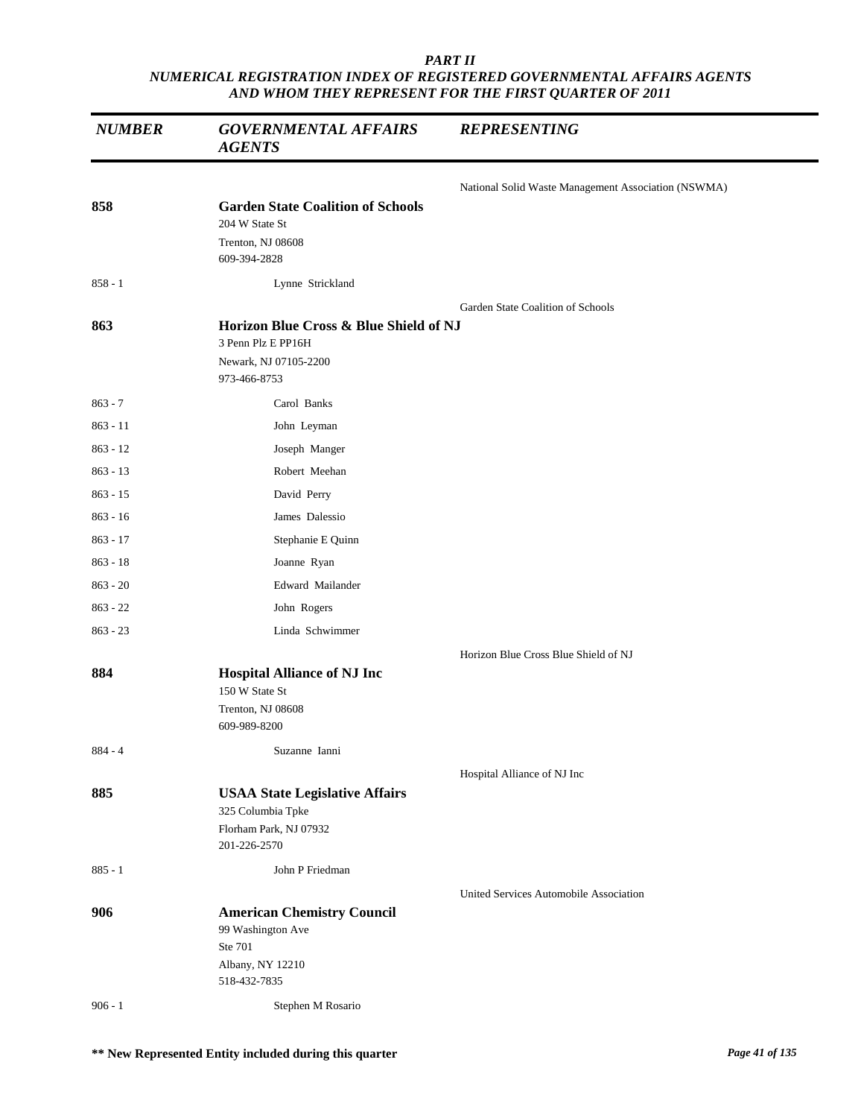| <b>NUMBER</b> | <b>GOVERNMENTAL AFFAIRS</b><br><b>AGENTS</b>                                                          | <b>REPRESENTING</b>                                 |
|---------------|-------------------------------------------------------------------------------------------------------|-----------------------------------------------------|
|               |                                                                                                       | National Solid Waste Management Association (NSWMA) |
| 858           | <b>Garden State Coalition of Schools</b><br>204 W State St<br>Trenton, NJ 08608<br>609-394-2828       |                                                     |
| $858 - 1$     | Lynne Strickland                                                                                      |                                                     |
|               |                                                                                                       | Garden State Coalition of Schools                   |
| 863           | Horizon Blue Cross & Blue Shield of NJ<br>3 Penn Plz E PP16H<br>Newark, NJ 07105-2200<br>973-466-8753 |                                                     |
| $863 - 7$     | Carol Banks                                                                                           |                                                     |
| $863 - 11$    | John Leyman                                                                                           |                                                     |
| $863 - 12$    | Joseph Manger                                                                                         |                                                     |
| $863 - 13$    | Robert Meehan                                                                                         |                                                     |
| $863 - 15$    | David Perry                                                                                           |                                                     |
| $863 - 16$    | James Dalessio                                                                                        |                                                     |
| $863 - 17$    | Stephanie E Quinn                                                                                     |                                                     |
| $863 - 18$    | Joanne Ryan                                                                                           |                                                     |
| $863 - 20$    | Edward Mailander                                                                                      |                                                     |
| $863 - 22$    | John Rogers                                                                                           |                                                     |
| $863 - 23$    | Linda Schwimmer                                                                                       |                                                     |
|               |                                                                                                       | Horizon Blue Cross Blue Shield of NJ                |
| 884           | <b>Hospital Alliance of NJ Inc</b><br>150 W State St<br>Trenton, NJ 08608<br>609-989-8200             |                                                     |
| 884 - 4       | Suzanne Ianni                                                                                         |                                                     |
|               |                                                                                                       | Hospital Alliance of NJ Inc                         |
| 885           | <b>USAA State Legislative Affairs</b><br>325 Columbia Tpke<br>Florham Park, NJ 07932<br>201-226-2570  |                                                     |
| $885 - 1$     | John P Friedman                                                                                       |                                                     |
|               |                                                                                                       | United Services Automobile Association              |
| 906           | <b>American Chemistry Council</b><br>99 Washington Ave<br>Ste 701<br>Albany, NY 12210<br>518-432-7835 |                                                     |
| $906 - 1$     | Stephen M Rosario                                                                                     |                                                     |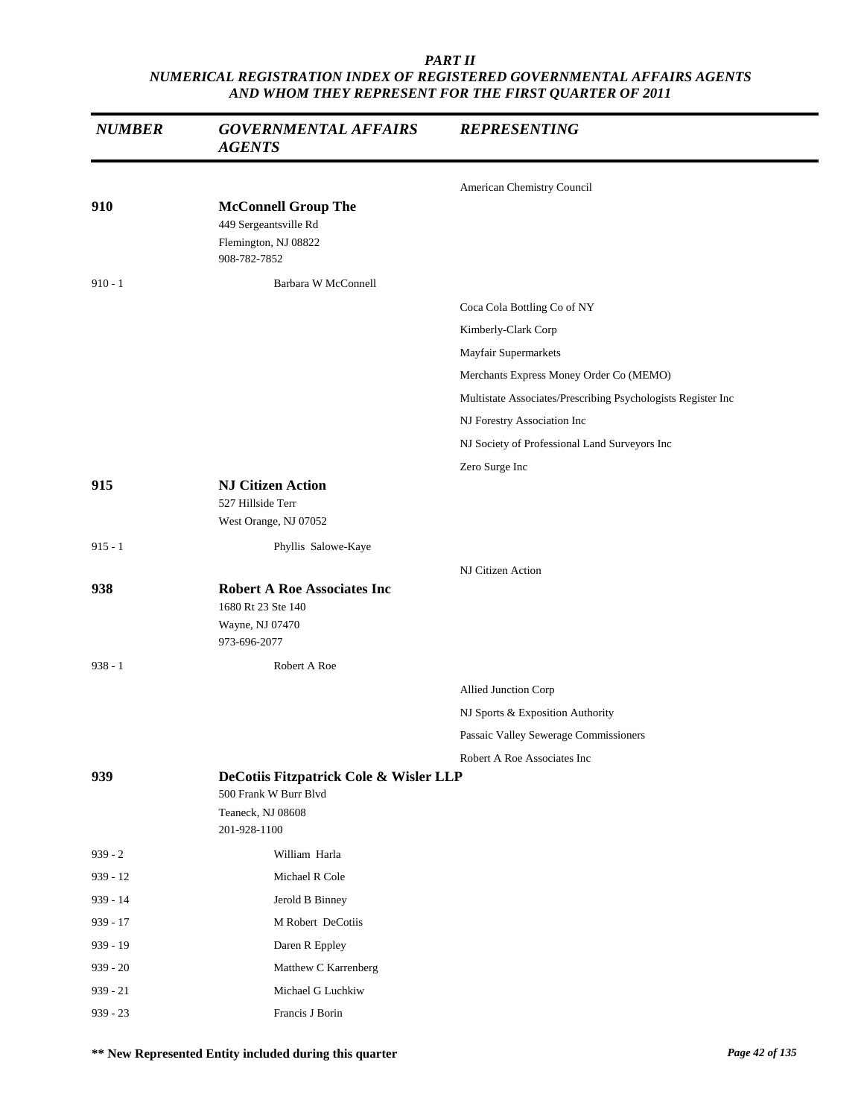| <b>NUMBER</b> | <b>GOVERNMENTAL AFFAIRS</b><br><b>AGENTS</b>                                                         | <b>REPRESENTING</b>                                          |
|---------------|------------------------------------------------------------------------------------------------------|--------------------------------------------------------------|
|               |                                                                                                      | American Chemistry Council                                   |
| 910           | <b>McConnell Group The</b><br>449 Sergeantsville Rd<br>Flemington, NJ 08822<br>908-782-7852          |                                                              |
| $910 - 1$     | Barbara W McConnell                                                                                  |                                                              |
|               |                                                                                                      | Coca Cola Bottling Co of NY                                  |
|               |                                                                                                      | Kimberly-Clark Corp                                          |
|               |                                                                                                      | Mayfair Supermarkets                                         |
|               |                                                                                                      | Merchants Express Money Order Co (MEMO)                      |
|               |                                                                                                      | Multistate Associates/Prescribing Psychologists Register Inc |
|               |                                                                                                      | NJ Forestry Association Inc                                  |
|               |                                                                                                      | NJ Society of Professional Land Surveyors Inc                |
|               |                                                                                                      | Zero Surge Inc                                               |
| 915           | <b>NJ Citizen Action</b><br>527 Hillside Terr<br>West Orange, NJ 07052                               |                                                              |
| $915 - 1$     | Phyllis Salowe-Kaye                                                                                  |                                                              |
|               |                                                                                                      | NJ Citizen Action                                            |
| 938           | <b>Robert A Roe Associates Inc</b><br>1680 Rt 23 Ste 140<br>Wayne, NJ 07470<br>973-696-2077          |                                                              |
| $938 - 1$     | Robert A Roe                                                                                         |                                                              |
|               |                                                                                                      | Allied Junction Corp                                         |
|               |                                                                                                      | NJ Sports & Exposition Authority                             |
|               |                                                                                                      | Passaic Valley Sewerage Commissioners                        |
|               |                                                                                                      | Robert A Roe Associates Inc                                  |
| 939           | DeCotiis Fitzpatrick Cole & Wisler LLP<br>500 Frank W Burr Blvd<br>Teaneck, NJ 08608<br>201-928-1100 |                                                              |
| $939 - 2$     | William Harla                                                                                        |                                                              |
| $939 - 12$    | Michael R Cole                                                                                       |                                                              |
| 939 - 14      | Jerold B Binney                                                                                      |                                                              |
| $939 - 17$    | M Robert DeCotiis                                                                                    |                                                              |
| $939 - 19$    | Daren R Eppley                                                                                       |                                                              |
| $939 - 20$    | Matthew C Karrenberg                                                                                 |                                                              |
| $939 - 21$    | Michael G Luchkiw                                                                                    |                                                              |
| $939 - 23$    | Francis J Borin                                                                                      |                                                              |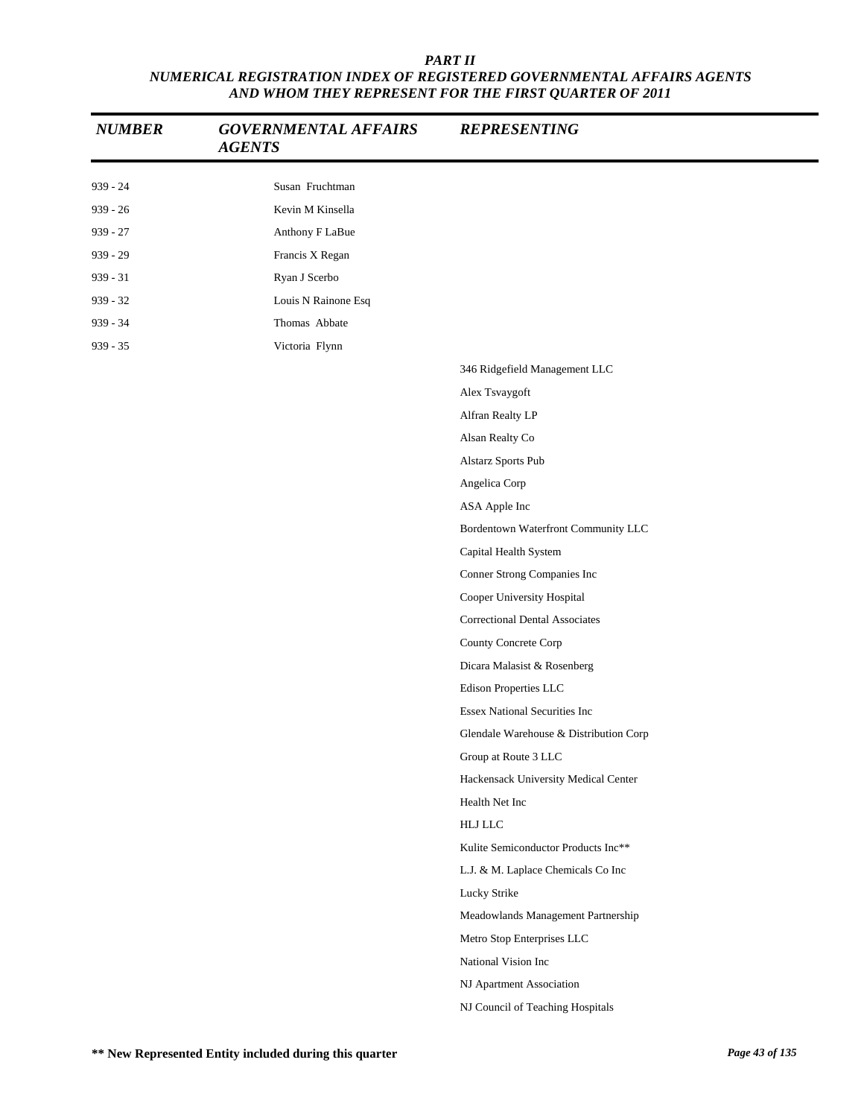| <b>NUMBER</b> | <b>GOVERNMENTAL AFFAIRS</b><br><b>AGENTS</b> | <b>REPRESENTING</b>                    |
|---------------|----------------------------------------------|----------------------------------------|
| $939 - 24$    | Susan Fruchtman                              |                                        |
| $939 - 26$    | Kevin M Kinsella                             |                                        |
| $939 - 27$    | Anthony F LaBue                              |                                        |
| $939 - 29$    | Francis X Regan                              |                                        |
| $939 - 31$    | Ryan J Scerbo                                |                                        |
| $939 - 32$    | Louis N Rainone Esq                          |                                        |
| $939 - 34$    | Thomas Abbate                                |                                        |
| $939 - 35$    | Victoria Flynn                               |                                        |
|               |                                              | 346 Ridgefield Management LLC          |
|               |                                              | Alex Tsvaygoft                         |
|               |                                              | Alfran Realty LP                       |
|               |                                              | Alsan Realty Co                        |
|               |                                              | Alstarz Sports Pub                     |
|               |                                              | Angelica Corp                          |
|               |                                              | ASA Apple Inc                          |
|               |                                              | Bordentown Waterfront Community LLC    |
|               |                                              | Capital Health System                  |
|               |                                              | Conner Strong Companies Inc            |
|               |                                              | Cooper University Hospital             |
|               |                                              | <b>Correctional Dental Associates</b>  |
|               |                                              | County Concrete Corp                   |
|               |                                              | Dicara Malasist & Rosenberg            |
|               |                                              | Edison Properties LLC                  |
|               |                                              | <b>Essex National Securities Inc</b>   |
|               |                                              | Glendale Warehouse & Distribution Corp |
|               |                                              | Group at Route 3 LLC                   |
|               |                                              | Hackensack University Medical Center   |
|               |                                              | Health Net Inc                         |
|               |                                              | <b>HLJ LLC</b>                         |
|               |                                              | Kulite Semiconductor Products Inc**    |
|               |                                              | L.J. & M. Laplace Chemicals Co Inc     |
|               |                                              | Lucky Strike                           |
|               |                                              | Meadowlands Management Partnership     |
|               |                                              | Metro Stop Enterprises LLC             |
|               |                                              | National Vision Inc                    |
|               |                                              | NJ Apartment Association               |
|               |                                              | NJ Council of Teaching Hospitals       |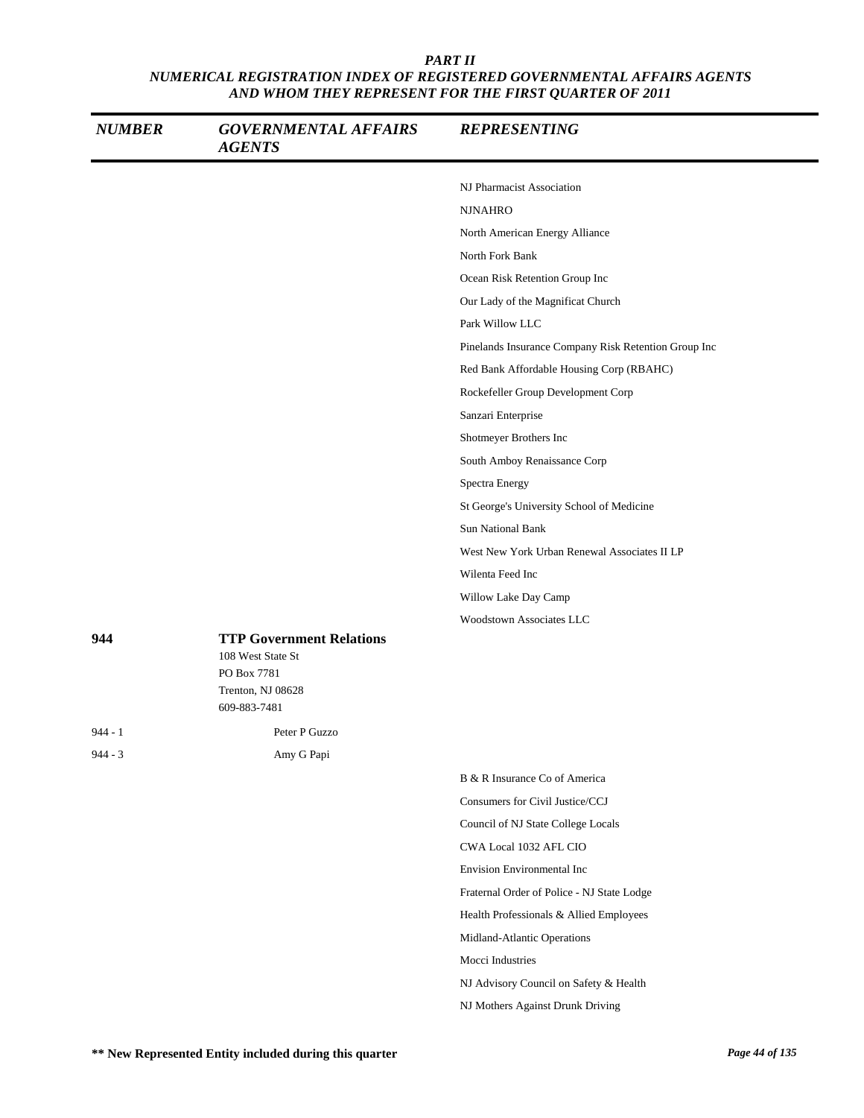| <b>NUMBER</b> | <b>GOVERNMENTAL AFFAIRS</b><br><b>AGENTS</b>                                                             | <b>REPRESENTING</b>                                  |
|---------------|----------------------------------------------------------------------------------------------------------|------------------------------------------------------|
|               |                                                                                                          | NJ Pharmacist Association                            |
|               |                                                                                                          | <b>NJNAHRO</b>                                       |
|               |                                                                                                          | North American Energy Alliance                       |
|               |                                                                                                          | North Fork Bank                                      |
|               |                                                                                                          | Ocean Risk Retention Group Inc                       |
|               |                                                                                                          | Our Lady of the Magnificat Church                    |
|               |                                                                                                          | Park Willow LLC                                      |
|               |                                                                                                          | Pinelands Insurance Company Risk Retention Group Inc |
|               |                                                                                                          | Red Bank Affordable Housing Corp (RBAHC)             |
|               |                                                                                                          | Rockefeller Group Development Corp                   |
|               |                                                                                                          | Sanzari Enterprise                                   |
|               |                                                                                                          | Shotmeyer Brothers Inc                               |
|               |                                                                                                          | South Amboy Renaissance Corp                         |
|               |                                                                                                          | Spectra Energy                                       |
|               |                                                                                                          | St George's University School of Medicine            |
|               |                                                                                                          | <b>Sun National Bank</b>                             |
|               |                                                                                                          | West New York Urban Renewal Associates II LP         |
|               |                                                                                                          | Wilenta Feed Inc                                     |
|               |                                                                                                          | Willow Lake Day Camp                                 |
|               |                                                                                                          | Woodstown Associates LLC                             |
| 944           | <b>TTP Government Relations</b><br>108 West State St<br>PO Box 7781<br>Trenton, NJ 08628<br>609-883-7481 |                                                      |
| 944 - 1       | Peter P Guzzo                                                                                            |                                                      |
| $944 - 3$     | Amy G Papi                                                                                               |                                                      |
|               |                                                                                                          | B & R Insurance Co of America                        |
|               |                                                                                                          | Consumers for Civil Justice/CCJ                      |
|               |                                                                                                          | Council of NJ State College Locals                   |
|               |                                                                                                          | CWA Local 1032 AFL CIO                               |
|               |                                                                                                          | Envision Environmental Inc                           |
|               |                                                                                                          | Fraternal Order of Police - NJ State Lodge           |
|               |                                                                                                          | Health Professionals & Allied Employees              |
|               |                                                                                                          | Midland-Atlantic Operations                          |
|               |                                                                                                          | Mocci Industries                                     |
|               |                                                                                                          | NJ Advisory Council on Safety & Health               |
|               |                                                                                                          | NJ Mothers Against Drunk Driving                     |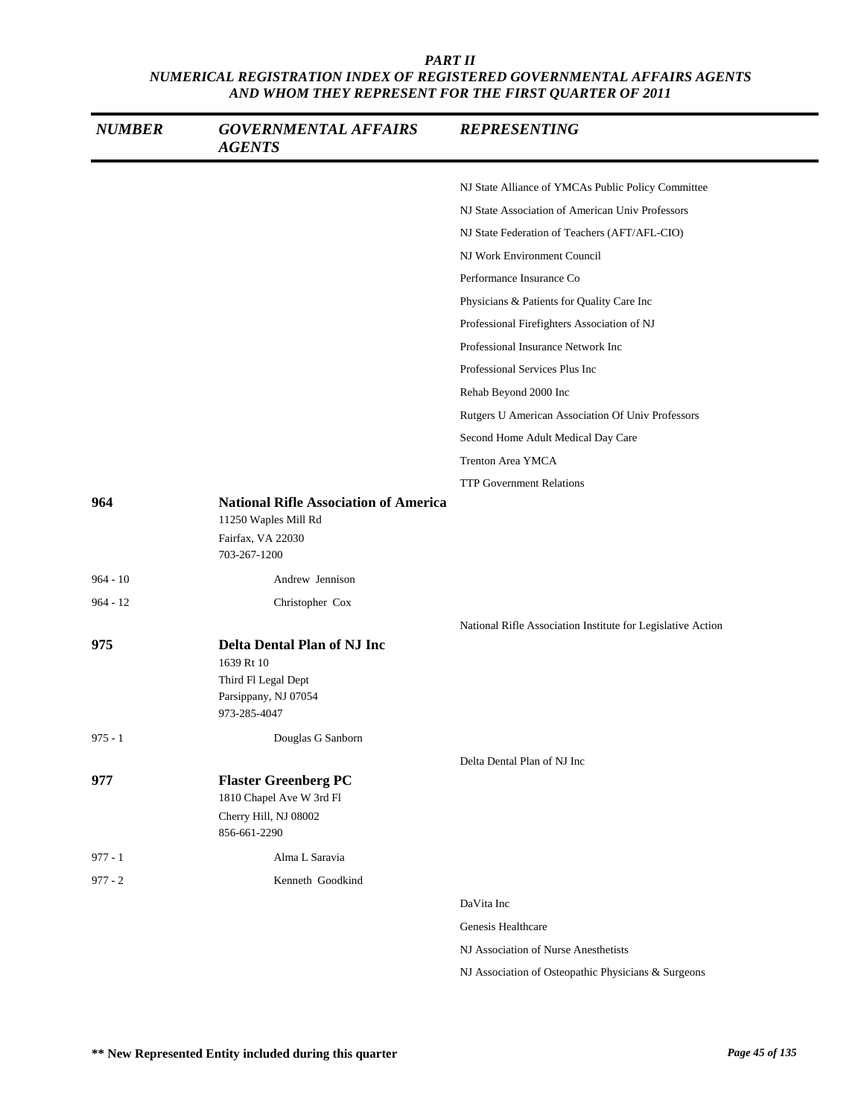| <b>NUMBER</b> | <b>GOVERNMENTAL AFFAIRS</b><br><b>AGENTS</b>                                                                    | <b>REPRESENTING</b>                                         |
|---------------|-----------------------------------------------------------------------------------------------------------------|-------------------------------------------------------------|
|               |                                                                                                                 | NJ State Alliance of YMCAs Public Policy Committee          |
|               |                                                                                                                 | NJ State Association of American Univ Professors            |
|               |                                                                                                                 | NJ State Federation of Teachers (AFT/AFL-CIO)               |
|               |                                                                                                                 | NJ Work Environment Council                                 |
|               |                                                                                                                 | Performance Insurance Co                                    |
|               |                                                                                                                 | Physicians & Patients for Quality Care Inc                  |
|               |                                                                                                                 | Professional Firefighters Association of NJ                 |
|               |                                                                                                                 | Professional Insurance Network Inc                          |
|               |                                                                                                                 | Professional Services Plus Inc                              |
|               |                                                                                                                 | Rehab Beyond 2000 Inc                                       |
|               |                                                                                                                 | Rutgers U American Association Of Univ Professors           |
|               |                                                                                                                 | Second Home Adult Medical Day Care                          |
|               |                                                                                                                 | <b>Trenton Area YMCA</b>                                    |
|               |                                                                                                                 | <b>TTP Government Relations</b>                             |
| 964           | <b>National Rifle Association of America</b><br>11250 Waples Mill Rd<br>Fairfax, VA 22030<br>703-267-1200       |                                                             |
| $964 - 10$    | Andrew Jennison                                                                                                 |                                                             |
| $964 - 12$    | Christopher Cox                                                                                                 |                                                             |
|               |                                                                                                                 | National Rifle Association Institute for Legislative Action |
| 975           | <b>Delta Dental Plan of NJ Inc</b><br>1639 Rt 10<br>Third Fl Legal Dept<br>Parsippany, NJ 07054<br>973-285-4047 |                                                             |
| $975 - 1$     | Douglas G Sanborn                                                                                               |                                                             |
| 977           | <b>Flaster Greenberg PC</b><br>1810 Chapel Ave W 3rd Fl<br>Cherry Hill, NJ 08002<br>856-661-2290                | Delta Dental Plan of NJ Inc                                 |
| $977 - 1$     | Alma L Saravia                                                                                                  |                                                             |
| $977 - 2$     | Kenneth Goodkind                                                                                                |                                                             |
|               |                                                                                                                 | DaVita Inc                                                  |
|               |                                                                                                                 | Genesis Healthcare                                          |
|               |                                                                                                                 | NJ Association of Nurse Anesthetists                        |
|               |                                                                                                                 |                                                             |

NJ Association of Osteopathic Physicians & Surgeons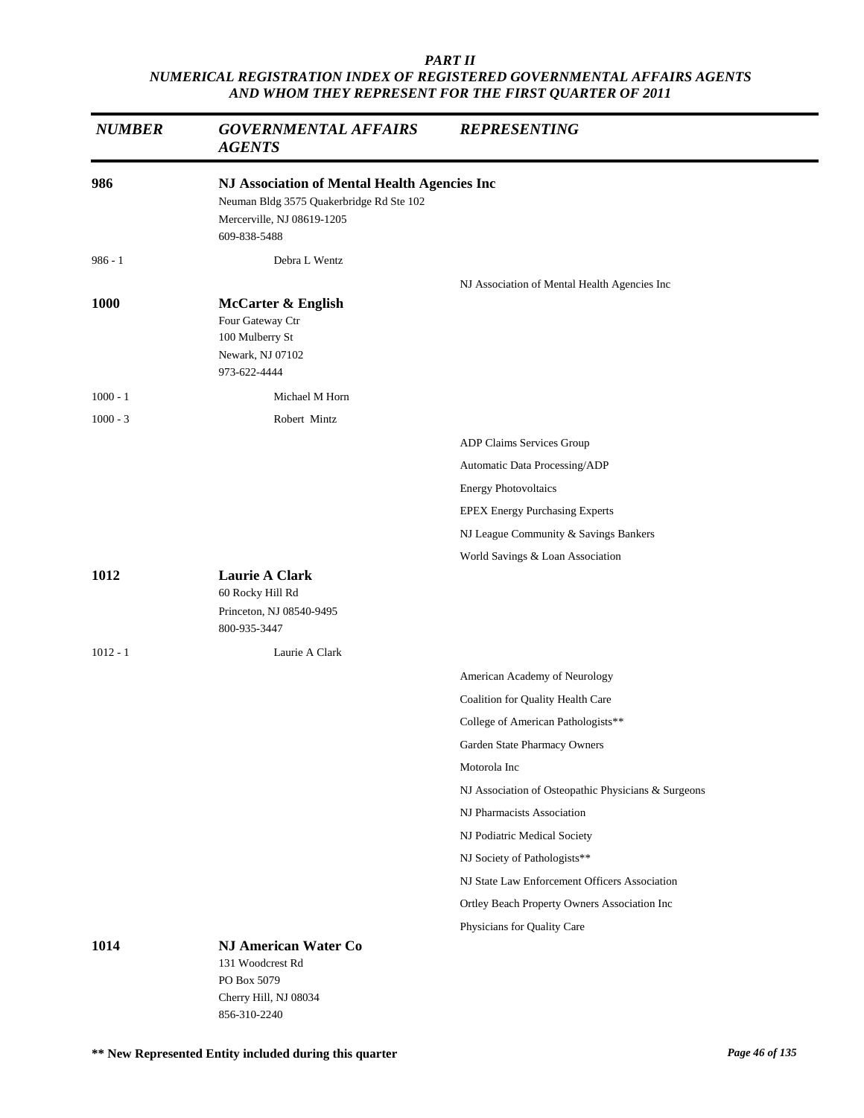| <b>NUMBER</b> | <b>GOVERNMENTAL AFFAIRS</b><br><b>AGENTS</b>                                                                                           | <b>REPRESENTING</b>                                                |
|---------------|----------------------------------------------------------------------------------------------------------------------------------------|--------------------------------------------------------------------|
| 986           | NJ Association of Mental Health Agencies Inc<br>Neuman Bldg 3575 Quakerbridge Rd Ste 102<br>Mercerville, NJ 08619-1205<br>609-838-5488 |                                                                    |
| $986 - 1$     | Debra L Wentz                                                                                                                          |                                                                    |
|               |                                                                                                                                        | NJ Association of Mental Health Agencies Inc                       |
| 1000          | <b>McCarter &amp; English</b><br>Four Gateway Ctr<br>100 Mulberry St<br>Newark, NJ 07102<br>973-622-4444                               |                                                                    |
| $1000 - 1$    | Michael M Horn                                                                                                                         |                                                                    |
| $1000 - 3$    | Robert Mintz                                                                                                                           |                                                                    |
|               |                                                                                                                                        | ADP Claims Services Group                                          |
|               |                                                                                                                                        | Automatic Data Processing/ADP                                      |
|               |                                                                                                                                        | <b>Energy Photovoltaics</b>                                        |
|               |                                                                                                                                        | <b>EPEX Energy Purchasing Experts</b>                              |
|               |                                                                                                                                        | NJ League Community & Savings Bankers                              |
|               |                                                                                                                                        | World Savings & Loan Association                                   |
| 1012          | Laurie A Clark<br>60 Rocky Hill Rd<br>Princeton, NJ 08540-9495<br>800-935-3447                                                         |                                                                    |
| $1012 - 1$    | Laurie A Clark                                                                                                                         |                                                                    |
|               |                                                                                                                                        |                                                                    |
|               |                                                                                                                                        | American Academy of Neurology<br>Coalition for Quality Health Care |
|               |                                                                                                                                        | College of American Pathologists**                                 |
|               |                                                                                                                                        | Garden State Pharmacy Owners                                       |
|               |                                                                                                                                        | Motorola Inc                                                       |
|               |                                                                                                                                        | NJ Association of Osteopathic Physicians & Surgeons                |
|               |                                                                                                                                        | NJ Pharmacists Association                                         |
|               |                                                                                                                                        | NJ Podiatric Medical Society                                       |
|               |                                                                                                                                        | NJ Society of Pathologists**                                       |
|               |                                                                                                                                        | NJ State Law Enforcement Officers Association                      |
|               |                                                                                                                                        | Ortley Beach Property Owners Association Inc                       |
|               |                                                                                                                                        | Physicians for Quality Care                                        |
| 1014          | NJ American Water Co<br>131 Woodcrest Rd<br>PO Box 5079                                                                                |                                                                    |
|               | Cherry Hill, NJ 08034<br>856-310-2240                                                                                                  |                                                                    |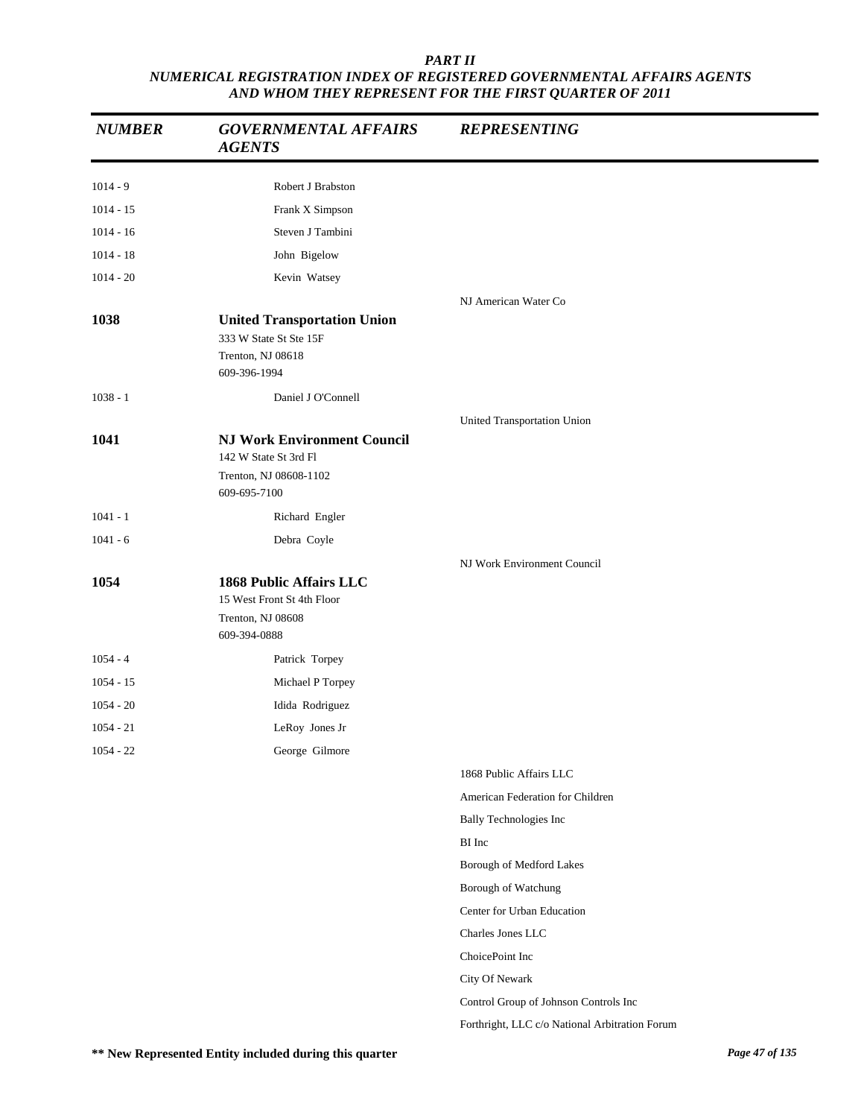| <b>NUMBER</b> | <b>GOVERNMENTAL AFFAIRS</b><br><b>AGENTS</b>                                          | <b>REPRESENTING</b>                            |
|---------------|---------------------------------------------------------------------------------------|------------------------------------------------|
| $1014 - 9$    | Robert J Brabston                                                                     |                                                |
| $1014 - 15$   | Frank X Simpson                                                                       |                                                |
| $1014 - 16$   | Steven J Tambini                                                                      |                                                |
| $1014 - 18$   | John Bigelow                                                                          |                                                |
| $1014 - 20$   | Kevin Watsey                                                                          |                                                |
|               |                                                                                       | NJ American Water Co                           |
| 1038          | <b>United Transportation Union</b><br>333 W State St Ste 15F                          |                                                |
|               | Trenton, NJ 08618<br>609-396-1994                                                     |                                                |
| $1038 - 1$    | Daniel J O'Connell                                                                    |                                                |
|               |                                                                                       | United Transportation Union                    |
| 1041          | <b>NJ Work Environment Council</b><br>142 W State St 3rd Fl<br>Trenton, NJ 08608-1102 |                                                |
|               | 609-695-7100                                                                          |                                                |
| $1041 - 1$    | Richard Engler                                                                        |                                                |
| $1041 - 6$    | Debra Coyle                                                                           |                                                |
|               |                                                                                       | NJ Work Environment Council                    |
| 1054          | 1868 Public Affairs LLC<br>15 West Front St 4th Floor                                 |                                                |
|               | Trenton, NJ 08608<br>609-394-0888                                                     |                                                |
| $1054 - 4$    | Patrick Torpey                                                                        |                                                |
| $1054 - 15$   | Michael P Torpey                                                                      |                                                |
| $1054 - 20$   | Idida Rodriguez                                                                       |                                                |
| $1054 - 21$   | LeRoy Jones Jr                                                                        |                                                |
| $1054 - 22$   | George Gilmore                                                                        |                                                |
|               |                                                                                       | 1868 Public Affairs LLC                        |
|               |                                                                                       | American Federation for Children               |
|               |                                                                                       | <b>Bally Technologies Inc</b>                  |
|               |                                                                                       | BI Inc                                         |
|               |                                                                                       | Borough of Medford Lakes                       |
|               |                                                                                       | Borough of Watchung                            |
|               |                                                                                       | Center for Urban Education                     |
|               |                                                                                       | Charles Jones LLC                              |
|               |                                                                                       | ChoicePoint Inc                                |
|               |                                                                                       | City Of Newark                                 |
|               |                                                                                       | Control Group of Johnson Controls Inc          |
|               |                                                                                       | Forthright, LLC c/o National Arbitration Forum |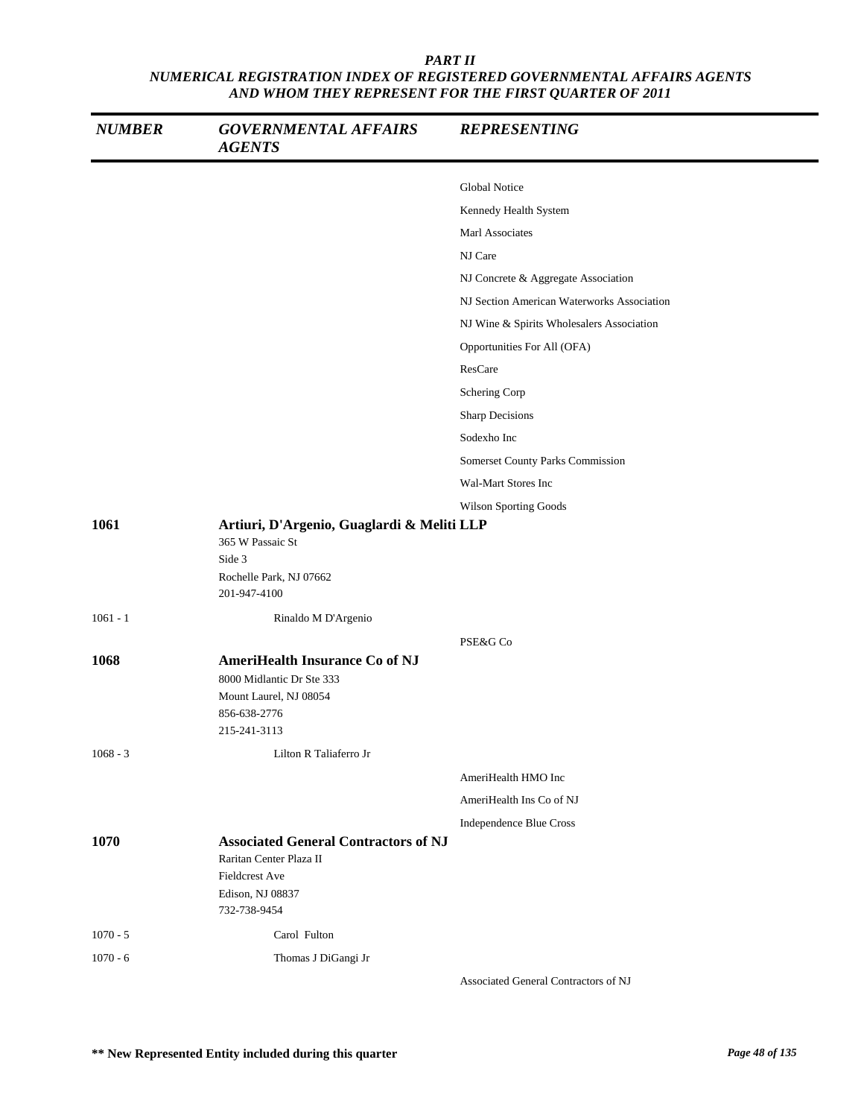| <b>NUMBER</b> | <b>GOVERNMENTAL AFFAIRS</b><br><b>AGENTS</b>                                                                                 | <b>REPRESENTING</b>                        |
|---------------|------------------------------------------------------------------------------------------------------------------------------|--------------------------------------------|
|               |                                                                                                                              | <b>Global Notice</b>                       |
|               |                                                                                                                              | Kennedy Health System                      |
|               |                                                                                                                              | Marl Associates                            |
|               |                                                                                                                              | NJ Care                                    |
|               |                                                                                                                              | NJ Concrete & Aggregate Association        |
|               |                                                                                                                              | NJ Section American Waterworks Association |
|               |                                                                                                                              | NJ Wine & Spirits Wholesalers Association  |
|               |                                                                                                                              | Opportunities For All (OFA)                |
|               |                                                                                                                              | ResCare                                    |
|               |                                                                                                                              | Schering Corp                              |
|               |                                                                                                                              | Sharp Decisions                            |
|               |                                                                                                                              | Sodexho Inc                                |
|               |                                                                                                                              | Somerset County Parks Commission           |
|               |                                                                                                                              | Wal-Mart Stores Inc                        |
|               |                                                                                                                              | Wilson Sporting Goods                      |
| 1061          | Artiuri, D'Argenio, Guaglardi & Meliti LLP<br>365 W Passaic St<br>Side 3<br>Rochelle Park, NJ 07662<br>201-947-4100          |                                            |
| $1061 - 1$    | Rinaldo M D'Argenio                                                                                                          |                                            |
|               |                                                                                                                              | PSE&G Co                                   |
| 1068          | AmeriHealth Insurance Co of NJ<br>8000 Midlantic Dr Ste 333<br>Mount Laurel, NJ 08054<br>856-638-2776<br>215-241-3113        |                                            |
| $1068 - 3$    | Lilton R Taliaferro Jr                                                                                                       |                                            |
|               |                                                                                                                              | AmeriHealth HMO Inc                        |
|               |                                                                                                                              | AmeriHealth Ins Co of NJ                   |
|               |                                                                                                                              | Independence Blue Cross                    |
| 1070          | <b>Associated General Contractors of NJ</b><br>Raritan Center Plaza II<br>Fieldcrest Ave<br>Edison, NJ 08837<br>732-738-9454 |                                            |
| $1070 - 5$    | Carol Fulton                                                                                                                 |                                            |
| $1070 - 6$    | Thomas J DiGangi Jr                                                                                                          |                                            |

Associated General Contractors of NJ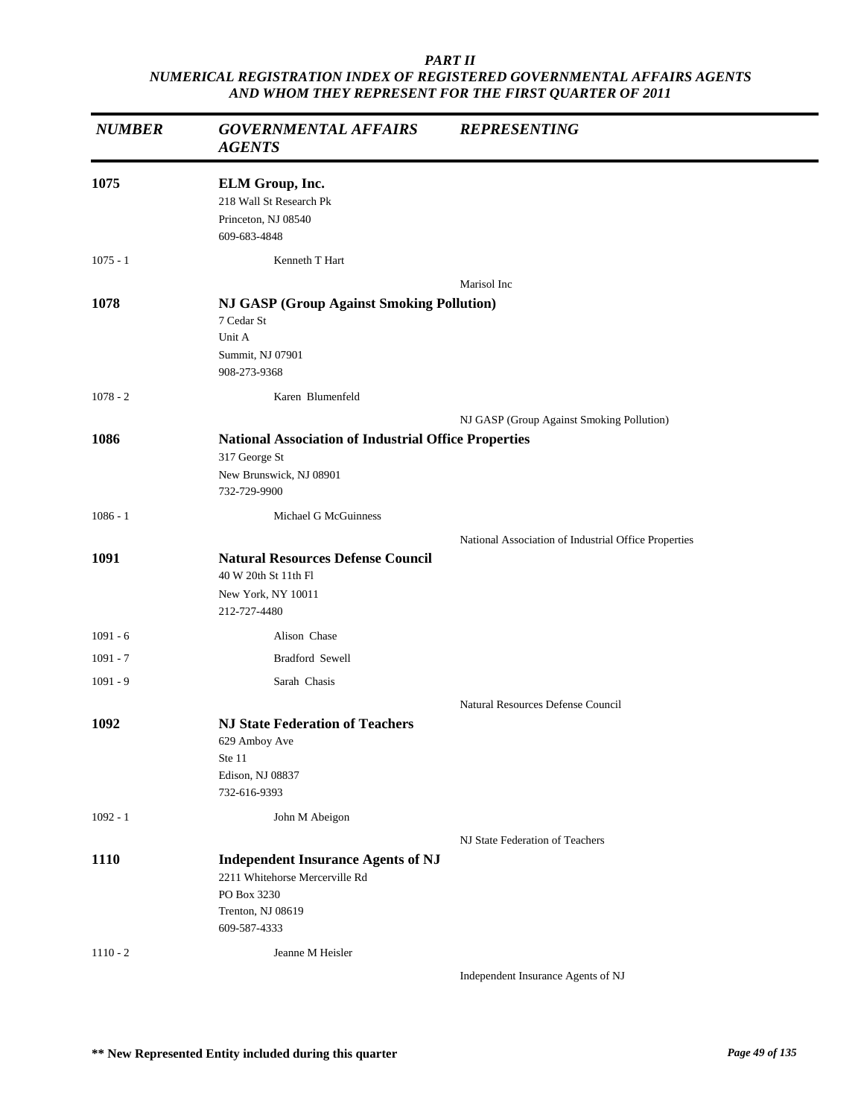| <b>NUMBER</b> | <b>GOVERNMENTAL AFFAIRS</b><br><b>AGENTS</b>                                                                                    | <b>REPRESENTING</b>                                  |
|---------------|---------------------------------------------------------------------------------------------------------------------------------|------------------------------------------------------|
| 1075          | ELM Group, Inc.<br>218 Wall St Research Pk<br>Princeton, NJ 08540<br>609-683-4848                                               |                                                      |
| $1075 - 1$    | Kenneth T Hart                                                                                                                  |                                                      |
| 1078          | <b>NJ GASP (Group Against Smoking Pollution)</b><br>7 Cedar St<br>Unit A<br>Summit, NJ 07901<br>908-273-9368                    | Marisol Inc                                          |
| $1078 - 2$    | Karen Blumenfeld                                                                                                                |                                                      |
| 1086          | <b>National Association of Industrial Office Properties</b><br>317 George St<br>New Brunswick, NJ 08901<br>732-729-9900         | NJ GASP (Group Against Smoking Pollution)            |
| $1086 - 1$    | Michael G McGuinness                                                                                                            |                                                      |
| 1091          | <b>Natural Resources Defense Council</b><br>40 W 20th St 11th Fl<br>New York, NY 10011<br>212-727-4480                          | National Association of Industrial Office Properties |
| $1091 - 6$    | Alison Chase                                                                                                                    |                                                      |
| $1091 - 7$    | Bradford Sewell                                                                                                                 |                                                      |
| $1091 - 9$    | Sarah Chasis                                                                                                                    |                                                      |
|               |                                                                                                                                 | Natural Resources Defense Council                    |
| 1092          | <b>NJ State Federation of Teachers</b><br>629 Amboy Ave<br>Ste 11<br>Edison, NJ 08837<br>732-616-9393                           |                                                      |
| $1092 - 1$    | John M Abeigon                                                                                                                  |                                                      |
| 1110          | <b>Independent Insurance Agents of NJ</b><br>2211 Whitehorse Mercerville Rd<br>PO Box 3230<br>Trenton, NJ 08619<br>609-587-4333 | NJ State Federation of Teachers                      |
| $1110 - 2$    | Jeanne M Heisler                                                                                                                | Independent Insurance Agents of NJ                   |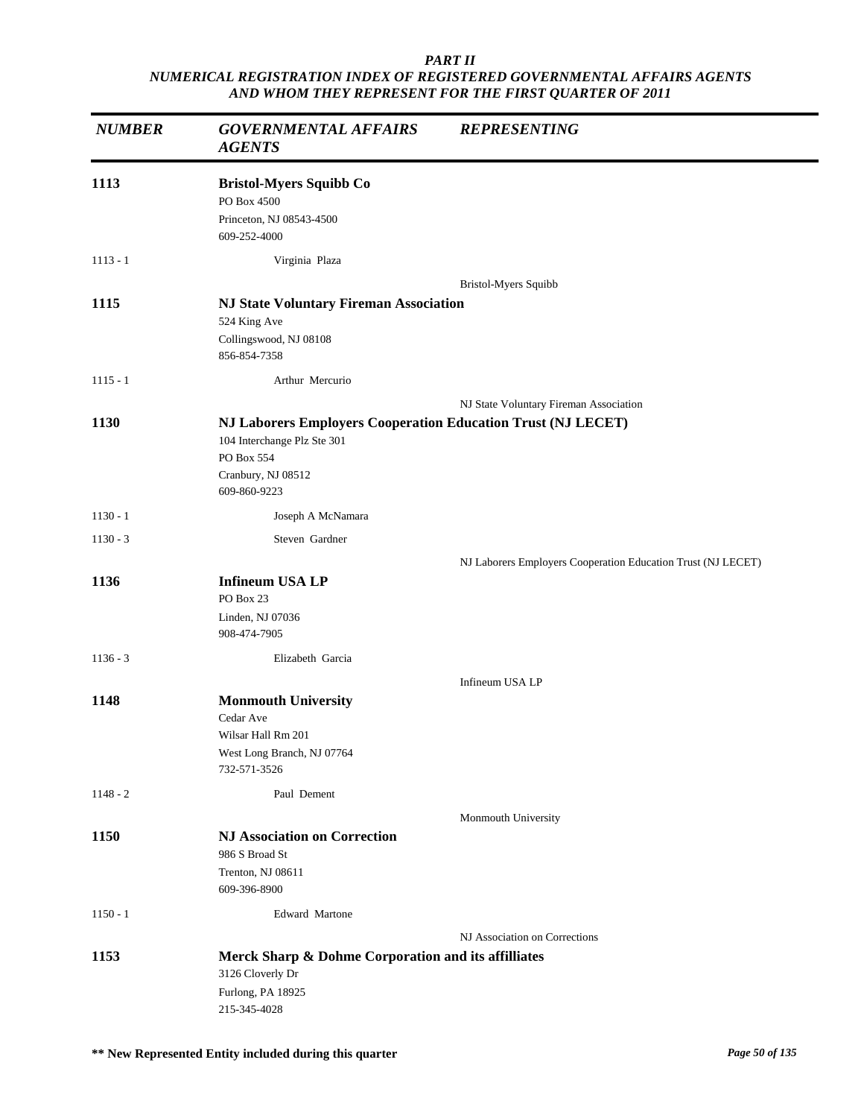| <b>NUMBER</b> | <b>GOVERNMENTAL AFFAIRS</b><br><b>AGENTS</b>                                                                                                    | <b>REPRESENTING</b>                                          |
|---------------|-------------------------------------------------------------------------------------------------------------------------------------------------|--------------------------------------------------------------|
| 1113          | <b>Bristol-Myers Squibb Co</b><br>PO Box 4500<br>Princeton, NJ 08543-4500<br>609-252-4000                                                       |                                                              |
| $1113 - 1$    | Virginia Plaza                                                                                                                                  |                                                              |
| 1115          | <b>NJ State Voluntary Fireman Association</b>                                                                                                   | Bristol-Myers Squibb                                         |
|               | 524 King Ave<br>Collingswood, NJ 08108<br>856-854-7358                                                                                          |                                                              |
| $1115 - 1$    | Arthur Mercurio                                                                                                                                 |                                                              |
|               |                                                                                                                                                 | NJ State Voluntary Fireman Association                       |
| 1130          | NJ Laborers Employers Cooperation Education Trust (NJ LECET)<br>104 Interchange Plz Ste 301<br>PO Box 554<br>Cranbury, NJ 08512<br>609-860-9223 |                                                              |
| $1130 - 1$    | Joseph A McNamara                                                                                                                               |                                                              |
| $1130 - 3$    | Steven Gardner                                                                                                                                  |                                                              |
| 1136          | <b>Infineum USA LP</b><br>PO Box 23<br>Linden, NJ 07036<br>908-474-7905                                                                         | NJ Laborers Employers Cooperation Education Trust (NJ LECET) |
| $1136 - 3$    | Elizabeth Garcia                                                                                                                                |                                                              |
|               |                                                                                                                                                 | Infineum USA LP                                              |
| 1148          | <b>Monmouth University</b><br>Cedar Ave<br>Wilsar Hall Rm 201<br>West Long Branch, NJ 07764<br>732-571-3526                                     |                                                              |
| $1148 - 2$    | Paul Dement                                                                                                                                     |                                                              |
| 1150          | <b>NJ Association on Correction</b><br>986 S Broad St<br>Trenton, NJ 08611<br>609-396-8900                                                      | Monmouth University                                          |
| $1150 - 1$    | <b>Edward Martone</b>                                                                                                                           |                                                              |
|               |                                                                                                                                                 | NJ Association on Corrections                                |
| 1153          | Merck Sharp & Dohme Corporation and its affilliates<br>3126 Cloverly Dr<br>Furlong, PA 18925<br>215-345-4028                                    |                                                              |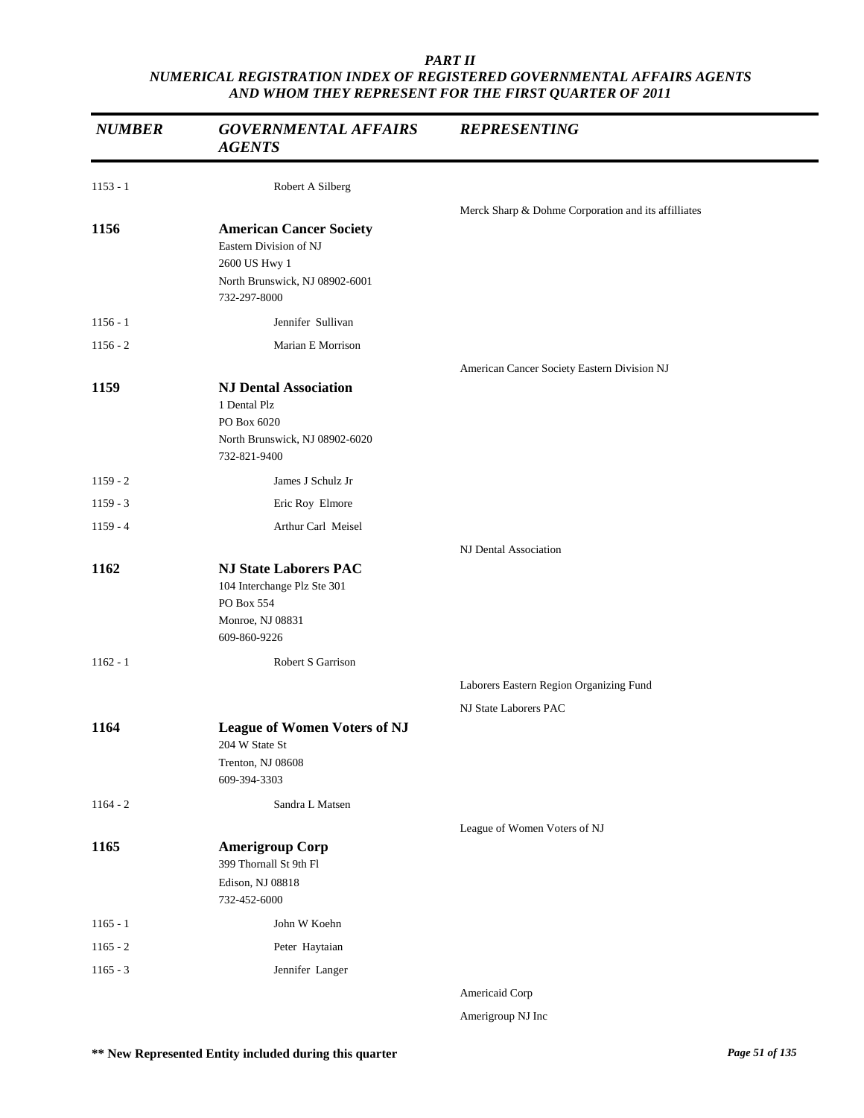| <b>NUMBER</b> | <b>GOVERNMENTAL AFFAIRS</b><br><b>AGENTS</b>                                                                                | <b>REPRESENTING</b>                                 |
|---------------|-----------------------------------------------------------------------------------------------------------------------------|-----------------------------------------------------|
| $1153 - 1$    | Robert A Silberg                                                                                                            |                                                     |
|               |                                                                                                                             | Merck Sharp & Dohme Corporation and its affilliates |
| 1156          | <b>American Cancer Society</b><br>Eastern Division of NJ<br>2600 US Hwy 1<br>North Brunswick, NJ 08902-6001<br>732-297-8000 |                                                     |
| $1156 - 1$    | Jennifer Sullivan                                                                                                           |                                                     |
| $1156 - 2$    | Marian E Morrison                                                                                                           |                                                     |
|               |                                                                                                                             | American Cancer Society Eastern Division NJ         |
| 1159          | <b>NJ Dental Association</b><br>1 Dental Plz<br>PO Box 6020<br>North Brunswick, NJ 08902-6020<br>732-821-9400               |                                                     |
| $1159 - 2$    | James J Schulz Jr                                                                                                           |                                                     |
| $1159 - 3$    | Eric Roy Elmore                                                                                                             |                                                     |
| $1159 - 4$    | Arthur Carl Meisel                                                                                                          |                                                     |
|               |                                                                                                                             | NJ Dental Association                               |
| 1162          | <b>NJ State Laborers PAC</b><br>104 Interchange Plz Ste 301<br>PO Box 554<br>Monroe, NJ 08831<br>609-860-9226               |                                                     |
| $1162 - 1$    | Robert S Garrison                                                                                                           |                                                     |
|               |                                                                                                                             | Laborers Eastern Region Organizing Fund             |
|               |                                                                                                                             | NJ State Laborers PAC                               |
| 1164          | <b>League of Women Voters of NJ</b><br>204 W State St<br>Trenton, NJ 08608                                                  |                                                     |
|               | 609-394-3303                                                                                                                |                                                     |
| $1164 - 2$    | Sandra L Matsen                                                                                                             |                                                     |
|               |                                                                                                                             | League of Women Voters of NJ                        |
| 1165          | <b>Amerigroup Corp</b><br>399 Thornall St 9th Fl<br>Edison, NJ 08818<br>732-452-6000                                        |                                                     |
| $1165 - 1$    | John W Koehn                                                                                                                |                                                     |
| $1165 - 2$    | Peter Haytaian                                                                                                              |                                                     |
| $1165 - 3$    | Jennifer Langer                                                                                                             |                                                     |
|               |                                                                                                                             | Americaid Corp                                      |

Amerigroup NJ Inc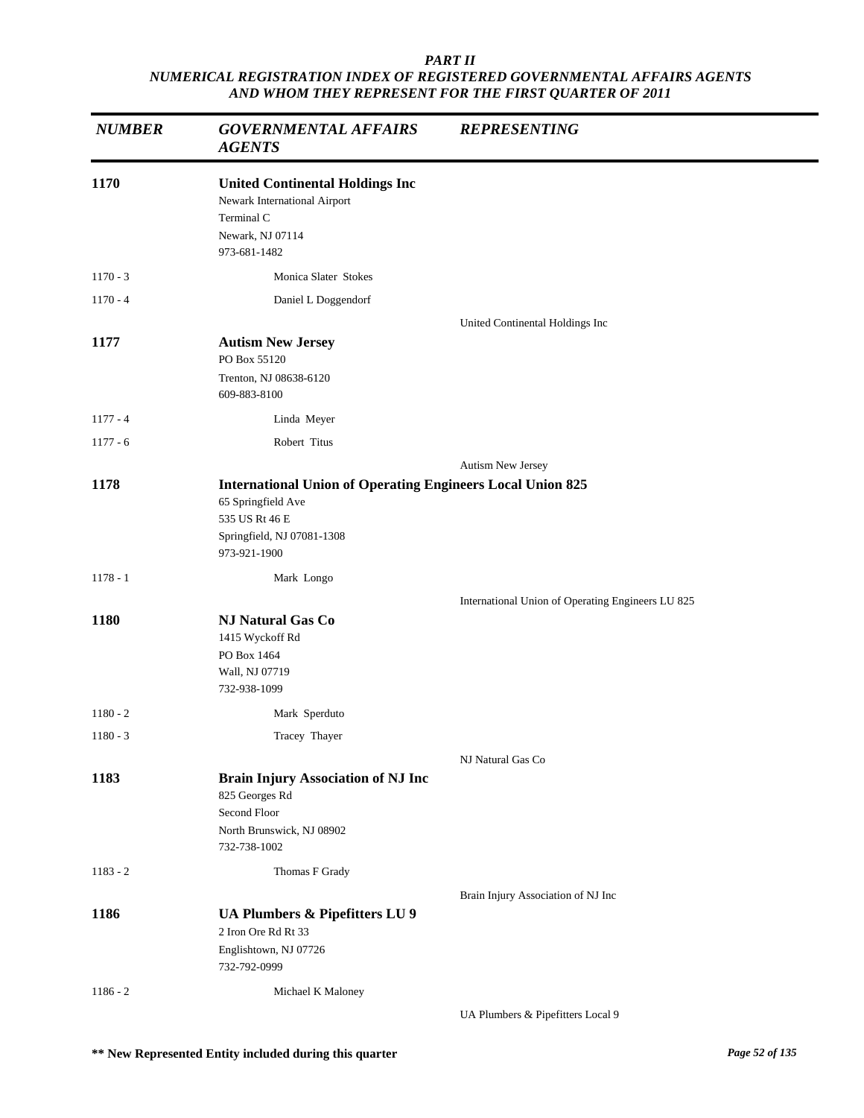| <b>NUMBER</b> | <b>GOVERNMENTAL AFFAIRS</b><br><b>AGENTS</b>                                                                                                            | <b>REPRESENTING</b>                               |
|---------------|---------------------------------------------------------------------------------------------------------------------------------------------------------|---------------------------------------------------|
| 1170          | <b>United Continental Holdings Inc</b><br>Newark International Airport<br>Terminal C<br>Newark, NJ 07114<br>973-681-1482                                |                                                   |
| $1170 - 3$    | Monica Slater Stokes                                                                                                                                    |                                                   |
| $1170 - 4$    | Daniel L Doggendorf                                                                                                                                     |                                                   |
| 1177          | <b>Autism New Jersey</b><br>PO Box 55120<br>Trenton, NJ 08638-6120<br>609-883-8100                                                                      | United Continental Holdings Inc                   |
| $1177 - 4$    | Linda Meyer                                                                                                                                             |                                                   |
| $1177 - 6$    | Robert Titus                                                                                                                                            |                                                   |
|               |                                                                                                                                                         | Autism New Jersey                                 |
| 1178          | <b>International Union of Operating Engineers Local Union 825</b><br>65 Springfield Ave<br>535 US Rt 46 E<br>Springfield, NJ 07081-1308<br>973-921-1900 |                                                   |
| $1178 - 1$    | Mark Longo                                                                                                                                              |                                                   |
|               |                                                                                                                                                         | International Union of Operating Engineers LU 825 |
| 1180          | NJ Natural Gas Co<br>1415 Wyckoff Rd<br>PO Box 1464<br>Wall, NJ 07719<br>732-938-1099                                                                   |                                                   |
| $1180 - 2$    | Mark Sperduto                                                                                                                                           |                                                   |
| $1180 - 3$    | Tracey Thayer                                                                                                                                           |                                                   |
|               |                                                                                                                                                         | NJ Natural Gas Co                                 |
| 1183          | <b>Brain Injury Association of NJ Inc</b><br>825 Georges Rd<br>Second Floor<br>North Brunswick, NJ 08902<br>732-738-1002                                |                                                   |
| $1183 - 2$    | Thomas F Grady                                                                                                                                          |                                                   |
|               |                                                                                                                                                         | Brain Injury Association of NJ Inc                |
| 1186          | UA Plumbers & Pipefitters LU 9<br>2 Iron Ore Rd Rt 33<br>Englishtown, NJ 07726<br>732-792-0999                                                          |                                                   |
| $1186 - 2$    | Michael K Maloney                                                                                                                                       |                                                   |
|               |                                                                                                                                                         | UA Plumbers & Pipefitters Local 9                 |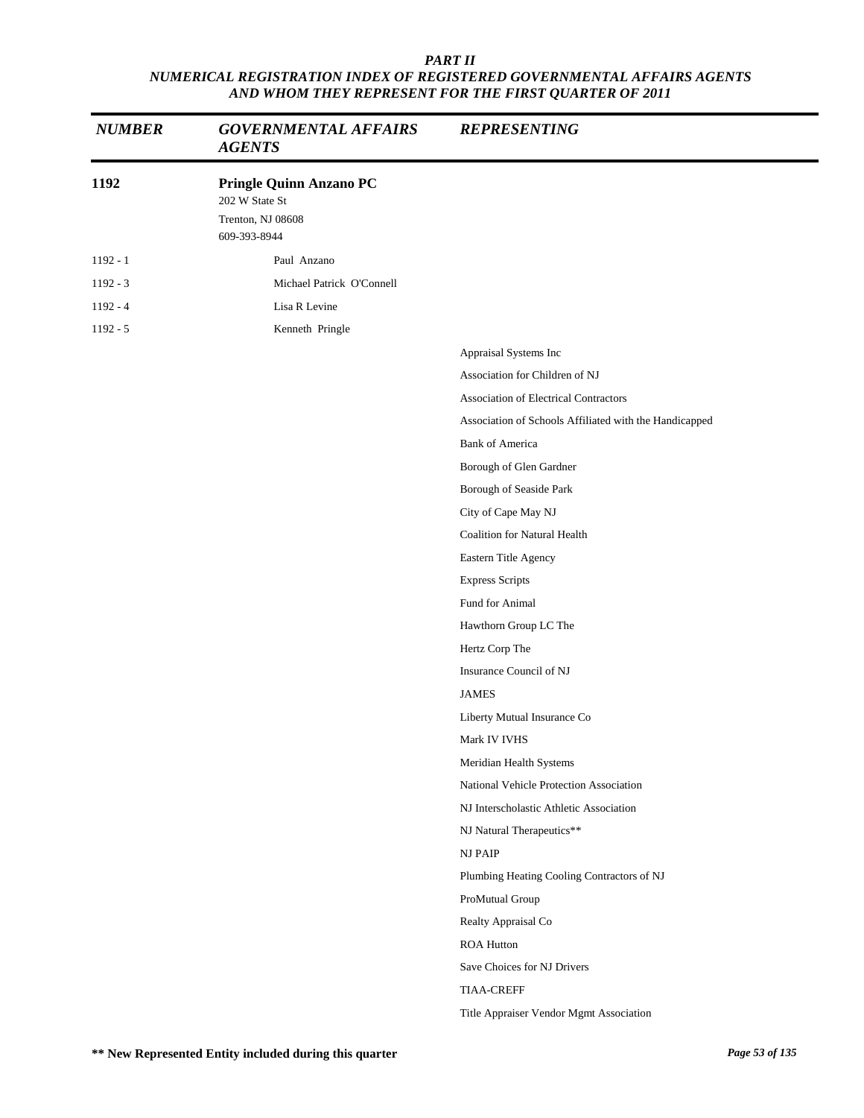| <b>NUMBER</b> | <b>GOVERNMENTAL AFFAIRS</b><br><b>AGENTS</b>                                          | <b>REPRESENTING</b>                                    |
|---------------|---------------------------------------------------------------------------------------|--------------------------------------------------------|
| 1192          | <b>Pringle Quinn Anzano PC</b><br>202 W State St<br>Trenton, NJ 08608<br>609-393-8944 |                                                        |
| $1192 - 1$    | Paul Anzano                                                                           |                                                        |
| 1192 - 3      | Michael Patrick O'Connell                                                             |                                                        |
| $1192 - 4$    | Lisa R Levine                                                                         |                                                        |
| $1192 - 5$    | Kenneth Pringle                                                                       |                                                        |
|               |                                                                                       | Appraisal Systems Inc                                  |
|               |                                                                                       | Association for Children of NJ                         |
|               |                                                                                       | <b>Association of Electrical Contractors</b>           |
|               |                                                                                       | Association of Schools Affiliated with the Handicapped |
|               |                                                                                       | <b>Bank of America</b>                                 |
|               |                                                                                       | Borough of Glen Gardner                                |
|               |                                                                                       | Borough of Seaside Park                                |
|               |                                                                                       | City of Cape May NJ                                    |
|               |                                                                                       | <b>Coalition for Natural Health</b>                    |
|               |                                                                                       | Eastern Title Agency                                   |
|               |                                                                                       | <b>Express Scripts</b>                                 |
|               |                                                                                       | Fund for Animal                                        |
|               |                                                                                       | Hawthorn Group LC The                                  |
|               |                                                                                       | Hertz Corp The                                         |
|               |                                                                                       | Insurance Council of NJ                                |
|               |                                                                                       | <b>JAMES</b>                                           |
|               |                                                                                       | Liberty Mutual Insurance Co                            |
|               |                                                                                       | Mark IV IVHS                                           |
|               |                                                                                       | Meridian Health Systems                                |
|               |                                                                                       | National Vehicle Protection Association                |
|               |                                                                                       | NJ Interscholastic Athletic Association                |
|               |                                                                                       | NJ Natural Therapeutics**                              |
|               |                                                                                       | <b>NJ PAIP</b>                                         |
|               |                                                                                       | Plumbing Heating Cooling Contractors of NJ             |
|               |                                                                                       | ProMutual Group                                        |
|               |                                                                                       | Realty Appraisal Co                                    |
|               |                                                                                       | <b>ROA Hutton</b>                                      |
|               |                                                                                       | Save Choices for NJ Drivers                            |
|               |                                                                                       | <b>TIAA-CREFF</b>                                      |
|               |                                                                                       | Title Appraiser Vendor Mgmt Association                |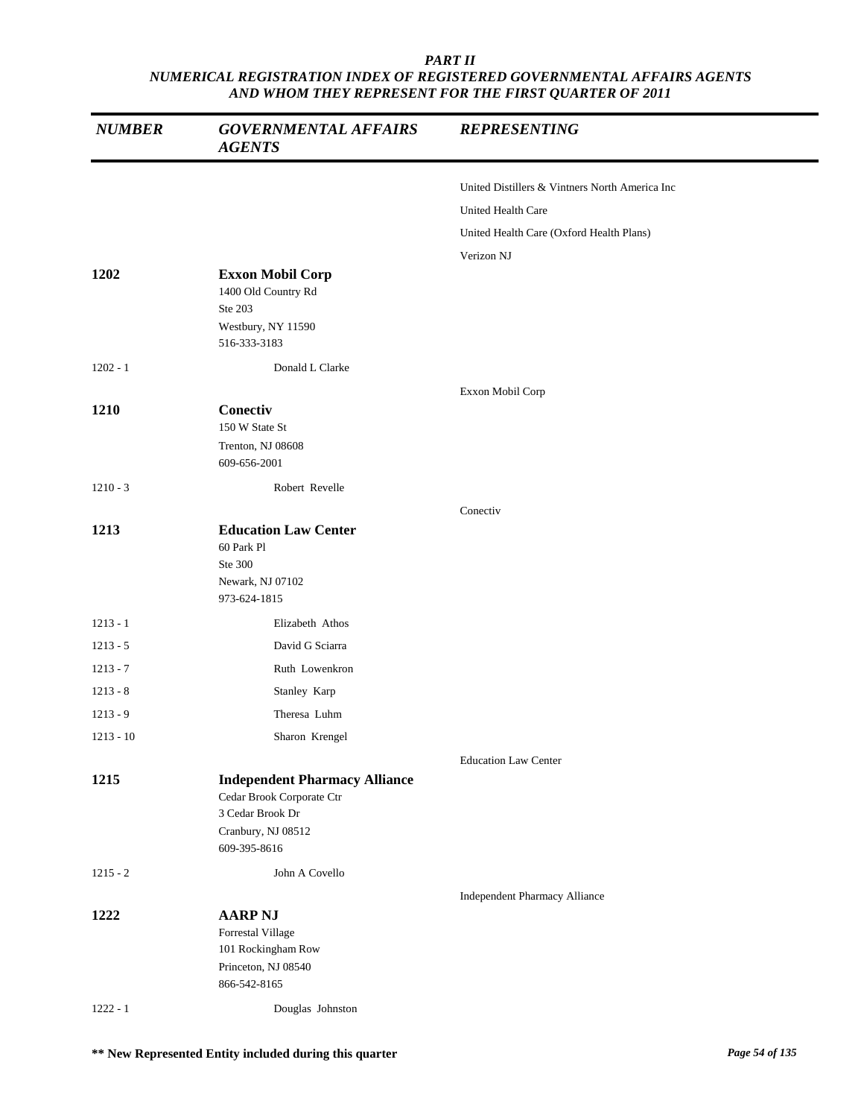| <b>NUMBER</b> | <b>GOVERNMENTAL AFFAIRS</b><br><b>AGENTS</b>                                                                                | <b>REPRESENTING</b>                            |
|---------------|-----------------------------------------------------------------------------------------------------------------------------|------------------------------------------------|
|               |                                                                                                                             | United Distillers & Vintners North America Inc |
|               |                                                                                                                             | United Health Care                             |
|               |                                                                                                                             | United Health Care (Oxford Health Plans)       |
|               |                                                                                                                             | Verizon NJ                                     |
| 1202          | <b>Exxon Mobil Corp</b><br>1400 Old Country Rd<br>Ste 203<br>Westbury, NY 11590<br>516-333-3183                             |                                                |
| $1202 - 1$    | Donald L Clarke                                                                                                             |                                                |
| 1210          | Conectiv<br>150 W State St<br>Trenton, NJ 08608                                                                             | Exxon Mobil Corp                               |
|               | 609-656-2001                                                                                                                |                                                |
| $1210 - 3$    | Robert Revelle                                                                                                              |                                                |
|               |                                                                                                                             | Conectiv                                       |
| 1213          | <b>Education Law Center</b><br>60 Park Pl<br>Ste 300<br>Newark, NJ 07102<br>973-624-1815                                    |                                                |
| $1213 - 1$    | Elizabeth Athos                                                                                                             |                                                |
| $1213 - 5$    | David G Sciarra                                                                                                             |                                                |
| $1213 - 7$    | Ruth Lowenkron                                                                                                              |                                                |
| $1213 - 8$    | Stanley Karp                                                                                                                |                                                |
| $1213 - 9$    | Theresa Luhm                                                                                                                |                                                |
| $1213 - 10$   | Sharon Krengel                                                                                                              |                                                |
|               |                                                                                                                             | <b>Education Law Center</b>                    |
| 1215          | <b>Independent Pharmacy Alliance</b><br>Cedar Brook Corporate Ctr<br>3 Cedar Brook Dr<br>Cranbury, NJ 08512<br>609-395-8616 |                                                |
| $1215 - 2$    | John A Covello                                                                                                              |                                                |
| 1222          | <b>AARP NJ</b><br>Forrestal Village<br>101 Rockingham Row<br>Princeton, NJ 08540<br>866-542-8165                            | <b>Independent Pharmacy Alliance</b>           |
| $1222 - 1$    | Douglas Johnston                                                                                                            |                                                |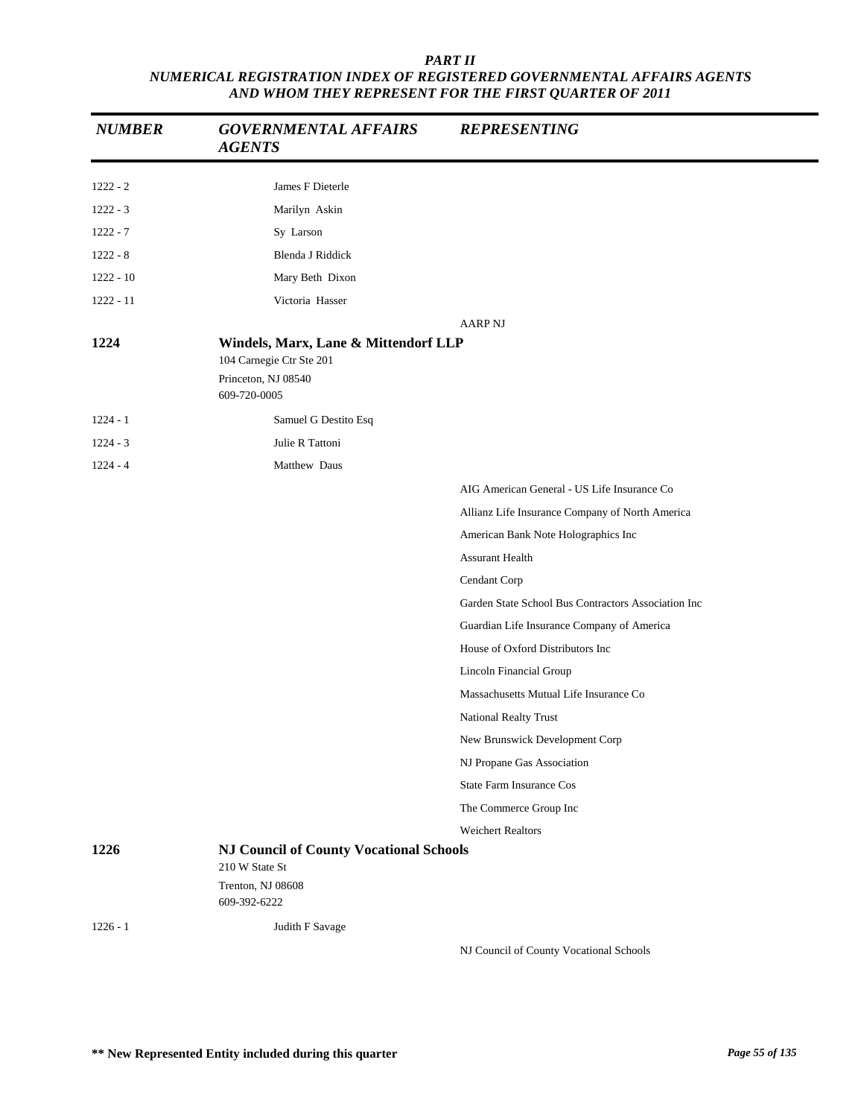| <b>NUMBER</b> | <b>GOVERNMENTAL AFFAIRS</b><br><b>AGENTS</b>                                                            | <b>REPRESENTING</b>                                 |
|---------------|---------------------------------------------------------------------------------------------------------|-----------------------------------------------------|
| $1222 - 2$    | James F Dieterle                                                                                        |                                                     |
| $1222 - 3$    | Marilyn Askin                                                                                           |                                                     |
| $1222 - 7$    | Sy Larson                                                                                               |                                                     |
| $1222 - 8$    | Blenda J Riddick                                                                                        |                                                     |
| $1222 - 10$   | Mary Beth Dixon                                                                                         |                                                     |
| $1222 - 11$   | Victoria Hasser                                                                                         |                                                     |
|               |                                                                                                         | <b>AARP NJ</b>                                      |
| 1224          | Windels, Marx, Lane & Mittendorf LLP<br>104 Carnegie Ctr Ste 201<br>Princeton, NJ 08540<br>609-720-0005 |                                                     |
| $1224 - 1$    | Samuel G Destito Esq                                                                                    |                                                     |
| $1224 - 3$    | Julie R Tattoni                                                                                         |                                                     |
| $1224 - 4$    | Matthew Daus                                                                                            |                                                     |
|               |                                                                                                         | AIG American General - US Life Insurance Co         |
|               |                                                                                                         | Allianz Life Insurance Company of North America     |
|               |                                                                                                         | American Bank Note Holographics Inc                 |
|               |                                                                                                         | <b>Assurant Health</b>                              |
|               |                                                                                                         | Cendant Corp                                        |
|               |                                                                                                         | Garden State School Bus Contractors Association Inc |
|               |                                                                                                         | Guardian Life Insurance Company of America          |
|               |                                                                                                         | House of Oxford Distributors Inc                    |
|               |                                                                                                         | Lincoln Financial Group                             |
|               |                                                                                                         | Massachusetts Mutual Life Insurance Co              |
|               |                                                                                                         | National Realty Trust                               |
|               |                                                                                                         | New Brunswick Development Corp                      |
|               |                                                                                                         | NJ Propane Gas Association                          |
|               |                                                                                                         | <b>State Farm Insurance Cos</b>                     |
|               |                                                                                                         | The Commerce Group Inc                              |
|               |                                                                                                         | <b>Weichert Realtors</b>                            |
| 1226          | <b>NJ Council of County Vocational Schools</b><br>210 W State St<br>Trenton, NJ 08608                   |                                                     |
|               | 609-392-6222                                                                                            |                                                     |
| $1226 - 1$    | Judith F Savage                                                                                         | NJ Council of County Vocational Schools             |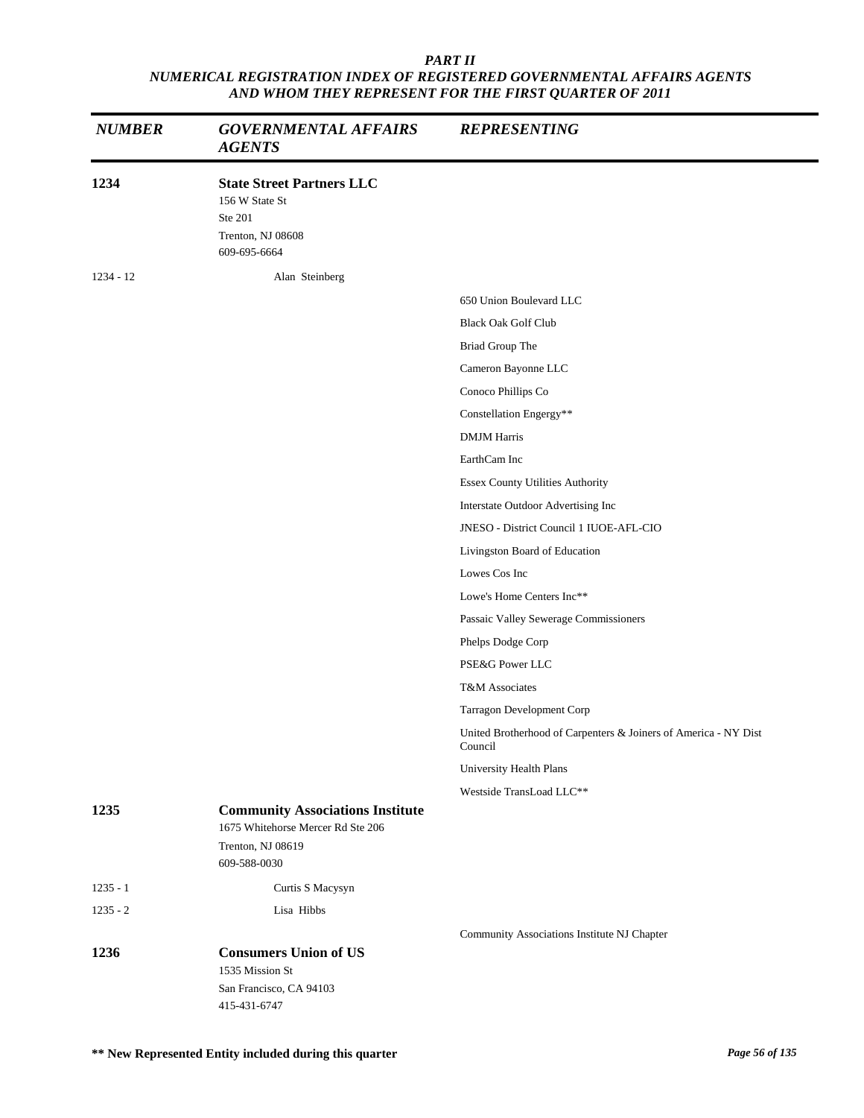| <b>NUMBER</b> | <b>GOVERNMENTAL AFFAIRS</b><br><b>AGENTS</b>                                                       | <b>REPRESENTING</b>                                                        |
|---------------|----------------------------------------------------------------------------------------------------|----------------------------------------------------------------------------|
| 1234          | <b>State Street Partners LLC</b><br>156 W State St<br>Ste 201<br>Trenton, NJ 08608<br>609-695-6664 |                                                                            |
| $1234 - 12$   | Alan Steinberg                                                                                     |                                                                            |
|               |                                                                                                    | 650 Union Boulevard LLC                                                    |
|               |                                                                                                    | <b>Black Oak Golf Club</b>                                                 |
|               |                                                                                                    | Briad Group The                                                            |
|               |                                                                                                    | Cameron Bayonne LLC                                                        |
|               |                                                                                                    | Conoco Phillips Co                                                         |
|               |                                                                                                    | Constellation Engergy**                                                    |
|               |                                                                                                    | <b>DMJM</b> Harris                                                         |
|               |                                                                                                    | EarthCam Inc                                                               |
|               |                                                                                                    | Essex County Utilities Authority                                           |
|               |                                                                                                    | Interstate Outdoor Advertising Inc                                         |
|               |                                                                                                    | JNESO - District Council 1 IUOE-AFL-CIO                                    |
|               |                                                                                                    | Livingston Board of Education                                              |
|               |                                                                                                    | Lowes Cos Inc                                                              |
|               |                                                                                                    | Lowe's Home Centers Inc**                                                  |
|               |                                                                                                    | Passaic Valley Sewerage Commissioners                                      |
|               |                                                                                                    | Phelps Dodge Corp                                                          |
|               |                                                                                                    | PSE&G Power LLC                                                            |
|               |                                                                                                    | T&M Associates                                                             |
|               |                                                                                                    | Tarragon Development Corp                                                  |
|               |                                                                                                    | United Brotherhood of Carpenters & Joiners of America - NY Dist<br>Council |
|               |                                                                                                    | University Health Plans                                                    |
|               |                                                                                                    | Westside TransLoad LLC**                                                   |
| 1235          | <b>Community Associations Institute</b><br>1675 Whitehorse Mercer Rd Ste 206<br>Trenton, NJ 08619  |                                                                            |
|               | 609-588-0030                                                                                       |                                                                            |
| $1235 - 1$    | Curtis S Macysyn                                                                                   |                                                                            |
| $1235 - 2$    | Lisa Hibbs                                                                                         |                                                                            |
|               |                                                                                                    | Community Associations Institute NJ Chapter                                |
| 1236          | <b>Consumers Union of US</b><br>1535 Mission St                                                    |                                                                            |
|               | San Francisco, CA 94103<br>415-431-6747                                                            |                                                                            |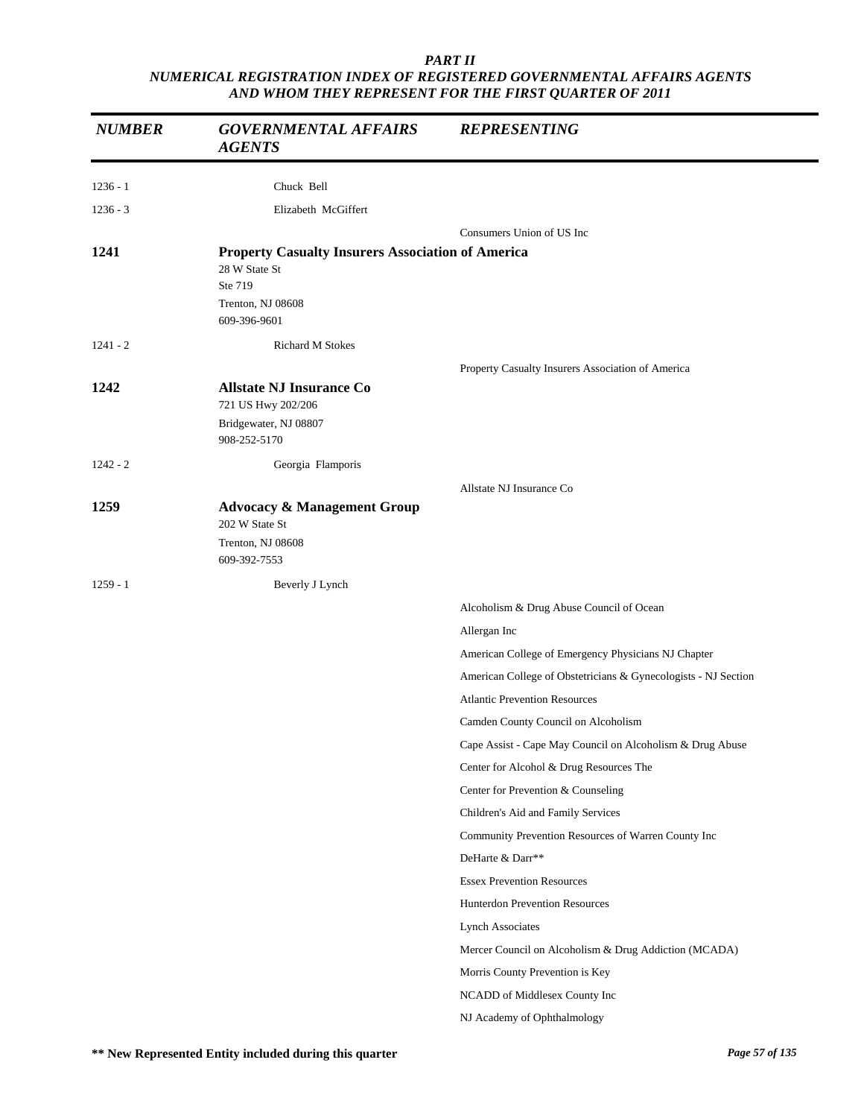| <b>NUMBER</b> | <b>GOVERNMENTAL AFFAIRS</b><br><b>AGENTS</b>                                                                              | <b>REPRESENTING</b>                                            |
|---------------|---------------------------------------------------------------------------------------------------------------------------|----------------------------------------------------------------|
| $1236 - 1$    | Chuck Bell                                                                                                                |                                                                |
| $1236 - 3$    | Elizabeth McGiffert                                                                                                       |                                                                |
|               |                                                                                                                           | Consumers Union of US Inc                                      |
| 1241          | <b>Property Casualty Insurers Association of America</b><br>28 W State St<br>Ste 719<br>Trenton, NJ 08608<br>609-396-9601 |                                                                |
| $1241 - 2$    | <b>Richard M Stokes</b>                                                                                                   |                                                                |
|               |                                                                                                                           | Property Casualty Insurers Association of America              |
| 1242          | <b>Allstate NJ Insurance Co</b><br>721 US Hwy 202/206<br>Bridgewater, NJ 08807<br>908-252-5170                            |                                                                |
| $1242 - 2$    | Georgia Flamporis                                                                                                         |                                                                |
|               |                                                                                                                           | Allstate NJ Insurance Co                                       |
| 1259          | <b>Advocacy &amp; Management Group</b><br>202 W State St<br>Trenton, NJ 08608                                             |                                                                |
|               | 609-392-7553                                                                                                              |                                                                |
| $1259 - 1$    | Beverly J Lynch                                                                                                           |                                                                |
|               |                                                                                                                           | Alcoholism & Drug Abuse Council of Ocean                       |
|               |                                                                                                                           | Allergan Inc                                                   |
|               |                                                                                                                           | American College of Emergency Physicians NJ Chapter            |
|               |                                                                                                                           | American College of Obstetricians & Gynecologists - NJ Section |
|               |                                                                                                                           | <b>Atlantic Prevention Resources</b>                           |
|               |                                                                                                                           | Camden County Council on Alcoholism                            |
|               |                                                                                                                           | Cape Assist - Cape May Council on Alcoholism & Drug Abuse      |
|               |                                                                                                                           | Center for Alcohol & Drug Resources The                        |
|               |                                                                                                                           | Center for Prevention & Counseling                             |
|               |                                                                                                                           | Children's Aid and Family Services                             |
|               |                                                                                                                           | Community Prevention Resources of Warren County Inc            |
|               |                                                                                                                           | DeHarte & Darr**                                               |
|               |                                                                                                                           | <b>Essex Prevention Resources</b>                              |
|               |                                                                                                                           | Hunterdon Prevention Resources                                 |
|               |                                                                                                                           | <b>Lynch Associates</b>                                        |
|               |                                                                                                                           | Mercer Council on Alcoholism & Drug Addiction (MCADA)          |
|               |                                                                                                                           | Morris County Prevention is Key                                |
|               |                                                                                                                           | NCADD of Middlesex County Inc                                  |
|               |                                                                                                                           | NJ Academy of Ophthalmology                                    |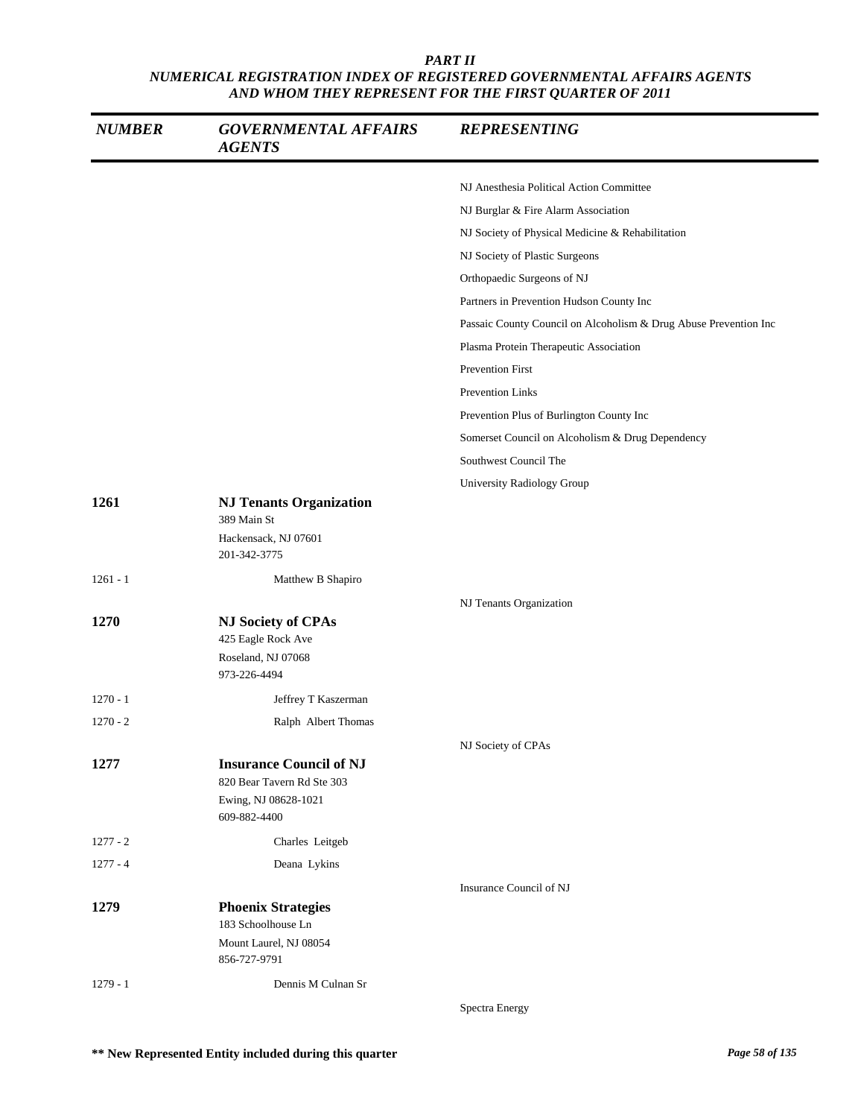| <b>NUMBER</b> | <b>GOVERNMENTAL AFFAIRS</b><br><b>AGENTS</b>    | <b>REPRESENTING</b>                                              |
|---------------|-------------------------------------------------|------------------------------------------------------------------|
|               |                                                 | NJ Anesthesia Political Action Committee                         |
|               |                                                 | NJ Burglar & Fire Alarm Association                              |
|               |                                                 | NJ Society of Physical Medicine & Rehabilitation                 |
|               |                                                 | NJ Society of Plastic Surgeons                                   |
|               |                                                 | Orthopaedic Surgeons of NJ                                       |
|               |                                                 | Partners in Prevention Hudson County Inc                         |
|               |                                                 | Passaic County Council on Alcoholism & Drug Abuse Prevention Inc |
|               |                                                 | Plasma Protein Therapeutic Association                           |
|               |                                                 | Prevention First                                                 |
|               |                                                 | Prevention Links                                                 |
|               |                                                 | Prevention Plus of Burlington County Inc                         |
|               |                                                 | Somerset Council on Alcoholism & Drug Dependency                 |
|               |                                                 | Southwest Council The                                            |
|               |                                                 | University Radiology Group                                       |
| 1261          | <b>NJ Tenants Organization</b><br>389 Main St   |                                                                  |
|               | Hackensack, NJ 07601<br>201-342-3775            |                                                                  |
| $1261 - 1$    | Matthew B Shapiro                               |                                                                  |
|               |                                                 | NJ Tenants Organization                                          |
| 1270          | <b>NJ Society of CPAs</b><br>425 Eagle Rock Ave |                                                                  |
|               | Roseland, NJ 07068<br>973-226-4494              |                                                                  |
| $1270 - 1$    | Jeffrey T Kaszerman                             |                                                                  |
| $1270 - 2$    | Ralph Albert Thomas                             |                                                                  |
|               |                                                 | NJ Society of CPAs                                               |
| 1277          | <b>Insurance Council of NJ</b>                  |                                                                  |
|               | 820 Bear Tavern Rd Ste 303                      |                                                                  |
|               | Ewing, NJ 08628-1021<br>609-882-4400            |                                                                  |
| $1277 - 2$    | Charles Leitgeb                                 |                                                                  |
| $1277 - 4$    | Deana Lykins                                    |                                                                  |
|               |                                                 | Insurance Council of NJ                                          |
| 1279          | <b>Phoenix Strategies</b>                       |                                                                  |
|               | 183 Schoolhouse Ln                              |                                                                  |
|               | Mount Laurel, NJ 08054<br>856-727-9791          |                                                                  |
|               |                                                 |                                                                  |
| $1279 - 1$    | Dennis M Culnan Sr                              |                                                                  |
|               |                                                 | Spectra Energy                                                   |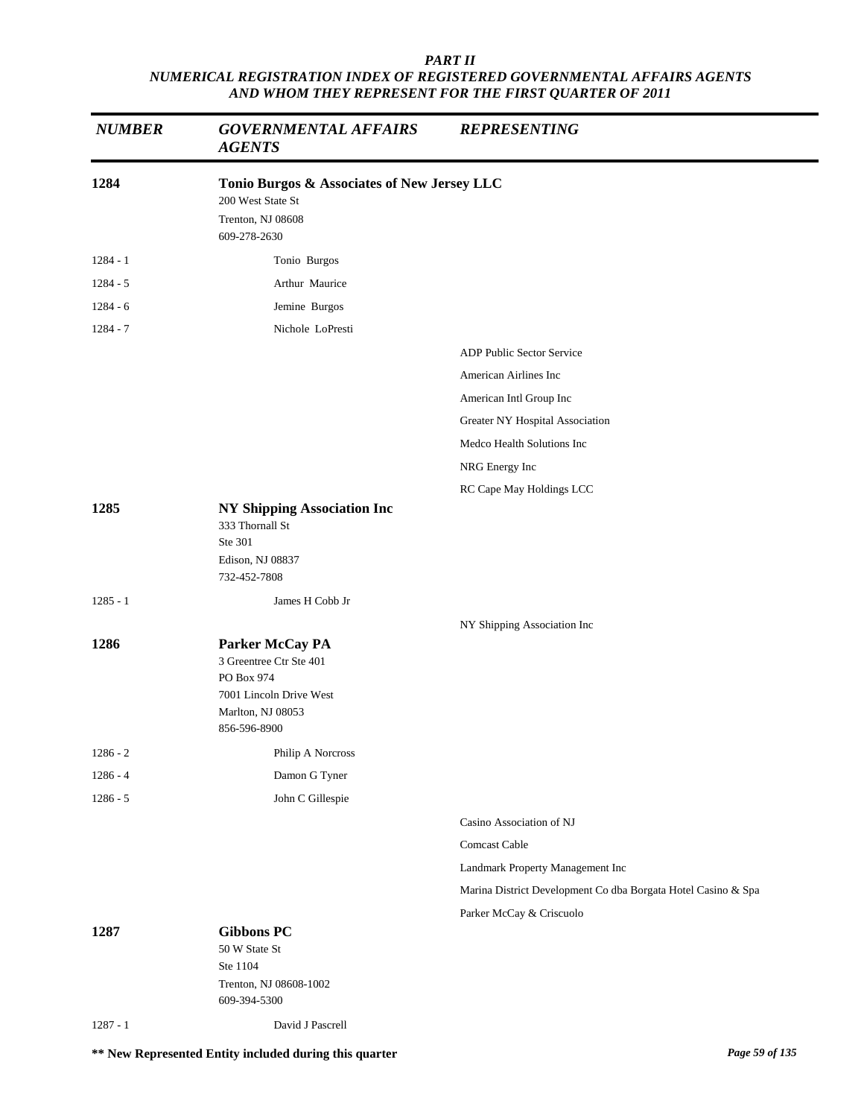| <b>NUMBER</b> | <b>GOVERNMENTAL AFFAIRS</b><br><b>AGENTS</b>                                                                             | <b>REPRESENTING</b>                                           |
|---------------|--------------------------------------------------------------------------------------------------------------------------|---------------------------------------------------------------|
| 1284          | Tonio Burgos & Associates of New Jersey LLC<br>200 West State St<br>Trenton, NJ 08608<br>609-278-2630                    |                                                               |
| $1284 - 1$    | Tonio Burgos                                                                                                             |                                                               |
| $1284 - 5$    | Arthur Maurice                                                                                                           |                                                               |
| $1284 - 6$    | Jemine Burgos                                                                                                            |                                                               |
| 1284 - 7      | Nichole LoPresti                                                                                                         |                                                               |
|               |                                                                                                                          | ADP Public Sector Service                                     |
|               |                                                                                                                          | American Airlines Inc                                         |
|               |                                                                                                                          | American Intl Group Inc                                       |
|               |                                                                                                                          | Greater NY Hospital Association                               |
|               |                                                                                                                          | Medco Health Solutions Inc                                    |
|               |                                                                                                                          | NRG Energy Inc                                                |
|               |                                                                                                                          | RC Cape May Holdings LCC                                      |
| 1285          | <b>NY Shipping Association Inc</b><br>333 Thornall St<br>Ste 301<br>Edison, NJ 08837<br>732-452-7808                     |                                                               |
| $1285 - 1$    | James H Cobb Jr                                                                                                          |                                                               |
|               |                                                                                                                          | NY Shipping Association Inc                                   |
| 1286          | Parker McCay PA<br>3 Greentree Ctr Ste 401<br>PO Box 974<br>7001 Lincoln Drive West<br>Marlton, NJ 08053<br>856-596-8900 |                                                               |
| $1286 - 2$    | Philip A Norcross                                                                                                        |                                                               |
| $1286 - 4$    | Damon G Tyner                                                                                                            |                                                               |
| $1286 - 5$    | John C Gillespie                                                                                                         |                                                               |
|               |                                                                                                                          | Casino Association of NJ                                      |
|               |                                                                                                                          | Comcast Cable                                                 |
|               |                                                                                                                          | Landmark Property Management Inc                              |
|               |                                                                                                                          | Marina District Development Co dba Borgata Hotel Casino & Spa |
|               |                                                                                                                          | Parker McCay & Criscuolo                                      |
| 1287          | <b>Gibbons PC</b><br>50 W State St<br>Ste 1104<br>Trenton, NJ 08608-1002<br>609-394-5300                                 |                                                               |
| $1287 - 1$    | David J Pascrell                                                                                                         |                                                               |

**\*\* New Represented Entity included during this quarter** *Page 59 of 135*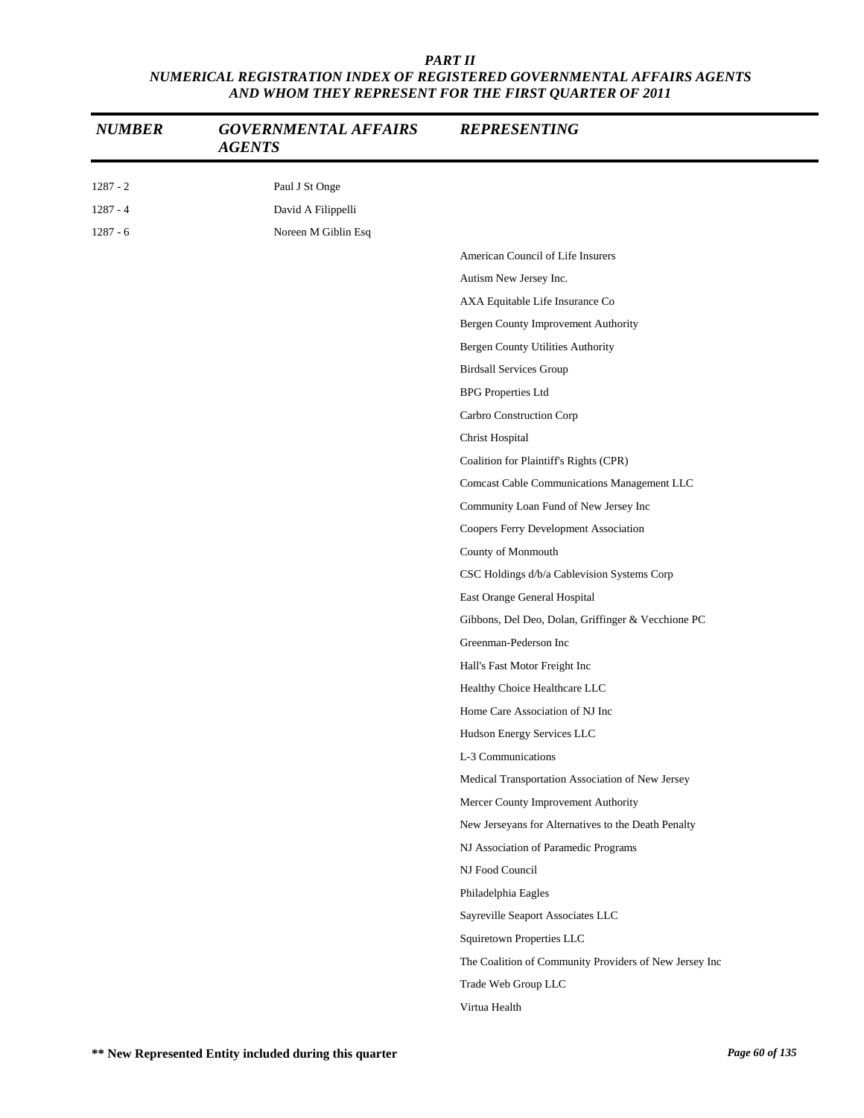| <b>NUMBER</b> | <b>GOVERNMENTAL AFFAIRS</b><br><b>AGENTS</b> | <b>REPRESENTING</b>                                    |
|---------------|----------------------------------------------|--------------------------------------------------------|
| $1287 - 2$    | Paul J St Onge                               |                                                        |
| $1287 - 4$    | David A Filippelli                           |                                                        |
| $1287 - 6$    | Noreen M Giblin Esq                          |                                                        |
|               |                                              | American Council of Life Insurers                      |
|               |                                              | Autism New Jersey Inc.                                 |
|               |                                              | AXA Equitable Life Insurance Co                        |
|               |                                              | Bergen County Improvement Authority                    |
|               |                                              | Bergen County Utilities Authority                      |
|               |                                              | <b>Birdsall Services Group</b>                         |
|               |                                              | <b>BPG</b> Properties Ltd                              |
|               |                                              | Carbro Construction Corp                               |
|               |                                              | Christ Hospital                                        |
|               |                                              | Coalition for Plaintiff's Rights (CPR)                 |
|               |                                              | Comcast Cable Communications Management LLC            |
|               |                                              | Community Loan Fund of New Jersey Inc                  |
|               |                                              | Coopers Ferry Development Association                  |
|               |                                              | County of Monmouth                                     |
|               |                                              | CSC Holdings d/b/a Cablevision Systems Corp            |
|               |                                              | East Orange General Hospital                           |
|               |                                              | Gibbons, Del Deo, Dolan, Griffinger & Vecchione PC     |
|               |                                              | Greenman-Pederson Inc                                  |
|               |                                              | Hall's Fast Motor Freight Inc                          |
|               |                                              | Healthy Choice Healthcare LLC                          |
|               |                                              | Home Care Association of NJ Inc                        |
|               |                                              | Hudson Energy Services LLC                             |
|               |                                              | L-3 Communications                                     |
|               |                                              | Medical Transportation Association of New Jersey       |
|               |                                              | Mercer County Improvement Authority                    |
|               |                                              | New Jerseyans for Alternatives to the Death Penalty    |
|               |                                              | NJ Association of Paramedic Programs                   |
|               |                                              | NJ Food Council                                        |
|               |                                              | Philadelphia Eagles                                    |
|               |                                              | Sayreville Seaport Associates LLC                      |
|               |                                              | Squiretown Properties LLC                              |
|               |                                              | The Coalition of Community Providers of New Jersey Inc |
|               |                                              | Trade Web Group LLC                                    |
|               |                                              | Virtua Health                                          |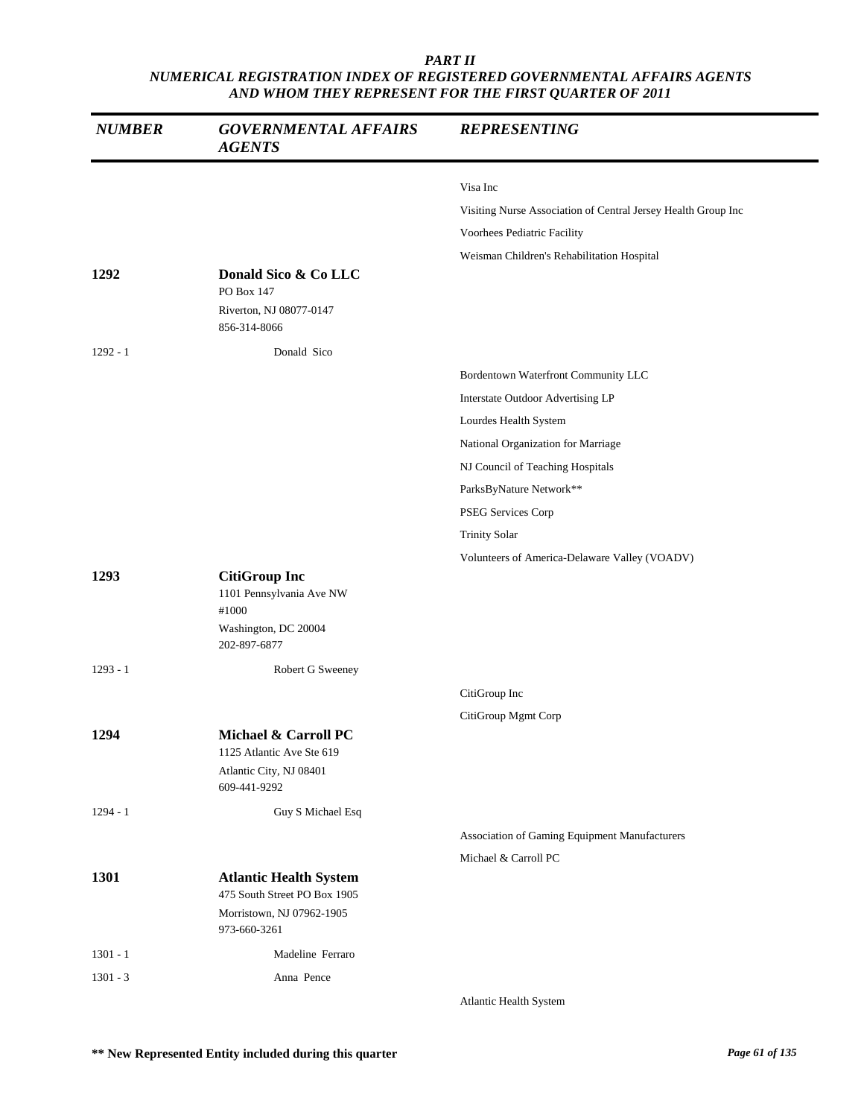| <b>NUMBER</b> | <b>GOVERNMENTAL AFFAIRS</b><br><b>AGENTS</b>                                                      | <b>REPRESENTING</b>                                           |
|---------------|---------------------------------------------------------------------------------------------------|---------------------------------------------------------------|
|               |                                                                                                   | Visa Inc                                                      |
|               |                                                                                                   | Visiting Nurse Association of Central Jersey Health Group Inc |
|               |                                                                                                   | Voorhees Pediatric Facility                                   |
|               |                                                                                                   | Weisman Children's Rehabilitation Hospital                    |
| 1292          | Donald Sico & Co LLC<br>PO Box 147<br>Riverton, NJ 08077-0147                                     |                                                               |
|               | 856-314-8066                                                                                      |                                                               |
| $1292 - 1$    | Donald Sico                                                                                       |                                                               |
|               |                                                                                                   | Bordentown Waterfront Community LLC                           |
|               |                                                                                                   | Interstate Outdoor Advertising LP                             |
|               |                                                                                                   | Lourdes Health System                                         |
|               |                                                                                                   | National Organization for Marriage                            |
|               |                                                                                                   | NJ Council of Teaching Hospitals                              |
|               |                                                                                                   | ParksByNature Network**                                       |
|               |                                                                                                   | PSEG Services Corp                                            |
|               |                                                                                                   | <b>Trinity Solar</b>                                          |
|               |                                                                                                   | Volunteers of America-Delaware Valley (VOADV)                 |
| 1293          | <b>CitiGroup Inc</b><br>1101 Pennsylvania Ave NW<br>#1000<br>Washington, DC 20004<br>202-897-6877 |                                                               |
| $1293 - 1$    | Robert G Sweeney                                                                                  |                                                               |
|               |                                                                                                   | CitiGroup Inc                                                 |
|               |                                                                                                   | CitiGroup Mgmt Corp                                           |
| 1294          | Michael & Carroll PC<br>1125 Atlantic Ave Ste 619<br>Atlantic City, NJ 08401<br>609-441-9292      |                                                               |
| $1294 - 1$    | Guy S Michael Esq                                                                                 |                                                               |
|               |                                                                                                   | Association of Gaming Equipment Manufacturers                 |
|               |                                                                                                   | Michael & Carroll PC                                          |
| 1301          | <b>Atlantic Health System</b><br>475 South Street PO Box 1905                                     |                                                               |
|               | Morristown, NJ 07962-1905<br>973-660-3261                                                         |                                                               |
| $1301 - 1$    | Madeline Ferraro                                                                                  |                                                               |
| $1301 - 3$    | Anna Pence                                                                                        |                                                               |
|               |                                                                                                   | Atlantic Health System                                        |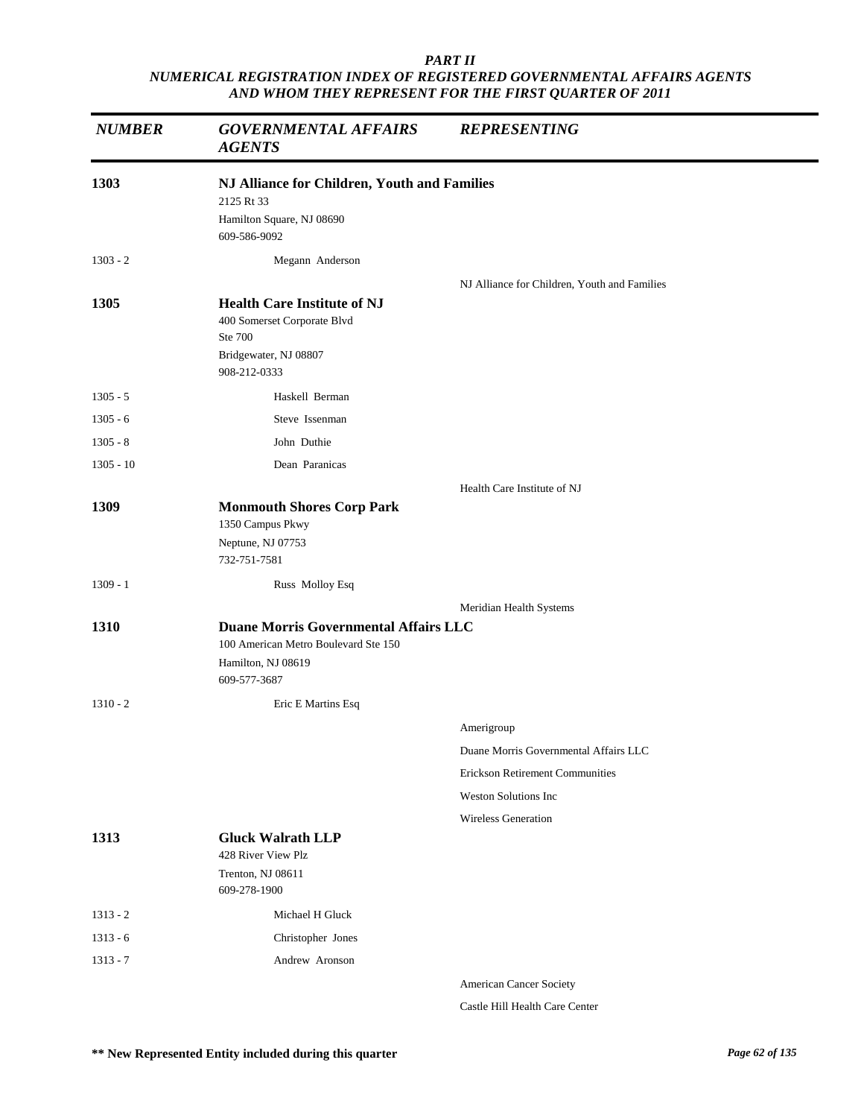| <b>NUMBER</b> | <b>GOVERNMENTAL AFFAIRS</b><br><b>AGENTS</b>                                                                               | <b>REPRESENTING</b>                          |
|---------------|----------------------------------------------------------------------------------------------------------------------------|----------------------------------------------|
| 1303          | NJ Alliance for Children, Youth and Families                                                                               |                                              |
|               | 2125 Rt 33<br>Hamilton Square, NJ 08690<br>609-586-9092                                                                    |                                              |
| $1303 - 2$    | Megann Anderson                                                                                                            |                                              |
|               |                                                                                                                            | NJ Alliance for Children, Youth and Families |
| 1305          | <b>Health Care Institute of NJ</b><br>400 Somerset Corporate Blvd<br>Ste 700<br>Bridgewater, NJ 08807<br>908-212-0333      |                                              |
| $1305 - 5$    | Haskell Berman                                                                                                             |                                              |
| $1305 - 6$    | Steve Issenman                                                                                                             |                                              |
| $1305 - 8$    | John Duthie                                                                                                                |                                              |
| $1305 - 10$   | Dean Paranicas                                                                                                             |                                              |
|               |                                                                                                                            | Health Care Institute of NJ                  |
| 1309          | <b>Monmouth Shores Corp Park</b><br>1350 Campus Pkwy<br>Neptune, NJ 07753<br>732-751-7581                                  |                                              |
| $1309 - 1$    | Russ Molloy Esq                                                                                                            |                                              |
|               |                                                                                                                            | Meridian Health Systems                      |
| 1310          | <b>Duane Morris Governmental Affairs LLC</b><br>100 American Metro Boulevard Ste 150<br>Hamilton, NJ 08619<br>609-577-3687 |                                              |
| $1310 - 2$    | Eric E Martins Esq                                                                                                         |                                              |
|               |                                                                                                                            | Amerigroup                                   |
|               |                                                                                                                            | Duane Morris Governmental Affairs LLC        |
|               |                                                                                                                            | <b>Erickson Retirement Communities</b>       |
|               |                                                                                                                            | <b>Weston Solutions Inc</b>                  |
|               |                                                                                                                            | <b>Wireless Generation</b>                   |
| 1313          | <b>Gluck Walrath LLP</b><br>428 River View Plz                                                                             |                                              |
|               | Trenton, NJ 08611<br>609-278-1900                                                                                          |                                              |
| $1313 - 2$    | Michael H Gluck                                                                                                            |                                              |
| $1313 - 6$    | Christopher Jones                                                                                                          |                                              |
| $1313 - 7$    | Andrew Aronson                                                                                                             |                                              |
|               |                                                                                                                            | American Cancer Society                      |

Castle Hill Health Care Center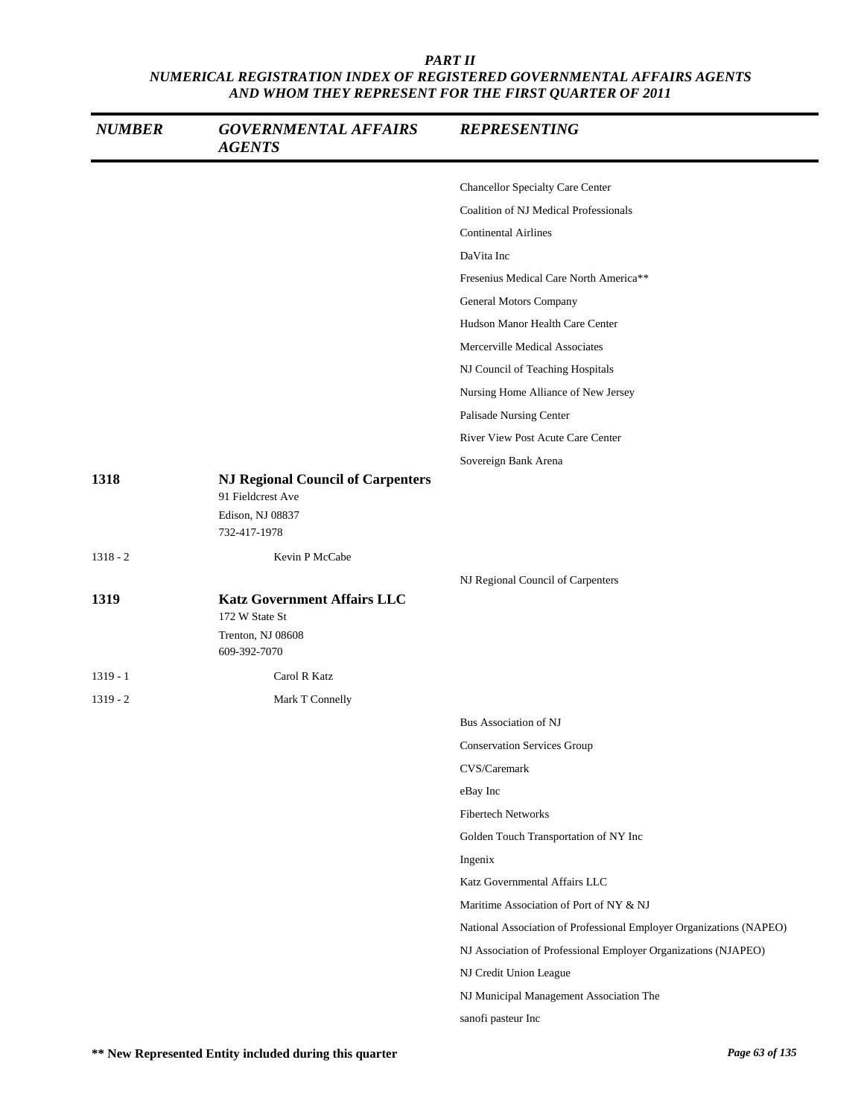| <b>NUMBER</b> | <b>GOVERNMENTAL AFFAIRS</b><br><b>AGENTS</b>                                                      | <b>REPRESENTING</b>                                                 |
|---------------|---------------------------------------------------------------------------------------------------|---------------------------------------------------------------------|
|               |                                                                                                   | <b>Chancellor Specialty Care Center</b>                             |
|               |                                                                                                   | <b>Coalition of NJ Medical Professionals</b>                        |
|               |                                                                                                   | <b>Continental Airlines</b>                                         |
|               |                                                                                                   | DaVita Inc                                                          |
|               |                                                                                                   | Fresenius Medical Care North America**                              |
|               |                                                                                                   | General Motors Company                                              |
|               |                                                                                                   | Hudson Manor Health Care Center                                     |
|               |                                                                                                   | Mercerville Medical Associates                                      |
|               |                                                                                                   | NJ Council of Teaching Hospitals                                    |
|               |                                                                                                   | Nursing Home Alliance of New Jersey                                 |
|               |                                                                                                   | Palisade Nursing Center                                             |
|               |                                                                                                   | River View Post Acute Care Center                                   |
|               |                                                                                                   | Sovereign Bank Arena                                                |
| 1318          | <b>NJ Regional Council of Carpenters</b><br>91 Fieldcrest Ave<br>Edison, NJ 08837<br>732-417-1978 |                                                                     |
| $1318 - 2$    | Kevin P McCabe                                                                                    |                                                                     |
|               |                                                                                                   | NJ Regional Council of Carpenters                                   |
| 1319          | <b>Katz Government Affairs LLC</b>                                                                |                                                                     |
|               | 172 W State St                                                                                    |                                                                     |
|               | Trenton, NJ 08608<br>609-392-7070                                                                 |                                                                     |
| $1319 - 1$    | Carol R Katz                                                                                      |                                                                     |
| $1319 - 2$    | Mark T Connelly                                                                                   |                                                                     |
|               |                                                                                                   | Bus Association of NJ                                               |
|               |                                                                                                   | <b>Conservation Services Group</b>                                  |
|               |                                                                                                   | CVS/Caremark                                                        |
|               |                                                                                                   | eBay Inc                                                            |
|               |                                                                                                   | <b>Fibertech Networks</b>                                           |
|               |                                                                                                   | Golden Touch Transportation of NY Inc                               |
|               |                                                                                                   | Ingenix                                                             |
|               |                                                                                                   | Katz Governmental Affairs LLC                                       |
|               |                                                                                                   | Maritime Association of Port of NY & NJ                             |
|               |                                                                                                   | National Association of Professional Employer Organizations (NAPEO) |
|               |                                                                                                   | NJ Association of Professional Employer Organizations (NJAPEO)      |
|               |                                                                                                   | NJ Credit Union League                                              |
|               |                                                                                                   | NJ Municipal Management Association The                             |
|               |                                                                                                   | sanofi pasteur Inc                                                  |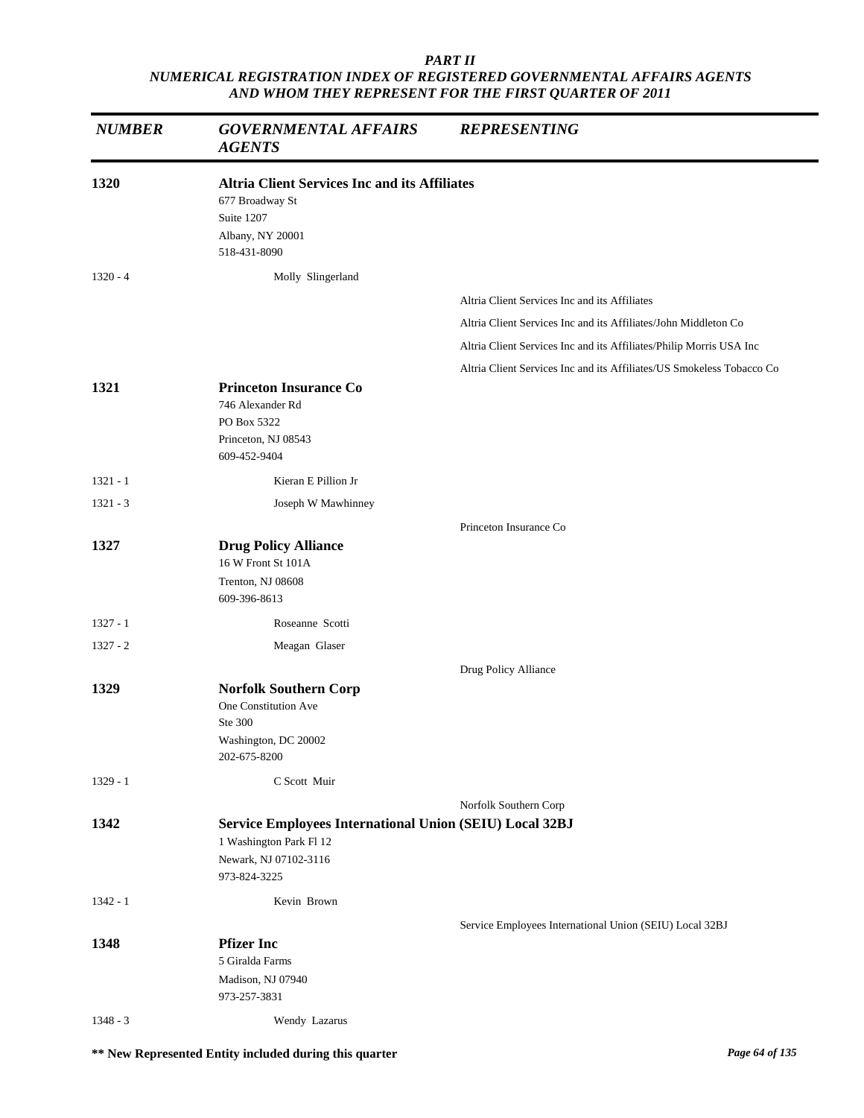| <b>NUMBER</b> | <b>GOVERNMENTAL AFFAIRS</b><br><b>AGENTS</b>                                                                                | <b>REPRESENTING</b>                                                   |
|---------------|-----------------------------------------------------------------------------------------------------------------------------|-----------------------------------------------------------------------|
| 1320          | <b>Altria Client Services Inc and its Affiliates</b><br>677 Broadway St<br>Suite 1207<br>Albany, NY 20001<br>518-431-8090   |                                                                       |
| $1320 - 4$    | Molly Slingerland                                                                                                           |                                                                       |
|               |                                                                                                                             | Altria Client Services Inc and its Affiliates                         |
|               |                                                                                                                             | Altria Client Services Inc and its Affiliates/John Middleton Co       |
|               |                                                                                                                             | Altria Client Services Inc and its Affiliates/Philip Morris USA Inc   |
|               |                                                                                                                             | Altria Client Services Inc and its Affiliates/US Smokeless Tobacco Co |
| 1321          | <b>Princeton Insurance Co</b><br>746 Alexander Rd<br>PO Box 5322<br>Princeton, NJ 08543<br>609-452-9404                     |                                                                       |
| $1321 - 1$    | Kieran E Pillion Jr                                                                                                         |                                                                       |
| $1321 - 3$    | Joseph W Mawhinney                                                                                                          |                                                                       |
|               |                                                                                                                             | Princeton Insurance Co                                                |
| 1327          | <b>Drug Policy Alliance</b><br>16 W Front St 101A<br>Trenton, NJ 08608<br>609-396-8613                                      |                                                                       |
| $1327 - 1$    | Roseanne Scotti                                                                                                             |                                                                       |
| $1327 - 2$    | Meagan Glaser                                                                                                               |                                                                       |
|               |                                                                                                                             | Drug Policy Alliance                                                  |
| 1329          | <b>Norfolk Southern Corp</b><br>One Constitution Ave<br>Ste 300<br>Washington, DC 20002<br>202-675-8200                     |                                                                       |
| $1329 - 1$    | C Scott Muir                                                                                                                |                                                                       |
|               |                                                                                                                             | Norfolk Southern Corp                                                 |
| 1342          | Service Employees International Union (SEIU) Local 32BJ<br>1 Washington Park Fl 12<br>Newark, NJ 07102-3116<br>973-824-3225 |                                                                       |
| $1342 - 1$    | Kevin Brown                                                                                                                 |                                                                       |
|               |                                                                                                                             |                                                                       |
| 1348          | <b>Pfizer Inc</b><br>5 Giralda Farms<br>Madison, NJ 07940<br>973-257-3831                                                   | Service Employees International Union (SEIU) Local 32BJ               |
| $1348 - 3$    | Wendy Lazarus                                                                                                               |                                                                       |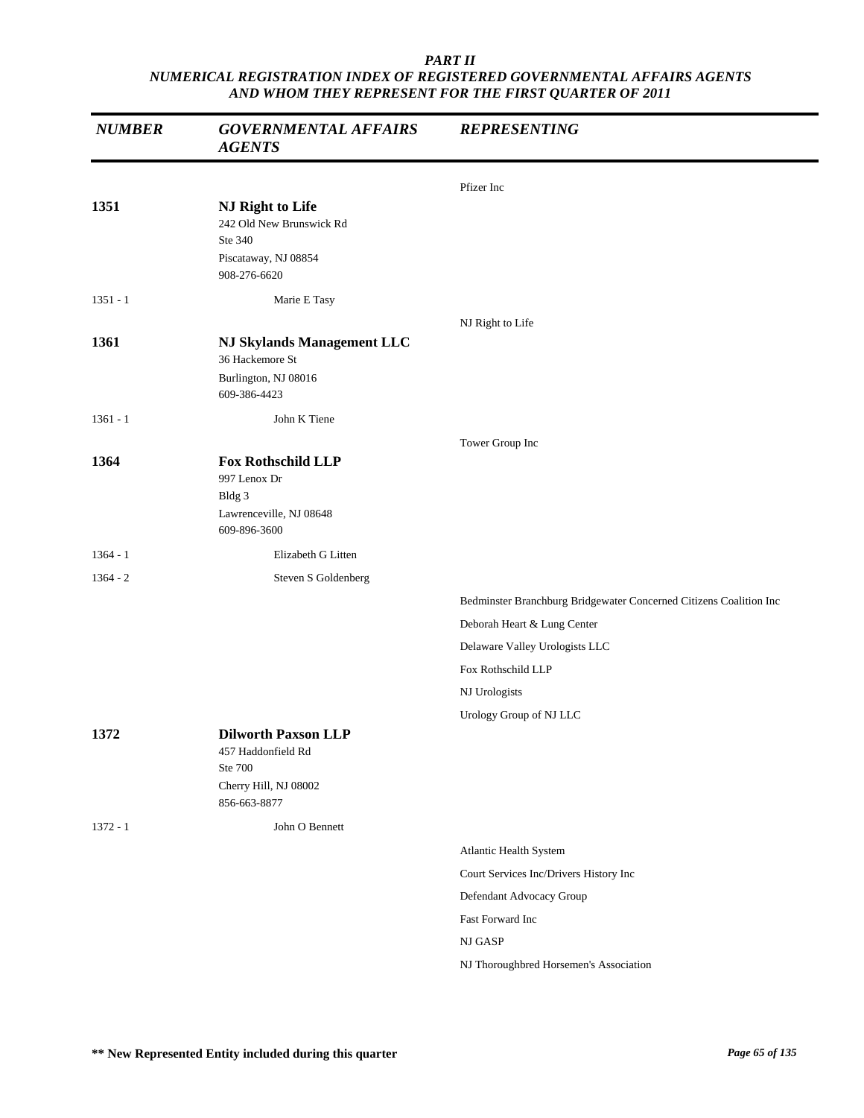| <b>NUMBER</b> | <b>GOVERNMENTAL AFFAIRS</b><br><b>AGENTS</b>                                                         | <b>REPRESENTING</b>                                                |
|---------------|------------------------------------------------------------------------------------------------------|--------------------------------------------------------------------|
|               |                                                                                                      | Pfizer Inc                                                         |
| 1351          | NJ Right to Life<br>242 Old New Brunswick Rd<br>Ste 340<br>Piscataway, NJ 08854<br>908-276-6620      |                                                                    |
| $1351 - 1$    | Marie E Tasy                                                                                         |                                                                    |
| 1361          | <b>NJ Skylands Management LLC</b><br>36 Hackemore St                                                 | NJ Right to Life                                                   |
|               | Burlington, NJ 08016<br>609-386-4423                                                                 |                                                                    |
| $1361 - 1$    | John K Tiene                                                                                         |                                                                    |
|               |                                                                                                      | Tower Group Inc                                                    |
| 1364          | <b>Fox Rothschild LLP</b><br>997 Lenox Dr<br>Bldg 3<br>Lawrenceville, NJ 08648<br>609-896-3600       |                                                                    |
| $1364 - 1$    | Elizabeth G Litten                                                                                   |                                                                    |
| $1364 - 2$    | Steven S Goldenberg                                                                                  |                                                                    |
|               |                                                                                                      | Bedminster Branchburg Bridgewater Concerned Citizens Coalition Inc |
|               |                                                                                                      | Deborah Heart & Lung Center                                        |
|               |                                                                                                      | Delaware Valley Urologists LLC                                     |
|               |                                                                                                      | Fox Rothschild LLP                                                 |
|               |                                                                                                      | NJ Urologists                                                      |
| 1372          | <b>Dilworth Paxson LLP</b><br>457 Haddonfield Rd<br>Ste 700<br>Cherry Hill, NJ 08002<br>856-663-8877 | Urology Group of NJ LLC                                            |
| $1372 - 1$    | John O Bennett                                                                                       |                                                                    |
|               |                                                                                                      | Atlantic Health System                                             |
|               |                                                                                                      | Court Services Inc/Drivers History Inc                             |
|               |                                                                                                      | Defendant Advocacy Group                                           |
|               |                                                                                                      | Fast Forward Inc                                                   |
|               |                                                                                                      | NJ GASP                                                            |
|               |                                                                                                      | NJ Thoroughbred Horsemen's Association                             |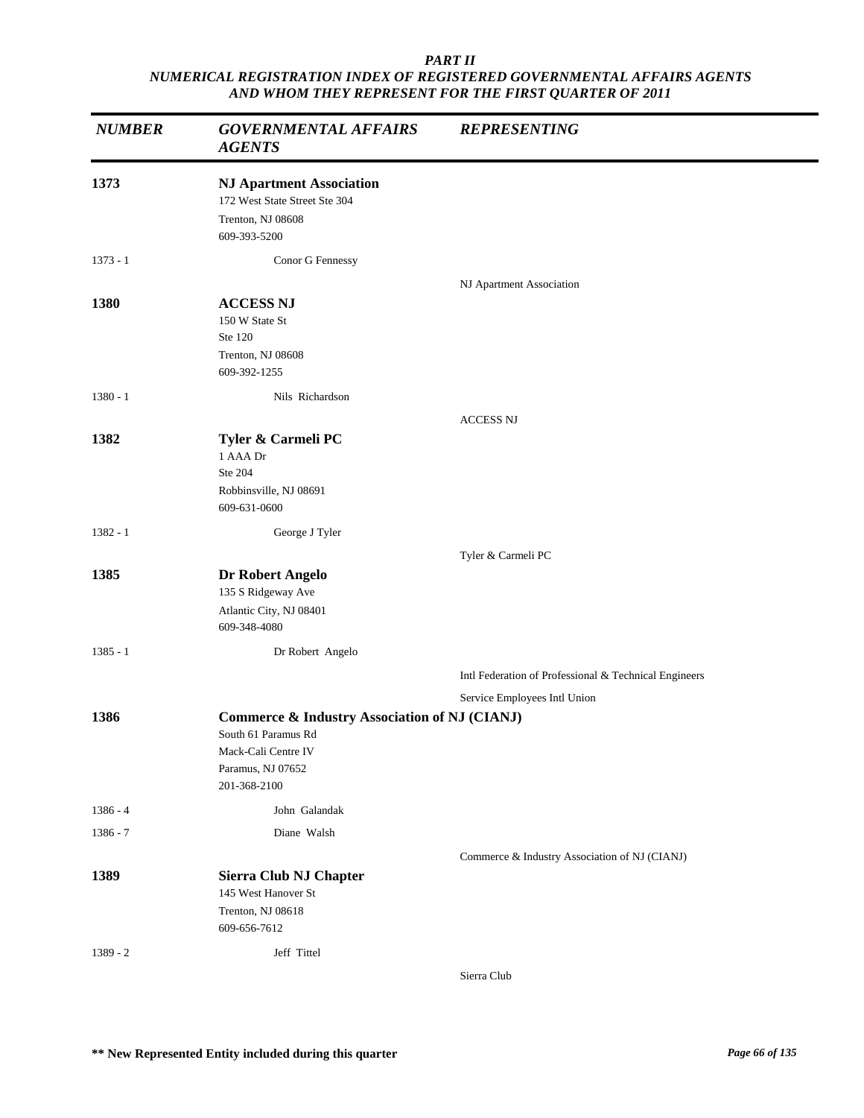| <b>NUMBER</b> | <b>GOVERNMENTAL AFFAIRS</b><br><b>AGENTS</b>                                                                                                | <b>REPRESENTING</b>                                   |
|---------------|---------------------------------------------------------------------------------------------------------------------------------------------|-------------------------------------------------------|
| 1373          | <b>NJ Apartment Association</b><br>172 West State Street Ste 304<br>Trenton, NJ 08608<br>609-393-5200                                       |                                                       |
| $1373 - 1$    | Conor G Fennessy                                                                                                                            |                                                       |
| 1380          | <b>ACCESS NJ</b><br>150 W State St<br>Ste 120<br>Trenton, NJ 08608<br>609-392-1255                                                          | NJ Apartment Association                              |
| $1380 - 1$    | Nils Richardson                                                                                                                             |                                                       |
|               |                                                                                                                                             | <b>ACCESS NJ</b>                                      |
| 1382          | Tyler & Carmeli PC<br>1 AAA Dr<br>Ste 204<br>Robbinsville, NJ 08691<br>609-631-0600                                                         |                                                       |
| $1382 - 1$    | George J Tyler                                                                                                                              |                                                       |
|               |                                                                                                                                             | Tyler & Carmeli PC                                    |
| 1385          | Dr Robert Angelo<br>135 S Ridgeway Ave<br>Atlantic City, NJ 08401<br>609-348-4080                                                           |                                                       |
| $1385 - 1$    | Dr Robert Angelo                                                                                                                            |                                                       |
|               |                                                                                                                                             | Intl Federation of Professional & Technical Engineers |
|               |                                                                                                                                             | Service Employees Intl Union                          |
| 1386          | <b>Commerce &amp; Industry Association of NJ (CIANJ)</b><br>South 61 Paramus Rd<br>Mack-Cali Centre IV<br>Paramus, NJ 07652<br>201-368-2100 |                                                       |
| $1386 - 4$    | John Galandak                                                                                                                               |                                                       |
| 1386 - 7      | Diane Walsh                                                                                                                                 |                                                       |
| 1389          | Sierra Club NJ Chapter<br>145 West Hanover St<br>Trenton, NJ 08618<br>609-656-7612                                                          | Commerce & Industry Association of NJ (CIANJ)         |
| $1389 - 2$    | Jeff Tittel                                                                                                                                 | Sierra Club                                           |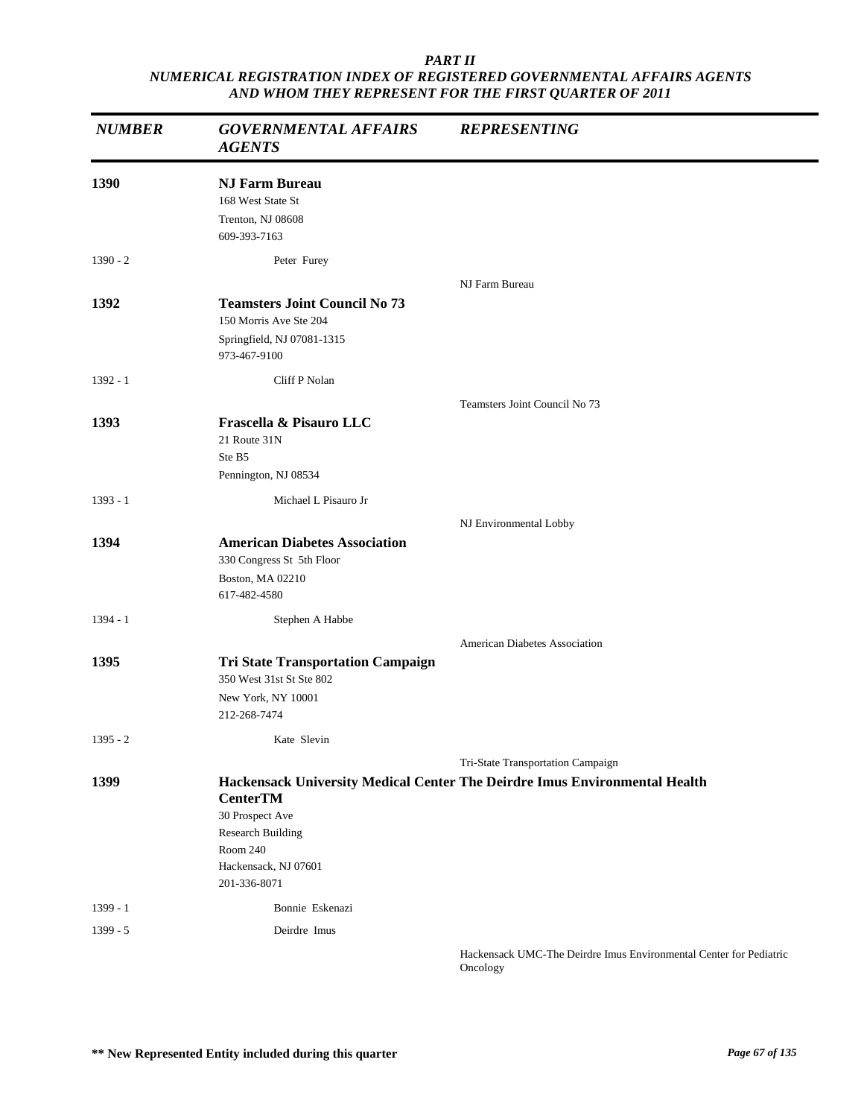| <b>NUMBER</b> | <b>GOVERNMENTAL AFFAIRS</b><br><b>AGENTS</b>                                                                       | <b>REPRESENTING</b>                                                        |
|---------------|--------------------------------------------------------------------------------------------------------------------|----------------------------------------------------------------------------|
| 1390          | <b>NJ Farm Bureau</b><br>168 West State St<br>Trenton, NJ 08608<br>609-393-7163                                    |                                                                            |
| $1390 - 2$    | Peter Furey                                                                                                        |                                                                            |
| 1392          | <b>Teamsters Joint Council No 73</b><br>150 Morris Ave Ste 204<br>Springfield, NJ 07081-1315<br>973-467-9100       | NJ Farm Bureau                                                             |
| $1392 - 1$    | Cliff P Nolan                                                                                                      |                                                                            |
| 1393          | Frascella & Pisauro LLC<br>21 Route 31N<br>Ste B5<br>Pennington, NJ 08534                                          | Teamsters Joint Council No 73                                              |
| $1393 - 1$    | Michael L Pisauro Jr                                                                                               |                                                                            |
|               |                                                                                                                    | NJ Environmental Lobby                                                     |
| 1394          | <b>American Diabetes Association</b><br>330 Congress St 5th Floor<br>Boston, MA 02210<br>617-482-4580              |                                                                            |
| $1394 - 1$    | Stephen A Habbe                                                                                                    |                                                                            |
| 1395          | <b>Tri State Transportation Campaign</b><br>350 West 31st St Ste 802<br>New York, NY 10001<br>212-268-7474         | <b>American Diabetes Association</b>                                       |
| $1395 - 2$    | Kate Slevin                                                                                                        |                                                                            |
|               |                                                                                                                    | Tri-State Transportation Campaign                                          |
| 1399          | <b>CenterTM</b><br>30 Prospect Ave<br><b>Research Building</b><br>Room 240<br>Hackensack, NJ 07601<br>201-336-8071 | Hackensack University Medical Center The Deirdre Imus Environmental Health |
| $1399 - 1$    | Bonnie Eskenazi                                                                                                    |                                                                            |
| $1399 - 5$    | Deirdre Imus                                                                                                       |                                                                            |
|               |                                                                                                                    | Hackensack UMC-The Deirdre Imus Environmental Center for Pediatric         |

Oncology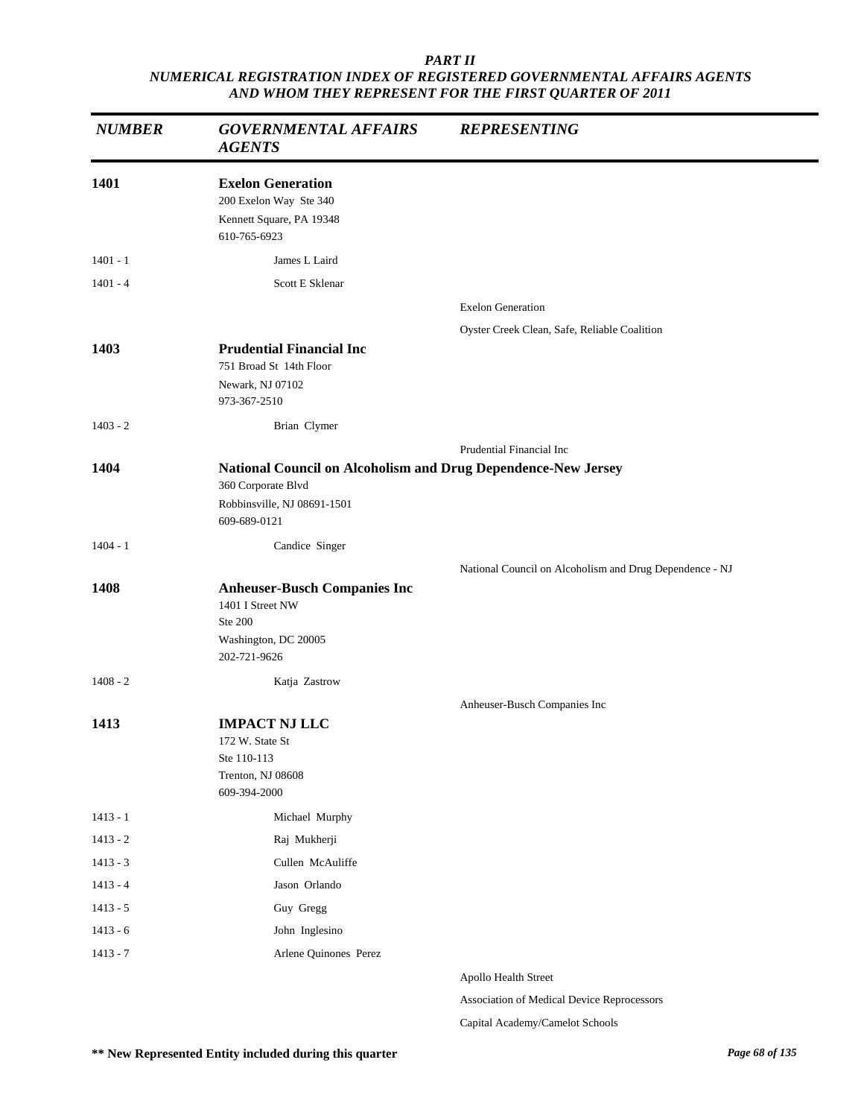| <b>NUMBER</b> | <b>GOVERNMENTAL AFFAIRS</b><br><b>AGENTS</b>                                                               | <b>REPRESENTING</b>                                     |
|---------------|------------------------------------------------------------------------------------------------------------|---------------------------------------------------------|
| 1401          | <b>Exelon Generation</b><br>200 Exelon Way Ste 340<br>Kennett Square, PA 19348<br>610-765-6923             |                                                         |
| $1401 - 1$    | James L Laird                                                                                              |                                                         |
| $1401 - 4$    | Scott E Sklenar                                                                                            |                                                         |
|               |                                                                                                            | <b>Exelon Generation</b>                                |
|               |                                                                                                            | Oyster Creek Clean, Safe, Reliable Coalition            |
| 1403          | <b>Prudential Financial Inc</b><br>751 Broad St 14th Floor<br>Newark, NJ 07102                             |                                                         |
|               | 973-367-2510                                                                                               |                                                         |
| $1403 - 2$    | Brian Clymer                                                                                               |                                                         |
|               |                                                                                                            | Prudential Financial Inc                                |
| 1404          | National Council on Alcoholism and Drug Dependence-New Jersey<br>360 Corporate Blvd                        |                                                         |
|               | Robbinsville, NJ 08691-1501<br>609-689-0121                                                                |                                                         |
| $1404 - 1$    | Candice Singer                                                                                             |                                                         |
|               |                                                                                                            | National Council on Alcoholism and Drug Dependence - NJ |
| 1408          | <b>Anheuser-Busch Companies Inc</b><br>1401 I Street NW<br>Ste 200<br>Washington, DC 20005<br>202-721-9626 |                                                         |
| $1408 - 2$    | Katja Zastrow                                                                                              |                                                         |
|               |                                                                                                            | Anheuser-Busch Companies Inc                            |
| 1413          | <b>IMPACT NJ LLC</b><br>172 W. State St<br>Ste 110-113<br>Trenton, NJ 08608<br>609-394-2000                |                                                         |
| $1413 - 1$    | Michael Murphy                                                                                             |                                                         |
| $1413 - 2$    | Raj Mukherji                                                                                               |                                                         |
| $1413 - 3$    | Cullen McAuliffe                                                                                           |                                                         |
| $1413 - 4$    | Jason Orlando                                                                                              |                                                         |
| $1413 - 5$    | Guy Gregg                                                                                                  |                                                         |
| $1413 - 6$    | John Inglesino                                                                                             |                                                         |
| $1413 - 7$    | Arlene Quinones Perez                                                                                      |                                                         |
|               |                                                                                                            | Apollo Health Street                                    |
|               |                                                                                                            | Association of Medical Device Reprocessors              |

Capital Academy/Camelot Schools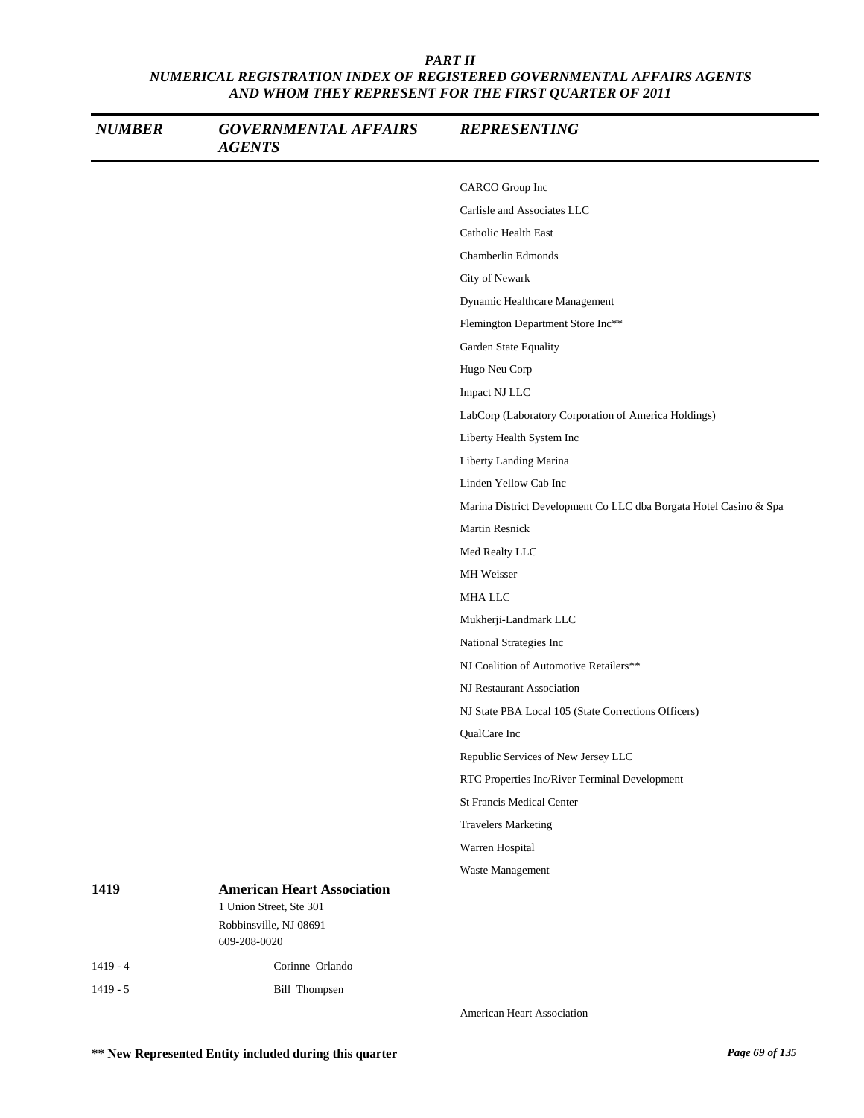| <b>NUMBER</b> | <b>GOVERNMENTAL AFFAIRS</b><br><b>AGENTS</b>                                                           | <b>REPRESENTING</b>                                               |
|---------------|--------------------------------------------------------------------------------------------------------|-------------------------------------------------------------------|
|               |                                                                                                        | CARCO Group Inc                                                   |
|               |                                                                                                        | Carlisle and Associates LLC                                       |
|               |                                                                                                        | Catholic Health East                                              |
|               |                                                                                                        | Chamberlin Edmonds                                                |
|               |                                                                                                        | City of Newark                                                    |
|               |                                                                                                        | Dynamic Healthcare Management                                     |
|               |                                                                                                        | Flemington Department Store Inc**                                 |
|               |                                                                                                        | Garden State Equality                                             |
|               |                                                                                                        | Hugo Neu Corp                                                     |
|               |                                                                                                        | Impact NJ LLC                                                     |
|               |                                                                                                        | LabCorp (Laboratory Corporation of America Holdings)              |
|               |                                                                                                        | Liberty Health System Inc                                         |
|               |                                                                                                        | Liberty Landing Marina                                            |
|               |                                                                                                        | Linden Yellow Cab Inc                                             |
|               |                                                                                                        | Marina District Development Co LLC dba Borgata Hotel Casino & Spa |
|               |                                                                                                        | Martin Resnick                                                    |
|               |                                                                                                        | Med Realty LLC                                                    |
|               |                                                                                                        | MH Weisser                                                        |
|               |                                                                                                        | MHA LLC                                                           |
|               |                                                                                                        | Mukherji-Landmark LLC                                             |
|               |                                                                                                        | National Strategies Inc                                           |
|               |                                                                                                        | NJ Coalition of Automotive Retailers**                            |
|               |                                                                                                        | NJ Restaurant Association                                         |
|               |                                                                                                        | NJ State PBA Local 105 (State Corrections Officers)               |
|               |                                                                                                        | QualCare Inc                                                      |
|               |                                                                                                        | Republic Services of New Jersey LLC                               |
|               |                                                                                                        | RTC Properties Inc/River Terminal Development                     |
|               |                                                                                                        | <b>St Francis Medical Center</b>                                  |
|               |                                                                                                        | <b>Travelers Marketing</b>                                        |
|               |                                                                                                        | Warren Hospital                                                   |
|               |                                                                                                        | Waste Management                                                  |
| 1419          | <b>American Heart Association</b><br>1 Union Street, Ste 301<br>Robbinsville, NJ 08691<br>609-208-0020 |                                                                   |
| $1419 - 4$    | Corinne Orlando                                                                                        |                                                                   |
|               |                                                                                                        |                                                                   |
| $1419 - 5$    | <b>Bill Thompsen</b>                                                                                   |                                                                   |

American Heart Association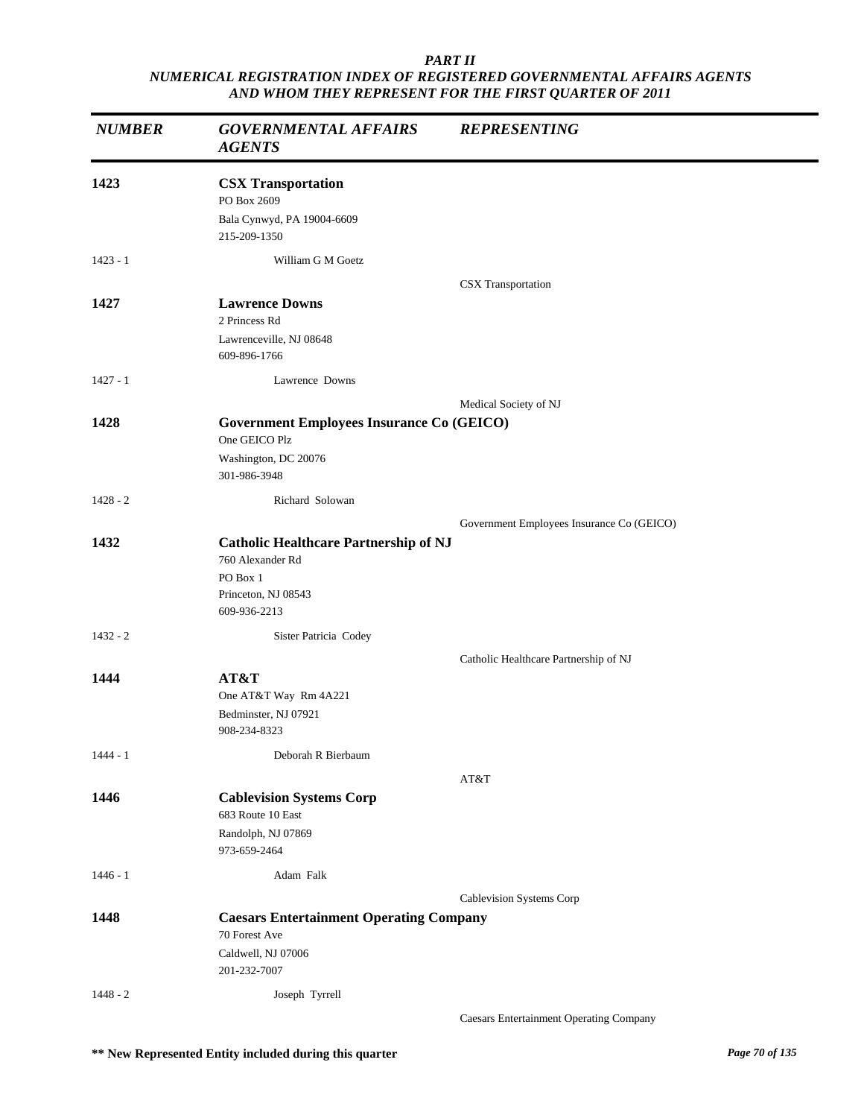| <b>NUMBER</b> | <b>GOVERNMENTAL AFFAIRS</b><br><b>AGENTS</b>                                                                        | <b>REPRESENTING</b>                            |
|---------------|---------------------------------------------------------------------------------------------------------------------|------------------------------------------------|
| 1423          | <b>CSX Transportation</b><br>PO Box 2609<br>Bala Cynwyd, PA 19004-6609<br>215-209-1350                              |                                                |
| $1423 - 1$    | William G M Goetz                                                                                                   |                                                |
| 1427          | <b>Lawrence Downs</b><br>2 Princess Rd<br>Lawrenceville, NJ 08648<br>609-896-1766                                   | CSX Transportation                             |
| $1427 - 1$    | Lawrence Downs                                                                                                      |                                                |
| 1428          | <b>Government Employees Insurance Co (GEICO)</b><br>One GEICO Plz<br>Washington, DC 20076<br>301-986-3948           | Medical Society of NJ                          |
| $1428 - 2$    | Richard Solowan                                                                                                     |                                                |
| 1432          | <b>Catholic Healthcare Partnership of NJ</b><br>760 Alexander Rd<br>PO Box 1<br>Princeton, NJ 08543<br>609-936-2213 | Government Employees Insurance Co (GEICO)      |
| $1432 - 2$    | Sister Patricia Codey                                                                                               |                                                |
| 1444          | AT&T<br>One AT&T Way Rm 4A221<br>Bedminster, NJ 07921<br>908-234-8323                                               | Catholic Healthcare Partnership of NJ          |
| $1444 - 1$    | Deborah R Bierbaum                                                                                                  |                                                |
| 1446          | <b>Cablevision Systems Corp</b><br>683 Route 10 East<br>Randolph, NJ 07869<br>973-659-2464                          | AT&T                                           |
| $1446 - 1$    | Adam Falk                                                                                                           |                                                |
| 1448          | <b>Caesars Entertainment Operating Company</b><br>70 Forest Ave<br>Caldwell, NJ 07006<br>201-232-7007               | Cablevision Systems Corp                       |
| $1448 - 2$    | Joseph Tyrrell                                                                                                      | <b>Caesars Entertainment Operating Company</b> |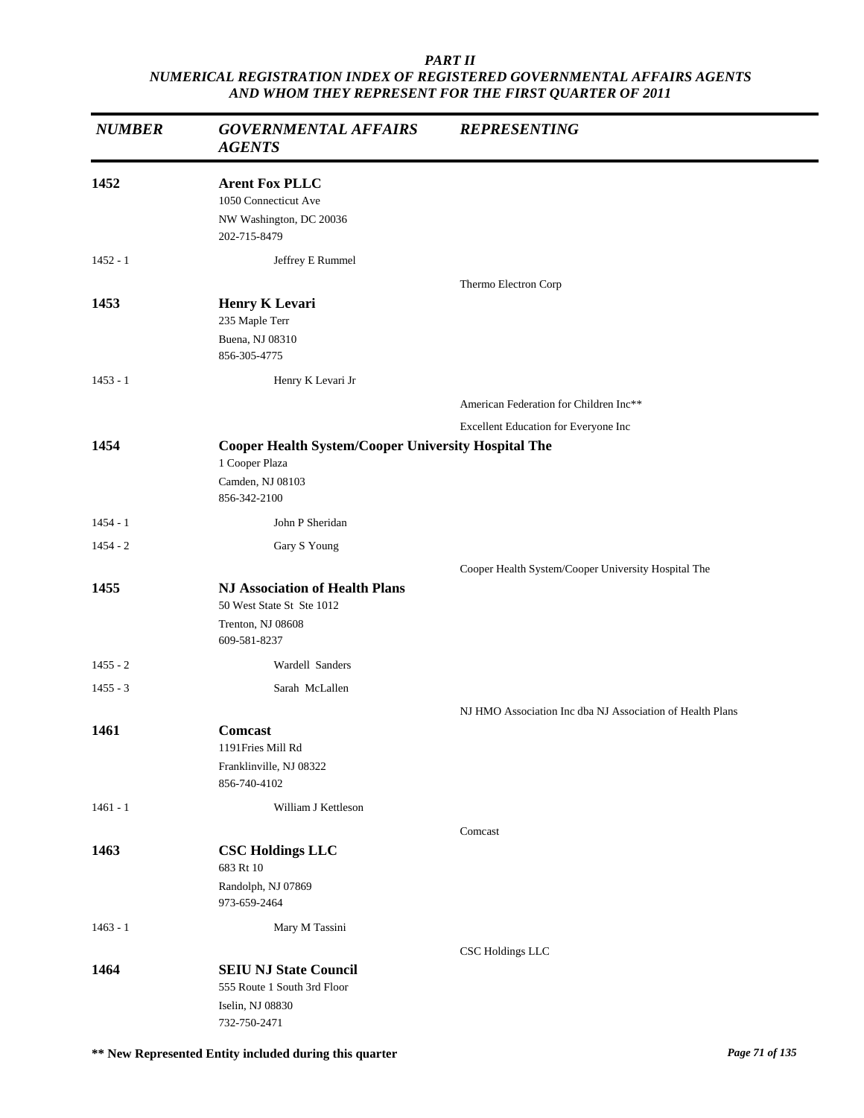| <b>NUMBER</b> | <b>GOVERNMENTAL AFFAIRS</b><br><b>AGENTS</b>                                                                     | <b>REPRESENTING</b>                                       |
|---------------|------------------------------------------------------------------------------------------------------------------|-----------------------------------------------------------|
| 1452          | <b>Arent Fox PLLC</b><br>1050 Connecticut Ave<br>NW Washington, DC 20036<br>202-715-8479                         |                                                           |
| $1452 - 1$    | Jeffrey E Rummel                                                                                                 |                                                           |
| 1453          | <b>Henry K Levari</b><br>235 Maple Terr<br>Buena, NJ 08310<br>856-305-4775                                       | Thermo Electron Corp                                      |
| $1453 - 1$    | Henry K Levari Jr                                                                                                |                                                           |
|               |                                                                                                                  | American Federation for Children Inc**                    |
|               |                                                                                                                  | Excellent Education for Everyone Inc                      |
| 1454          | <b>Cooper Health System/Cooper University Hospital The</b><br>1 Cooper Plaza<br>Camden, NJ 08103<br>856-342-2100 |                                                           |
| $1454 - 1$    | John P Sheridan                                                                                                  |                                                           |
| $1454 - 2$    | Gary S Young                                                                                                     |                                                           |
|               |                                                                                                                  | Cooper Health System/Cooper University Hospital The       |
| 1455          | <b>NJ Association of Health Plans</b><br>50 West State St Ste 1012<br>Trenton, NJ 08608<br>609-581-8237          |                                                           |
| $1455 - 2$    | Wardell Sanders                                                                                                  |                                                           |
| $1455 - 3$    | Sarah McLallen                                                                                                   |                                                           |
|               |                                                                                                                  | NJ HMO Association Inc dba NJ Association of Health Plans |
| 1461          | Comcast<br>1191 Fries Mill Rd<br>Franklinville, NJ 08322<br>856-740-4102                                         |                                                           |
| $1461 - 1$    | William J Kettleson                                                                                              |                                                           |
| 1463          | <b>CSC Holdings LLC</b><br>683 Rt 10<br>Randolph, NJ 07869<br>973-659-2464                                       | Comcast                                                   |
| $1463 - 1$    | Mary M Tassini                                                                                                   |                                                           |
|               |                                                                                                                  | CSC Holdings LLC                                          |
| 1464          | <b>SEIU NJ State Council</b><br>555 Route 1 South 3rd Floor<br>Iselin, NJ 08830<br>732-750-2471                  |                                                           |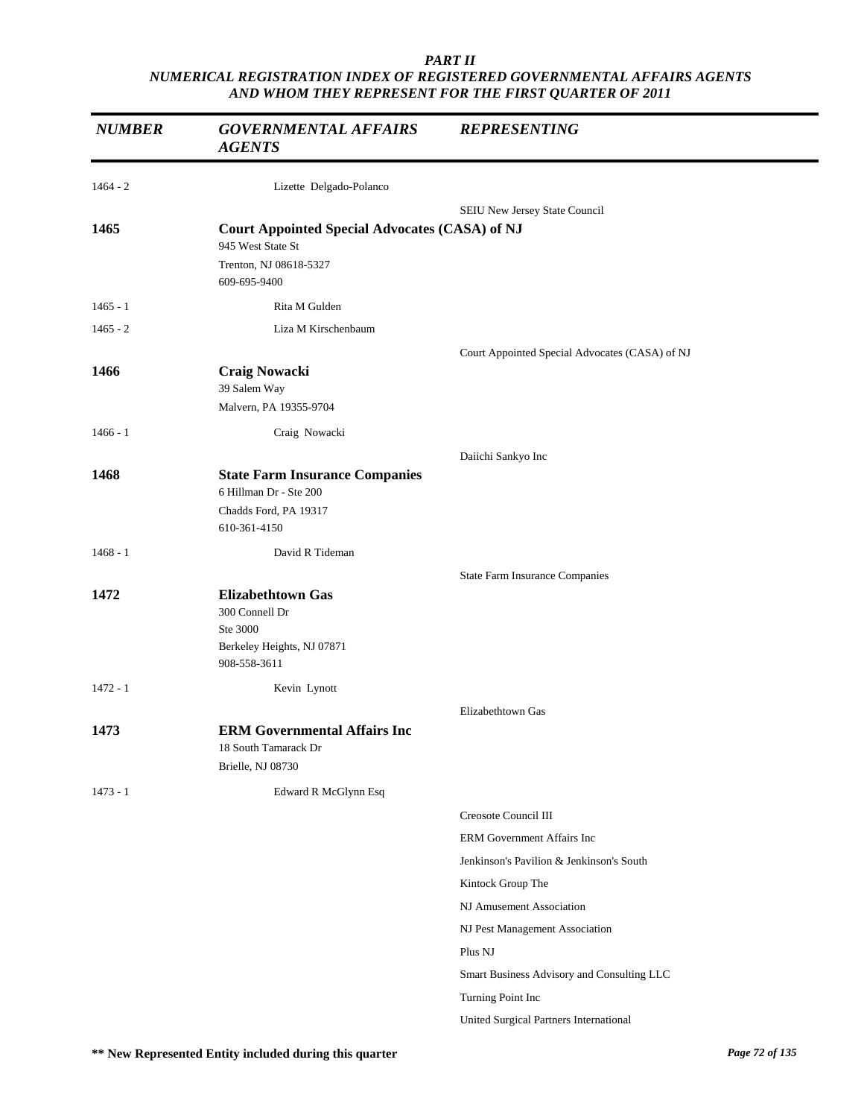| <b>NUMBER</b> | <b>GOVERNMENTAL AFFAIRS</b><br><b>AGENTS</b>                                                         | <b>REPRESENTING</b>                            |
|---------------|------------------------------------------------------------------------------------------------------|------------------------------------------------|
| $1464 - 2$    | Lizette Delgado-Polanco                                                                              |                                                |
|               |                                                                                                      | SEIU New Jersey State Council                  |
| 1465          | <b>Court Appointed Special Advocates (CASA) of NJ</b>                                                |                                                |
|               | 945 West State St<br>Trenton, NJ 08618-5327<br>609-695-9400                                          |                                                |
| $1465 - 1$    | Rita M Gulden                                                                                        |                                                |
| $1465 - 2$    | Liza M Kirschenbaum                                                                                  |                                                |
|               |                                                                                                      | Court Appointed Special Advocates (CASA) of NJ |
| 1466          | <b>Craig Nowacki</b><br>39 Salem Way<br>Malvern, PA 19355-9704                                       |                                                |
| $1466 - 1$    | Craig Nowacki                                                                                        |                                                |
|               |                                                                                                      | Daiichi Sankyo Inc                             |
| 1468          | <b>State Farm Insurance Companies</b><br>6 Hillman Dr - Ste 200<br>Chadds Ford, PA 19317             |                                                |
|               | 610-361-4150                                                                                         |                                                |
| $1468 - 1$    | David R Tideman                                                                                      |                                                |
|               |                                                                                                      | <b>State Farm Insurance Companies</b>          |
| 1472          | <b>Elizabethtown Gas</b><br>300 Connell Dr<br>Ste 3000<br>Berkeley Heights, NJ 07871<br>908-558-3611 |                                                |
| $1472 - 1$    | Kevin Lynott                                                                                         |                                                |
| 1473          | <b>ERM Governmental Affairs Inc</b><br>18 South Tamarack Dr<br>Brielle, NJ 08730                     | Elizabethtown Gas                              |
| $1473 - 1$    | Edward R McGlynn Esq                                                                                 |                                                |
|               |                                                                                                      | Creosote Council III                           |
|               |                                                                                                      | ERM Government Affairs Inc                     |
|               |                                                                                                      | Jenkinson's Pavilion & Jenkinson's South       |
|               |                                                                                                      | Kintock Group The                              |
|               |                                                                                                      | NJ Amusement Association                       |
|               |                                                                                                      | NJ Pest Management Association                 |
|               |                                                                                                      | Plus NJ                                        |
|               |                                                                                                      | Smart Business Advisory and Consulting LLC     |
|               |                                                                                                      | Turning Point Inc                              |
|               |                                                                                                      | United Surgical Partners International         |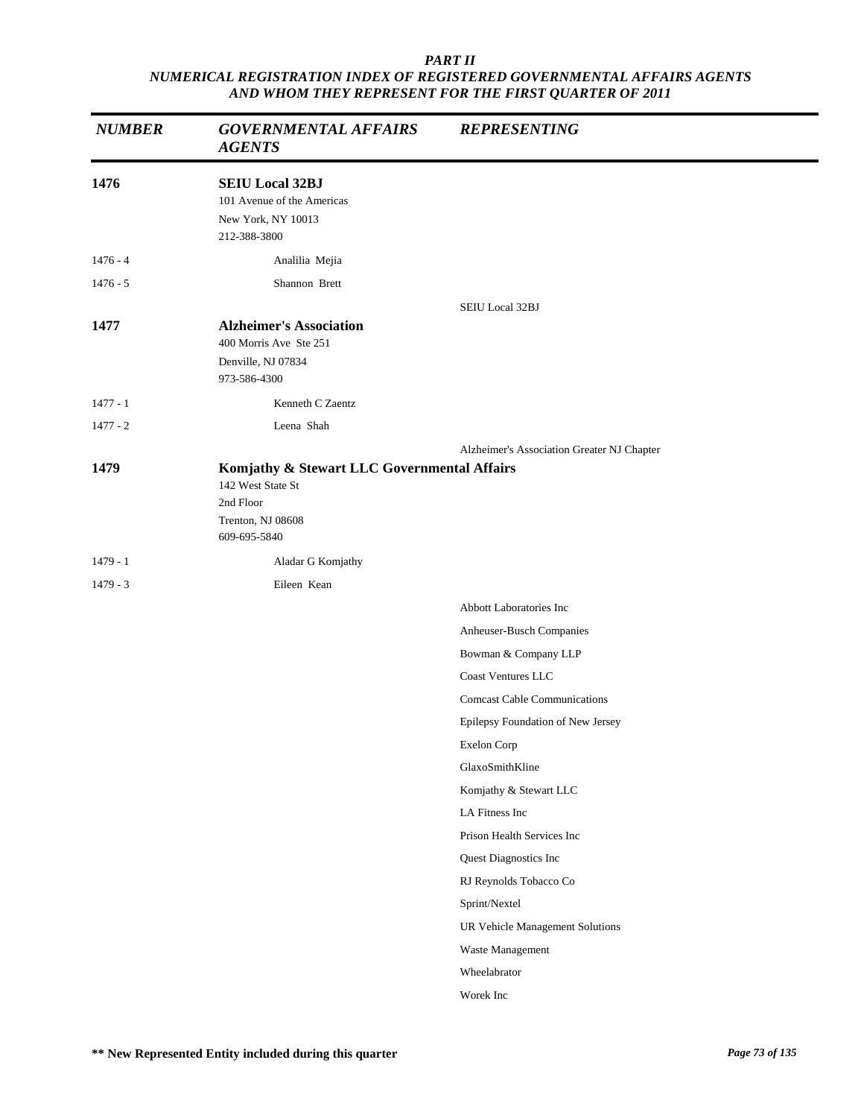| <b>NUMBER</b> | <b>GOVERNMENTAL AFFAIRS</b><br><b>AGENTS</b>                                                                       | <b>REPRESENTING</b>                        |
|---------------|--------------------------------------------------------------------------------------------------------------------|--------------------------------------------|
| 1476          | <b>SEIU Local 32BJ</b><br>101 Avenue of the Americas<br>New York, NY 10013<br>212-388-3800                         |                                            |
| $1476 - 4$    | Analilia Mejia                                                                                                     |                                            |
| $1476 - 5$    | Shannon Brett                                                                                                      |                                            |
|               |                                                                                                                    | <b>SEIU Local 32BJ</b>                     |
| 1477          | <b>Alzheimer's Association</b><br>400 Morris Ave Ste 251<br>Denville, NJ 07834<br>973-586-4300                     |                                            |
| $1477 - 1$    | Kenneth C Zaentz                                                                                                   |                                            |
| $1477 - 2$    | Leena Shah                                                                                                         |                                            |
|               |                                                                                                                    | Alzheimer's Association Greater NJ Chapter |
| 1479          | Komjathy & Stewart LLC Governmental Affairs<br>142 West State St<br>2nd Floor<br>Trenton, NJ 08608<br>609-695-5840 |                                            |
| $1479 - 1$    | Aladar G Komjathy                                                                                                  |                                            |
| $1479 - 3$    | Eileen Kean                                                                                                        |                                            |
|               |                                                                                                                    | <b>Abbott Laboratories Inc</b>             |
|               |                                                                                                                    | Anheuser-Busch Companies                   |
|               |                                                                                                                    | Bowman & Company LLP                       |
|               |                                                                                                                    | <b>Coast Ventures LLC</b>                  |
|               |                                                                                                                    | <b>Comcast Cable Communications</b>        |
|               |                                                                                                                    | Epilepsy Foundation of New Jersey          |
|               |                                                                                                                    | Exelon Corp                                |
|               |                                                                                                                    | GlaxoSmithKline                            |
|               |                                                                                                                    | Komjathy & Stewart LLC                     |
|               |                                                                                                                    | LA Fitness Inc                             |
|               |                                                                                                                    | Prison Health Services Inc                 |
|               |                                                                                                                    | Quest Diagnostics Inc                      |
|               |                                                                                                                    | RJ Reynolds Tobacco Co                     |
|               |                                                                                                                    | Sprint/Nextel                              |
|               |                                                                                                                    | UR Vehicle Management Solutions            |
|               |                                                                                                                    | Waste Management                           |
|               |                                                                                                                    | Wheelabrator                               |
|               |                                                                                                                    | Worek Inc                                  |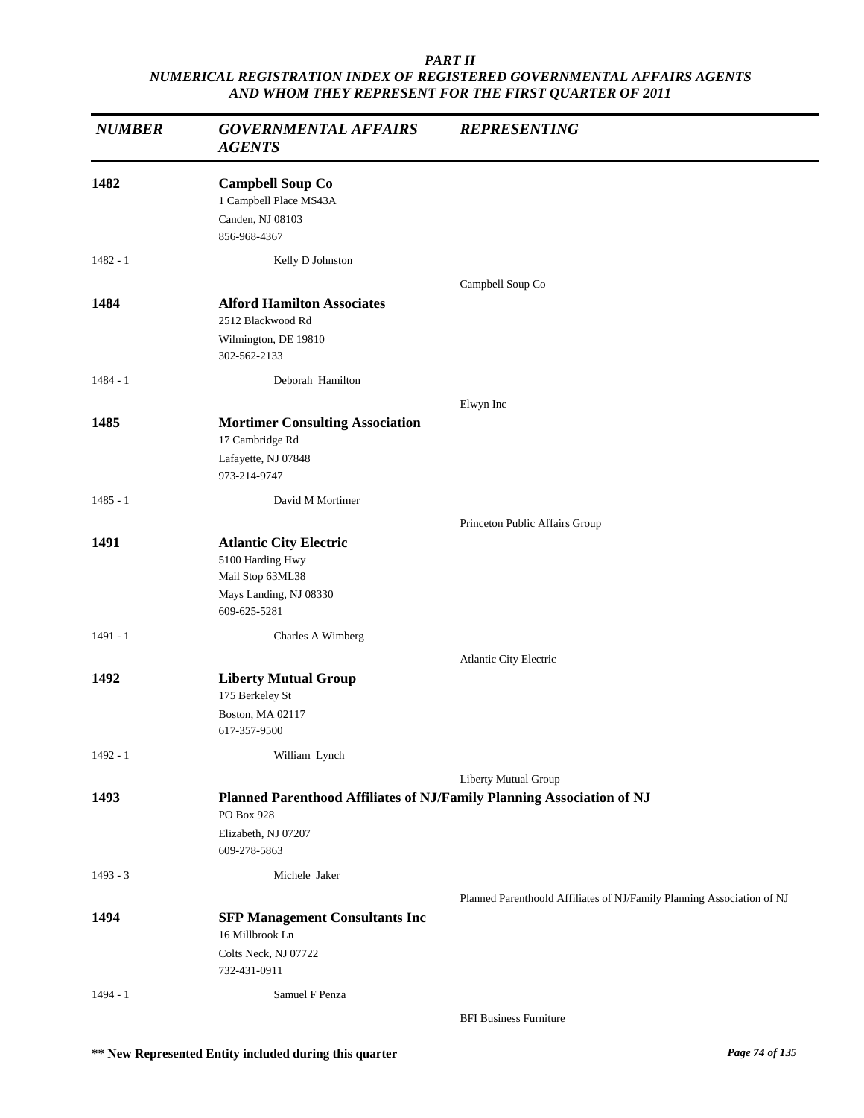| <b>NUMBER</b> | <b>GOVERNMENTAL AFFAIRS</b><br><b>AGENTS</b>                                                                               | <b>REPRESENTING</b>                                                    |
|---------------|----------------------------------------------------------------------------------------------------------------------------|------------------------------------------------------------------------|
| 1482          | <b>Campbell Soup Co</b><br>1 Campbell Place MS43A<br>Canden, NJ 08103<br>856-968-4367                                      |                                                                        |
| $1482 - 1$    | Kelly D Johnston                                                                                                           |                                                                        |
| 1484          | <b>Alford Hamilton Associates</b><br>2512 Blackwood Rd<br>Wilmington, DE 19810<br>302-562-2133                             | Campbell Soup Co                                                       |
| $1484 - 1$    | Deborah Hamilton                                                                                                           |                                                                        |
| 1485          | <b>Mortimer Consulting Association</b><br>17 Cambridge Rd<br>Lafayette, NJ 07848<br>973-214-9747                           | Elwyn Inc                                                              |
| $1485 - 1$    | David M Mortimer                                                                                                           |                                                                        |
| 1491          | <b>Atlantic City Electric</b><br>5100 Harding Hwy<br>Mail Stop 63ML38<br>Mays Landing, NJ 08330<br>609-625-5281            | Princeton Public Affairs Group                                         |
| $1491 - 1$    | Charles A Wimberg                                                                                                          |                                                                        |
| 1492          | <b>Liberty Mutual Group</b><br>175 Berkeley St<br>Boston, MA 02117<br>617-357-9500                                         | Atlantic City Electric                                                 |
| $1492 - 1$    | William Lynch                                                                                                              |                                                                        |
| 1493          | Planned Parenthood Affiliates of NJ/Family Planning Association of NJ<br>PO Box 928<br>Elizabeth, NJ 07207<br>609-278-5863 | Liberty Mutual Group                                                   |
| $1493 - 3$    | Michele Jaker                                                                                                              |                                                                        |
| 1494          | <b>SFP Management Consultants Inc</b><br>16 Millbrook Ln<br>Colts Neck, NJ 07722<br>732-431-0911                           | Planned Parenthoold Affiliates of NJ/Family Planning Association of NJ |
| $1494 - 1$    | Samuel F Penza                                                                                                             | <b>BFI Business Furniture</b>                                          |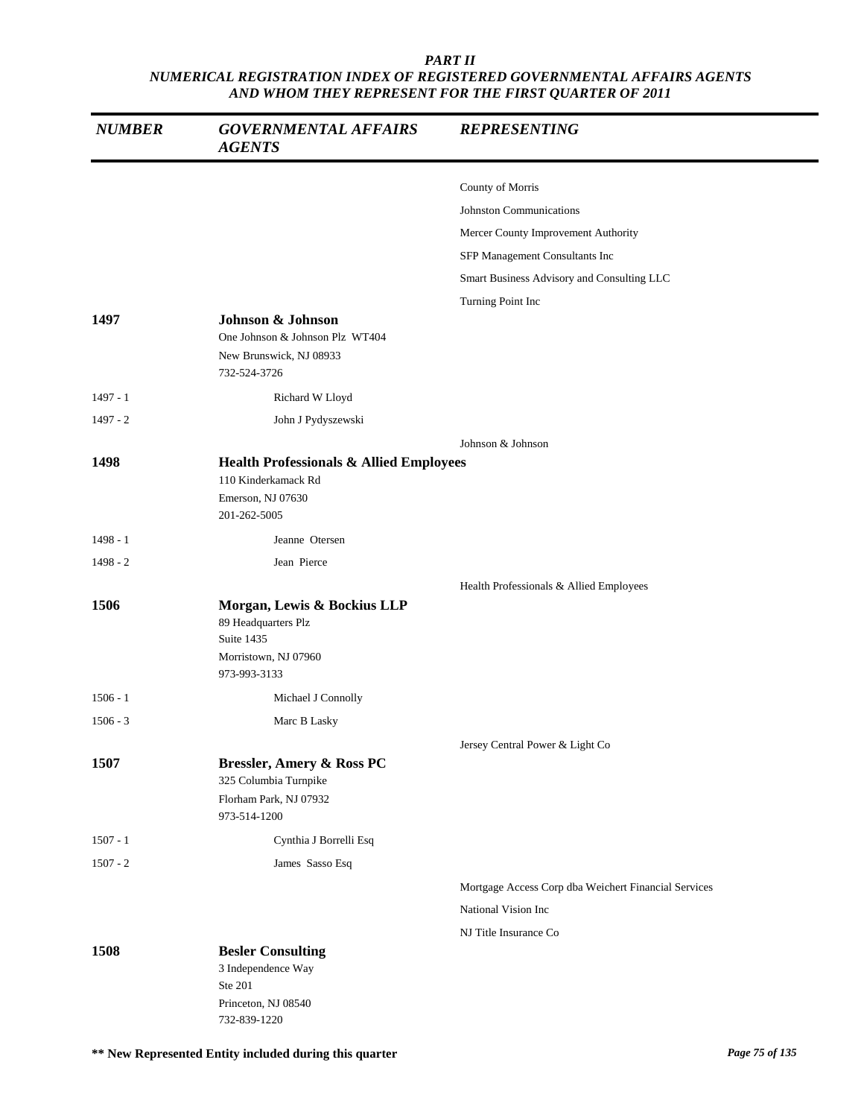| <b>NUMBER</b> | <b>GOVERNMENTAL AFFAIRS</b><br><b>AGENTS</b>                                                                   | <b>REPRESENTING</b>                                  |
|---------------|----------------------------------------------------------------------------------------------------------------|------------------------------------------------------|
|               |                                                                                                                | County of Morris                                     |
|               |                                                                                                                | <b>Johnston Communications</b>                       |
|               |                                                                                                                | Mercer County Improvement Authority                  |
|               |                                                                                                                | SFP Management Consultants Inc                       |
|               |                                                                                                                | Smart Business Advisory and Consulting LLC           |
|               |                                                                                                                | Turning Point Inc                                    |
| 1497          | Johnson & Johnson<br>One Johnson & Johnson Plz WT404                                                           |                                                      |
|               | New Brunswick, NJ 08933<br>732-524-3726                                                                        |                                                      |
| $1497 - 1$    | Richard W Lloyd                                                                                                |                                                      |
| $1497 - 2$    | John J Pydyszewski                                                                                             |                                                      |
|               |                                                                                                                | Johnson & Johnson                                    |
| 1498          | <b>Health Professionals &amp; Allied Employees</b><br>110 Kinderkamack Rd<br>Emerson, NJ 07630<br>201-262-5005 |                                                      |
| $1498 - 1$    | Jeanne Otersen                                                                                                 |                                                      |
| $1498 - 2$    | Jean Pierce                                                                                                    |                                                      |
|               |                                                                                                                | Health Professionals & Allied Employees              |
| 1506          | Morgan, Lewis & Bockius LLP<br>89 Headquarters Plz<br>Suite 1435<br>Morristown, NJ 07960<br>973-993-3133       |                                                      |
| $1506 - 1$    | Michael J Connolly                                                                                             |                                                      |
| $1506 - 3$    | Marc B Lasky                                                                                                   |                                                      |
|               |                                                                                                                | Jersey Central Power & Light Co                      |
| 1507          | <b>Bressler, Amery &amp; Ross PC</b><br>325 Columbia Turnpike<br>Florham Park, NJ 07932<br>973-514-1200        |                                                      |
| $1507 - 1$    | Cynthia J Borrelli Esq                                                                                         |                                                      |
| $1507 - 2$    | James Sasso Esq                                                                                                |                                                      |
|               |                                                                                                                | Mortgage Access Corp dba Weichert Financial Services |
|               |                                                                                                                | National Vision Inc                                  |
|               |                                                                                                                | NJ Title Insurance Co                                |
| 1508          | <b>Besler Consulting</b><br>3 Independence Way<br>Ste 201<br>Princeton, NJ 08540<br>732-839-1220               |                                                      |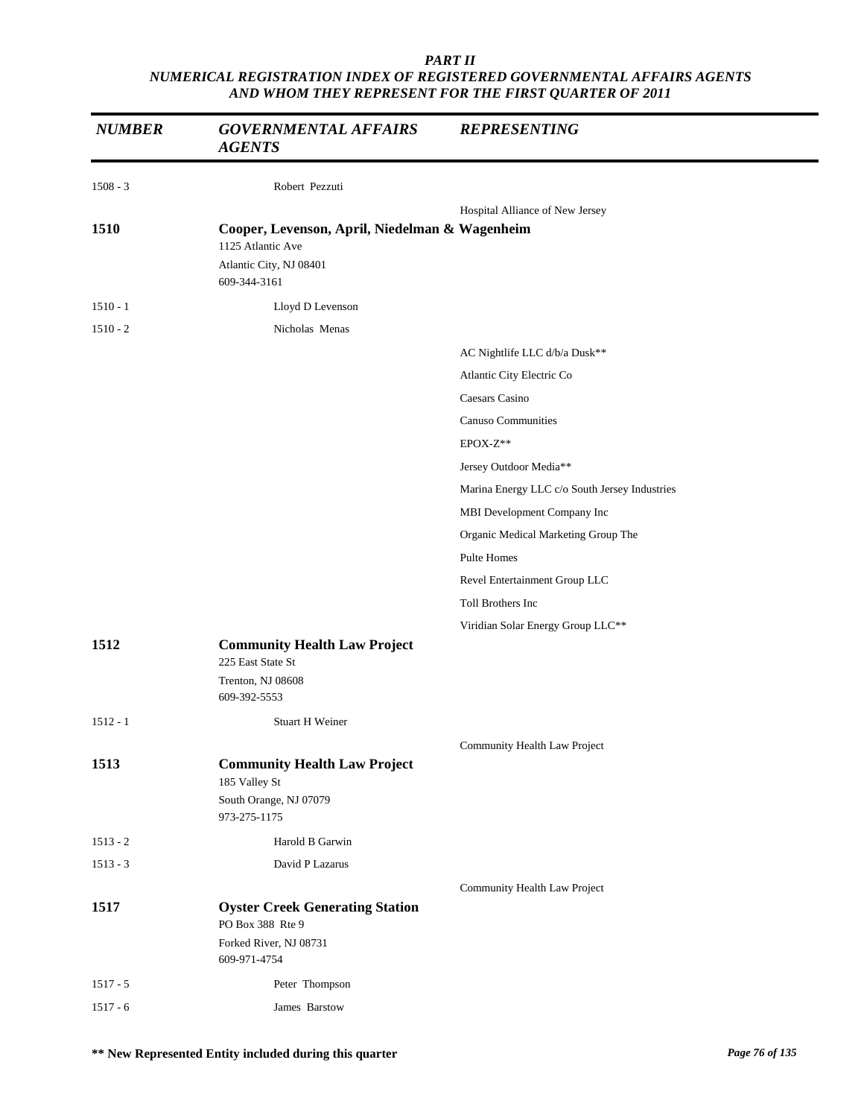| <b>NUMBER</b> | <b>GOVERNMENTAL AFFAIRS</b><br><b>AGENTS</b>                                                                   | <b>REPRESENTING</b>                           |
|---------------|----------------------------------------------------------------------------------------------------------------|-----------------------------------------------|
| $1508 - 3$    | Robert Pezzuti                                                                                                 |                                               |
|               |                                                                                                                | Hospital Alliance of New Jersey               |
| 1510          | Cooper, Levenson, April, Niedelman & Wagenheim<br>1125 Atlantic Ave<br>Atlantic City, NJ 08401<br>609-344-3161 |                                               |
| $1510 - 1$    | Lloyd D Levenson                                                                                               |                                               |
| $1510 - 2$    | Nicholas Menas                                                                                                 |                                               |
|               |                                                                                                                | AC Nightlife LLC d/b/a Dusk**                 |
|               |                                                                                                                | Atlantic City Electric Co                     |
|               |                                                                                                                | Caesars Casino                                |
|               |                                                                                                                | <b>Canuso Communities</b>                     |
|               |                                                                                                                | EPOX-Z**                                      |
|               |                                                                                                                | Jersey Outdoor Media**                        |
|               |                                                                                                                | Marina Energy LLC c/o South Jersey Industries |
|               |                                                                                                                | MBI Development Company Inc                   |
|               |                                                                                                                | Organic Medical Marketing Group The           |
|               |                                                                                                                | Pulte Homes                                   |
|               |                                                                                                                | Revel Entertainment Group LLC                 |
|               |                                                                                                                | Toll Brothers Inc                             |
|               |                                                                                                                | Viridian Solar Energy Group LLC**             |
| 1512          | <b>Community Health Law Project</b>                                                                            |                                               |
|               | 225 East State St<br>Trenton, NJ 08608                                                                         |                                               |
|               | 609-392-5553                                                                                                   |                                               |
| $1512 - 1$    | <b>Stuart H Weiner</b>                                                                                         |                                               |
|               |                                                                                                                | Community Health Law Project                  |
| 1513          | <b>Community Health Law Project</b>                                                                            |                                               |
|               | 185 Valley St                                                                                                  |                                               |
|               | South Orange, NJ 07079<br>973-275-1175                                                                         |                                               |
| $1513 - 2$    | Harold B Garwin                                                                                                |                                               |
| $1513 - 3$    | David P Lazarus                                                                                                |                                               |
|               |                                                                                                                | Community Health Law Project                  |
| 1517          | <b>Oyster Creek Generating Station</b><br>PO Box 388 Rte 9                                                     |                                               |
|               | Forked River, NJ 08731<br>609-971-4754                                                                         |                                               |
| $1517 - 5$    | Peter Thompson                                                                                                 |                                               |
| $1517 - 6$    | James Barstow                                                                                                  |                                               |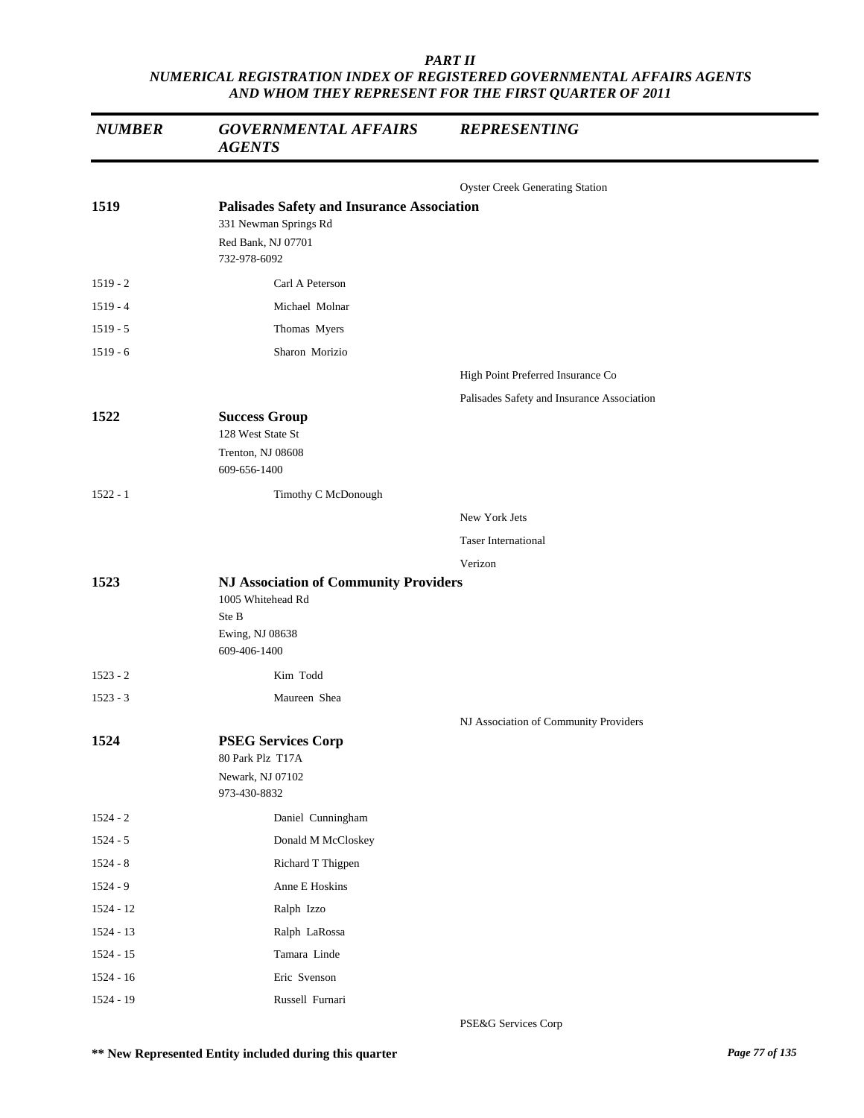| <b>NUMBER</b> | <b>GOVERNMENTAL AFFAIRS</b><br><b>AGENTS</b>                                                                     | <b>REPRESENTING</b>                        |
|---------------|------------------------------------------------------------------------------------------------------------------|--------------------------------------------|
|               |                                                                                                                  | <b>Oyster Creek Generating Station</b>     |
| 1519          | <b>Palisades Safety and Insurance Association</b><br>331 Newman Springs Rd<br>Red Bank, NJ 07701<br>732-978-6092 |                                            |
| $1519 - 2$    | Carl A Peterson                                                                                                  |                                            |
| $1519 - 4$    | Michael Molnar                                                                                                   |                                            |
| $1519 - 5$    | Thomas Myers                                                                                                     |                                            |
| $1519 - 6$    | Sharon Morizio                                                                                                   |                                            |
|               |                                                                                                                  | High Point Preferred Insurance Co          |
|               |                                                                                                                  | Palisades Safety and Insurance Association |
| 1522          | <b>Success Group</b><br>128 West State St<br>Trenton, NJ 08608<br>609-656-1400                                   |                                            |
| $1522 - 1$    | Timothy C McDonough                                                                                              |                                            |
|               |                                                                                                                  | New York Jets                              |
|               |                                                                                                                  | <b>Taser International</b>                 |
|               |                                                                                                                  | Verizon                                    |
| 1523          | <b>NJ Association of Community Providers</b><br>1005 Whitehead Rd<br>Ste B<br>Ewing, NJ 08638<br>609-406-1400    |                                            |
| $1523 - 2$    | Kim Todd                                                                                                         |                                            |
| $1523 - 3$    | Maureen Shea                                                                                                     |                                            |
|               |                                                                                                                  | NJ Association of Community Providers      |
| 1524          | <b>PSEG Services Corp</b><br>80 Park Plz T17A<br>Newark, NJ 07102<br>973-430-8832                                |                                            |
| $1524 - 2$    | Daniel Cunningham                                                                                                |                                            |
| $1524 - 5$    | Donald M McCloskey                                                                                               |                                            |
| $1524 - 8$    | Richard T Thigpen                                                                                                |                                            |
| $1524 - 9$    | Anne E Hoskins                                                                                                   |                                            |
| 1524 - 12     | Ralph Izzo                                                                                                       |                                            |
| 1524 - 13     | Ralph LaRossa                                                                                                    |                                            |
| 1524 - 15     | Tamara Linde                                                                                                     |                                            |
| $1524 - 16$   | Eric Svenson                                                                                                     |                                            |
| 1524 - 19     | Russell Furnari                                                                                                  |                                            |

PSE&G Services Corp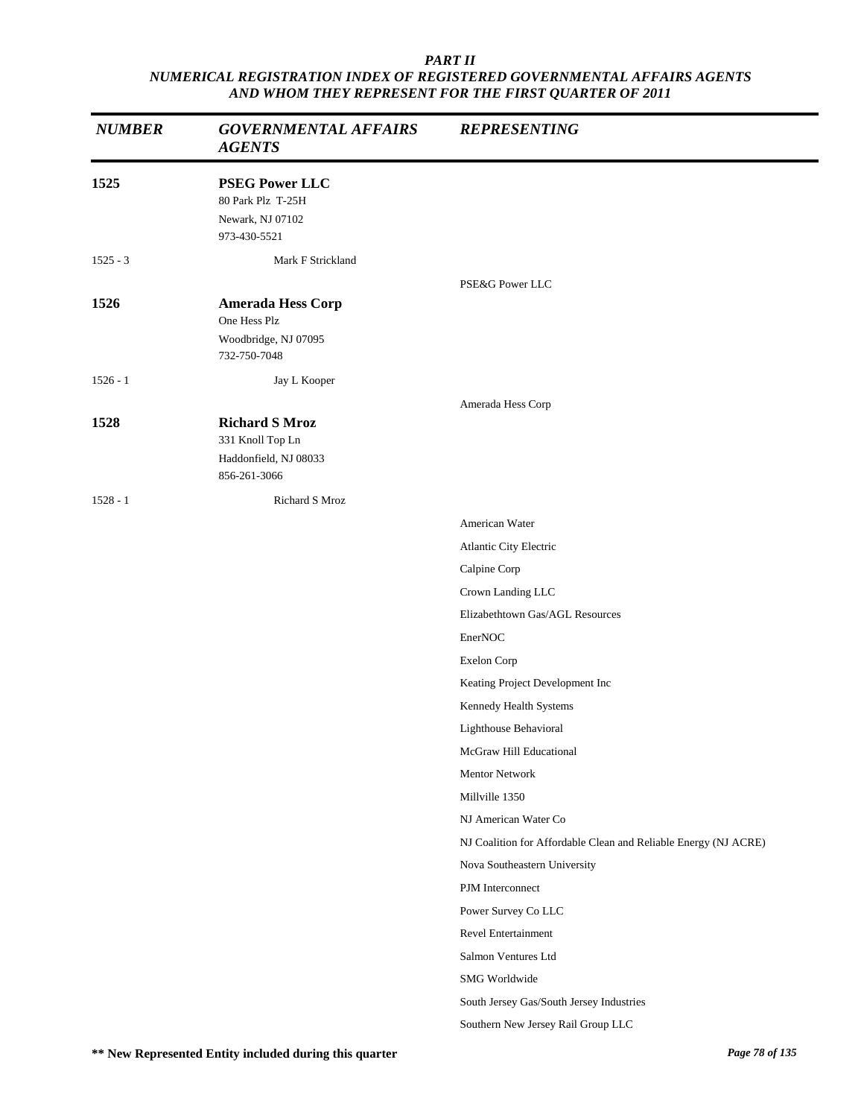| <b>NUMBER</b> | <b>GOVERNMENTAL AFFAIRS</b><br><b>AGENTS</b>                                       | <b>REPRESENTING</b>                                             |
|---------------|------------------------------------------------------------------------------------|-----------------------------------------------------------------|
| 1525          | <b>PSEG Power LLC</b><br>80 Park Plz T-25H<br>Newark, NJ 07102<br>973-430-5521     |                                                                 |
| $1525 - 3$    | Mark F Strickland                                                                  |                                                                 |
|               |                                                                                    | PSE&G Power LLC                                                 |
| 1526          | <b>Amerada Hess Corp</b><br>One Hess Plz<br>Woodbridge, NJ 07095<br>732-750-7048   |                                                                 |
| $1526 - 1$    | Jay L Kooper                                                                       |                                                                 |
| 1528          | <b>Richard S Mroz</b><br>331 Knoll Top Ln<br>Haddonfield, NJ 08033<br>856-261-3066 | Amerada Hess Corp                                               |
| $1528 - 1$    | Richard S Mroz                                                                     |                                                                 |
|               |                                                                                    | American Water                                                  |
|               |                                                                                    | Atlantic City Electric                                          |
|               |                                                                                    | Calpine Corp                                                    |
|               |                                                                                    | Crown Landing LLC                                               |
|               |                                                                                    | Elizabethtown Gas/AGL Resources                                 |
|               |                                                                                    | EnerNOC                                                         |
|               |                                                                                    | Exelon Corp                                                     |
|               |                                                                                    | Keating Project Development Inc                                 |
|               |                                                                                    | Kennedy Health Systems                                          |
|               |                                                                                    | Lighthouse Behavioral                                           |
|               |                                                                                    | McGraw Hill Educational                                         |
|               |                                                                                    | Mentor Network                                                  |
|               |                                                                                    | Millville 1350                                                  |
|               |                                                                                    | NJ American Water Co                                            |
|               |                                                                                    | NJ Coalition for Affordable Clean and Reliable Energy (NJ ACRE) |
|               |                                                                                    | Nova Southeastern University                                    |
|               |                                                                                    | PJM Interconnect                                                |
|               |                                                                                    | Power Survey Co LLC                                             |
|               |                                                                                    | Revel Entertainment                                             |
|               |                                                                                    | Salmon Ventures Ltd                                             |
|               |                                                                                    | SMG Worldwide                                                   |
|               |                                                                                    | South Jersey Gas/South Jersey Industries                        |
|               |                                                                                    | Southern New Jersey Rail Group LLC                              |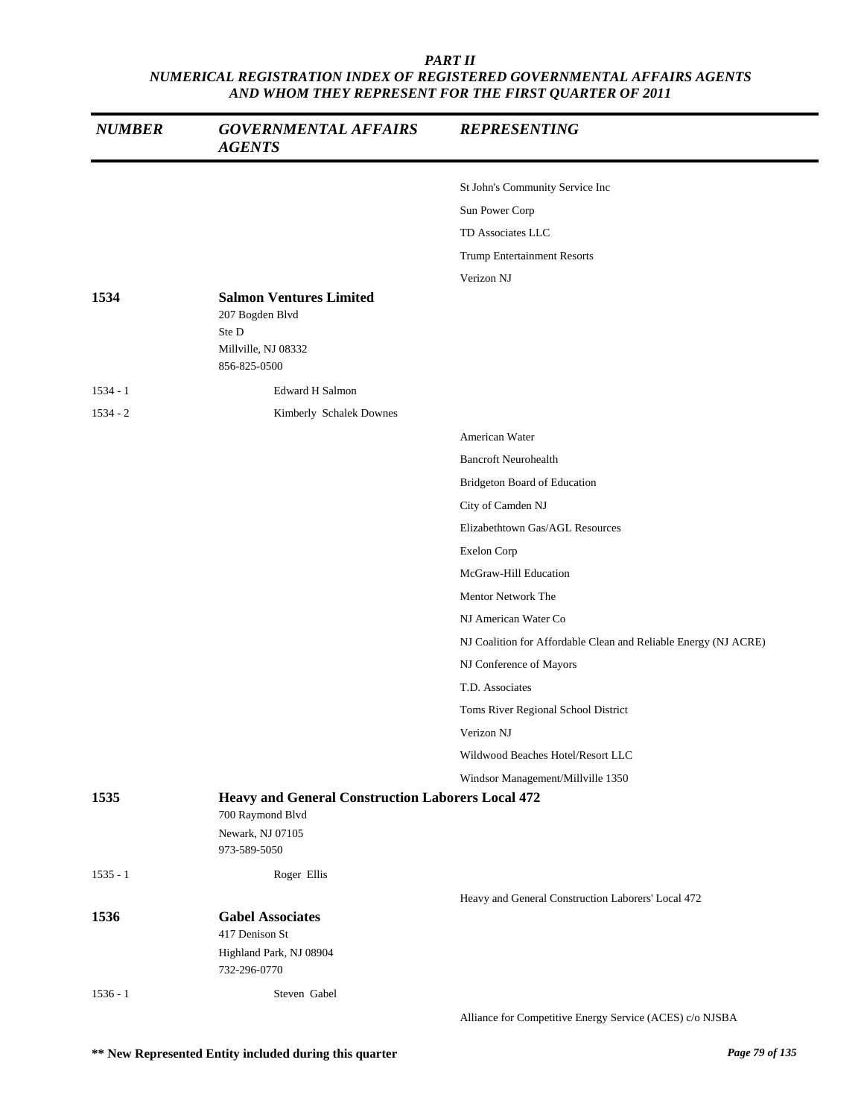| <b>NUMBER</b> | <b>GOVERNMENTAL AFFAIRS</b><br><b>AGENTS</b>                                                      | <b>REPRESENTING</b>                                             |
|---------------|---------------------------------------------------------------------------------------------------|-----------------------------------------------------------------|
|               |                                                                                                   | St John's Community Service Inc                                 |
|               |                                                                                                   | Sun Power Corp                                                  |
|               |                                                                                                   | TD Associates LLC                                               |
|               |                                                                                                   | <b>Trump Entertainment Resorts</b>                              |
|               |                                                                                                   | Verizon NJ                                                      |
| 1534          | <b>Salmon Ventures Limited</b><br>207 Bogden Blvd<br>Ste D<br>Millville, NJ 08332<br>856-825-0500 |                                                                 |
| $1534 - 1$    | <b>Edward H Salmon</b>                                                                            |                                                                 |
| $1534 - 2$    | Kimberly Schalek Downes                                                                           |                                                                 |
|               |                                                                                                   | American Water                                                  |
|               |                                                                                                   | <b>Bancroft Neurohealth</b>                                     |
|               |                                                                                                   | Bridgeton Board of Education                                    |
|               |                                                                                                   | City of Camden NJ                                               |
|               |                                                                                                   | Elizabethtown Gas/AGL Resources                                 |
|               |                                                                                                   | Exelon Corp                                                     |
|               |                                                                                                   | McGraw-Hill Education                                           |
|               |                                                                                                   | Mentor Network The                                              |
|               |                                                                                                   | NJ American Water Co                                            |
|               |                                                                                                   | NJ Coalition for Affordable Clean and Reliable Energy (NJ ACRE) |
|               |                                                                                                   | NJ Conference of Mayors                                         |
|               |                                                                                                   | T.D. Associates                                                 |
|               |                                                                                                   | Toms River Regional School District                             |
|               |                                                                                                   | Verizon NJ                                                      |
|               |                                                                                                   | Wildwood Beaches Hotel/Resort LLC                               |
|               |                                                                                                   | Windsor Management/Millville 1350                               |
| 1535          | <b>Heavy and General Construction Laborers Local 472</b><br>700 Raymond Blvd                      |                                                                 |
|               | Newark, NJ 07105<br>973-589-5050                                                                  |                                                                 |
| $1535 - 1$    | Roger Ellis                                                                                       |                                                                 |
|               |                                                                                                   | Heavy and General Construction Laborers' Local 472              |
| 1536          | <b>Gabel Associates</b><br>417 Denison St<br>Highland Park, NJ 08904<br>732-296-0770              |                                                                 |
| $1536 - 1$    | Steven Gabel                                                                                      |                                                                 |
|               |                                                                                                   | Alliance for Competitive Energy Service (ACES) c/o NJSBA        |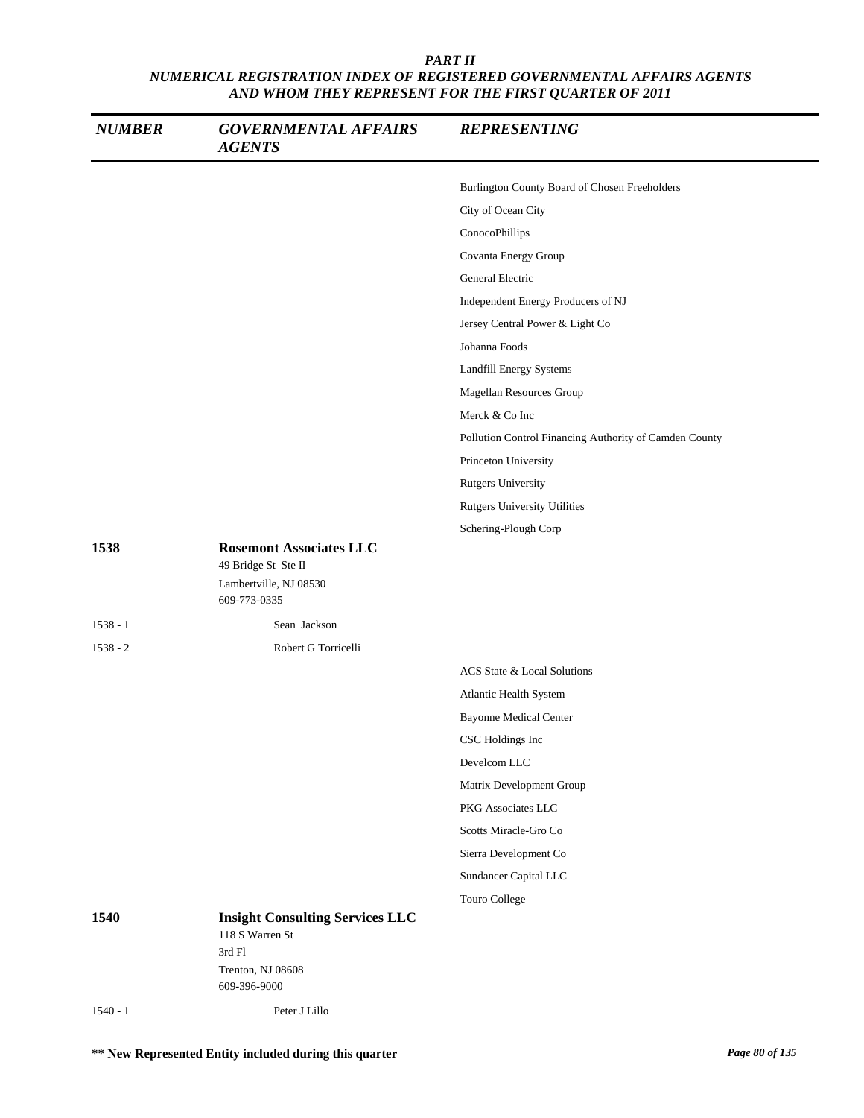| <b>NUMBER</b> | <b>GOVERNMENTAL AFFAIRS</b><br><b>AGENTS</b>                                             | <b>REPRESENTING</b>                                    |
|---------------|------------------------------------------------------------------------------------------|--------------------------------------------------------|
|               |                                                                                          | Burlington County Board of Chosen Freeholders          |
|               |                                                                                          | City of Ocean City                                     |
|               |                                                                                          | ConocoPhillips                                         |
|               |                                                                                          | Covanta Energy Group                                   |
|               |                                                                                          | General Electric                                       |
|               |                                                                                          | Independent Energy Producers of NJ                     |
|               |                                                                                          | Jersey Central Power & Light Co                        |
|               |                                                                                          | Johanna Foods                                          |
|               |                                                                                          | Landfill Energy Systems                                |
|               |                                                                                          | Magellan Resources Group                               |
|               |                                                                                          | Merck & Co Inc                                         |
|               |                                                                                          | Pollution Control Financing Authority of Camden County |
|               |                                                                                          | Princeton University                                   |
|               |                                                                                          | <b>Rutgers University</b>                              |
|               |                                                                                          | <b>Rutgers University Utilities</b>                    |
|               |                                                                                          | Schering-Plough Corp                                   |
| 1538          | <b>Rosemont Associates LLC</b><br>49 Bridge St Ste II<br>Lambertville, NJ 08530          |                                                        |
|               | 609-773-0335                                                                             |                                                        |
| $1538 - 1$    | Sean Jackson                                                                             |                                                        |
| $1538 - 2$    | Robert G Torricelli                                                                      |                                                        |
|               |                                                                                          | ACS State & Local Solutions                            |
|               |                                                                                          | Atlantic Health System                                 |
|               |                                                                                          | <b>Bayonne Medical Center</b>                          |
|               |                                                                                          | CSC Holdings Inc                                       |
|               |                                                                                          | Develcom LLC                                           |
|               |                                                                                          | Matrix Development Group                               |
|               |                                                                                          | PKG Associates LLC                                     |
|               |                                                                                          | Scotts Miracle-Gro Co                                  |
|               |                                                                                          | Sierra Development Co                                  |
|               |                                                                                          | Sundancer Capital LLC                                  |
|               |                                                                                          | Touro College                                          |
| 1540          | <b>Insight Consulting Services LLC</b><br>118 S Warren St<br>3rd Fl<br>Trenton, NJ 08608 |                                                        |
|               | 609-396-9000                                                                             |                                                        |
| $1540 - 1$    | Peter J Lillo                                                                            |                                                        |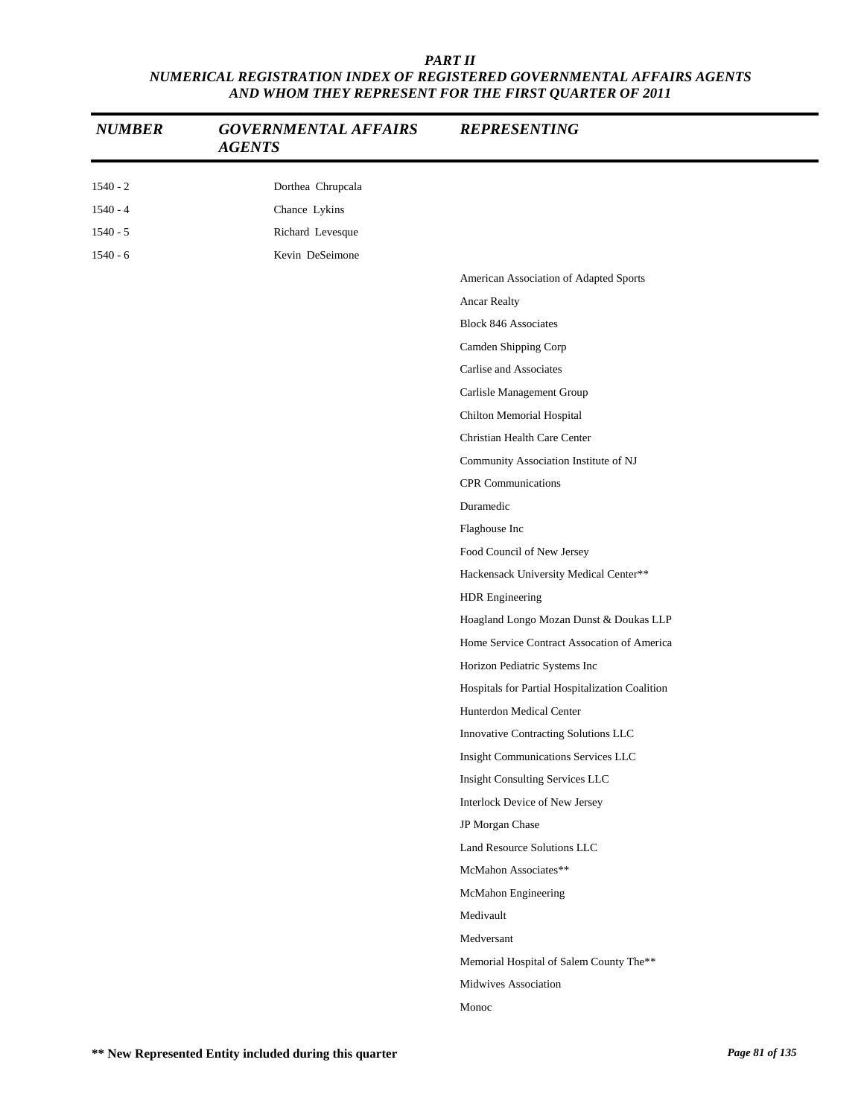| <b>NUMBER</b> | <b>GOVERNMENTAL AFFAIRS</b><br><b>AGENTS</b> | <b>REPRESENTING</b>                             |
|---------------|----------------------------------------------|-------------------------------------------------|
| $1540 - 2$    | Dorthea Chrupcala                            |                                                 |
| $1540 - 4$    | Chance Lykins                                |                                                 |
| $1540 - 5$    | Richard Levesque                             |                                                 |
| $1540 - 6$    | Kevin DeSeimone                              |                                                 |
|               |                                              | American Association of Adapted Sports          |
|               |                                              | Ancar Realty                                    |
|               |                                              | <b>Block 846 Associates</b>                     |
|               |                                              | Camden Shipping Corp                            |
|               |                                              | Carlise and Associates                          |
|               |                                              | Carlisle Management Group                       |
|               |                                              | Chilton Memorial Hospital                       |
|               |                                              | Christian Health Care Center                    |
|               |                                              | Community Association Institute of NJ           |
|               |                                              | <b>CPR</b> Communications                       |
|               |                                              | Duramedic                                       |
|               |                                              | Flaghouse Inc                                   |
|               |                                              | Food Council of New Jersey                      |
|               |                                              | Hackensack University Medical Center**          |
|               |                                              | HDR Engineering                                 |
|               |                                              | Hoagland Longo Mozan Dunst & Doukas LLP         |
|               |                                              | Home Service Contract Assocation of America     |
|               |                                              | Horizon Pediatric Systems Inc                   |
|               |                                              | Hospitals for Partial Hospitalization Coalition |
|               |                                              | Hunterdon Medical Center                        |
|               |                                              | Innovative Contracting Solutions LLC            |
|               |                                              | Insight Communications Services LLC             |
|               |                                              | Insight Consulting Services LLC                 |
|               |                                              | Interlock Device of New Jersey                  |
|               |                                              | JP Morgan Chase                                 |
|               |                                              | Land Resource Solutions LLC                     |
|               |                                              | McMahon Associates**                            |
|               |                                              | McMahon Engineering                             |
|               |                                              | Medivault                                       |
|               |                                              | Medversant                                      |
|               |                                              | Memorial Hospital of Salem County The**         |
|               |                                              | Midwives Association                            |
|               |                                              | Monoc                                           |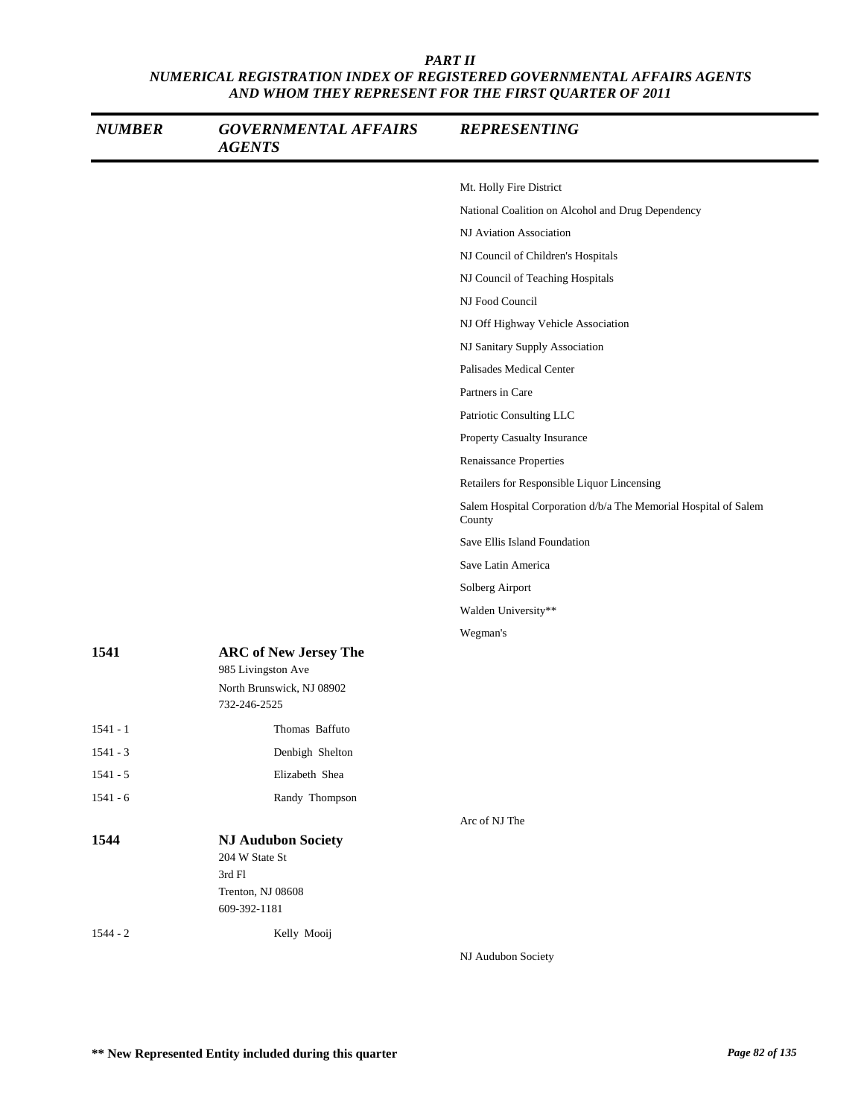| <b>NUMBER</b> | <b>GOVERNMENTAL AFFAIRS</b><br><b>AGENTS</b>                               | <b>REPRESENTING</b>                                                       |
|---------------|----------------------------------------------------------------------------|---------------------------------------------------------------------------|
|               |                                                                            | Mt. Holly Fire District                                                   |
|               |                                                                            | National Coalition on Alcohol and Drug Dependency                         |
|               |                                                                            | NJ Aviation Association                                                   |
|               |                                                                            | NJ Council of Children's Hospitals                                        |
|               |                                                                            | NJ Council of Teaching Hospitals                                          |
|               |                                                                            | NJ Food Council                                                           |
|               |                                                                            | NJ Off Highway Vehicle Association                                        |
|               |                                                                            | NJ Sanitary Supply Association                                            |
|               |                                                                            | Palisades Medical Center                                                  |
|               |                                                                            | Partners in Care                                                          |
|               |                                                                            | Patriotic Consulting LLC                                                  |
|               |                                                                            | Property Casualty Insurance                                               |
|               |                                                                            | Renaissance Properties                                                    |
|               |                                                                            | Retailers for Responsible Liquor Lincensing                               |
|               |                                                                            | Salem Hospital Corporation d/b/a The Memorial Hospital of Salem<br>County |
|               |                                                                            | Save Ellis Island Foundation                                              |
|               |                                                                            | Save Latin America                                                        |
|               |                                                                            | Solberg Airport                                                           |
|               |                                                                            | Walden University**                                                       |
|               |                                                                            | Wegman's                                                                  |
| 1541          | <b>ARC of New Jersey The</b><br>985 Livingston Ave                         |                                                                           |
|               | North Brunswick, NJ 08902<br>732-246-2525                                  |                                                                           |
| $1541 - 1$    | Thomas Baffuto                                                             |                                                                           |
| $1541 - 3$    | Denbigh Shelton                                                            |                                                                           |
| $1541 - 5$    | Elizabeth Shea                                                             |                                                                           |
| $1541 - 6$    | Randy Thompson                                                             |                                                                           |
|               |                                                                            | Arc of NJ The                                                             |
| 1544          | <b>NJ Audubon Society</b><br>204 W State St<br>3rd Fl<br>Trenton, NJ 08608 |                                                                           |
|               | 609-392-1181                                                               |                                                                           |
| $1544 - 2$    | Kelly Mooij                                                                |                                                                           |
|               |                                                                            | NJ Audubon Society                                                        |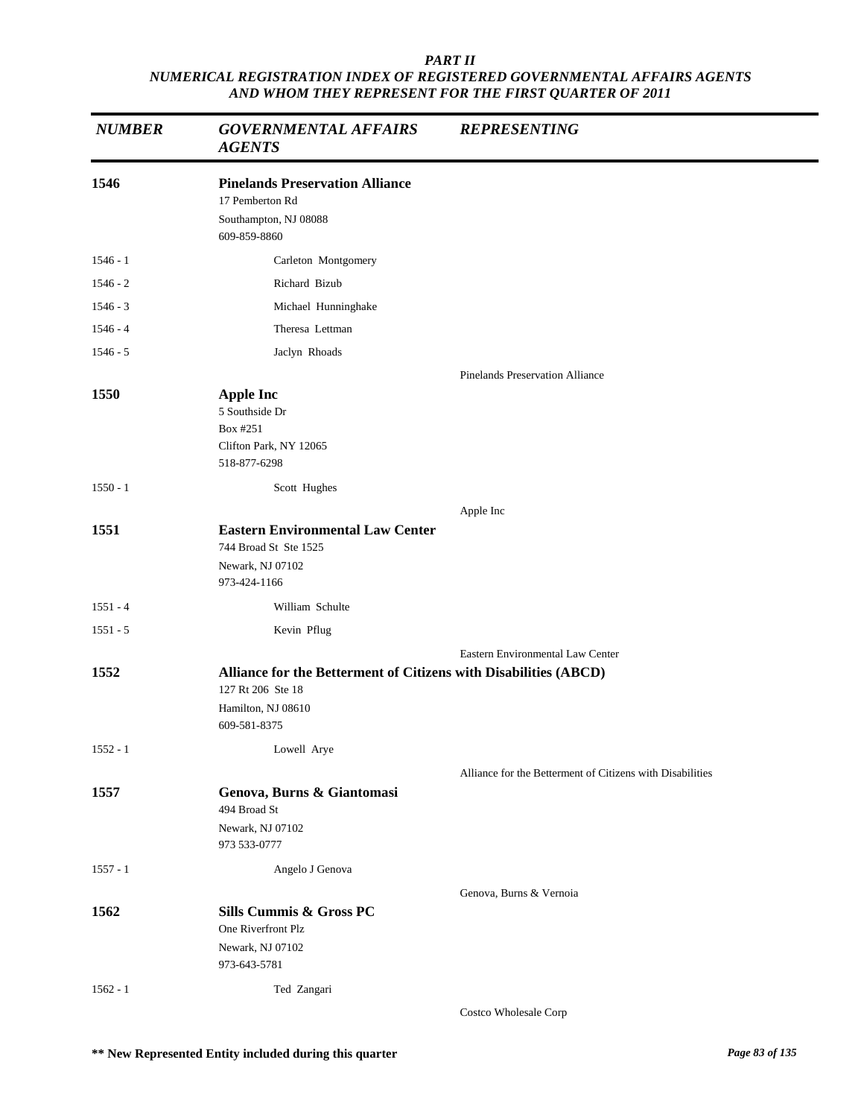| <b>NUMBER</b> | <b>GOVERNMENTAL AFFAIRS</b><br><b>AGENTS</b>                                                                                | <b>REPRESENTING</b>                                       |
|---------------|-----------------------------------------------------------------------------------------------------------------------------|-----------------------------------------------------------|
| 1546          | <b>Pinelands Preservation Alliance</b><br>17 Pemberton Rd<br>Southampton, NJ 08088<br>609-859-8860                          |                                                           |
| $1546 - 1$    | Carleton Montgomery                                                                                                         |                                                           |
| $1546 - 2$    | Richard Bizub                                                                                                               |                                                           |
| $1546 - 3$    | Michael Hunninghake                                                                                                         |                                                           |
| $1546 - 4$    | Theresa Lettman                                                                                                             |                                                           |
| $1546 - 5$    | Jaclyn Rhoads                                                                                                               |                                                           |
| 1550          | <b>Apple Inc</b><br>5 Southside Dr<br>Box #251<br>Clifton Park, NY 12065<br>518-877-6298                                    | <b>Pinelands Preservation Alliance</b>                    |
| $1550 - 1$    | Scott Hughes                                                                                                                |                                                           |
| 1551          | <b>Eastern Environmental Law Center</b><br>744 Broad St Ste 1525<br>Newark, NJ 07102<br>973-424-1166                        | Apple Inc                                                 |
| $1551 - 4$    | William Schulte                                                                                                             |                                                           |
| $1551 - 5$    | Kevin Pflug                                                                                                                 |                                                           |
|               |                                                                                                                             | Eastern Environmental Law Center                          |
| 1552          | Alliance for the Betterment of Citizens with Disabilities (ABCD)<br>127 Rt 206 Ste 18<br>Hamilton, NJ 08610<br>609-581-8375 |                                                           |
| $1552 - 1$    | Lowell Arye                                                                                                                 |                                                           |
| 1557          | Genova, Burns & Giantomasi<br>494 Broad St                                                                                  | Alliance for the Betterment of Citizens with Disabilities |
|               | Newark, NJ 07102<br>973 533-0777                                                                                            |                                                           |
| $1557 - 1$    | Angelo J Genova                                                                                                             |                                                           |
| 1562          | Sills Cummis & Gross PC<br>One Riverfront Plz<br>Newark, NJ 07102<br>973-643-5781                                           | Genova, Burns & Vernoia                                   |
| $1562 - 1$    | Ted Zangari                                                                                                                 | Costco Wholesale Corp                                     |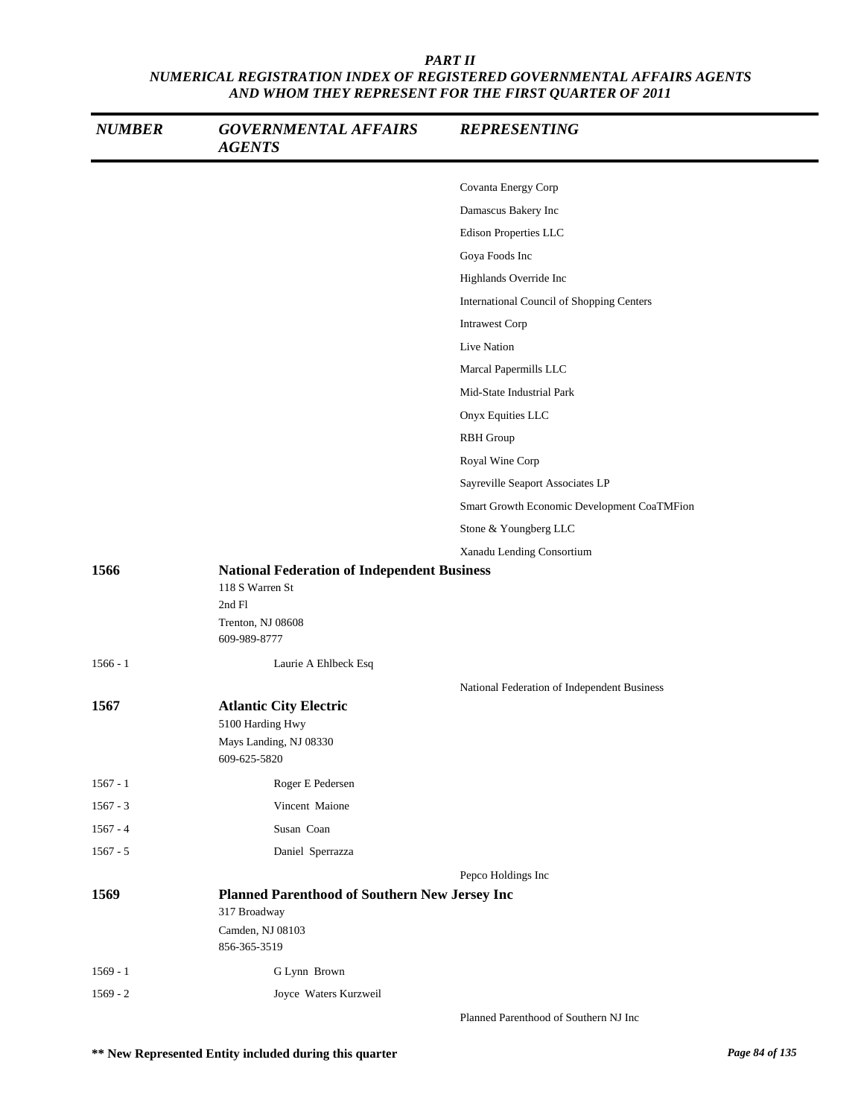| <b>NUMBER</b> | <b>GOVERNMENTAL AFFAIRS</b><br><b>AGENTS</b>                                                                         | <b>REPRESENTING</b>                              |
|---------------|----------------------------------------------------------------------------------------------------------------------|--------------------------------------------------|
|               |                                                                                                                      | Covanta Energy Corp                              |
|               |                                                                                                                      | Damascus Bakery Inc                              |
|               |                                                                                                                      | Edison Properties LLC                            |
|               |                                                                                                                      | Goya Foods Inc                                   |
|               |                                                                                                                      | Highlands Override Inc                           |
|               |                                                                                                                      | <b>International Council of Shopping Centers</b> |
|               |                                                                                                                      | <b>Intrawest Corp</b>                            |
|               |                                                                                                                      | Live Nation                                      |
|               |                                                                                                                      | Marcal Papermills LLC                            |
|               |                                                                                                                      | Mid-State Industrial Park                        |
|               |                                                                                                                      | Onyx Equities LLC                                |
|               |                                                                                                                      | <b>RBH</b> Group                                 |
|               |                                                                                                                      | Royal Wine Corp                                  |
|               |                                                                                                                      | Sayreville Seaport Associates LP                 |
|               |                                                                                                                      | Smart Growth Economic Development CoaTMFion      |
|               |                                                                                                                      | Stone & Youngberg LLC                            |
|               |                                                                                                                      | Xanadu Lending Consortium                        |
| 1566          | <b>National Federation of Independent Business</b><br>118 S Warren St<br>2nd Fl<br>Trenton, NJ 08608<br>609-989-8777 |                                                  |
| $1566 - 1$    | Laurie A Ehlbeck Esq                                                                                                 |                                                  |
|               |                                                                                                                      | National Federation of Independent Business      |
| 1567          | <b>Atlantic City Electric</b><br>5100 Harding Hwy                                                                    |                                                  |
|               | Mays Landing, NJ 08330<br>609-625-5820                                                                               |                                                  |
| $1567 - 1$    | Roger E Pedersen                                                                                                     |                                                  |
| $1567 - 3$    | Vincent Maione                                                                                                       |                                                  |
| $1567 - 4$    | Susan Coan                                                                                                           |                                                  |
| $1567 - 5$    | Daniel Sperrazza                                                                                                     |                                                  |
|               |                                                                                                                      | Pepco Holdings Inc                               |
| 1569          | Planned Parenthood of Southern New Jersey Inc<br>317 Broadway                                                        |                                                  |
|               | Camden, NJ 08103<br>856-365-3519                                                                                     |                                                  |
| $1569 - 1$    | G Lynn Brown                                                                                                         |                                                  |
| $1569 - 2$    | Joyce Waters Kurzweil                                                                                                |                                                  |
|               |                                                                                                                      | Planned Parenthood of Southern NJ Inc            |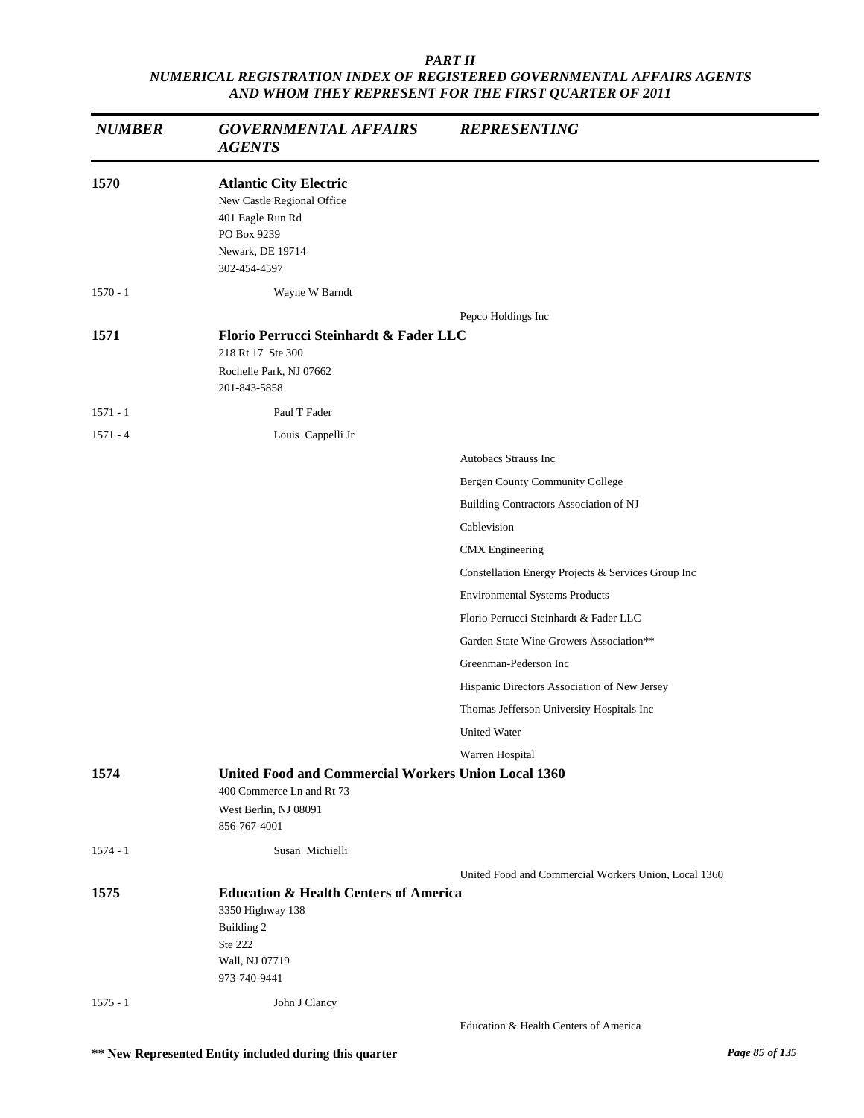| <b>NUMBER</b> | <b>GOVERNMENTAL AFFAIRS</b><br><b>AGENTS</b>                                                                                       | <b>REPRESENTING</b>                                  |  |
|---------------|------------------------------------------------------------------------------------------------------------------------------------|------------------------------------------------------|--|
| 1570          | <b>Atlantic City Electric</b><br>New Castle Regional Office<br>401 Eagle Run Rd<br>PO Box 9239<br>Newark, DE 19714<br>302-454-4597 |                                                      |  |
| $1570 - 1$    | Wayne W Barndt                                                                                                                     |                                                      |  |
|               |                                                                                                                                    | Pepco Holdings Inc                                   |  |
| 1571          | Florio Perrucci Steinhardt & Fader LLC<br>218 Rt 17 Ste 300<br>Rochelle Park, NJ 07662<br>201-843-5858                             |                                                      |  |
| $1571 - 1$    | Paul T Fader                                                                                                                       |                                                      |  |
| $1571 - 4$    | Louis Cappelli Jr                                                                                                                  |                                                      |  |
|               |                                                                                                                                    | Autobacs Strauss Inc                                 |  |
|               |                                                                                                                                    | Bergen County Community College                      |  |
|               |                                                                                                                                    | Building Contractors Association of NJ               |  |
|               |                                                                                                                                    | Cablevision                                          |  |
|               |                                                                                                                                    | <b>CMX</b> Engineering                               |  |
|               |                                                                                                                                    | Constellation Energy Projects & Services Group Inc   |  |
|               |                                                                                                                                    | <b>Environmental Systems Products</b>                |  |
|               |                                                                                                                                    | Florio Perrucci Steinhardt & Fader LLC               |  |
|               |                                                                                                                                    | Garden State Wine Growers Association**              |  |
|               |                                                                                                                                    | Greenman-Pederson Inc                                |  |
|               |                                                                                                                                    | Hispanic Directors Association of New Jersey         |  |
|               |                                                                                                                                    | Thomas Jefferson University Hospitals Inc            |  |
|               |                                                                                                                                    | <b>United Water</b>                                  |  |
|               |                                                                                                                                    | Warren Hospital                                      |  |
| 1574          | <b>United Food and Commercial Workers Union Local 1360</b>                                                                         |                                                      |  |
|               | 400 Commerce Ln and Rt 73<br>West Berlin, NJ 08091<br>856-767-4001                                                                 |                                                      |  |
| $1574 - 1$    | Susan Michielli                                                                                                                    |                                                      |  |
|               |                                                                                                                                    | United Food and Commercial Workers Union, Local 1360 |  |
| 1575          | <b>Education &amp; Health Centers of America</b><br>3350 Highway 138<br>Building 2<br>Ste 222<br>Wall, NJ 07719<br>973-740-9441    |                                                      |  |
| $1575 - 1$    | John J Clancy                                                                                                                      |                                                      |  |
|               |                                                                                                                                    | Education & Health Centers of America                |  |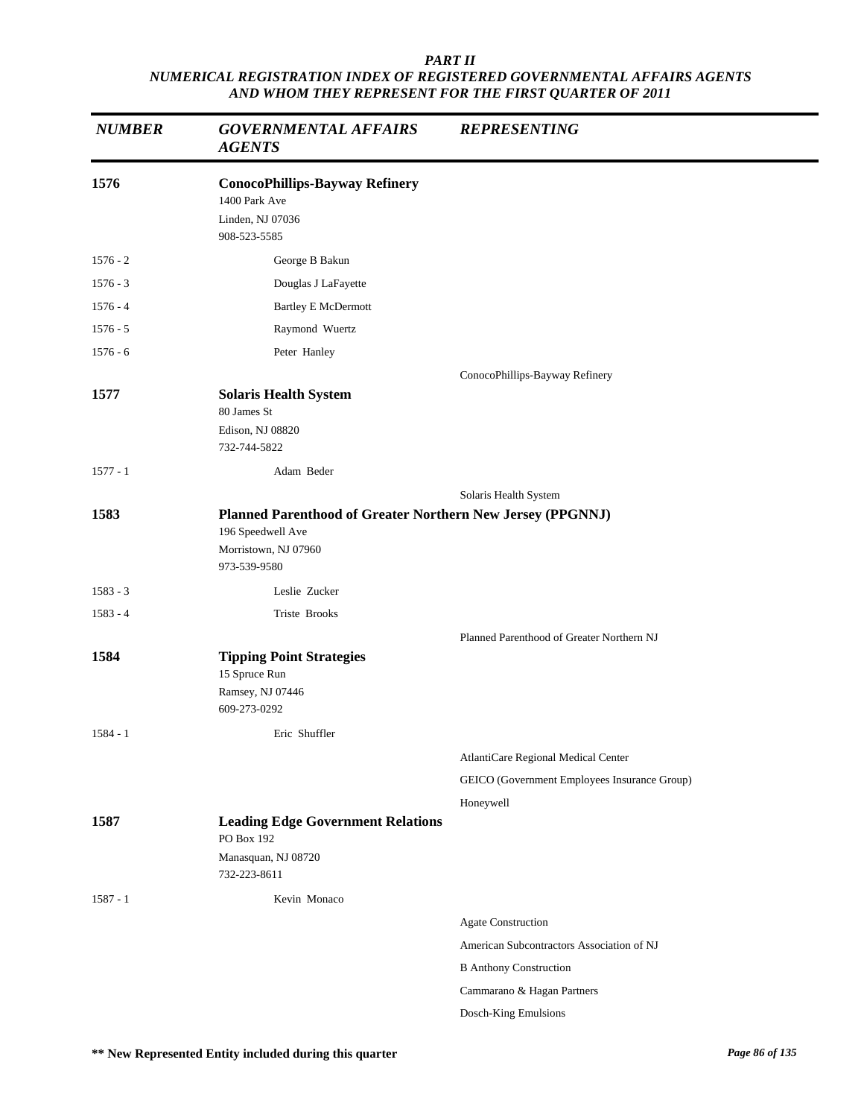| <b>NUMBER</b> | <b>GOVERNMENTAL AFFAIRS</b><br><b>AGENTS</b>                                                                            | <b>REPRESENTING</b>                          |
|---------------|-------------------------------------------------------------------------------------------------------------------------|----------------------------------------------|
| 1576          | <b>ConocoPhillips-Bayway Refinery</b><br>1400 Park Ave<br>Linden, NJ 07036<br>908-523-5585                              |                                              |
| $1576 - 2$    | George B Bakun                                                                                                          |                                              |
| $1576 - 3$    | Douglas J LaFayette                                                                                                     |                                              |
| $1576 - 4$    | <b>Bartley E McDermott</b>                                                                                              |                                              |
| $1576 - 5$    | Raymond Wuertz                                                                                                          |                                              |
| $1576 - 6$    | Peter Hanley                                                                                                            |                                              |
| 1577          | <b>Solaris Health System</b><br>80 James St<br>Edison, NJ 08820<br>732-744-5822                                         | ConocoPhillips-Bayway Refinery               |
| $1577 - 1$    | Adam Beder                                                                                                              |                                              |
|               |                                                                                                                         |                                              |
| 1583          | Planned Parenthood of Greater Northern New Jersey (PPGNNJ)<br>196 Speedwell Ave<br>Morristown, NJ 07960<br>973-539-9580 | Solaris Health System                        |
| $1583 - 3$    | Leslie Zucker                                                                                                           |                                              |
| $1583 - 4$    | Triste Brooks                                                                                                           |                                              |
|               |                                                                                                                         | Planned Parenthood of Greater Northern NJ    |
| 1584          | <b>Tipping Point Strategies</b><br>15 Spruce Run<br>Ramsey, NJ 07446<br>609-273-0292                                    |                                              |
| $1584 - 1$    | Eric Shuffler                                                                                                           |                                              |
|               |                                                                                                                         | AtlantiCare Regional Medical Center          |
|               |                                                                                                                         | GEICO (Government Employees Insurance Group) |
|               |                                                                                                                         | Honeywell                                    |
| 1587          | <b>Leading Edge Government Relations</b><br>PO Box 192<br>Manasquan, NJ 08720                                           |                                              |
|               | 732-223-8611                                                                                                            |                                              |
| $1587 - 1$    | Kevin Monaco                                                                                                            |                                              |
|               |                                                                                                                         | Agate Construction                           |
|               |                                                                                                                         | American Subcontractors Association of NJ    |
|               |                                                                                                                         | <b>B</b> Anthony Construction                |
|               |                                                                                                                         | Cammarano & Hagan Partners                   |
|               |                                                                                                                         | Dosch-King Emulsions                         |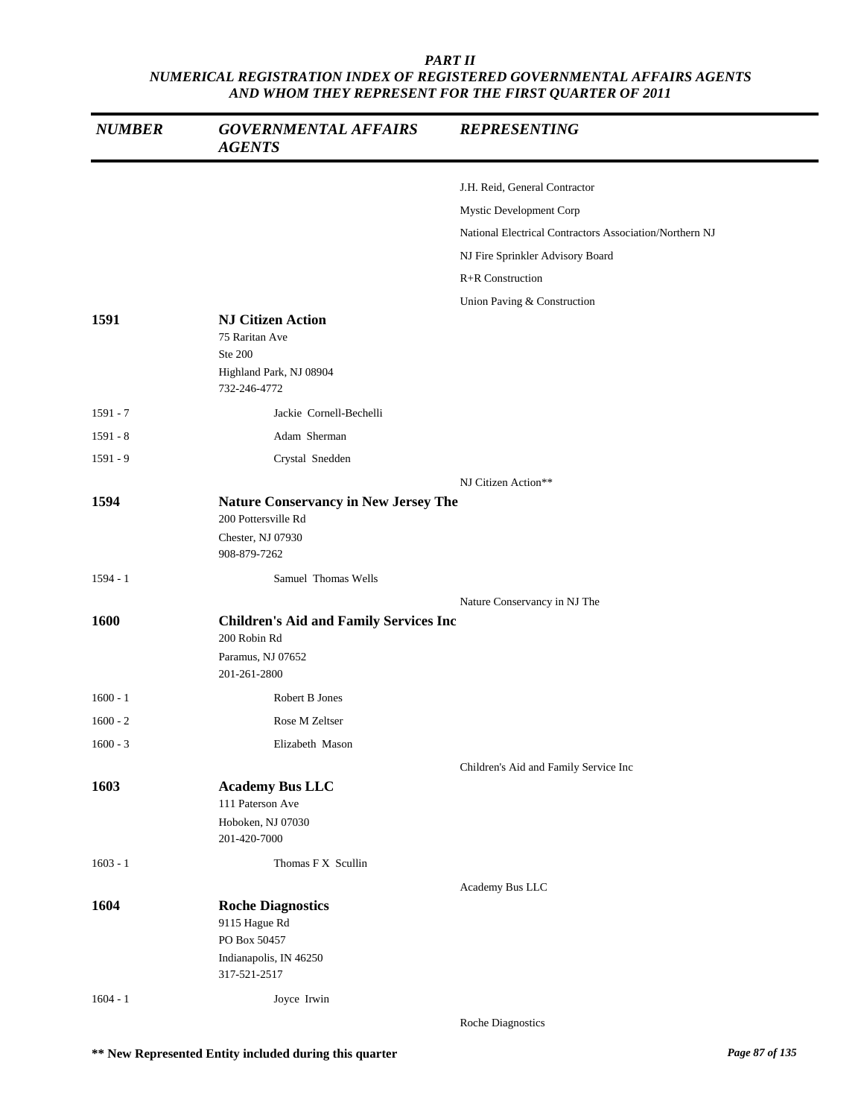| <b>NUMBER</b> | <b>GOVERNMENTAL AFFAIRS</b><br><b>AGENTS</b>                                                            | <b>REPRESENTING</b>                                     |
|---------------|---------------------------------------------------------------------------------------------------------|---------------------------------------------------------|
|               |                                                                                                         | J.H. Reid, General Contractor                           |
|               |                                                                                                         | Mystic Development Corp                                 |
|               |                                                                                                         | National Electrical Contractors Association/Northern NJ |
|               |                                                                                                         | NJ Fire Sprinkler Advisory Board                        |
|               |                                                                                                         | R+R Construction                                        |
|               |                                                                                                         | Union Paving & Construction                             |
| 1591          | <b>NJ Citizen Action</b><br>75 Raritan Ave<br><b>Ste 200</b><br>Highland Park, NJ 08904<br>732-246-4772 |                                                         |
| $1591 - 7$    | Jackie Cornell-Bechelli                                                                                 |                                                         |
| 1591 - 8      | Adam Sherman                                                                                            |                                                         |
| $1591 - 9$    | Crystal Snedden                                                                                         |                                                         |
|               |                                                                                                         | NJ Citizen Action**                                     |
| 1594          | <b>Nature Conservancy in New Jersey The</b><br>200 Pottersville Rd<br>Chester, NJ 07930<br>908-879-7262 |                                                         |
| $1594 - 1$    | Samuel Thomas Wells                                                                                     |                                                         |
| 1600          | <b>Children's Aid and Family Services Inc</b><br>200 Robin Rd<br>Paramus, NJ 07652<br>201-261-2800      | Nature Conservancy in NJ The                            |
| $1600 - 1$    | Robert B Jones                                                                                          |                                                         |
| $1600 - 2$    | Rose M Zeltser                                                                                          |                                                         |
| $1600 - 3$    | Elizabeth Mason                                                                                         |                                                         |
|               |                                                                                                         | Children's Aid and Family Service Inc                   |
| 1603          | <b>Academy Bus LLC</b><br>111 Paterson Ave<br>Hoboken, NJ 07030<br>201-420-7000                         |                                                         |
| $1603 - 1$    | Thomas F X Scullin                                                                                      |                                                         |
| 1604          | <b>Roche Diagnostics</b><br>9115 Hague Rd<br>PO Box 50457<br>Indianapolis, IN 46250<br>317-521-2517     | Academy Bus LLC                                         |
| $1604 - 1$    | Joyce Irwin                                                                                             | Roche Diagnostics                                       |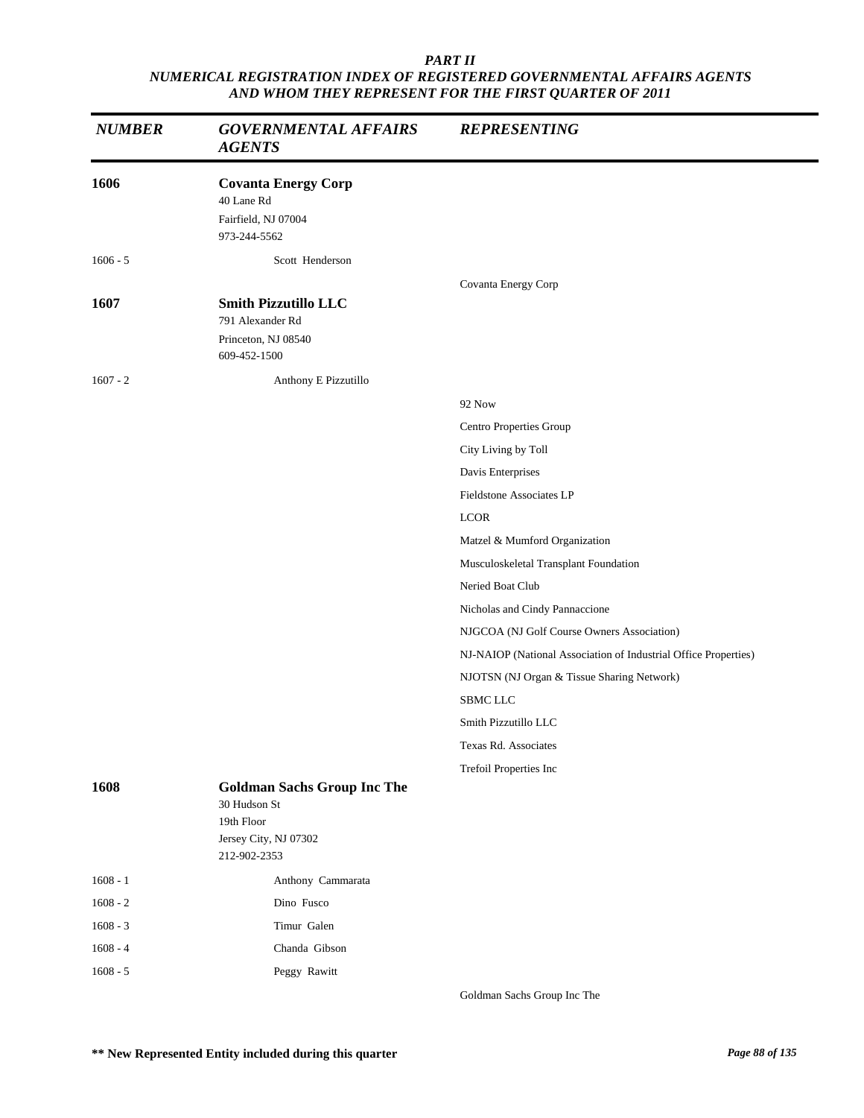| <b>NUMBER</b> | <b>GOVERNMENTAL AFFAIRS</b><br><b>AGENTS</b>                                                              | <b>REPRESENTING</b>                                             |
|---------------|-----------------------------------------------------------------------------------------------------------|-----------------------------------------------------------------|
| 1606          | <b>Covanta Energy Corp</b><br>40 Lane Rd<br>Fairfield, NJ 07004<br>973-244-5562                           |                                                                 |
| $1606 - 5$    | Scott Henderson                                                                                           |                                                                 |
| 1607          | <b>Smith Pizzutillo LLC</b><br>791 Alexander Rd<br>Princeton, NJ 08540<br>609-452-1500                    | Covanta Energy Corp                                             |
| $1607 - 2$    | Anthony E Pizzutillo                                                                                      |                                                                 |
|               |                                                                                                           | 92 Now                                                          |
|               |                                                                                                           | Centro Properties Group                                         |
|               |                                                                                                           | City Living by Toll                                             |
|               |                                                                                                           | Davis Enterprises                                               |
|               |                                                                                                           | Fieldstone Associates LP                                        |
|               |                                                                                                           | <b>LCOR</b>                                                     |
|               |                                                                                                           | Matzel & Mumford Organization                                   |
|               |                                                                                                           | Musculoskeletal Transplant Foundation                           |
|               |                                                                                                           | Neried Boat Club                                                |
|               |                                                                                                           | Nicholas and Cindy Pannaccione                                  |
|               |                                                                                                           | NJGCOA (NJ Golf Course Owners Association)                      |
|               |                                                                                                           | NJ-NAIOP (National Association of Industrial Office Properties) |
|               |                                                                                                           | NJOTSN (NJ Organ & Tissue Sharing Network)                      |
|               |                                                                                                           | <b>SBMC LLC</b>                                                 |
|               |                                                                                                           | Smith Pizzutillo LLC                                            |
|               |                                                                                                           | Texas Rd. Associates                                            |
|               |                                                                                                           | Trefoil Properties Inc                                          |
| 1608          | <b>Goldman Sachs Group Inc The</b><br>30 Hudson St<br>19th Floor<br>Jersey City, NJ 07302<br>212-902-2353 |                                                                 |
| $1608 - 1$    | Anthony Cammarata                                                                                         |                                                                 |
| $1608 - 2$    | Dino Fusco                                                                                                |                                                                 |
| $1608 - 3$    | Timur Galen                                                                                               |                                                                 |
| $1608 - 4$    | Chanda Gibson                                                                                             |                                                                 |
| $1608 - 5$    | Peggy Rawitt                                                                                              |                                                                 |

Goldman Sachs Group Inc The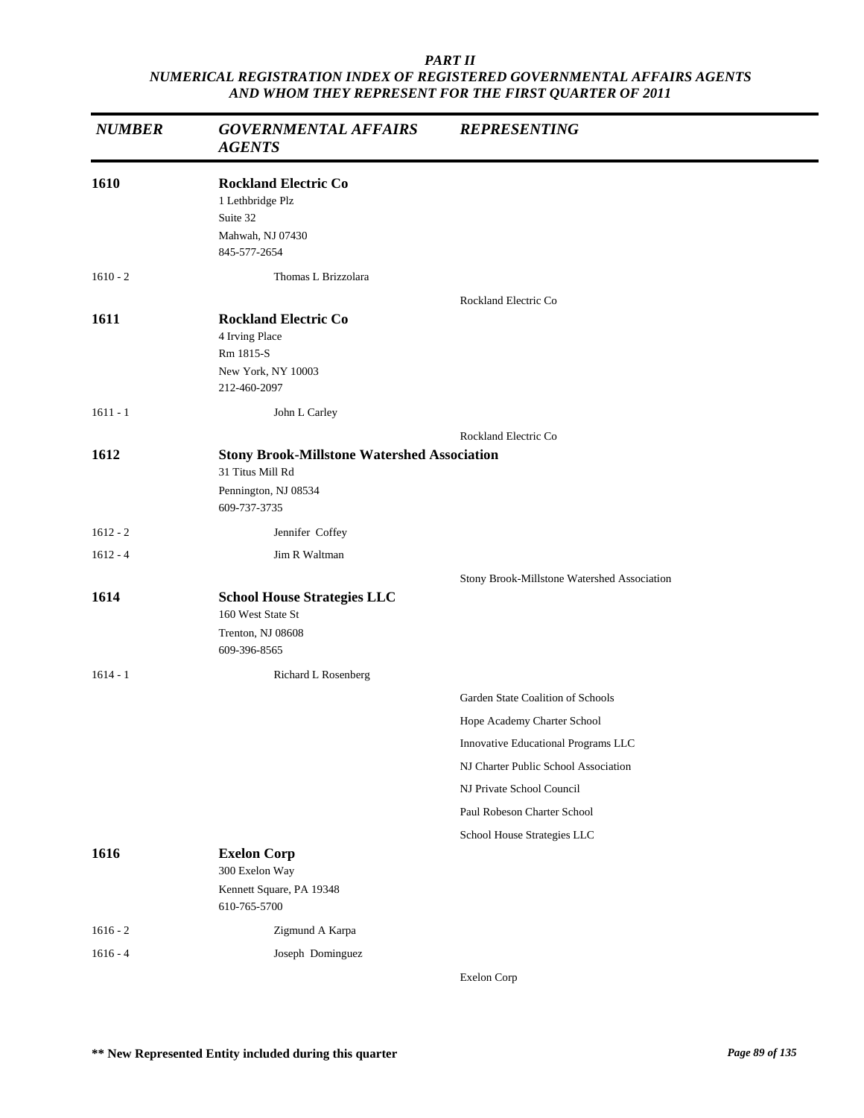| <b>NUMBER</b> | <b>GOVERNMENTAL AFFAIRS</b><br><b>AGENTS</b>                                                                   | <b>REPRESENTING</b>                         |
|---------------|----------------------------------------------------------------------------------------------------------------|---------------------------------------------|
| 1610          | <b>Rockland Electric Co</b><br>1 Lethbridge Plz<br>Suite 32<br>Mahwah, NJ 07430<br>845-577-2654                |                                             |
| $1610 - 2$    | Thomas L Brizzolara                                                                                            |                                             |
| 1611          | <b>Rockland Electric Co</b><br>4 Irving Place<br>Rm 1815-S<br>New York, NY 10003<br>212-460-2097               | Rockland Electric Co                        |
| $1611 - 1$    | John L Carley                                                                                                  |                                             |
|               |                                                                                                                | Rockland Electric Co                        |
| 1612          | <b>Stony Brook-Millstone Watershed Association</b><br>31 Titus Mill Rd<br>Pennington, NJ 08534<br>609-737-3735 |                                             |
| $1612 - 2$    | Jennifer Coffey                                                                                                |                                             |
| $1612 - 4$    | Jim R Waltman                                                                                                  |                                             |
|               |                                                                                                                | Stony Brook-Millstone Watershed Association |
| 1614          | <b>School House Strategies LLC</b><br>160 West State St<br>Trenton, NJ 08608<br>609-396-8565                   |                                             |
| $1614 - 1$    | Richard L Rosenberg                                                                                            |                                             |
|               |                                                                                                                | Garden State Coalition of Schools           |
|               |                                                                                                                | Hope Academy Charter School                 |
|               |                                                                                                                | Innovative Educational Programs LLC         |
|               |                                                                                                                | NJ Charter Public School Association        |
|               |                                                                                                                | NJ Private School Council                   |
|               |                                                                                                                | Paul Robeson Charter School                 |
| 1616          | <b>Exelon Corp</b><br>300 Exelon Way<br>Kennett Square, PA 19348<br>610-765-5700                               | School House Strategies LLC                 |
| $1616 - 2$    | Zigmund A Karpa                                                                                                |                                             |
| $1616 - 4$    | Joseph Dominguez                                                                                               |                                             |

Exelon Corp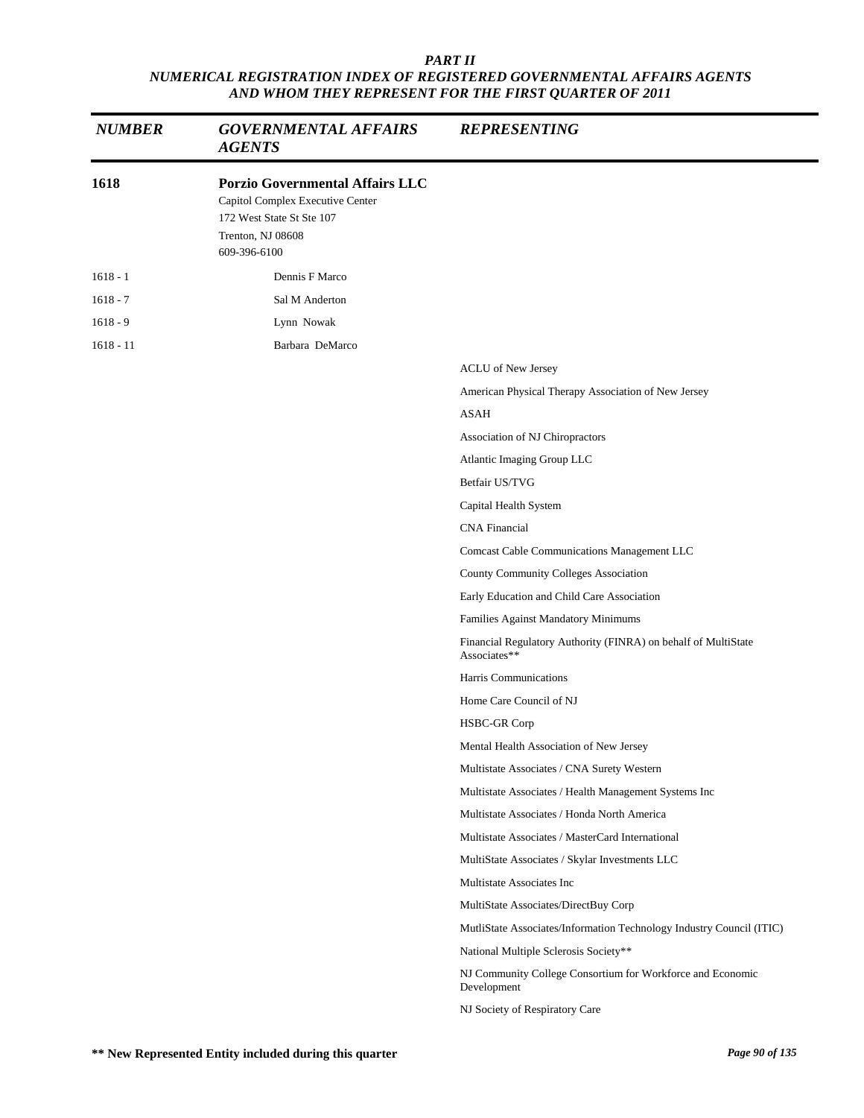| <b>NUMBER</b> | <b>GOVERNMENTAL AFFAIRS</b><br><b>AGENTS</b>                                                                                                 | <b>REPRESENTING</b>                                                            |
|---------------|----------------------------------------------------------------------------------------------------------------------------------------------|--------------------------------------------------------------------------------|
| 1618          | <b>Porzio Governmental Affairs LLC</b><br>Capitol Complex Executive Center<br>172 West State St Ste 107<br>Trenton, NJ 08608<br>609-396-6100 |                                                                                |
| $1618 - 1$    | Dennis F Marco                                                                                                                               |                                                                                |
| $1618 - 7$    | Sal M Anderton                                                                                                                               |                                                                                |
| $1618 - 9$    | Lynn Nowak                                                                                                                                   |                                                                                |
| $1618 - 11$   | Barbara DeMarco                                                                                                                              |                                                                                |
|               |                                                                                                                                              | ACLU of New Jersey                                                             |
|               |                                                                                                                                              | American Physical Therapy Association of New Jersey                            |
|               |                                                                                                                                              | <b>ASAH</b>                                                                    |
|               |                                                                                                                                              | Association of NJ Chiropractors                                                |
|               |                                                                                                                                              | Atlantic Imaging Group LLC                                                     |
|               |                                                                                                                                              | Betfair US/TVG                                                                 |
|               |                                                                                                                                              | Capital Health System                                                          |
|               |                                                                                                                                              | <b>CNA</b> Financial                                                           |
|               |                                                                                                                                              | Comcast Cable Communications Management LLC                                    |
|               |                                                                                                                                              | County Community Colleges Association                                          |
|               |                                                                                                                                              | Early Education and Child Care Association                                     |
|               |                                                                                                                                              | Families Against Mandatory Minimums                                            |
|               |                                                                                                                                              | Financial Regulatory Authority (FINRA) on behalf of MultiState<br>Associates** |
|               |                                                                                                                                              | Harris Communications                                                          |
|               |                                                                                                                                              | Home Care Council of NJ                                                        |
|               |                                                                                                                                              | HSBC-GR Corp                                                                   |
|               |                                                                                                                                              | Mental Health Association of New Jersey                                        |
|               |                                                                                                                                              | Multistate Associates / CNA Surety Western                                     |
|               |                                                                                                                                              | Multistate Associates / Health Management Systems Inc                          |
|               |                                                                                                                                              | Multistate Associates / Honda North America                                    |
|               |                                                                                                                                              | Multistate Associates / MasterCard International                               |
|               |                                                                                                                                              | MultiState Associates / Skylar Investments LLC                                 |
|               |                                                                                                                                              | Multistate Associates Inc                                                      |
|               |                                                                                                                                              | MultiState Associates/DirectBuy Corp                                           |
|               |                                                                                                                                              | MutliState Associates/Information Technology Industry Council (ITIC)           |
|               |                                                                                                                                              | National Multiple Sclerosis Society**                                          |
|               |                                                                                                                                              | NJ Community College Consortium for Workforce and Economic<br>Development      |
|               |                                                                                                                                              | NJ Society of Respiratory Care                                                 |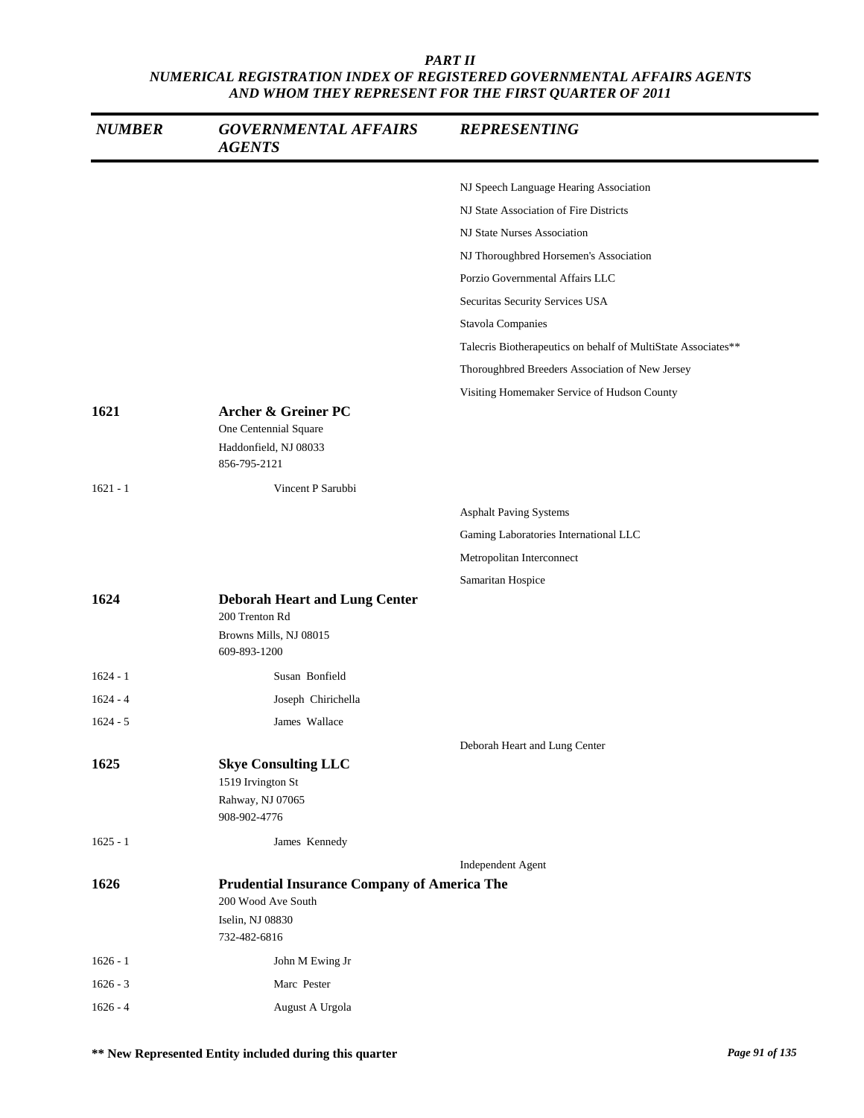| <b>NUMBER</b> | <b>GOVERNMENTAL AFFAIRS</b><br><b>AGENTS</b>                                                                 | <b>REPRESENTING</b>                                           |
|---------------|--------------------------------------------------------------------------------------------------------------|---------------------------------------------------------------|
|               |                                                                                                              | NJ Speech Language Hearing Association                        |
|               |                                                                                                              | NJ State Association of Fire Districts                        |
|               |                                                                                                              | NJ State Nurses Association                                   |
|               |                                                                                                              | NJ Thoroughbred Horsemen's Association                        |
|               |                                                                                                              | Porzio Governmental Affairs LLC                               |
|               |                                                                                                              | Securitas Security Services USA                               |
|               |                                                                                                              | Stavola Companies                                             |
|               |                                                                                                              | Talecris Biotherapeutics on behalf of MultiState Associates** |
|               |                                                                                                              | Thoroughbred Breeders Association of New Jersey               |
|               |                                                                                                              | Visiting Homemaker Service of Hudson County                   |
| 1621          | Archer & Greiner PC<br>One Centennial Square<br>Haddonfield, NJ 08033<br>856-795-2121                        |                                                               |
| $1621 - 1$    | Vincent P Sarubbi                                                                                            |                                                               |
|               |                                                                                                              | <b>Asphalt Paving Systems</b>                                 |
|               |                                                                                                              | Gaming Laboratories International LLC                         |
|               |                                                                                                              | Metropolitan Interconnect                                     |
|               |                                                                                                              | Samaritan Hospice                                             |
| 1624          | <b>Deborah Heart and Lung Center</b><br>200 Trenton Rd<br>Browns Mills, NJ 08015<br>609-893-1200             |                                                               |
| $1624 - 1$    | Susan Bonfield                                                                                               |                                                               |
| $1624 - 4$    | Joseph Chirichella                                                                                           |                                                               |
| $1624 - 5$    | James Wallace                                                                                                |                                                               |
|               |                                                                                                              | Deborah Heart and Lung Center                                 |
| 1625          | <b>Skye Consulting LLC</b><br>1519 Irvington St<br>Rahway, NJ 07065<br>908-902-4776                          |                                                               |
| $1625 - 1$    | James Kennedy                                                                                                |                                                               |
|               |                                                                                                              | Independent Agent                                             |
| 1626          | <b>Prudential Insurance Company of America The</b><br>200 Wood Ave South<br>Iselin, NJ 08830<br>732-482-6816 |                                                               |
| $1626 - 1$    | John M Ewing Jr                                                                                              |                                                               |
| $1626 - 3$    | Marc Pester                                                                                                  |                                                               |
| $1626 - 4$    | August A Urgola                                                                                              |                                                               |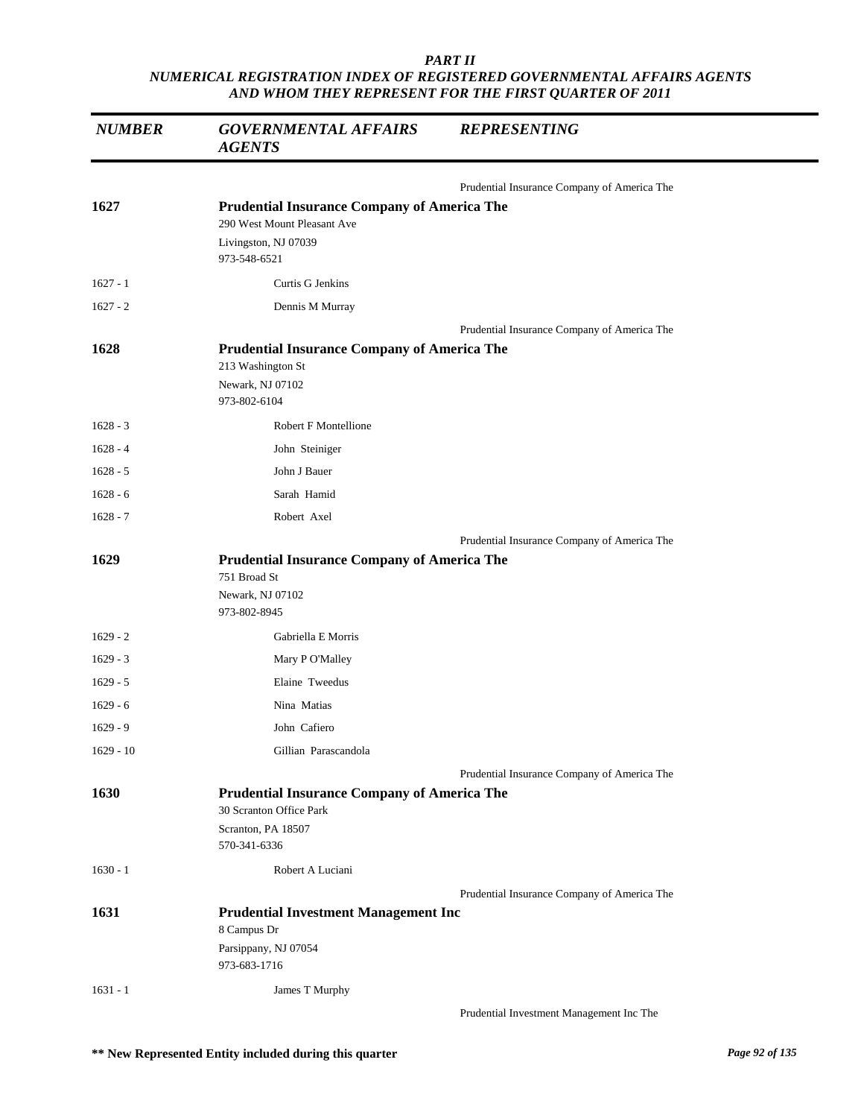| <b>NUMBER</b> | <b>GOVERNMENTAL AFFAIRS</b><br><b>AGENTS</b>                                                                              | <b>REPRESENTING</b>                         |
|---------------|---------------------------------------------------------------------------------------------------------------------------|---------------------------------------------|
|               |                                                                                                                           | Prudential Insurance Company of America The |
| 1627          | <b>Prudential Insurance Company of America The</b><br>290 West Mount Pleasant Ave<br>Livingston, NJ 07039<br>973-548-6521 |                                             |
| $1627 - 1$    | Curtis G Jenkins                                                                                                          |                                             |
| $1627 - 2$    | Dennis M Murray                                                                                                           |                                             |
|               |                                                                                                                           | Prudential Insurance Company of America The |
| 1628          | <b>Prudential Insurance Company of America The</b><br>213 Washington St<br>Newark, NJ 07102<br>973-802-6104               |                                             |
| $1628 - 3$    | <b>Robert F Montellione</b>                                                                                               |                                             |
| $1628 - 4$    | John Steiniger                                                                                                            |                                             |
| $1628 - 5$    | John J Bauer                                                                                                              |                                             |
| $1628 - 6$    | Sarah Hamid                                                                                                               |                                             |
| $1628 - 7$    | Robert Axel                                                                                                               |                                             |
|               |                                                                                                                           | Prudential Insurance Company of America The |
| 1629          | <b>Prudential Insurance Company of America The</b><br>751 Broad St<br>Newark, NJ 07102<br>973-802-8945                    |                                             |
| $1629 - 2$    | Gabriella E Morris                                                                                                        |                                             |
| $1629 - 3$    | Mary P O'Malley                                                                                                           |                                             |
| $1629 - 5$    | Elaine Tweedus                                                                                                            |                                             |
| $1629 - 6$    | Nina Matias                                                                                                               |                                             |
| $1629 - 9$    | John Cafiero                                                                                                              |                                             |
| $1629 - 10$   | Gillian Parascandola                                                                                                      |                                             |
|               |                                                                                                                           | Prudential Insurance Company of America The |
| 1630          | <b>Prudential Insurance Company of America The</b><br>30 Scranton Office Park<br>Scranton, PA 18507<br>570-341-6336       |                                             |
| $1630 - 1$    | Robert A Luciani                                                                                                          |                                             |
|               |                                                                                                                           | Prudential Insurance Company of America The |
| 1631          | <b>Prudential Investment Management Inc</b><br>8 Campus Dr<br>Parsippany, NJ 07054<br>973-683-1716                        |                                             |
| $1631 - 1$    | James T Murphy                                                                                                            |                                             |
|               |                                                                                                                           | Prudential Investment Management Inc The    |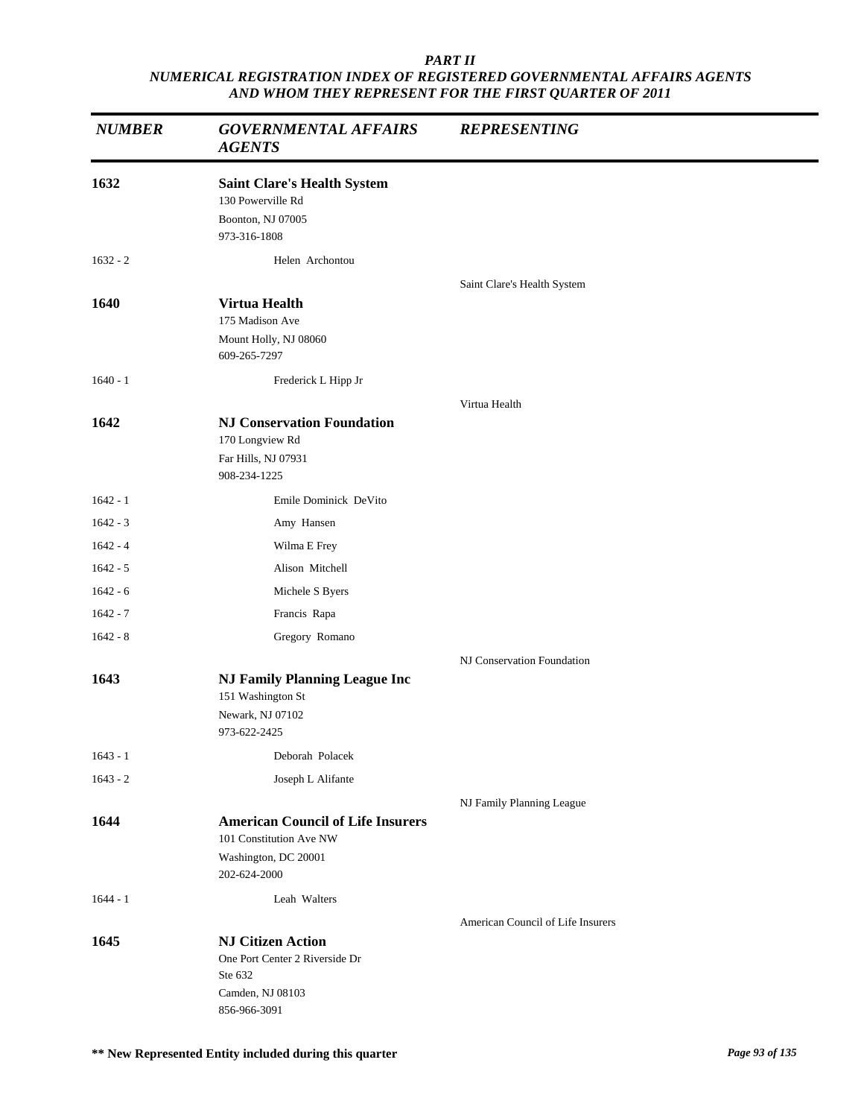| <b>NUMBER</b> | <b>GOVERNMENTAL AFFAIRS</b><br><b>AGENTS</b>                                                                | <b>REPRESENTING</b>               |
|---------------|-------------------------------------------------------------------------------------------------------------|-----------------------------------|
| 1632          | <b>Saint Clare's Health System</b><br>130 Powerville Rd<br>Boonton, NJ 07005<br>973-316-1808                |                                   |
| $1632 - 2$    | Helen Archontou                                                                                             |                                   |
| 1640          | <b>Virtua Health</b><br>175 Madison Ave<br>Mount Holly, NJ 08060<br>609-265-7297                            | Saint Clare's Health System       |
| $1640 - 1$    | Frederick L Hipp Jr                                                                                         |                                   |
| 1642          | <b>NJ Conservation Foundation</b><br>170 Longview Rd<br>Far Hills, NJ 07931<br>908-234-1225                 | Virtua Health                     |
| $1642 - 1$    | Emile Dominick DeVito                                                                                       |                                   |
| $1642 - 3$    | Amy Hansen                                                                                                  |                                   |
| $1642 - 4$    | Wilma E Frey                                                                                                |                                   |
| $1642 - 5$    | Alison Mitchell                                                                                             |                                   |
| $1642 - 6$    | Michele S Byers                                                                                             |                                   |
| $1642 - 7$    | Francis Rapa                                                                                                |                                   |
| $1642 - 8$    | Gregory Romano                                                                                              |                                   |
| 1643          | <b>NJ Family Planning League Inc</b><br>151 Washington St<br>Newark, NJ 07102<br>973-622-2425               | NJ Conservation Foundation        |
| $1643 - 1$    | Deborah Polacek                                                                                             |                                   |
| $1643 - 2$    | Joseph L Alifante                                                                                           |                                   |
| 1644          | <b>American Council of Life Insurers</b><br>101 Constitution Ave NW<br>Washington, DC 20001<br>202-624-2000 | NJ Family Planning League         |
| $1644 - 1$    | Leah Walters                                                                                                |                                   |
| 1645          | <b>NJ Citizen Action</b><br>One Port Center 2 Riverside Dr<br>Ste 632<br>Camden, NJ 08103<br>856-966-3091   | American Council of Life Insurers |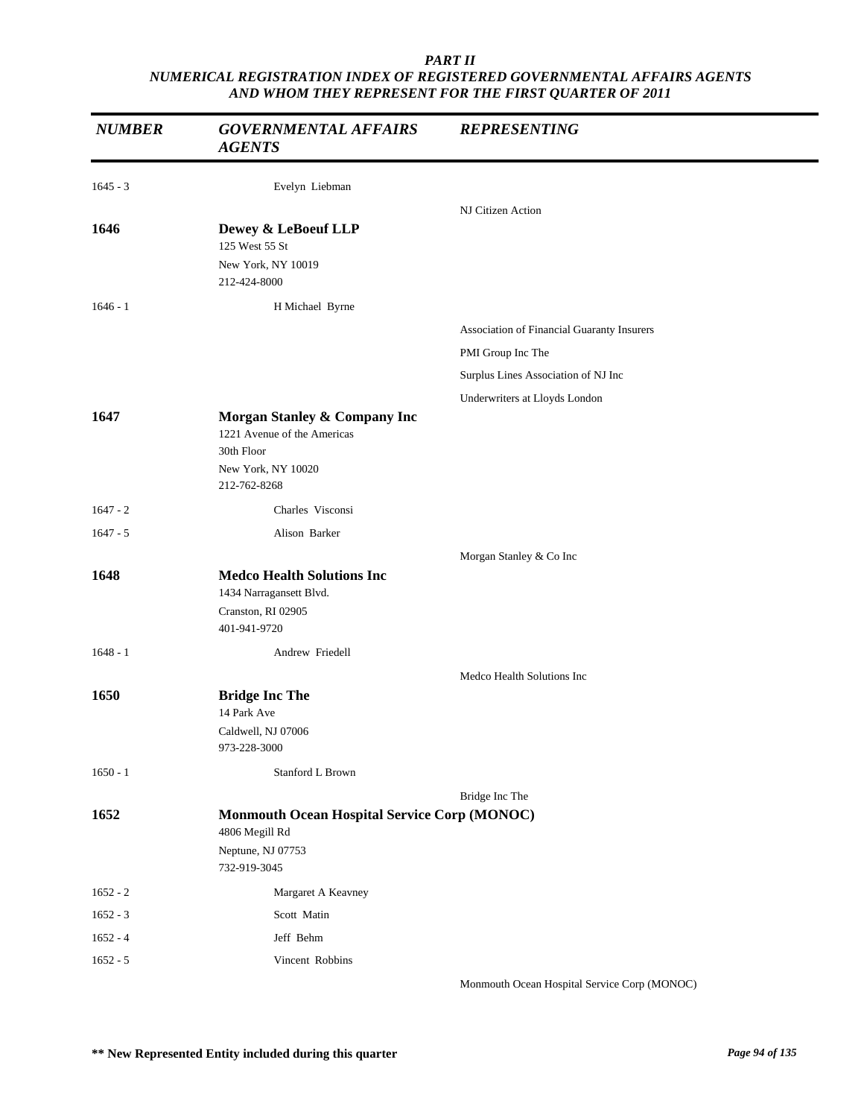| <b>NUMBER</b> | <b>GOVERNMENTAL AFFAIRS</b><br><b>AGENTS</b>                                                                    | <b>REPRESENTING</b>                        |
|---------------|-----------------------------------------------------------------------------------------------------------------|--------------------------------------------|
| $1645 - 3$    | Evelyn Liebman                                                                                                  |                                            |
|               |                                                                                                                 | NJ Citizen Action                          |
| 1646          | Dewey & LeBoeuf LLP<br>125 West 55 St<br>New York, NY 10019<br>212-424-8000                                     |                                            |
| $1646 - 1$    | H Michael Byrne                                                                                                 |                                            |
|               |                                                                                                                 | Association of Financial Guaranty Insurers |
|               |                                                                                                                 | PMI Group Inc The                          |
|               |                                                                                                                 | Surplus Lines Association of NJ Inc        |
|               |                                                                                                                 | Underwriters at Lloyds London              |
| 1647          | Morgan Stanley & Company Inc<br>1221 Avenue of the Americas<br>30th Floor<br>New York, NY 10020<br>212-762-8268 |                                            |
| $1647 - 2$    | Charles Visconsi                                                                                                |                                            |
| $1647 - 5$    | Alison Barker                                                                                                   |                                            |
|               |                                                                                                                 | Morgan Stanley & Co Inc                    |
| 1648          | <b>Medco Health Solutions Inc</b><br>1434 Narragansett Blvd.<br>Cranston, RI 02905<br>401-941-9720              |                                            |
| $1648 - 1$    | Andrew Friedell                                                                                                 |                                            |
|               |                                                                                                                 | Medco Health Solutions Inc                 |
| 1650          | <b>Bridge Inc The</b><br>14 Park Ave<br>Caldwell, NJ 07006<br>973-228-3000                                      |                                            |
| $1650 - 1$    | Stanford L Brown                                                                                                |                                            |
|               |                                                                                                                 | Bridge Inc The                             |
| 1652          | <b>Monmouth Ocean Hospital Service Corp (MONOC)</b><br>4806 Megill Rd<br>Neptune, NJ 07753<br>732-919-3045      |                                            |
| $1652 - 2$    | Margaret A Keavney                                                                                              |                                            |
| $1652 - 3$    | Scott Matin                                                                                                     |                                            |
| $1652 - 4$    | Jeff Behm                                                                                                       |                                            |
| $1652 - 5$    | Vincent Robbins                                                                                                 |                                            |

Monmouth Ocean Hospital Service Corp (MONOC)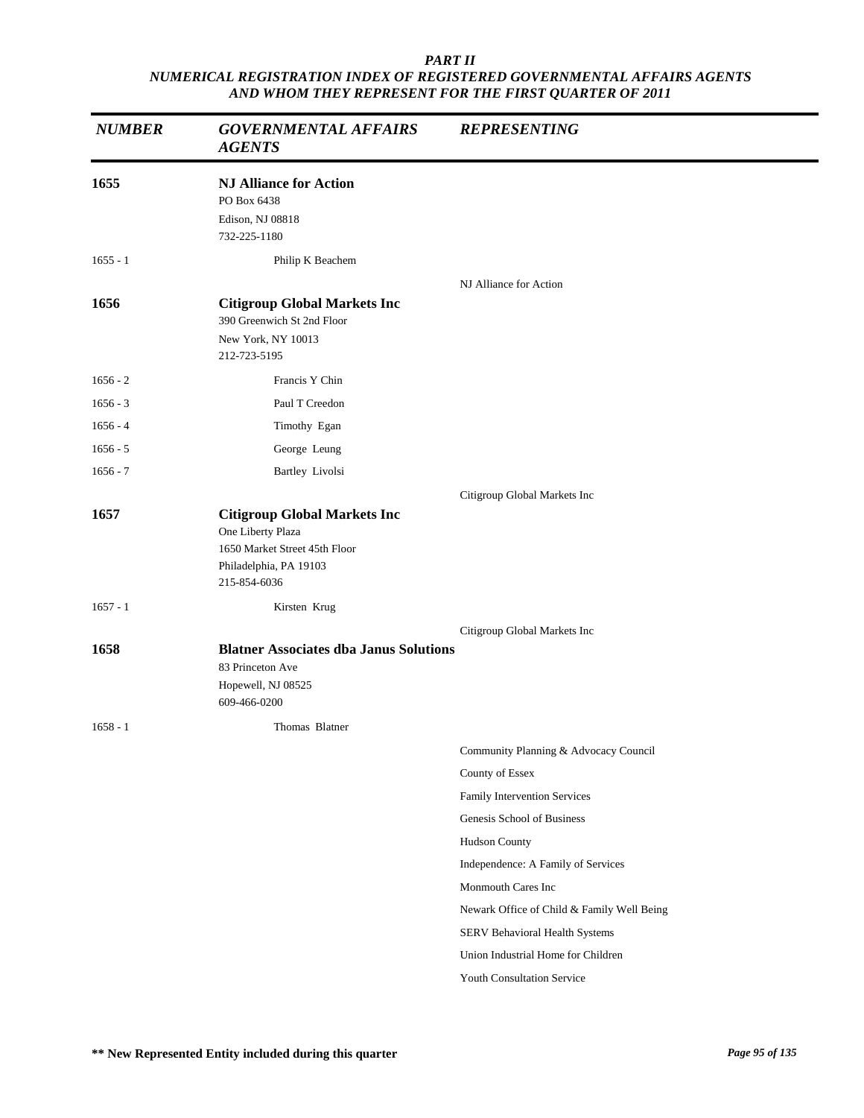| <b>NUMBER</b> | <b>GOVERNMENTAL AFFAIRS</b><br><b>AGENTS</b>                                                                                        | <b>REPRESENTING</b>                        |
|---------------|-------------------------------------------------------------------------------------------------------------------------------------|--------------------------------------------|
| 1655          | <b>NJ Alliance for Action</b><br>PO Box 6438<br>Edison, NJ 08818<br>732-225-1180                                                    |                                            |
| $1655 - 1$    | Philip K Beachem                                                                                                                    |                                            |
| 1656          | <b>Citigroup Global Markets Inc</b><br>390 Greenwich St 2nd Floor<br>New York, NY 10013<br>212-723-5195                             | NJ Alliance for Action                     |
| $1656 - 2$    | Francis Y Chin                                                                                                                      |                                            |
| $1656 - 3$    | Paul T Creedon                                                                                                                      |                                            |
| $1656 - 4$    | Timothy Egan                                                                                                                        |                                            |
| $1656 - 5$    | George Leung                                                                                                                        |                                            |
| $1656 - 7$    | Bartley Livolsi                                                                                                                     |                                            |
|               |                                                                                                                                     | Citigroup Global Markets Inc               |
| 1657          | <b>Citigroup Global Markets Inc</b><br>One Liberty Plaza<br>1650 Market Street 45th Floor<br>Philadelphia, PA 19103<br>215-854-6036 |                                            |
| $1657 - 1$    | Kirsten Krug                                                                                                                        |                                            |
| 1658          | <b>Blatner Associates dba Janus Solutions</b><br>83 Princeton Ave<br>Hopewell, NJ 08525<br>609-466-0200                             | Citigroup Global Markets Inc               |
| $1658 - 1$    | Thomas Blatner                                                                                                                      |                                            |
|               |                                                                                                                                     | Community Planning & Advocacy Council      |
|               |                                                                                                                                     | County of Essex                            |
|               |                                                                                                                                     | Family Intervention Services               |
|               |                                                                                                                                     | Genesis School of Business                 |
|               |                                                                                                                                     | Hudson County                              |
|               |                                                                                                                                     | Independence: A Family of Services         |
|               |                                                                                                                                     | Monmouth Cares Inc                         |
|               |                                                                                                                                     | Newark Office of Child & Family Well Being |
|               |                                                                                                                                     | SERV Behavioral Health Systems             |
|               |                                                                                                                                     | Union Industrial Home for Children         |
|               |                                                                                                                                     | Youth Consultation Service                 |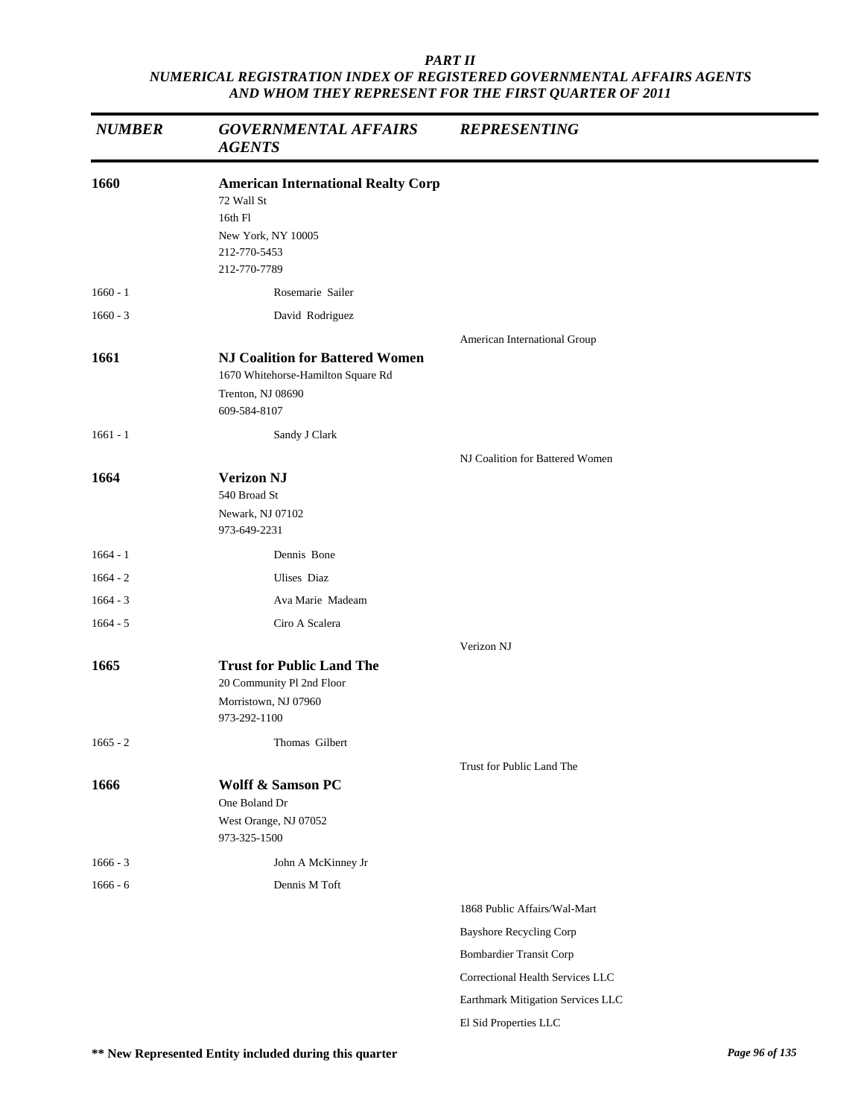| <b>NUMBER</b> | <b>GOVERNMENTAL AFFAIRS</b><br><b>AGENTS</b>                                                                             | <b>REPRESENTING</b>               |
|---------------|--------------------------------------------------------------------------------------------------------------------------|-----------------------------------|
| 1660          | <b>American International Realty Corp</b><br>72 Wall St<br>16th Fl<br>New York, NY 10005<br>212-770-5453<br>212-770-7789 |                                   |
| $1660 - 1$    | Rosemarie Sailer                                                                                                         |                                   |
| $1660 - 3$    | David Rodriguez                                                                                                          |                                   |
| 1661          | <b>NJ Coalition for Battered Women</b><br>1670 Whitehorse-Hamilton Square Rd<br>Trenton, NJ 08690<br>609-584-8107        | American International Group      |
| $1661 - 1$    | Sandy J Clark                                                                                                            |                                   |
| 1664          | <b>Verizon NJ</b><br>540 Broad St<br>Newark, NJ 07102<br>973-649-2231                                                    | NJ Coalition for Battered Women   |
| $1664 - 1$    | Dennis Bone                                                                                                              |                                   |
| $1664 - 2$    | Ulises Diaz                                                                                                              |                                   |
| $1664 - 3$    | Ava Marie Madeam                                                                                                         |                                   |
| $1664 - 5$    | Ciro A Scalera                                                                                                           |                                   |
|               |                                                                                                                          | Verizon NJ                        |
| 1665          | <b>Trust for Public Land The</b><br>20 Community Pl 2nd Floor<br>Morristown, NJ 07960<br>973-292-1100                    |                                   |
| $1665 - 2$    | Thomas Gilbert                                                                                                           |                                   |
|               |                                                                                                                          | Trust for Public Land The         |
| 1666          | Wolff & Samson PC<br>One Boland Dr<br>West Orange, NJ 07052<br>973-325-1500                                              |                                   |
| $1666 - 3$    | John A McKinney Jr                                                                                                       |                                   |
| $1666 - 6$    | Dennis M Toft                                                                                                            |                                   |
|               |                                                                                                                          | 1868 Public Affairs/Wal-Mart      |
|               |                                                                                                                          | <b>Bayshore Recycling Corp</b>    |
|               |                                                                                                                          | <b>Bombardier Transit Corp</b>    |
|               |                                                                                                                          | Correctional Health Services LLC  |
|               |                                                                                                                          | Earthmark Mitigation Services LLC |
|               |                                                                                                                          | El Sid Properties LLC             |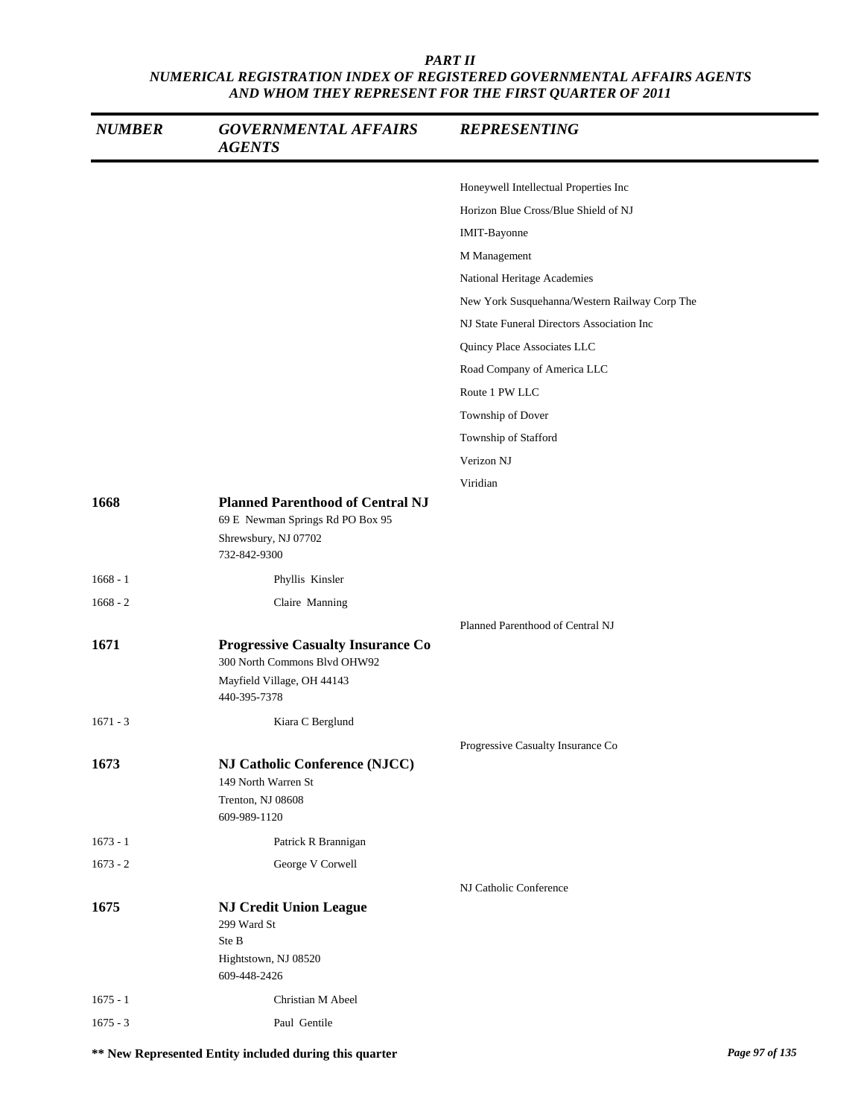| <b>NUMBER</b> | <b>GOVERNMENTAL AFFAIRS</b><br><b>AGENTS</b>                                                                           | <b>REPRESENTING</b>                           |
|---------------|------------------------------------------------------------------------------------------------------------------------|-----------------------------------------------|
|               |                                                                                                                        | Honeywell Intellectual Properties Inc         |
|               |                                                                                                                        | Horizon Blue Cross/Blue Shield of NJ          |
|               |                                                                                                                        | IMIT-Bayonne                                  |
|               |                                                                                                                        | M Management                                  |
|               |                                                                                                                        | National Heritage Academies                   |
|               |                                                                                                                        | New York Susquehanna/Western Railway Corp The |
|               |                                                                                                                        | NJ State Funeral Directors Association Inc    |
|               |                                                                                                                        | Quincy Place Associates LLC                   |
|               |                                                                                                                        | Road Company of America LLC                   |
|               |                                                                                                                        | Route 1 PW LLC                                |
|               |                                                                                                                        | Township of Dover                             |
|               |                                                                                                                        | Township of Stafford                          |
|               |                                                                                                                        | Verizon NJ                                    |
|               |                                                                                                                        | Viridian                                      |
| 1668          | <b>Planned Parenthood of Central NJ</b><br>69 E Newman Springs Rd PO Box 95<br>Shrewsbury, NJ 07702<br>732-842-9300    |                                               |
| $1668 - 1$    | Phyllis Kinsler                                                                                                        |                                               |
| $1668 - 2$    | Claire Manning                                                                                                         |                                               |
| 1671          | <b>Progressive Casualty Insurance Co</b><br>300 North Commons Blvd OHW92<br>Mayfield Village, OH 44143<br>440-395-7378 | Planned Parenthood of Central NJ              |
| $1671 - 3$    | Kiara C Berglund                                                                                                       |                                               |
|               |                                                                                                                        | Progressive Casualty Insurance Co             |
| 1673          | <b>NJ Catholic Conference (NJCC)</b><br>149 North Warren St<br>Trenton, NJ 08608<br>609-989-1120                       |                                               |
| $1673 - 1$    | Patrick R Brannigan                                                                                                    |                                               |
| $1673 - 2$    | George V Corwell                                                                                                       |                                               |
|               |                                                                                                                        | NJ Catholic Conference                        |
| 1675          | <b>NJ Credit Union League</b><br>299 Ward St<br>Ste B<br>Hightstown, NJ 08520                                          |                                               |
|               | 609-448-2426                                                                                                           |                                               |
| $1675 - 1$    | Christian M Abeel                                                                                                      |                                               |
| $1675 - 3$    | Paul Gentile                                                                                                           |                                               |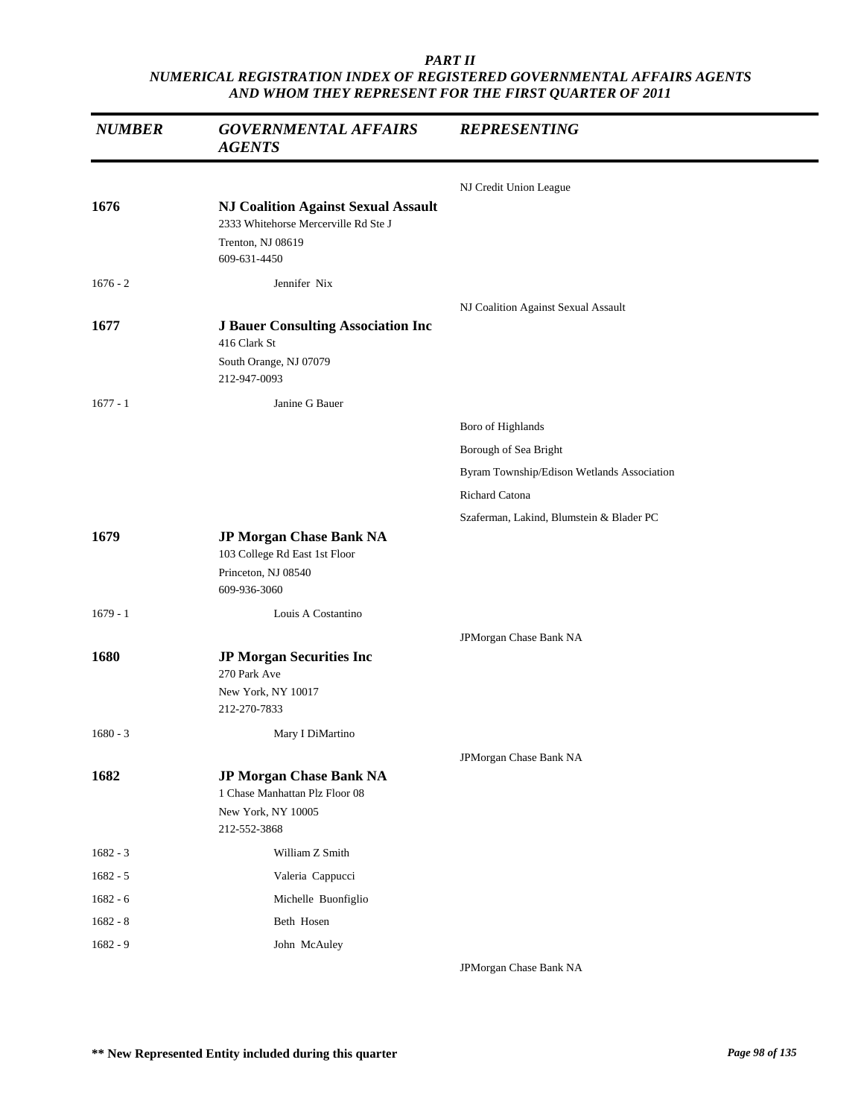| <b>NUMBER</b> | <b>GOVERNMENTAL AFFAIRS</b><br><b>AGENTS</b>                                                                            | <b>REPRESENTING</b>                        |
|---------------|-------------------------------------------------------------------------------------------------------------------------|--------------------------------------------|
|               |                                                                                                                         | NJ Credit Union League                     |
| 1676          | <b>NJ Coalition Against Sexual Assault</b><br>2333 Whitehorse Mercerville Rd Ste J<br>Trenton, NJ 08619<br>609-631-4450 |                                            |
| $1676 - 2$    | Jennifer Nix                                                                                                            |                                            |
|               |                                                                                                                         | NJ Coalition Against Sexual Assault        |
| 1677          | <b>J Bauer Consulting Association Inc.</b>                                                                              |                                            |
|               | 416 Clark St<br>South Orange, NJ 07079<br>212-947-0093                                                                  |                                            |
| $1677 - 1$    | Janine G Bauer                                                                                                          |                                            |
|               |                                                                                                                         | Boro of Highlands                          |
|               |                                                                                                                         | Borough of Sea Bright                      |
|               |                                                                                                                         | Byram Township/Edison Wetlands Association |
|               |                                                                                                                         | Richard Catona                             |
|               |                                                                                                                         | Szaferman, Lakind, Blumstein & Blader PC   |
| 1679          | JP Morgan Chase Bank NA<br>103 College Rd East 1st Floor<br>Princeton, NJ 08540<br>609-936-3060                         |                                            |
| $1679 - 1$    | Louis A Costantino                                                                                                      |                                            |
|               |                                                                                                                         | JPMorgan Chase Bank NA                     |
| 1680          | <b>JP Morgan Securities Inc</b><br>270 Park Ave<br>New York, NY 10017<br>212-270-7833                                   |                                            |
| $1680 - 3$    | Mary I DiMartino                                                                                                        |                                            |
|               |                                                                                                                         | JPMorgan Chase Bank NA                     |
| 1682          | <b>JP Morgan Chase Bank NA</b><br>1 Chase Manhattan Plz Floor 08<br>New York, NY 10005<br>212-552-3868                  |                                            |
| $1682 - 3$    | William Z Smith                                                                                                         |                                            |
| $1682 - 5$    | Valeria Cappucci                                                                                                        |                                            |
| $1682 - 6$    | Michelle Buonfiglio                                                                                                     |                                            |
| $1682 - 8$    | Beth Hosen                                                                                                              |                                            |
| $1682 - 9$    | John McAuley                                                                                                            |                                            |
|               |                                                                                                                         | JPMorgan Chase Bank NA                     |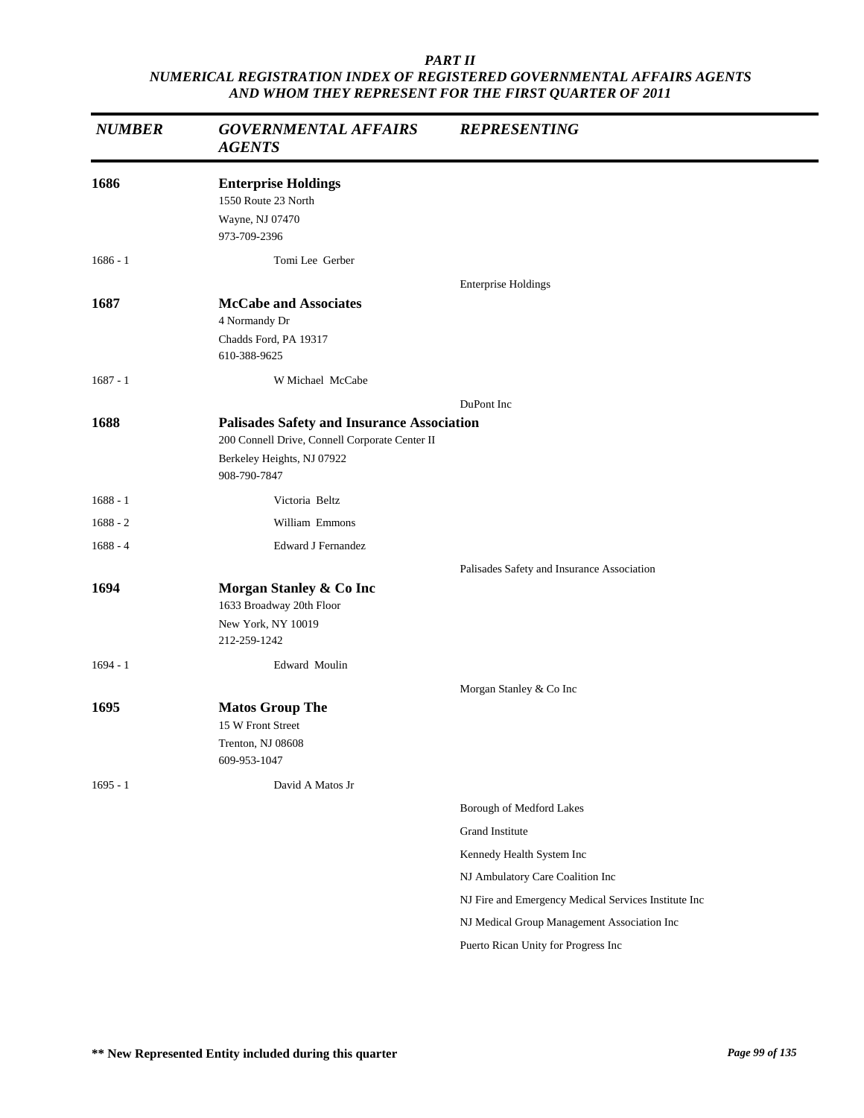| <b>NUMBER</b> | <b>GOVERNMENTAL AFFAIRS</b><br><b>AGENTS</b>                                                                                                      | <b>REPRESENTING</b>                                  |
|---------------|---------------------------------------------------------------------------------------------------------------------------------------------------|------------------------------------------------------|
| 1686          | <b>Enterprise Holdings</b><br>1550 Route 23 North<br>Wayne, NJ 07470<br>973-709-2396                                                              |                                                      |
| $1686 - 1$    | Tomi Lee Gerber                                                                                                                                   |                                                      |
| 1687          | <b>McCabe and Associates</b><br>4 Normandy Dr<br>Chadds Ford, PA 19317<br>610-388-9625                                                            | <b>Enterprise Holdings</b>                           |
| $1687 - 1$    | W Michael McCabe                                                                                                                                  |                                                      |
|               |                                                                                                                                                   | DuPont Inc                                           |
| 1688          | <b>Palisades Safety and Insurance Association</b><br>200 Connell Drive, Connell Corporate Center II<br>Berkeley Heights, NJ 07922<br>908-790-7847 |                                                      |
| $1688 - 1$    | Victoria Beltz                                                                                                                                    |                                                      |
| $1688 - 2$    | William Emmons                                                                                                                                    |                                                      |
| $1688 - 4$    | <b>Edward J Fernandez</b>                                                                                                                         |                                                      |
|               |                                                                                                                                                   | Palisades Safety and Insurance Association           |
| 1694          | Morgan Stanley & Co Inc<br>1633 Broadway 20th Floor<br>New York, NY 10019                                                                         |                                                      |
|               | 212-259-1242                                                                                                                                      |                                                      |
| $1694 - 1$    | Edward Moulin                                                                                                                                     |                                                      |
|               |                                                                                                                                                   | Morgan Stanley & Co Inc                              |
| 1695          | <b>Matos Group The</b><br>15 W Front Street<br>Trenton, NJ 08608<br>609-953-1047                                                                  |                                                      |
| $1695 - 1$    | David A Matos Jr                                                                                                                                  |                                                      |
|               |                                                                                                                                                   | Borough of Medford Lakes                             |
|               |                                                                                                                                                   | Grand Institute                                      |
|               |                                                                                                                                                   | Kennedy Health System Inc                            |
|               |                                                                                                                                                   | NJ Ambulatory Care Coalition Inc                     |
|               |                                                                                                                                                   | NJ Fire and Emergency Medical Services Institute Inc |
|               |                                                                                                                                                   | NJ Medical Group Management Association Inc          |
|               |                                                                                                                                                   | Puerto Rican Unity for Progress Inc                  |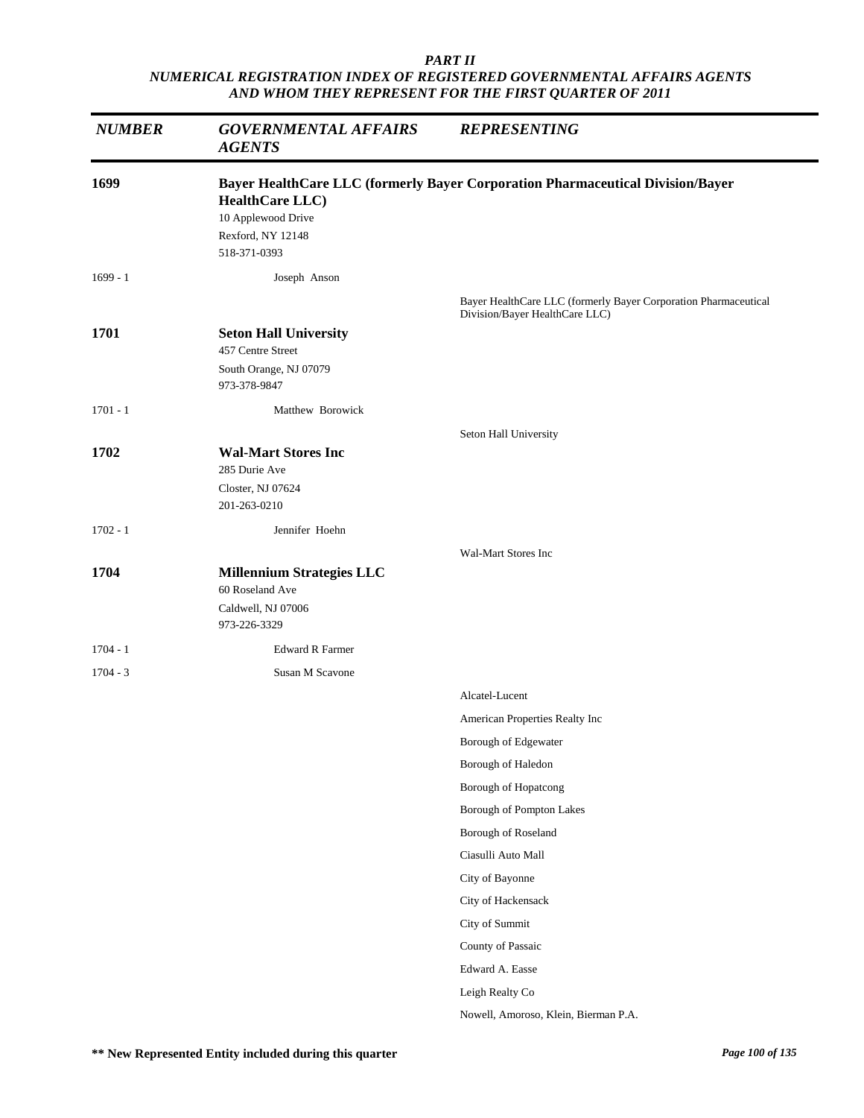| <b>NUMBER</b>      | <b>GOVERNMENTAL AFFAIRS</b><br><b>AGENTS</b>                                                                        | <b>REPRESENTING</b>                                                            |
|--------------------|---------------------------------------------------------------------------------------------------------------------|--------------------------------------------------------------------------------|
| 1699               | <b>HealthCare LLC</b> )<br>10 Applewood Drive<br>Rexford, NY 12148<br>518-371-0393                                  | Bayer HealthCare LLC (formerly Bayer Corporation Pharmaceutical Division/Bayer |
| $1699 - 1$         | Joseph Anson                                                                                                        | Bayer HealthCare LLC (formerly Bayer Corporation Pharmaceutical                |
| 1701               | <b>Seton Hall University</b><br>457 Centre Street<br>South Orange, NJ 07079                                         | Division/Bayer HealthCare LLC)                                                 |
| $1701 - 1$         | 973-378-9847<br>Matthew Borowick                                                                                    |                                                                                |
| 1702               | <b>Wal-Mart Stores Inc</b><br>285 Durie Ave<br>Closter, NJ 07624<br>201-263-0210                                    | Seton Hall University                                                          |
| $1702 - 1$         | Jennifer Hoehn                                                                                                      |                                                                                |
| 1704<br>$1704 - 1$ | <b>Millennium Strategies LLC</b><br>60 Roseland Ave<br>Caldwell, NJ 07006<br>973-226-3329<br><b>Edward R Farmer</b> | Wal-Mart Stores Inc                                                            |
| $1704 - 3$         | Susan M Scavone                                                                                                     |                                                                                |
|                    |                                                                                                                     | Alcatel-Lucent<br>American Properties Realty Inc<br>Borough of Edgewater       |
|                    |                                                                                                                     | Borough of Haledon<br>Borough of Hopatcong                                     |
|                    |                                                                                                                     | Borough of Pompton Lakes                                                       |
|                    |                                                                                                                     | Borough of Roseland                                                            |
|                    |                                                                                                                     | Ciasulli Auto Mall                                                             |
|                    |                                                                                                                     | City of Bayonne                                                                |
|                    |                                                                                                                     | City of Hackensack                                                             |
|                    |                                                                                                                     | City of Summit                                                                 |
|                    |                                                                                                                     | County of Passaic                                                              |
|                    |                                                                                                                     | Edward A. Easse                                                                |
|                    |                                                                                                                     | Leigh Realty Co                                                                |
|                    |                                                                                                                     | Nowell, Amoroso, Klein, Bierman P.A.                                           |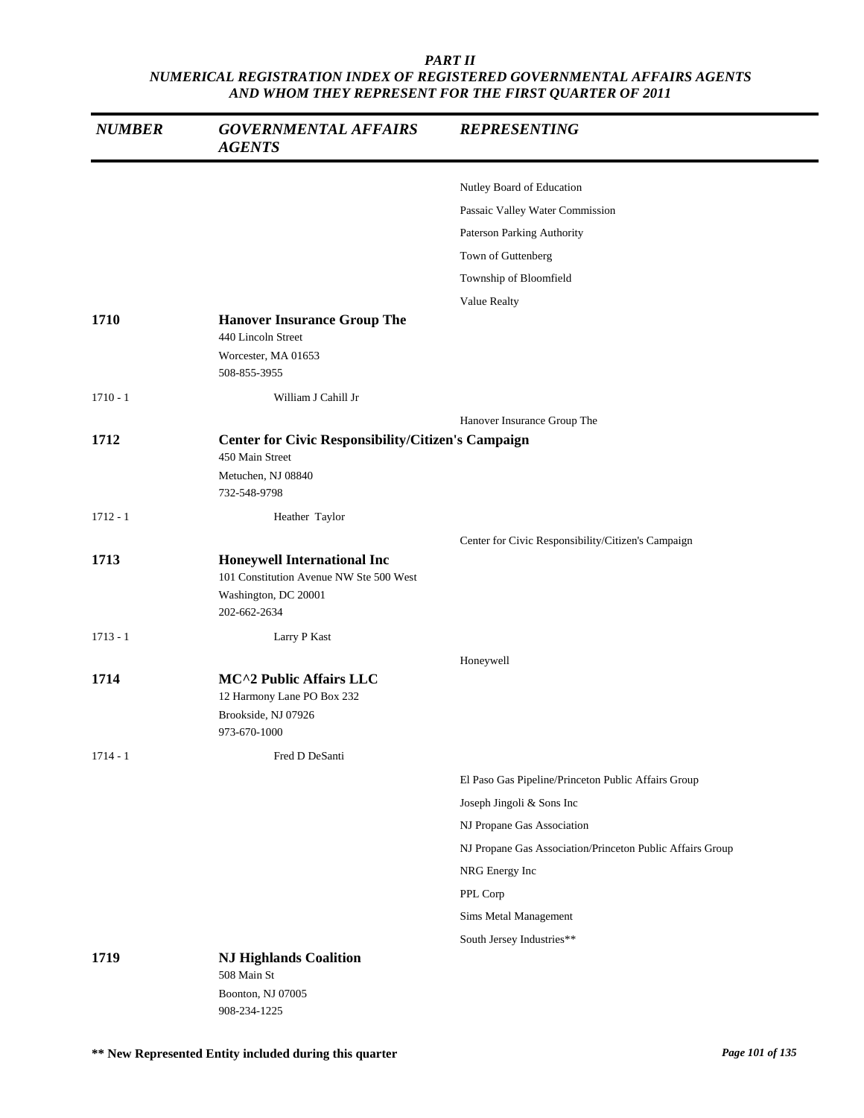| <b>NUMBER</b> | <b>GOVERNMENTAL AFFAIRS</b><br><b>AGENTS</b>                                                                          | <b>REPRESENTING</b>                                       |
|---------------|-----------------------------------------------------------------------------------------------------------------------|-----------------------------------------------------------|
|               |                                                                                                                       | Nutley Board of Education                                 |
|               |                                                                                                                       | Passaic Valley Water Commission                           |
|               |                                                                                                                       | Paterson Parking Authority                                |
|               |                                                                                                                       | Town of Guttenberg                                        |
|               |                                                                                                                       | Township of Bloomfield                                    |
|               |                                                                                                                       | Value Realty                                              |
| 1710          | <b>Hanover Insurance Group The</b><br>440 Lincoln Street                                                              |                                                           |
|               | Worcester, MA 01653<br>508-855-3955                                                                                   |                                                           |
| $1710 - 1$    | William J Cahill Jr                                                                                                   |                                                           |
|               |                                                                                                                       | Hanover Insurance Group The                               |
| 1712          | <b>Center for Civic Responsibility/Citizen's Campaign</b><br>450 Main Street<br>Metuchen, NJ 08840<br>732-548-9798    |                                                           |
| $1712 - 1$    | Heather Taylor                                                                                                        |                                                           |
|               |                                                                                                                       | Center for Civic Responsibility/Citizen's Campaign        |
| 1713          | <b>Honeywell International Inc</b><br>101 Constitution Avenue NW Ste 500 West<br>Washington, DC 20001<br>202-662-2634 |                                                           |
| $1713 - 1$    | Larry P Kast                                                                                                          |                                                           |
|               |                                                                                                                       | Honeywell                                                 |
| 1714          | MC^2 Public Affairs LLC<br>12 Harmony Lane PO Box 232<br>Brookside, NJ 07926<br>973-670-1000                          |                                                           |
| $1714 - 1$    | Fred D DeSanti                                                                                                        |                                                           |
|               |                                                                                                                       | El Paso Gas Pipeline/Princeton Public Affairs Group       |
|               |                                                                                                                       | Joseph Jingoli & Sons Inc                                 |
|               |                                                                                                                       | NJ Propane Gas Association                                |
|               |                                                                                                                       | NJ Propane Gas Association/Princeton Public Affairs Group |
|               |                                                                                                                       | NRG Energy Inc                                            |
|               |                                                                                                                       | PPL Corp                                                  |
|               |                                                                                                                       | Sims Metal Management                                     |
|               |                                                                                                                       | South Jersey Industries**                                 |
| 1719          | <b>NJ Highlands Coalition</b><br>508 Main St                                                                          |                                                           |
|               | Boonton, NJ 07005<br>908-234-1225                                                                                     |                                                           |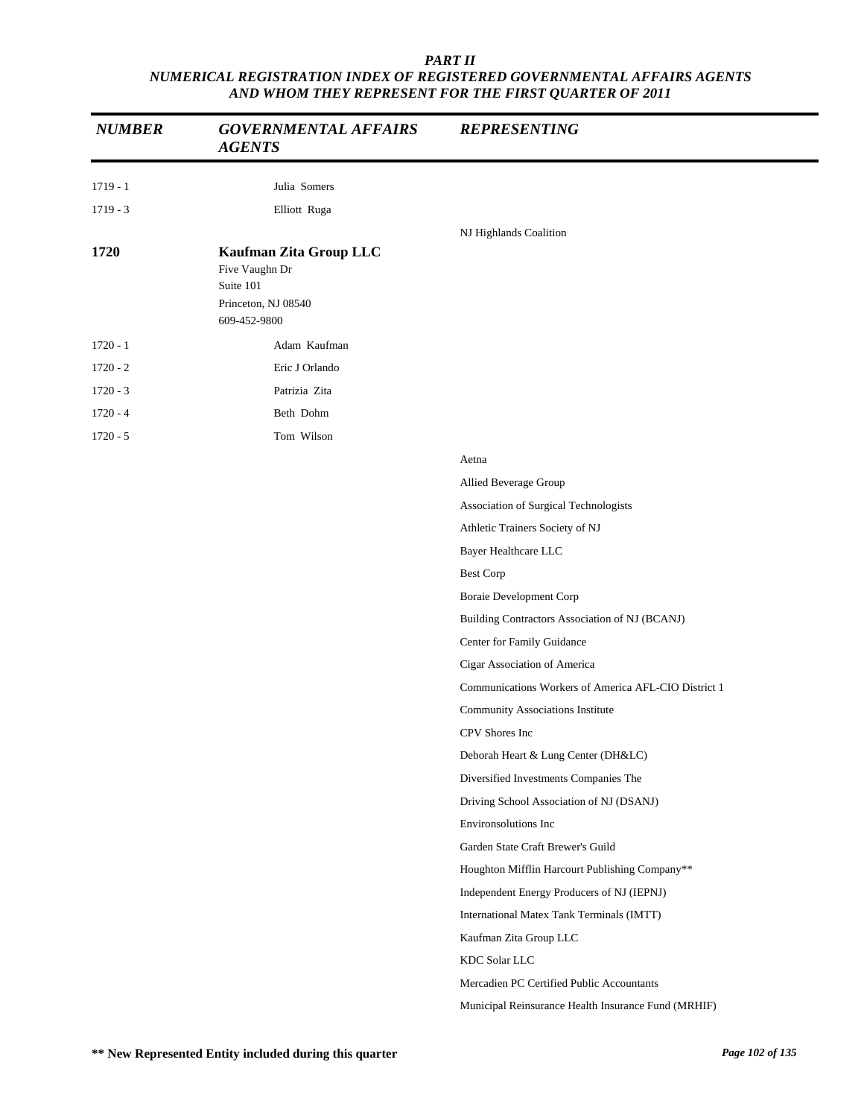| <b>NUMBER</b> | <b>GOVERNMENTAL AFFAIRS</b><br><b>AGENTS</b>                                                 | <b>REPRESENTING</b>                                  |
|---------------|----------------------------------------------------------------------------------------------|------------------------------------------------------|
| $1719 - 1$    | Julia Somers                                                                                 |                                                      |
| $1719 - 3$    | Elliott Ruga                                                                                 |                                                      |
|               |                                                                                              | NJ Highlands Coalition                               |
| 1720          | Kaufman Zita Group LLC<br>Five Vaughn Dr<br>Suite 101<br>Princeton, NJ 08540<br>609-452-9800 |                                                      |
| $1720 - 1$    | Adam Kaufman                                                                                 |                                                      |
| $1720 - 2$    | Eric J Orlando                                                                               |                                                      |
| $1720 - 3$    | Patrizia Zita                                                                                |                                                      |
| $1720 - 4$    | Beth Dohm                                                                                    |                                                      |
| $1720 - 5$    | Tom Wilson                                                                                   |                                                      |
|               |                                                                                              | Aetna                                                |
|               |                                                                                              | Allied Beverage Group                                |
|               |                                                                                              | Association of Surgical Technologists                |
|               |                                                                                              | Athletic Trainers Society of NJ                      |
|               |                                                                                              | Bayer Healthcare LLC                                 |
|               |                                                                                              | <b>Best Corp</b>                                     |
|               |                                                                                              | Boraie Development Corp                              |
|               |                                                                                              | Building Contractors Association of NJ (BCANJ)       |
|               |                                                                                              | Center for Family Guidance                           |
|               |                                                                                              | Cigar Association of America                         |
|               |                                                                                              | Communications Workers of America AFL-CIO District 1 |
|               |                                                                                              | Community Associations Institute                     |
|               |                                                                                              | CPV Shores Inc                                       |
|               |                                                                                              | Deborah Heart & Lung Center (DH&LC)                  |
|               |                                                                                              | Diversified Investments Companies The                |
|               |                                                                                              | Driving School Association of NJ (DSANJ)             |
|               |                                                                                              | Environsolutions Inc                                 |
|               |                                                                                              | Garden State Craft Brewer's Guild                    |
|               |                                                                                              | Houghton Mifflin Harcourt Publishing Company**       |
|               |                                                                                              | Independent Energy Producers of NJ (IEPNJ)           |
|               |                                                                                              | International Matex Tank Terminals (IMTT)            |
|               |                                                                                              | Kaufman Zita Group LLC                               |
|               |                                                                                              | KDC Solar LLC                                        |
|               |                                                                                              | Mercadien PC Certified Public Accountants            |
|               |                                                                                              | Municipal Reinsurance Health Insurance Fund (MRHIF)  |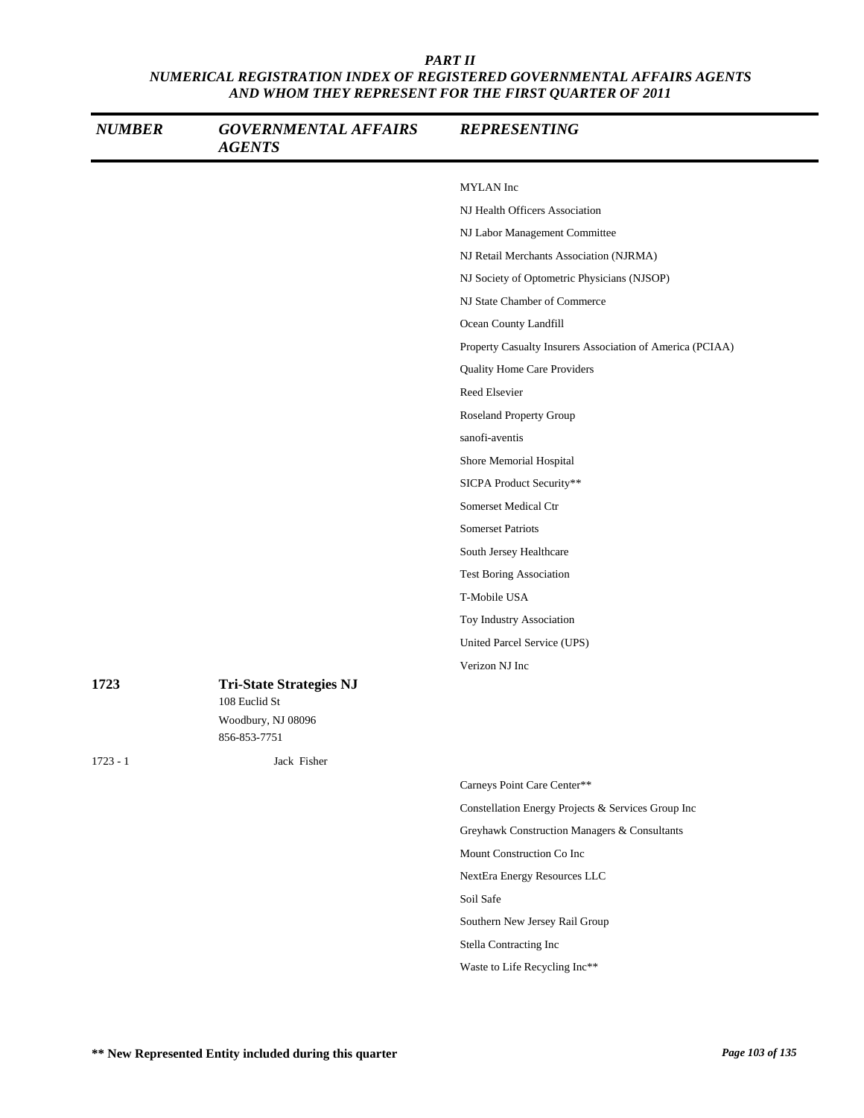| <b>NUMBER</b> | <b>GOVERNMENTAL AFFAIRS</b><br><b>AGENTS</b>    | <b>REPRESENTING</b>                                       |
|---------------|-------------------------------------------------|-----------------------------------------------------------|
|               |                                                 | MYLAN Inc                                                 |
|               |                                                 | NJ Health Officers Association                            |
|               |                                                 | NJ Labor Management Committee                             |
|               |                                                 | NJ Retail Merchants Association (NJRMA)                   |
|               |                                                 | NJ Society of Optometric Physicians (NJSOP)               |
|               |                                                 | NJ State Chamber of Commerce                              |
|               |                                                 | Ocean County Landfill                                     |
|               |                                                 | Property Casualty Insurers Association of America (PCIAA) |
|               |                                                 | Quality Home Care Providers                               |
|               |                                                 | Reed Elsevier                                             |
|               |                                                 | Roseland Property Group                                   |
|               |                                                 | sanofi-aventis                                            |
|               |                                                 | Shore Memorial Hospital                                   |
|               |                                                 | SICPA Product Security**                                  |
|               |                                                 | Somerset Medical Ctr                                      |
|               |                                                 | <b>Somerset Patriots</b>                                  |
|               |                                                 | South Jersey Healthcare                                   |
|               |                                                 | <b>Test Boring Association</b>                            |
|               |                                                 | T-Mobile USA                                              |
|               |                                                 | Toy Industry Association                                  |
|               |                                                 | United Parcel Service (UPS)                               |
|               |                                                 | Verizon NJ Inc                                            |
| 1723          | <b>Tri-State Strategies NJ</b><br>108 Euclid St |                                                           |
|               | Woodbury, NJ 08096<br>856-853-7751              |                                                           |
| $1723 - 1$    | Jack Fisher                                     |                                                           |
|               |                                                 | Carneys Point Care Center**                               |
|               |                                                 | Constellation Energy Projects & Services Group Inc        |
|               |                                                 | Greyhawk Construction Managers & Consultants              |
|               |                                                 | Mount Construction Co Inc                                 |
|               |                                                 | NextEra Energy Resources LLC                              |
|               |                                                 | Soil Safe                                                 |
|               |                                                 | Southern New Jersey Rail Group                            |
|               |                                                 | Stella Contracting Inc                                    |
|               |                                                 | Waste to Life Recycling Inc**                             |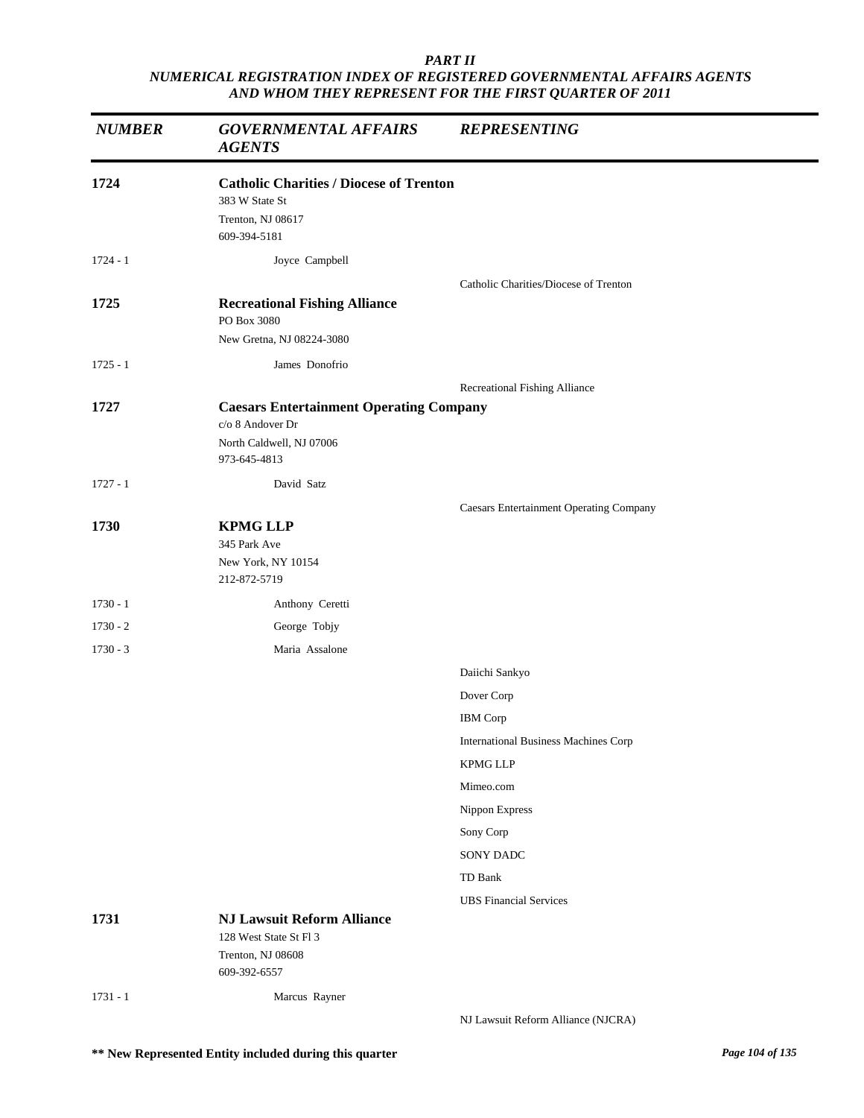| <b>NUMBER</b> | <b>GOVERNMENTAL AFFAIRS</b><br><b>AGENTS</b>                                                                   | <b>REPRESENTING</b>                            |
|---------------|----------------------------------------------------------------------------------------------------------------|------------------------------------------------|
| 1724          | <b>Catholic Charities / Diocese of Trenton</b><br>383 W State St<br>Trenton, NJ 08617<br>609-394-5181          |                                                |
| $1724 - 1$    | Joyce Campbell                                                                                                 |                                                |
| 1725          | <b>Recreational Fishing Alliance</b><br>PO Box 3080<br>New Gretna, NJ 08224-3080                               | Catholic Charities/Diocese of Trenton          |
| $1725 - 1$    | James Donofrio                                                                                                 |                                                |
|               |                                                                                                                | Recreational Fishing Alliance                  |
| 1727          | <b>Caesars Entertainment Operating Company</b><br>c/o 8 Andover Dr<br>North Caldwell, NJ 07006<br>973-645-4813 |                                                |
| $1727 - 1$    | David Satz                                                                                                     |                                                |
|               |                                                                                                                | <b>Caesars Entertainment Operating Company</b> |
| 1730          | <b>KPMG LLP</b><br>345 Park Ave<br>New York, NY 10154<br>212-872-5719                                          |                                                |
| $1730 - 1$    | Anthony Ceretti                                                                                                |                                                |
| $1730 - 2$    | George Tobjy                                                                                                   |                                                |
| $1730 - 3$    | Maria Assalone                                                                                                 |                                                |
|               |                                                                                                                | Daiichi Sankyo                                 |
|               |                                                                                                                | Dover Corp                                     |
|               |                                                                                                                | <b>IBM</b> Corp                                |
|               |                                                                                                                | <b>International Business Machines Corp</b>    |
|               |                                                                                                                | <b>KPMG LLP</b>                                |
|               |                                                                                                                | Mimeo.com                                      |
|               |                                                                                                                | Nippon Express                                 |
|               |                                                                                                                | Sony Corp                                      |
|               |                                                                                                                | SONY DADC                                      |
|               |                                                                                                                | TD Bank                                        |
| 1731          | <b>NJ Lawsuit Reform Alliance</b>                                                                              | <b>UBS</b> Financial Services                  |
|               | 128 West State St Fl 3<br>Trenton, NJ 08608<br>609-392-6557                                                    |                                                |
| $1731 - 1$    | Marcus Rayner                                                                                                  |                                                |
|               |                                                                                                                | NJ Lawsuit Reform Alliance (NJCRA)             |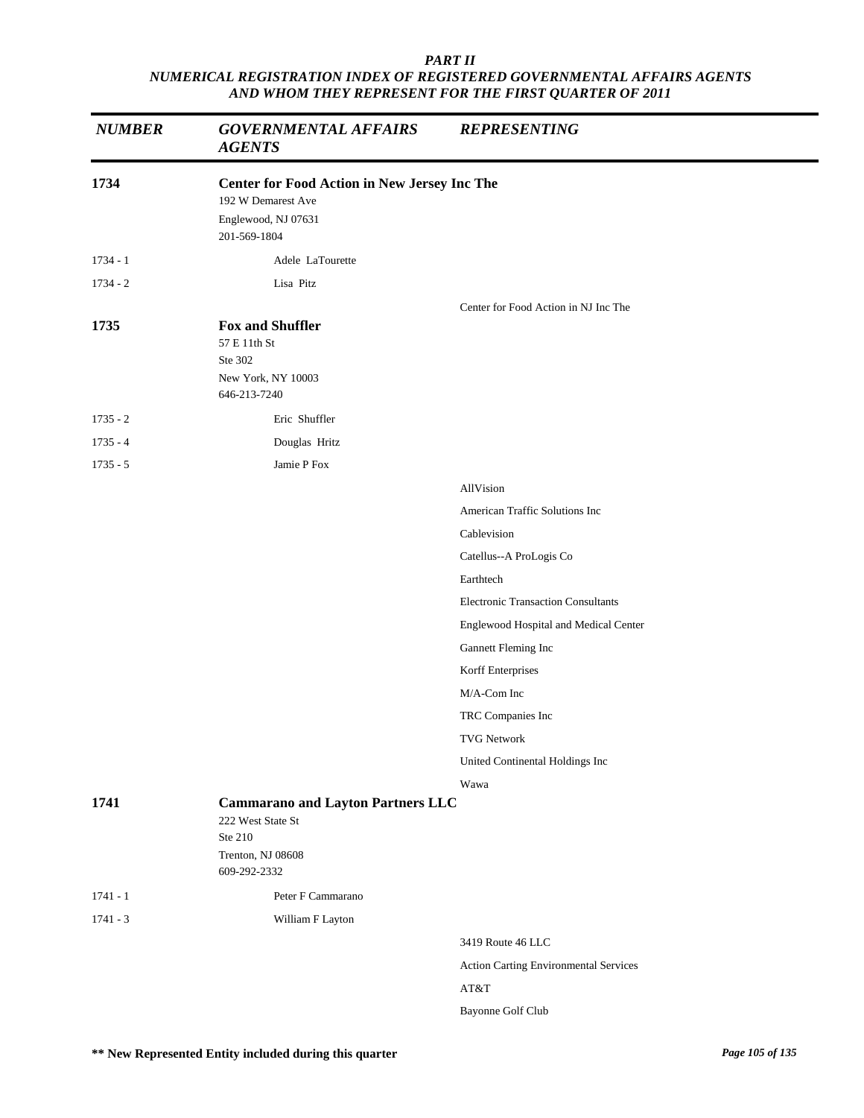| <b>NUMBER</b> | <b>GOVERNMENTAL AFFAIRS</b><br><b>AGENTS</b>                                                                     | <b>REPRESENTING</b>                       |
|---------------|------------------------------------------------------------------------------------------------------------------|-------------------------------------------|
| 1734          | <b>Center for Food Action in New Jersey Inc The</b><br>192 W Demarest Ave<br>Englewood, NJ 07631<br>201-569-1804 |                                           |
| $1734 - 1$    | Adele LaTourette                                                                                                 |                                           |
| $1734 - 2$    | Lisa Pitz                                                                                                        |                                           |
|               |                                                                                                                  | Center for Food Action in NJ Inc The      |
| 1735          | <b>Fox and Shuffler</b><br>57 E 11th St<br>Ste 302<br>New York, NY 10003<br>646-213-7240                         |                                           |
| $1735 - 2$    | Eric Shuffler                                                                                                    |                                           |
| $1735 - 4$    | Douglas Hritz                                                                                                    |                                           |
| $1735 - 5$    | Jamie P Fox                                                                                                      |                                           |
|               |                                                                                                                  | AllVision                                 |
|               |                                                                                                                  | American Traffic Solutions Inc            |
|               |                                                                                                                  | Cablevision                               |
|               |                                                                                                                  | Catellus--A ProLogis Co                   |
|               |                                                                                                                  | Earthtech                                 |
|               |                                                                                                                  | <b>Electronic Transaction Consultants</b> |
|               |                                                                                                                  | Englewood Hospital and Medical Center     |
|               |                                                                                                                  | Gannett Fleming Inc                       |
|               |                                                                                                                  | Korff Enterprises                         |
|               |                                                                                                                  | M/A-Com Inc                               |
|               |                                                                                                                  | TRC Companies Inc                         |
|               |                                                                                                                  | <b>TVG Network</b>                        |
|               |                                                                                                                  | United Continental Holdings Inc           |
|               |                                                                                                                  | Wawa                                      |
| 1741          | <b>Cammarano and Layton Partners LLC</b><br>222 West State St<br>Ste 210<br>Trenton, NJ 08608<br>609-292-2332    |                                           |
| $1741 - 1$    | Peter F Cammarano                                                                                                |                                           |
| $1741 - 3$    |                                                                                                                  |                                           |
|               | William F Layton                                                                                                 | 3419 Route 46 LLC                         |
|               |                                                                                                                  | Action Carting Environmental Services     |
|               |                                                                                                                  | AT&T                                      |
|               |                                                                                                                  | Bayonne Golf Club                         |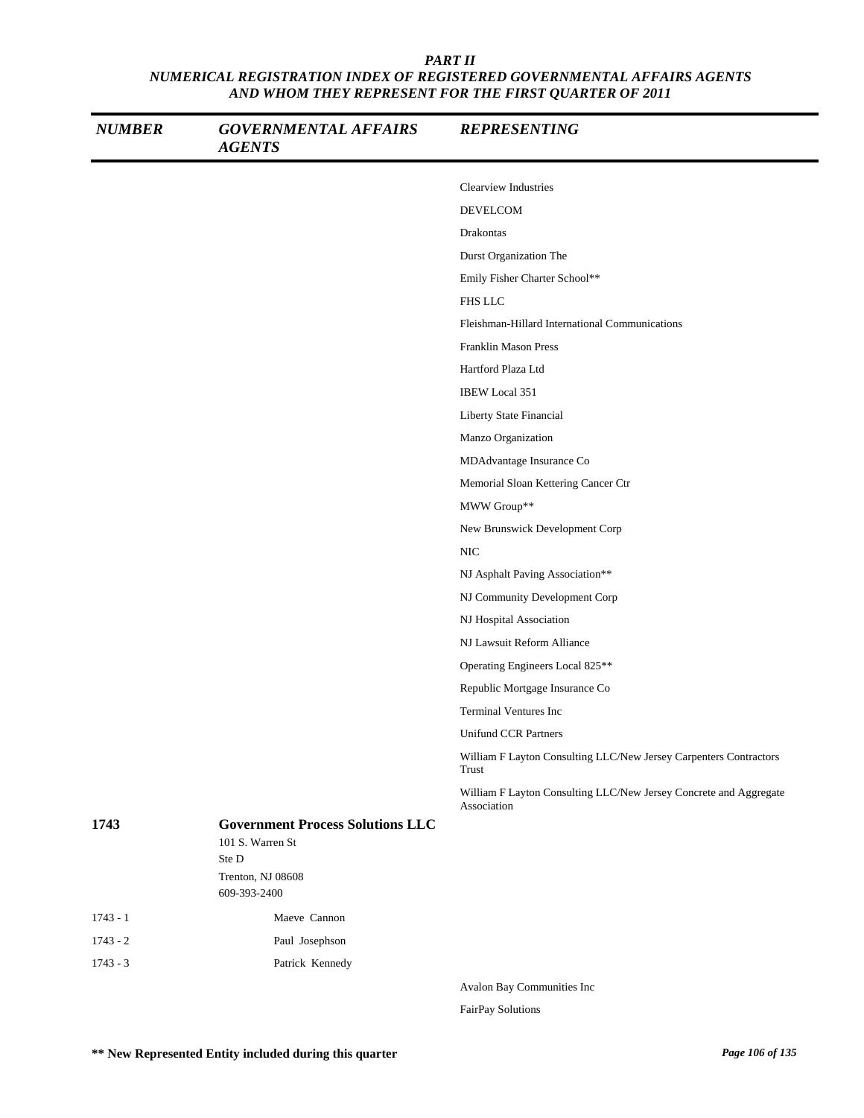| <b>NUMBER</b> | <b>GOVERNMENTAL AFFAIRS</b><br><b>AGENTS</b>                                                              | <b>REPRESENTING</b>                                                              |
|---------------|-----------------------------------------------------------------------------------------------------------|----------------------------------------------------------------------------------|
|               |                                                                                                           | Clearview Industries                                                             |
|               |                                                                                                           | <b>DEVELCOM</b>                                                                  |
|               |                                                                                                           | Drakontas                                                                        |
|               |                                                                                                           | Durst Organization The                                                           |
|               |                                                                                                           | Emily Fisher Charter School**                                                    |
|               |                                                                                                           | FHS LLC                                                                          |
|               |                                                                                                           | Fleishman-Hillard International Communications                                   |
|               |                                                                                                           | <b>Franklin Mason Press</b>                                                      |
|               |                                                                                                           | Hartford Plaza Ltd                                                               |
|               |                                                                                                           | IBEW Local 351                                                                   |
|               |                                                                                                           | Liberty State Financial                                                          |
|               |                                                                                                           | Manzo Organization                                                               |
|               |                                                                                                           | MDAdvantage Insurance Co                                                         |
|               |                                                                                                           | Memorial Sloan Kettering Cancer Ctr                                              |
|               |                                                                                                           | MWW Group**                                                                      |
|               |                                                                                                           | New Brunswick Development Corp                                                   |
|               |                                                                                                           | <b>NIC</b>                                                                       |
|               |                                                                                                           | NJ Asphalt Paving Association**                                                  |
|               |                                                                                                           | NJ Community Development Corp                                                    |
|               |                                                                                                           | NJ Hospital Association                                                          |
|               |                                                                                                           | NJ Lawsuit Reform Alliance                                                       |
|               |                                                                                                           | Operating Engineers Local 825**                                                  |
|               |                                                                                                           | Republic Mortgage Insurance Co                                                   |
|               |                                                                                                           | <b>Terminal Ventures Inc</b>                                                     |
|               |                                                                                                           | <b>Unifund CCR Partners</b>                                                      |
|               |                                                                                                           | William F Layton Consulting LLC/New Jersey Carpenters Contractors<br>Trust       |
|               |                                                                                                           | William F Layton Consulting LLC/New Jersey Concrete and Aggregate<br>Association |
| 1743          | <b>Government Process Solutions LLC</b><br>101 S. Warren St<br>Ste D<br>Trenton, NJ 08608<br>609-393-2400 |                                                                                  |
| $1743 - 1$    | Maeve Cannon                                                                                              |                                                                                  |
| $1743 - 2$    | Paul Josephson                                                                                            |                                                                                  |
| $1743 - 3$    | Patrick Kennedy                                                                                           |                                                                                  |
|               |                                                                                                           | Avalon Ray Communities Inc.                                                      |

Avalon Bay Communities Inc

FairPay Solutions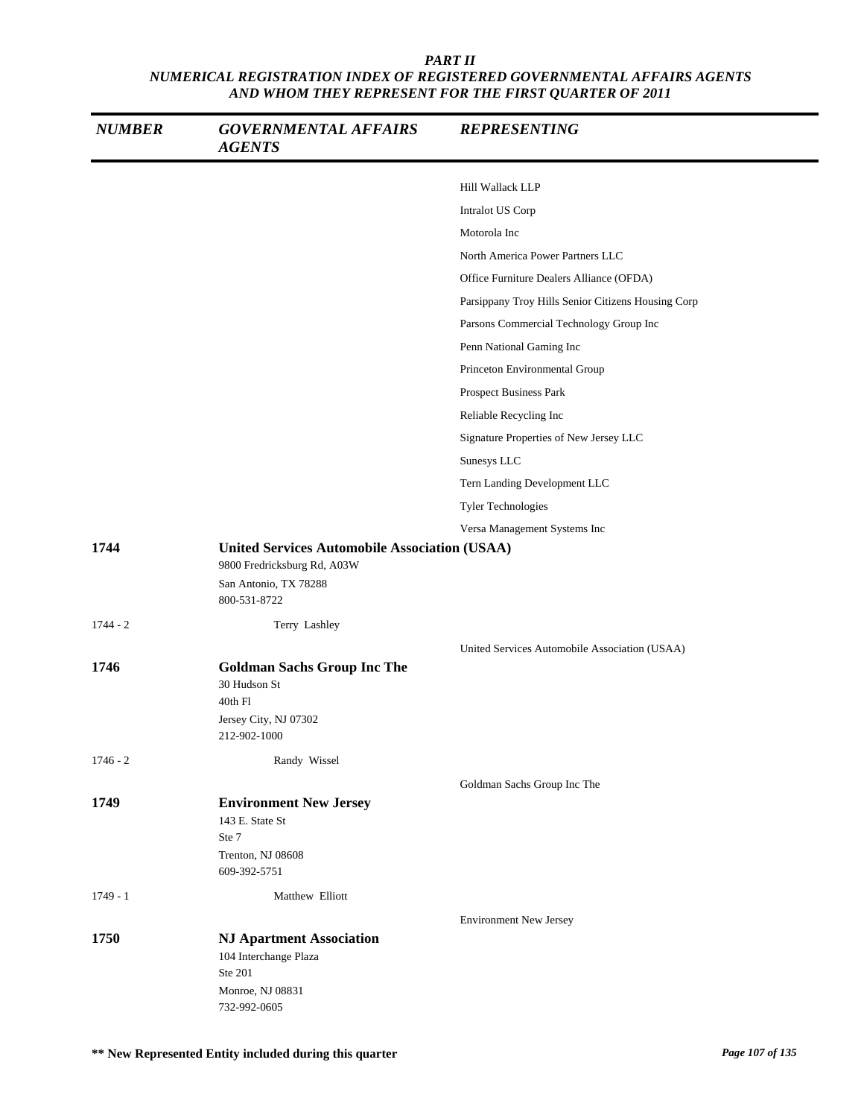| <b>NUMBER</b> | <b>GOVERNMENTAL AFFAIRS</b><br><b>AGENTS</b>                                                                                 | <b>REPRESENTING</b>                                |
|---------------|------------------------------------------------------------------------------------------------------------------------------|----------------------------------------------------|
|               |                                                                                                                              | Hill Wallack LLP                                   |
|               |                                                                                                                              | Intralot US Corp                                   |
|               |                                                                                                                              | Motorola Inc                                       |
|               |                                                                                                                              | North America Power Partners LLC                   |
|               |                                                                                                                              | Office Furniture Dealers Alliance (OFDA)           |
|               |                                                                                                                              | Parsippany Troy Hills Senior Citizens Housing Corp |
|               |                                                                                                                              | Parsons Commercial Technology Group Inc            |
|               |                                                                                                                              | Penn National Gaming Inc                           |
|               |                                                                                                                              | Princeton Environmental Group                      |
|               |                                                                                                                              | Prospect Business Park                             |
|               |                                                                                                                              | Reliable Recycling Inc                             |
|               |                                                                                                                              | Signature Properties of New Jersey LLC             |
|               |                                                                                                                              | Sunesys LLC                                        |
|               |                                                                                                                              | Tern Landing Development LLC                       |
|               |                                                                                                                              | Tyler Technologies                                 |
|               |                                                                                                                              | Versa Management Systems Inc                       |
| 1744          | <b>United Services Automobile Association (USAA)</b><br>9800 Fredricksburg Rd, A03W<br>San Antonio, TX 78288<br>800-531-8722 |                                                    |
| $1744 - 2$    | Terry Lashley                                                                                                                |                                                    |
| 1746          | <b>Goldman Sachs Group Inc The</b><br>30 Hudson St<br>40th Fl<br>Jersey City, NJ 07302<br>212-902-1000                       | United Services Automobile Association (USAA)      |
| $1746 - 2$    | Randy Wissel                                                                                                                 |                                                    |
|               |                                                                                                                              | Goldman Sachs Group Inc The                        |
| 1749          | <b>Environment New Jersey</b><br>143 E. State St<br>Ste 7<br>Trenton, NJ 08608<br>609-392-5751                               |                                                    |
| $1749 - 1$    | Matthew Elliott                                                                                                              |                                                    |
|               |                                                                                                                              | <b>Environment New Jersey</b>                      |
| 1750          | <b>NJ Apartment Association</b><br>104 Interchange Plaza<br>Ste 201<br>Monroe, NJ 08831<br>732-992-0605                      |                                                    |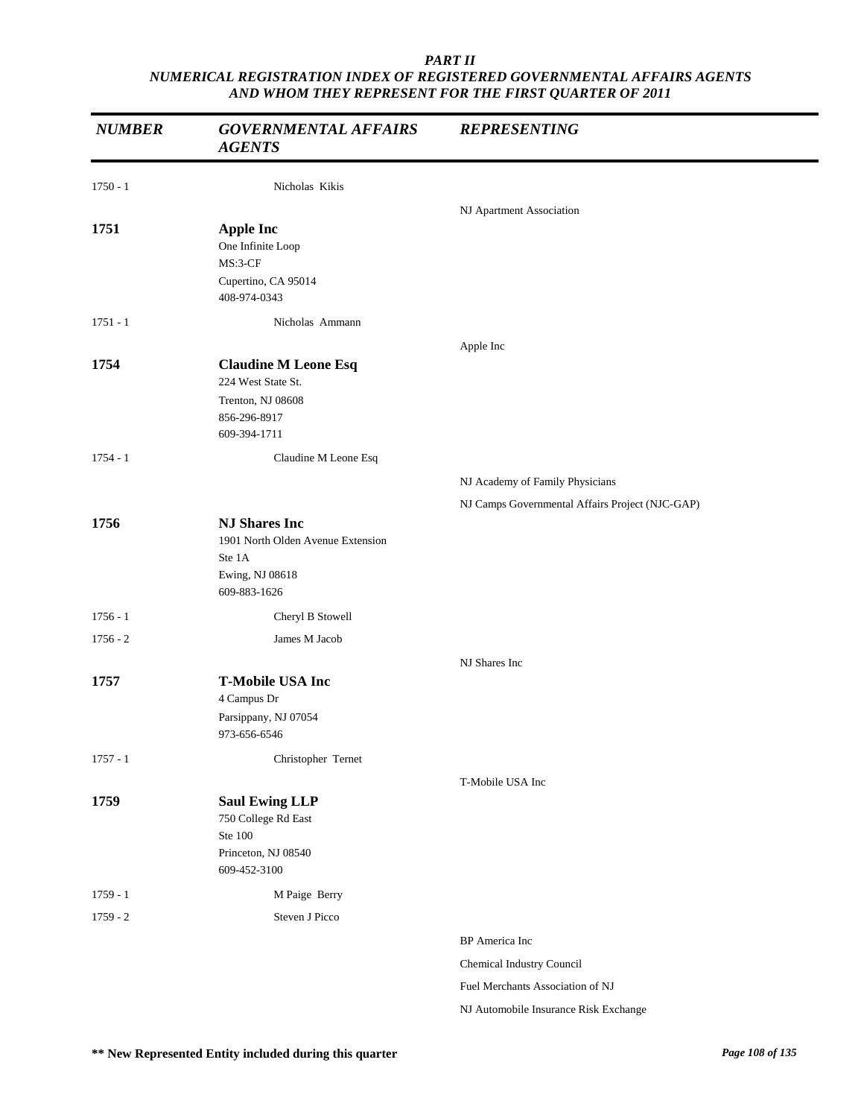| <b>NUMBER</b> | <b>GOVERNMENTAL AFFAIRS</b><br><b>AGENTS</b>                                                           | <b>REPRESENTING</b>                             |
|---------------|--------------------------------------------------------------------------------------------------------|-------------------------------------------------|
| $1750 - 1$    | Nicholas Kikis                                                                                         |                                                 |
|               |                                                                                                        | NJ Apartment Association                        |
| 1751          | <b>Apple Inc</b><br>One Infinite Loop<br>MS:3-CF<br>Cupertino, CA 95014<br>408-974-0343                |                                                 |
| $1751 - 1$    | Nicholas Ammann                                                                                        |                                                 |
|               |                                                                                                        | Apple Inc                                       |
| 1754          | <b>Claudine M Leone Esq</b><br>224 West State St.<br>Trenton, NJ 08608<br>856-296-8917<br>609-394-1711 |                                                 |
| $1754 - 1$    | Claudine M Leone Esq                                                                                   |                                                 |
|               |                                                                                                        | NJ Academy of Family Physicians                 |
|               |                                                                                                        | NJ Camps Governmental Affairs Project (NJC-GAP) |
| 1756          | <b>NJ Shares Inc</b><br>1901 North Olden Avenue Extension<br>Ste 1A<br>Ewing, NJ 08618<br>609-883-1626 |                                                 |
| $1756 - 1$    | Cheryl B Stowell                                                                                       |                                                 |
| $1756 - 2$    | James M Jacob                                                                                          |                                                 |
|               |                                                                                                        | NJ Shares Inc                                   |
| 1757          | <b>T-Mobile USA Inc</b><br>$4$ Campus Dr<br>Parsippany, NJ 07054<br>973-656-6546                       |                                                 |
| $1757 - 1$    | Christopher Ternet                                                                                     |                                                 |
| 1759          | <b>Saul Ewing LLP</b><br>750 College Rd East<br>Ste 100<br>Princeton, NJ 08540<br>609-452-3100         | T-Mobile USA Inc                                |
| $1759 - 1$    | M Paige Berry                                                                                          |                                                 |
| $1759 - 2$    | Steven J Picco                                                                                         |                                                 |
|               |                                                                                                        | BP America Inc                                  |
|               |                                                                                                        | Chemical Industry Council                       |
|               |                                                                                                        | Fuel Merchants Association of NJ                |
|               |                                                                                                        | NJ Automobile Insurance Risk Exchange           |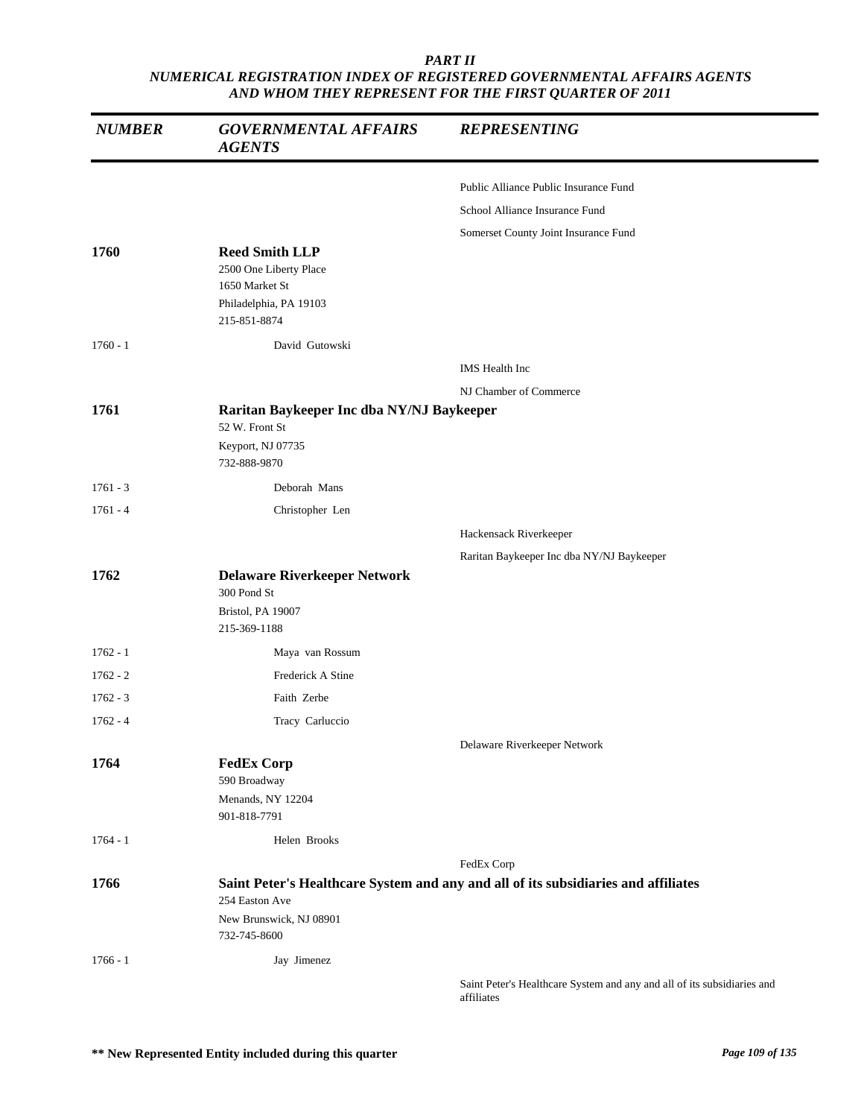| <b>NUMBER</b> | <b>GOVERNMENTAL AFFAIRS</b><br><b>AGENTS</b>                                                                | <b>REPRESENTING</b>                                                                |
|---------------|-------------------------------------------------------------------------------------------------------------|------------------------------------------------------------------------------------|
|               |                                                                                                             | Public Alliance Public Insurance Fund                                              |
|               |                                                                                                             | School Alliance Insurance Fund                                                     |
|               |                                                                                                             | Somerset County Joint Insurance Fund                                               |
| 1760          | <b>Reed Smith LLP</b><br>2500 One Liberty Place<br>1650 Market St<br>Philadelphia, PA 19103<br>215-851-8874 |                                                                                    |
| $1760 - 1$    | David Gutowski                                                                                              |                                                                                    |
|               |                                                                                                             | IMS Health Inc                                                                     |
|               |                                                                                                             | NJ Chamber of Commerce                                                             |
| 1761          | Raritan Baykeeper Inc dba NY/NJ Baykeeper<br>52 W. Front St<br>Keyport, NJ 07735<br>732-888-9870            |                                                                                    |
| $1761 - 3$    | Deborah Mans                                                                                                |                                                                                    |
| $1761 - 4$    | Christopher Len                                                                                             |                                                                                    |
|               |                                                                                                             | Hackensack Riverkeeper                                                             |
|               |                                                                                                             | Raritan Baykeeper Inc dba NY/NJ Baykeeper                                          |
| 1762          | <b>Delaware Riverkeeper Network</b><br>300 Pond St<br>Bristol, PA 19007<br>215-369-1188                     |                                                                                    |
| $1762 - 1$    | Maya van Rossum                                                                                             |                                                                                    |
| $1762 - 2$    | Frederick A Stine                                                                                           |                                                                                    |
| $1762 - 3$    | Faith Zerbe                                                                                                 |                                                                                    |
| $1762 - 4$    | Tracy Carluccio                                                                                             |                                                                                    |
|               |                                                                                                             | Delaware Riverkeeper Network                                                       |
| 1764          | <b>FedEx Corp</b><br>590 Broadway<br>Menands, NY 12204<br>901-818-7791                                      |                                                                                    |
| $1764 - 1$    | Helen Brooks                                                                                                |                                                                                    |
|               |                                                                                                             | FedEx Corp                                                                         |
| 1766          | 254 Easton Ave<br>New Brunswick, NJ 08901<br>732-745-8600                                                   | Saint Peter's Healthcare System and any and all of its subsidiaries and affiliates |
| $1766 - 1$    | Jay Jimenez                                                                                                 |                                                                                    |
|               |                                                                                                             | Saint Peter's Healthcare System and any and all of its subsidiaries and            |

t Peter's Healthcare System and any and all of its subsidiaries a affiliates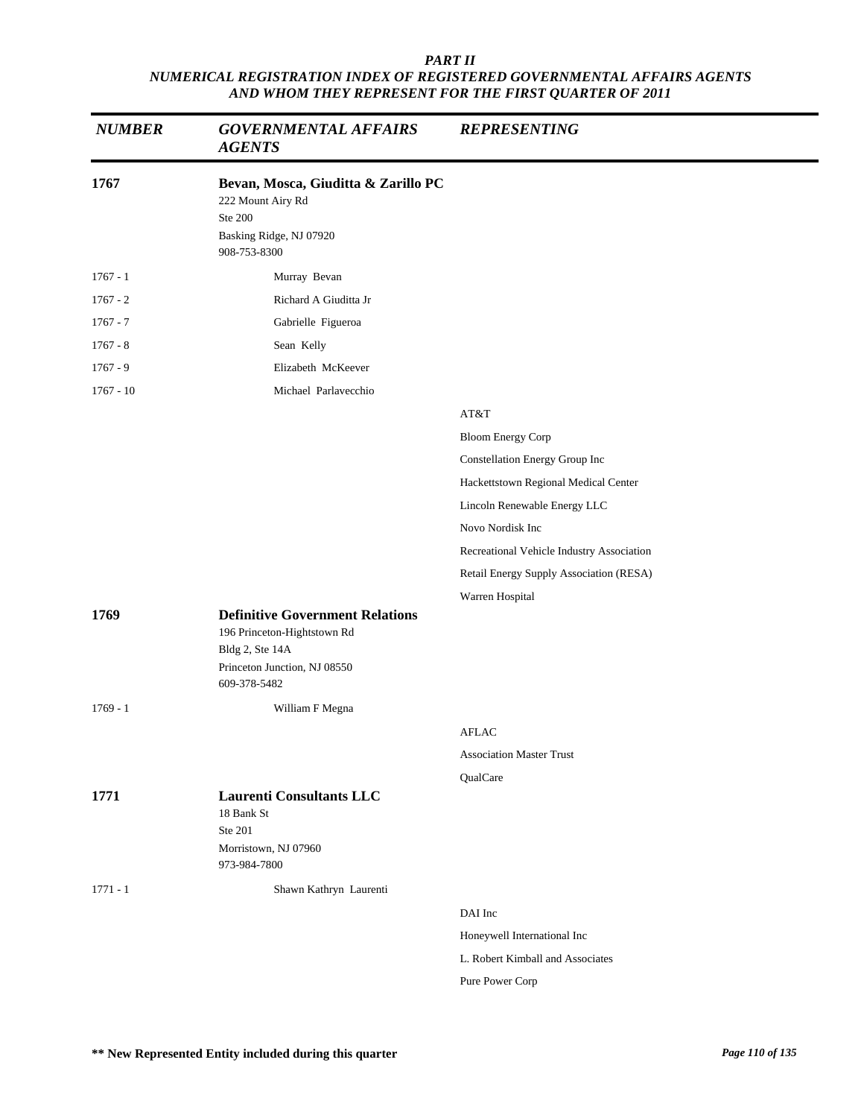| <b>NUMBER</b> | <b>GOVERNMENTAL AFFAIRS</b><br><b>AGENTS</b>                                                                                             | <b>REPRESENTING</b>                       |
|---------------|------------------------------------------------------------------------------------------------------------------------------------------|-------------------------------------------|
| 1767          | Bevan, Mosca, Giuditta & Zarillo PC<br>222 Mount Airy Rd<br><b>Ste 200</b><br>Basking Ridge, NJ 07920<br>908-753-8300                    |                                           |
| $1767 - 1$    | Murray Bevan                                                                                                                             |                                           |
| $1767 - 2$    | Richard A Giuditta Jr                                                                                                                    |                                           |
| $1767 - 7$    | Gabrielle Figueroa                                                                                                                       |                                           |
| $1767 - 8$    | Sean Kelly                                                                                                                               |                                           |
| $1767 - 9$    | Elizabeth McKeever                                                                                                                       |                                           |
| $1767 - 10$   | Michael Parlavecchio                                                                                                                     |                                           |
|               |                                                                                                                                          | AT&T                                      |
|               |                                                                                                                                          | <b>Bloom Energy Corp</b>                  |
|               |                                                                                                                                          | Constellation Energy Group Inc            |
|               |                                                                                                                                          | Hackettstown Regional Medical Center      |
|               |                                                                                                                                          | Lincoln Renewable Energy LLC              |
|               |                                                                                                                                          | Novo Nordisk Inc                          |
|               |                                                                                                                                          | Recreational Vehicle Industry Association |
|               |                                                                                                                                          | Retail Energy Supply Association (RESA)   |
|               |                                                                                                                                          | Warren Hospital                           |
| 1769          | <b>Definitive Government Relations</b><br>196 Princeton-Hightstown Rd<br>Bldg 2, Ste 14A<br>Princeton Junction, NJ 08550<br>609-378-5482 |                                           |
| $1769 - 1$    | William F Megna                                                                                                                          |                                           |
|               |                                                                                                                                          | <b>AFLAC</b>                              |
|               |                                                                                                                                          | <b>Association Master Trust</b>           |
|               |                                                                                                                                          | QualCare                                  |
| 1771          | <b>Laurenti Consultants LLC</b><br>18 Bank St<br>Ste 201<br>Morristown, NJ 07960<br>973-984-7800                                         |                                           |
| $1771 - 1$    | Shawn Kathryn Laurenti                                                                                                                   |                                           |
|               |                                                                                                                                          | DAI Inc                                   |
|               |                                                                                                                                          | Honeywell International Inc               |
|               |                                                                                                                                          | L. Robert Kimball and Associates          |
|               |                                                                                                                                          | Pure Power Corp                           |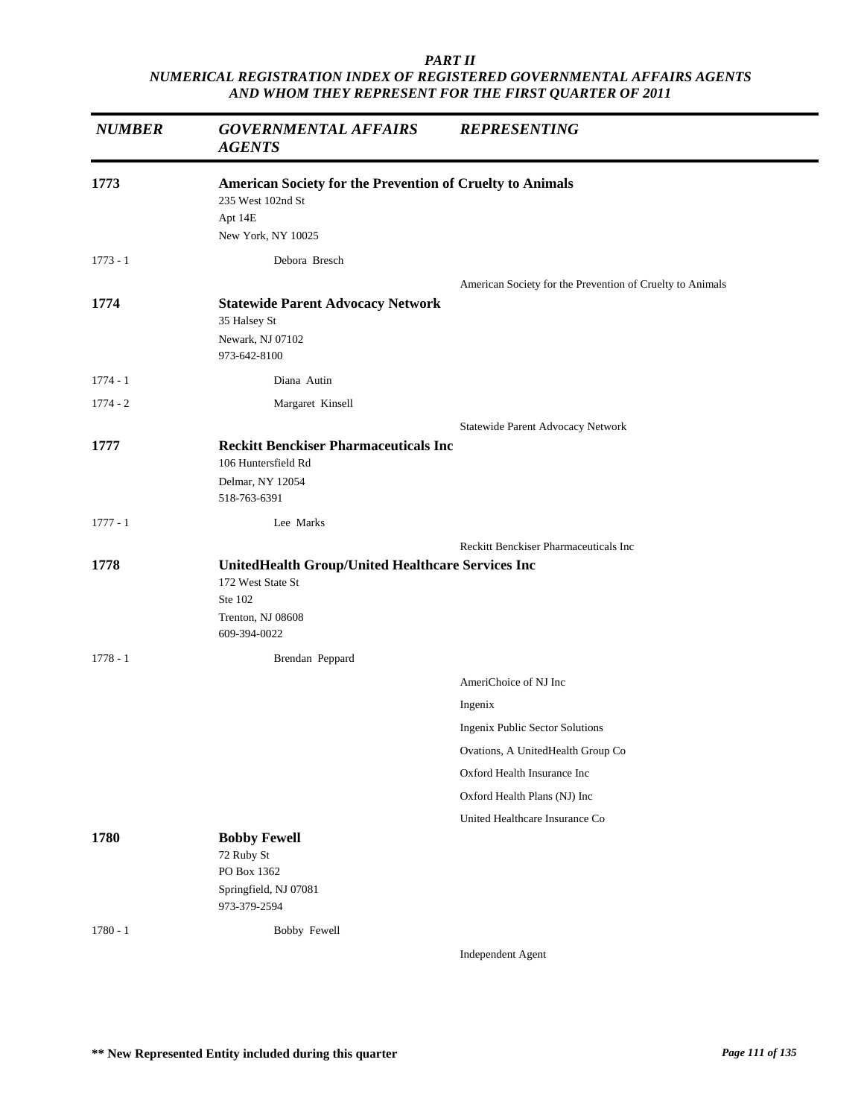| <b>NUMBER</b> | <b>GOVERNMENTAL AFFAIRS</b><br><b>AGENTS</b>                                                                           | <b>REPRESENTING</b>                                       |
|---------------|------------------------------------------------------------------------------------------------------------------------|-----------------------------------------------------------|
| 1773          | American Society for the Prevention of Cruelty to Animals<br>235 West 102nd St<br>Apt 14E                              |                                                           |
|               | New York, NY 10025                                                                                                     |                                                           |
| $1773 - 1$    | Debora Bresch                                                                                                          |                                                           |
| 1774          | <b>Statewide Parent Advocacy Network</b><br>35 Halsey St<br>Newark, NJ 07102<br>973-642-8100                           | American Society for the Prevention of Cruelty to Animals |
| $1774 - 1$    | Diana Autin                                                                                                            |                                                           |
| $1774 - 2$    | Margaret Kinsell                                                                                                       |                                                           |
|               |                                                                                                                        | Statewide Parent Advocacy Network                         |
| 1777          | <b>Reckitt Benckiser Pharmaceuticals Inc</b><br>106 Huntersfield Rd<br>Delmar, NY 12054<br>518-763-6391                |                                                           |
| $1777 - 1$    | Lee Marks                                                                                                              |                                                           |
|               |                                                                                                                        | Reckitt Benckiser Pharmaceuticals Inc                     |
| 1778          | UnitedHealth Group/United Healthcare Services Inc<br>172 West State St<br>Ste 102<br>Trenton, NJ 08608<br>609-394-0022 |                                                           |
| $1778 - 1$    | Brendan Peppard                                                                                                        |                                                           |
|               |                                                                                                                        | AmeriChoice of NJ Inc                                     |
|               |                                                                                                                        | Ingenix                                                   |
|               |                                                                                                                        | <b>Ingenix Public Sector Solutions</b>                    |
|               |                                                                                                                        | Ovations, A UnitedHealth Group Co                         |
|               |                                                                                                                        | Oxford Health Insurance Inc                               |
|               |                                                                                                                        | Oxford Health Plans (NJ) Inc                              |
|               |                                                                                                                        | United Healthcare Insurance Co                            |
| 1780          | <b>Bobby Fewell</b><br>72 Ruby St<br>PO Box 1362<br>Springfield, NJ 07081<br>973-379-2594                              |                                                           |
| $1780 - 1$    | Bobby Fewell                                                                                                           |                                                           |
|               |                                                                                                                        | Independent Agent                                         |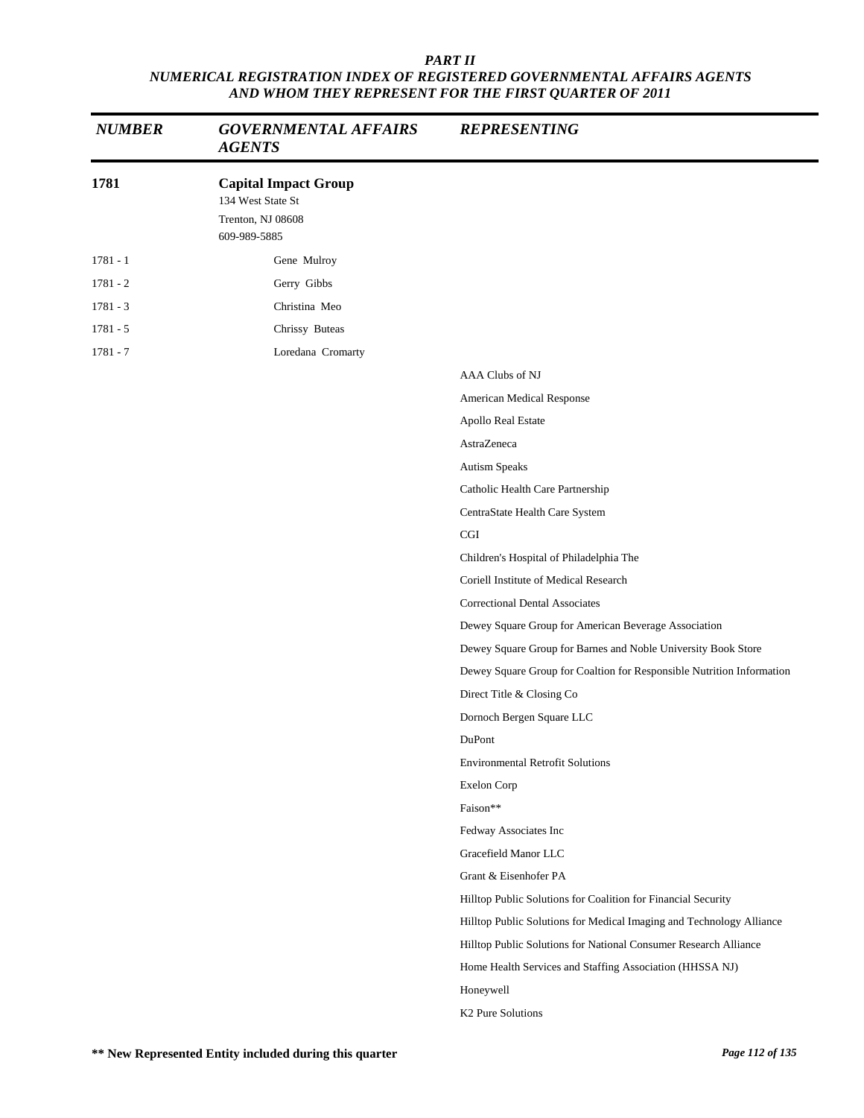| <b>NUMBER</b> | <b>GOVERNMENTAL AFFAIRS</b><br><b>AGENTS</b>                                          | <b>REPRESENTING</b>                                                   |
|---------------|---------------------------------------------------------------------------------------|-----------------------------------------------------------------------|
| 1781          | <b>Capital Impact Group</b><br>134 West State St<br>Trenton, NJ 08608<br>609-989-5885 |                                                                       |
| $1781 - 1$    | Gene Mulroy                                                                           |                                                                       |
| $1781 - 2$    | Gerry Gibbs                                                                           |                                                                       |
| $1781 - 3$    | Christina Meo                                                                         |                                                                       |
| $1781 - 5$    | Chrissy Buteas                                                                        |                                                                       |
| 1781 - 7      | Loredana Cromarty                                                                     |                                                                       |
|               |                                                                                       | AAA Clubs of NJ                                                       |
|               |                                                                                       | American Medical Response                                             |
|               |                                                                                       | Apollo Real Estate                                                    |
|               |                                                                                       | AstraZeneca                                                           |
|               |                                                                                       | Autism Speaks                                                         |
|               |                                                                                       | Catholic Health Care Partnership                                      |
|               |                                                                                       | CentraState Health Care System                                        |
|               |                                                                                       | CGI                                                                   |
|               |                                                                                       | Children's Hospital of Philadelphia The                               |
|               |                                                                                       | Coriell Institute of Medical Research                                 |
|               |                                                                                       | <b>Correctional Dental Associates</b>                                 |
|               |                                                                                       | Dewey Square Group for American Beverage Association                  |
|               |                                                                                       | Dewey Square Group for Barnes and Noble University Book Store         |
|               |                                                                                       | Dewey Square Group for Coaltion for Responsible Nutrition Information |
|               |                                                                                       | Direct Title & Closing Co                                             |
|               |                                                                                       | Dornoch Bergen Square LLC                                             |
|               |                                                                                       | DuPont                                                                |
|               |                                                                                       | <b>Environmental Retrofit Solutions</b>                               |
|               |                                                                                       | Exelon Corp                                                           |
|               |                                                                                       | Faison**                                                              |
|               |                                                                                       | Fedway Associates Inc                                                 |
|               |                                                                                       | Gracefield Manor LLC                                                  |
|               |                                                                                       | Grant & Eisenhofer PA                                                 |
|               |                                                                                       | Hilltop Public Solutions for Coalition for Financial Security         |
|               |                                                                                       | Hilltop Public Solutions for Medical Imaging and Technology Alliance  |
|               |                                                                                       | Hilltop Public Solutions for National Consumer Research Alliance      |
|               |                                                                                       | Home Health Services and Staffing Association (HHSSA NJ)              |
|               |                                                                                       | Honeywell                                                             |
|               |                                                                                       | K2 Pure Solutions                                                     |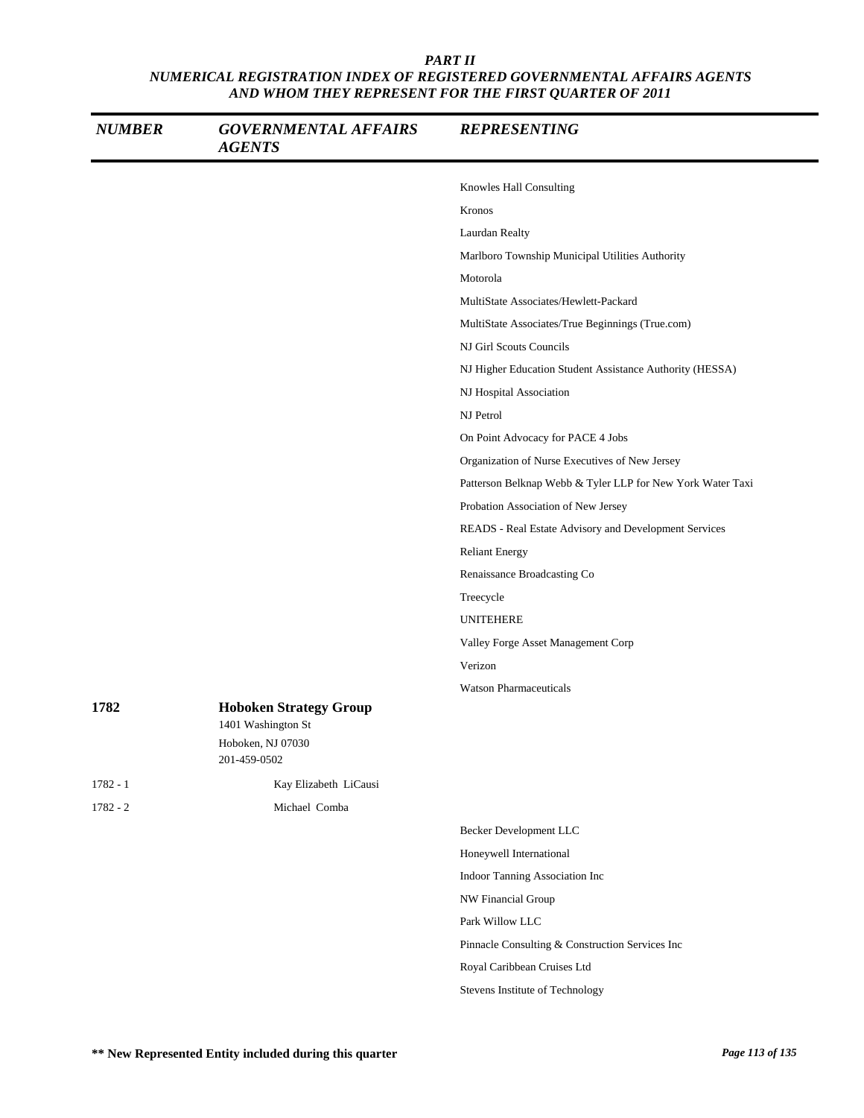| <b>NUMBER</b> | <b>GOVERNMENTAL AFFAIRS</b><br><b>AGENTS</b>                                             | <b>REPRESENTING</b>                                        |
|---------------|------------------------------------------------------------------------------------------|------------------------------------------------------------|
|               |                                                                                          | Knowles Hall Consulting                                    |
|               |                                                                                          | Kronos                                                     |
|               |                                                                                          | Laurdan Realty                                             |
|               |                                                                                          | Marlboro Township Municipal Utilities Authority            |
|               |                                                                                          | Motorola                                                   |
|               |                                                                                          | MultiState Associates/Hewlett-Packard                      |
|               |                                                                                          | MultiState Associates/True Beginnings (True.com)           |
|               |                                                                                          | NJ Girl Scouts Councils                                    |
|               |                                                                                          | NJ Higher Education Student Assistance Authority (HESSA)   |
|               |                                                                                          | NJ Hospital Association                                    |
|               |                                                                                          | NJ Petrol                                                  |
|               |                                                                                          | On Point Advocacy for PACE 4 Jobs                          |
|               |                                                                                          | Organization of Nurse Executives of New Jersey             |
|               |                                                                                          | Patterson Belknap Webb & Tyler LLP for New York Water Taxi |
|               |                                                                                          | Probation Association of New Jersey                        |
|               |                                                                                          | READS - Real Estate Advisory and Development Services      |
|               |                                                                                          | <b>Reliant Energy</b>                                      |
|               |                                                                                          | Renaissance Broadcasting Co                                |
|               |                                                                                          | Treecycle                                                  |
|               |                                                                                          | UNITEHERE                                                  |
|               |                                                                                          | Valley Forge Asset Management Corp                         |
|               |                                                                                          | Verizon                                                    |
|               |                                                                                          | <b>Watson Pharmaceuticals</b>                              |
| 1782          | <b>Hoboken Strategy Group</b><br>1401 Washington St<br>Hoboken, NJ 07030<br>201-459-0502 |                                                            |
| $1782 - 1$    | Kay Elizabeth LiCausi                                                                    |                                                            |
| $1782 - 2$    | Michael Comba                                                                            |                                                            |
|               |                                                                                          | <b>Becker Development LLC</b>                              |
|               |                                                                                          | Honeywell International                                    |
|               |                                                                                          | Indoor Tanning Association Inc                             |
|               |                                                                                          | NW Financial Group                                         |
|               |                                                                                          | Park Willow LLC                                            |
|               |                                                                                          | Pinnacle Consulting & Construction Services Inc            |
|               |                                                                                          | Royal Caribbean Cruises Ltd                                |
|               |                                                                                          | Stevens Institute of Technology                            |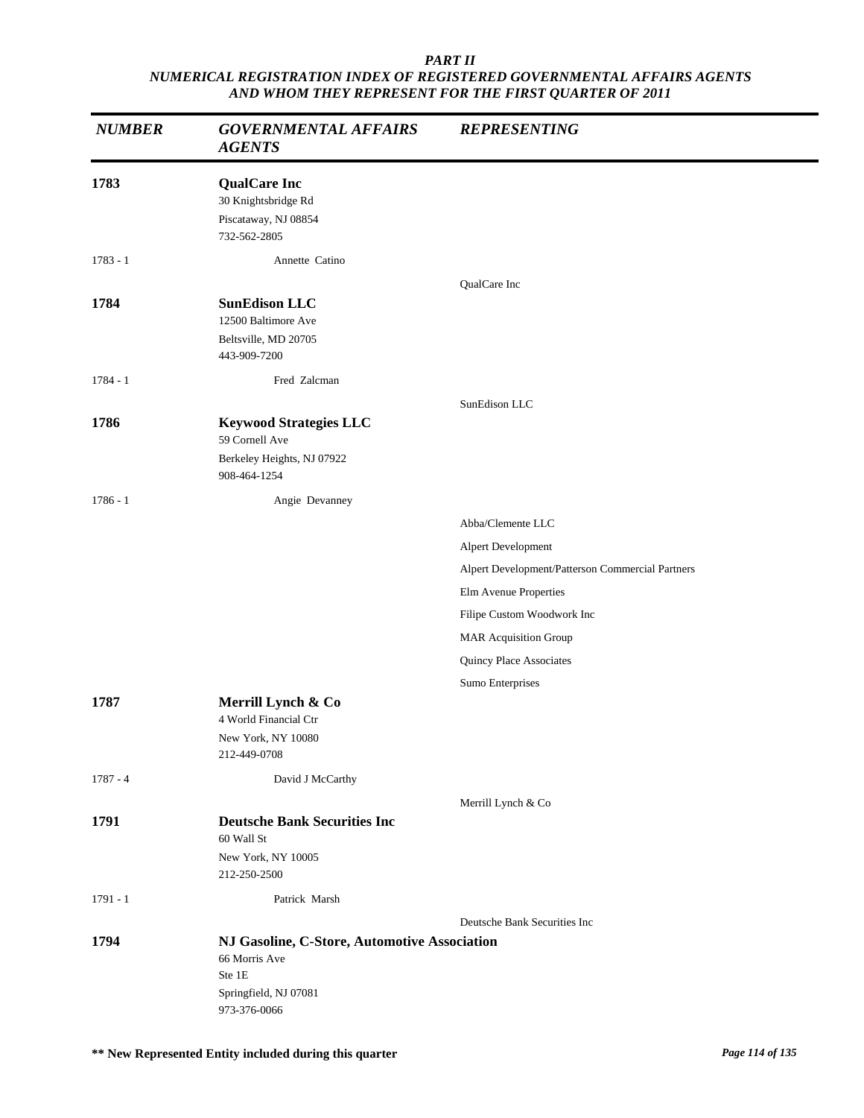| <b>NUMBER</b> | <b>GOVERNMENTAL AFFAIRS</b><br><b>AGENTS</b>                                                                     | <b>REPRESENTING</b>                              |
|---------------|------------------------------------------------------------------------------------------------------------------|--------------------------------------------------|
| 1783          | <b>QualCare Inc</b><br>30 Knightsbridge Rd<br>Piscataway, NJ 08854<br>732-562-2805                               |                                                  |
| $1783 - 1$    | Annette Catino                                                                                                   |                                                  |
| 1784          | <b>SunEdison LLC</b><br>12500 Baltimore Ave<br>Beltsville, MD 20705<br>443-909-7200                              | QualCare Inc                                     |
| $1784 - 1$    | Fred Zalcman                                                                                                     |                                                  |
| 1786          | <b>Keywood Strategies LLC</b><br>59 Cornell Ave<br>Berkeley Heights, NJ 07922<br>908-464-1254                    | SunEdison LLC                                    |
| $1786 - 1$    | Angie Devanney                                                                                                   |                                                  |
|               |                                                                                                                  | Abba/Clemente LLC                                |
|               |                                                                                                                  | Alpert Development                               |
|               |                                                                                                                  | Alpert Development/Patterson Commercial Partners |
|               |                                                                                                                  | Elm Avenue Properties                            |
|               |                                                                                                                  | Filipe Custom Woodwork Inc                       |
|               |                                                                                                                  | <b>MAR Acquisition Group</b>                     |
|               |                                                                                                                  | Quincy Place Associates                          |
|               |                                                                                                                  | Sumo Enterprises                                 |
| 1787          | Merrill Lynch & Co<br>4 World Financial Ctr<br>New York, NY 10080<br>212-449-0708                                |                                                  |
| $1787 - 4$    | David J McCarthy                                                                                                 |                                                  |
|               |                                                                                                                  | Merrill Lynch & Co                               |
| 1791          | <b>Deutsche Bank Securities Inc</b><br>60 Wall St<br>New York, NY 10005<br>212-250-2500                          |                                                  |
| $1791 - 1$    | Patrick Marsh                                                                                                    |                                                  |
|               |                                                                                                                  | Deutsche Bank Securities Inc                     |
| 1794          | NJ Gasoline, C-Store, Automotive Association<br>66 Morris Ave<br>Ste 1E<br>Springfield, NJ 07081<br>973-376-0066 |                                                  |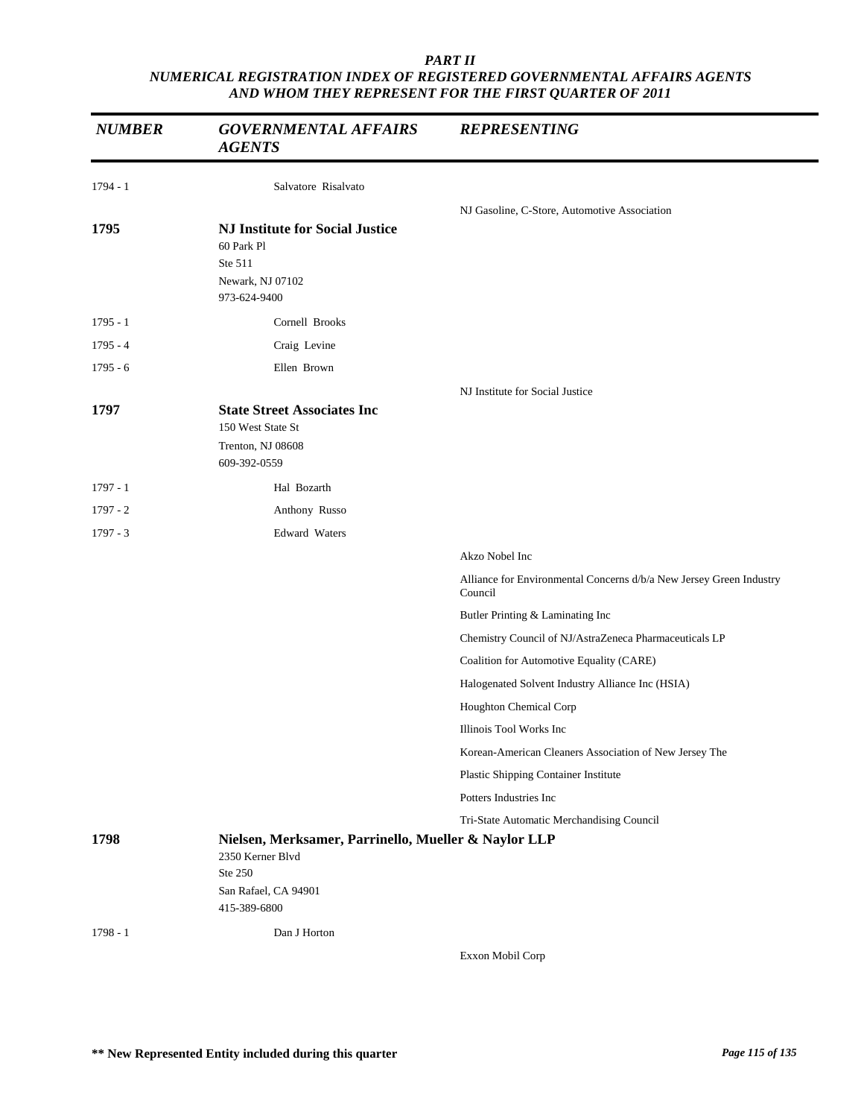| <b>NUMBER</b> | <b>GOVERNMENTAL AFFAIRS</b><br><b>AGENTS</b>                                                                | <b>REPRESENTING</b>                                                            |
|---------------|-------------------------------------------------------------------------------------------------------------|--------------------------------------------------------------------------------|
| $1794 - 1$    | Salvatore Risalvato                                                                                         |                                                                                |
|               |                                                                                                             | NJ Gasoline, C-Store, Automotive Association                                   |
| 1795          | <b>NJ Institute for Social Justice</b><br>60 Park Pl<br>Ste 511<br>Newark, NJ 07102<br>973-624-9400         |                                                                                |
| $1795 - 1$    | Cornell Brooks                                                                                              |                                                                                |
| $1795 - 4$    | Craig Levine                                                                                                |                                                                                |
| $1795 - 6$    | Ellen Brown                                                                                                 |                                                                                |
|               |                                                                                                             | NJ Institute for Social Justice                                                |
| 1797          | <b>State Street Associates Inc</b><br>150 West State St<br>Trenton, NJ 08608<br>609-392-0559                |                                                                                |
| $1797 - 1$    | Hal Bozarth                                                                                                 |                                                                                |
| $1797 - 2$    | Anthony Russo                                                                                               |                                                                                |
| $1797 - 3$    | Edward Waters                                                                                               |                                                                                |
|               |                                                                                                             | Akzo Nobel Inc                                                                 |
|               |                                                                                                             | Alliance for Environmental Concerns d/b/a New Jersey Green Industry<br>Council |
|               |                                                                                                             | Butler Printing & Laminating Inc                                               |
|               |                                                                                                             | Chemistry Council of NJ/AstraZeneca Pharmaceuticals LP                         |
|               |                                                                                                             | Coalition for Automotive Equality (CARE)                                       |
|               |                                                                                                             | Halogenated Solvent Industry Alliance Inc (HSIA)                               |
|               |                                                                                                             | Houghton Chemical Corp                                                         |
|               |                                                                                                             | Illinois Tool Works Inc                                                        |
|               |                                                                                                             | Korean-American Cleaners Association of New Jersey The                         |
|               |                                                                                                             | Plastic Shipping Container Institute                                           |
|               |                                                                                                             | Potters Industries Inc                                                         |
|               |                                                                                                             | Tri-State Automatic Merchandising Council                                      |
| 1798          | Nielsen, Merksamer, Parrinello, Mueller & Naylor LLP<br>2350 Kerner Blvd<br>Ste 250<br>San Rafael, CA 94901 |                                                                                |
|               | 415-389-6800                                                                                                |                                                                                |
| $1798 - 1$    | Dan J Horton                                                                                                |                                                                                |
|               |                                                                                                             | Exxon Mobil Corp                                                               |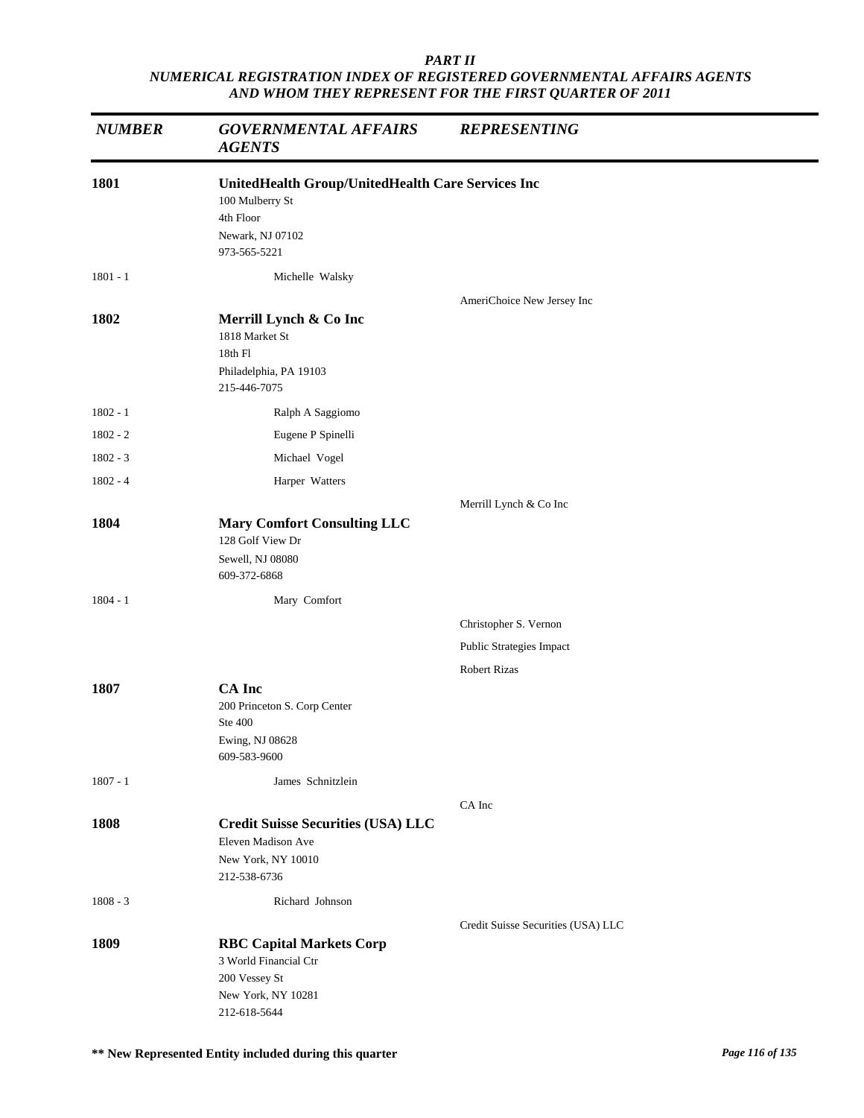| <b>NUMBER</b> | <b>GOVERNMENTAL AFFAIRS</b><br><b>AGENTS</b>                                                                          | <b>REPRESENTING</b>                |
|---------------|-----------------------------------------------------------------------------------------------------------------------|------------------------------------|
| 1801          | UnitedHealth Group/UnitedHealth Care Services Inc<br>100 Mulberry St<br>4th Floor<br>Newark, NJ 07102<br>973-565-5221 |                                    |
| $1801 - 1$    | Michelle Walsky                                                                                                       |                                    |
| 1802          | Merrill Lynch & Co Inc<br>1818 Market St<br>18th Fl<br>Philadelphia, PA 19103<br>215-446-7075                         | AmeriChoice New Jersey Inc         |
| $1802 - 1$    | Ralph A Saggiomo                                                                                                      |                                    |
| $1802 - 2$    | Eugene P Spinelli                                                                                                     |                                    |
| $1802 - 3$    | Michael Vogel                                                                                                         |                                    |
| $1802 - 4$    | Harper Watters                                                                                                        |                                    |
| 1804          | <b>Mary Comfort Consulting LLC</b><br>128 Golf View Dr<br>Sewell, NJ 08080<br>609-372-6868                            | Merrill Lynch & Co Inc             |
| $1804 - 1$    | Mary Comfort                                                                                                          |                                    |
|               |                                                                                                                       | Christopher S. Vernon              |
|               |                                                                                                                       | Public Strategies Impact           |
|               |                                                                                                                       | <b>Robert Rizas</b>                |
| 1807          | <b>CA</b> Inc<br>200 Princeton S. Corp Center<br>Ste 400<br>Ewing, NJ 08628<br>609-583-9600                           |                                    |
| $1807 - 1$    | James Schnitzlein                                                                                                     |                                    |
| 1808          | <b>Credit Suisse Securities (USA) LLC</b><br>Eleven Madison Ave<br>New York, NY 10010<br>212-538-6736                 | CA Inc                             |
| $1808 - 3$    | Richard Johnson                                                                                                       |                                    |
| 1809          | <b>RBC Capital Markets Corp</b><br>3 World Financial Ctr<br>200 Vessey St<br>New York, NY 10281<br>212-618-5644       | Credit Suisse Securities (USA) LLC |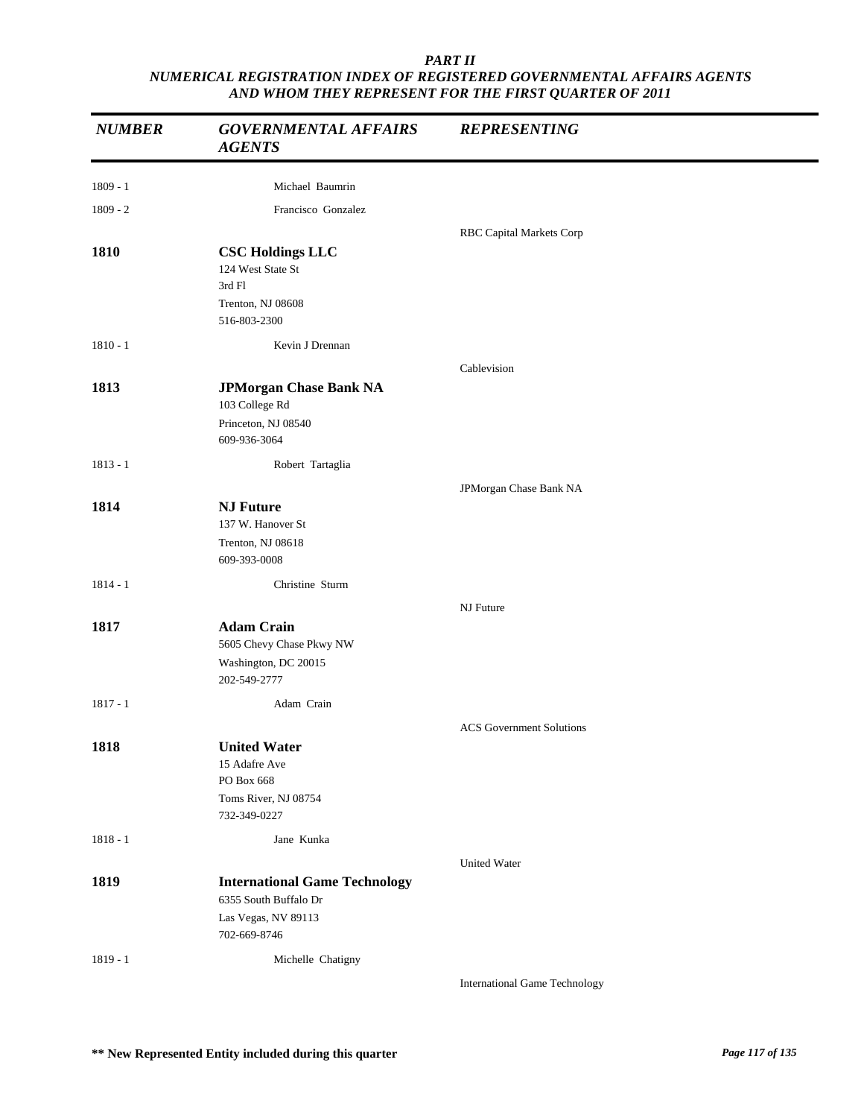| <b>NUMBER</b> | <b>GOVERNMENTAL AFFAIRS</b><br><b>AGENTS</b>                                                | <b>REPRESENTING</b>                  |
|---------------|---------------------------------------------------------------------------------------------|--------------------------------------|
| $1809 - 1$    | Michael Baumrin                                                                             |                                      |
| $1809 - 2$    | Francisco Gonzalez                                                                          |                                      |
|               |                                                                                             | RBC Capital Markets Corp             |
| 1810          | <b>CSC Holdings LLC</b><br>124 West State St<br>3rd Fl<br>Trenton, NJ 08608<br>516-803-2300 |                                      |
| $1810 - 1$    | Kevin J Drennan                                                                             |                                      |
|               |                                                                                             | Cablevision                          |
| 1813          | <b>JPMorgan Chase Bank NA</b>                                                               |                                      |
|               | 103 College Rd                                                                              |                                      |
|               | Princeton, NJ 08540<br>609-936-3064                                                         |                                      |
| $1813 - 1$    | Robert Tartaglia                                                                            |                                      |
|               |                                                                                             | JPMorgan Chase Bank NA               |
| 1814          | <b>NJ Future</b>                                                                            |                                      |
|               | 137 W. Hanover St                                                                           |                                      |
|               | Trenton, NJ 08618                                                                           |                                      |
|               | 609-393-0008                                                                                |                                      |
| $1814 - 1$    | Christine Sturm                                                                             |                                      |
|               |                                                                                             | NJ Future                            |
| 1817          | <b>Adam Crain</b>                                                                           |                                      |
|               | 5605 Chevy Chase Pkwy NW<br>Washington, DC 20015                                            |                                      |
|               | 202-549-2777                                                                                |                                      |
| $1817 - 1$    | Adam Crain                                                                                  |                                      |
|               |                                                                                             | <b>ACS</b> Government Solutions      |
| 1818          | <b>United Water</b>                                                                         |                                      |
|               | 15 Adafre Ave                                                                               |                                      |
|               | PO Box 668                                                                                  |                                      |
|               | Toms River, NJ 08754<br>732-349-0227                                                        |                                      |
| $1818 - 1$    | Jane Kunka                                                                                  |                                      |
|               |                                                                                             |                                      |
| 1819          | <b>International Game Technology</b>                                                        | <b>United Water</b>                  |
|               | 6355 South Buffalo Dr                                                                       |                                      |
|               | Las Vegas, NV 89113                                                                         |                                      |
|               | 702-669-8746                                                                                |                                      |
| 1819 - 1      | Michelle Chatigny                                                                           |                                      |
|               |                                                                                             | <b>International Game Technology</b> |

**\*\* New Represented Entity included during this quarter** *Page 117 of 135*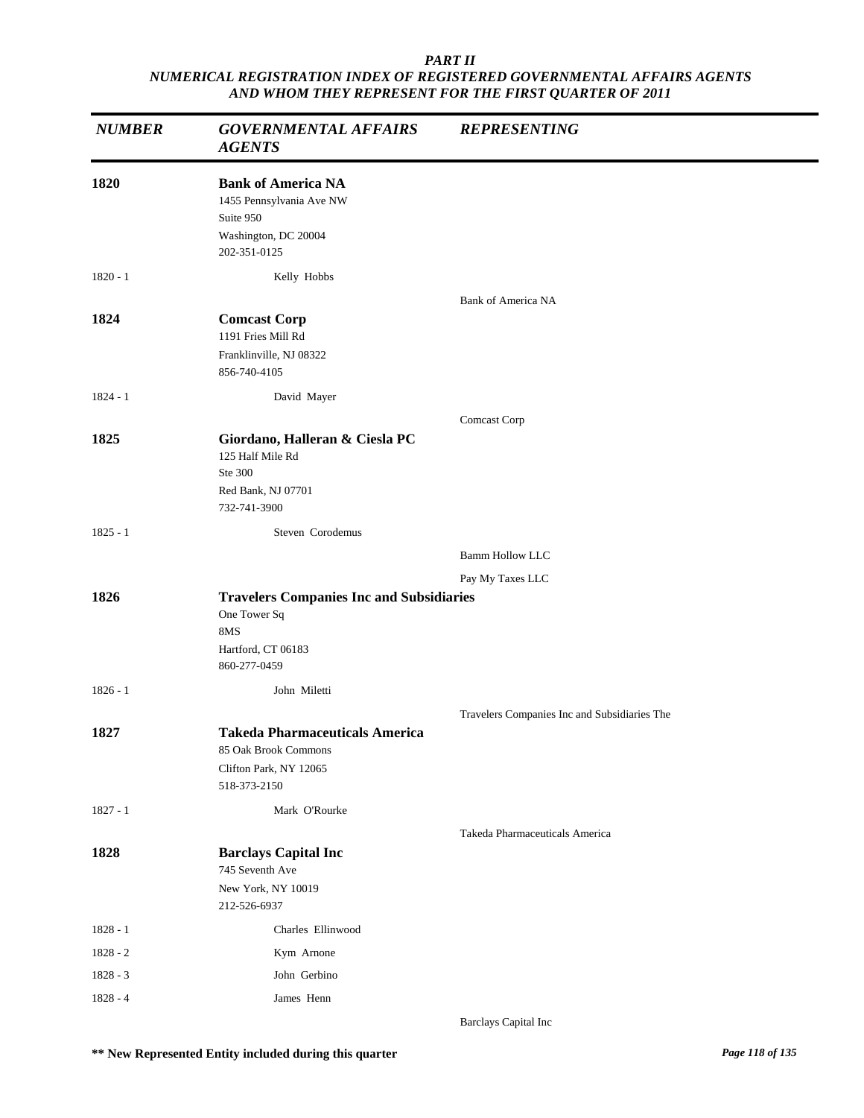| <b>NUMBER</b> | <b>GOVERNMENTAL AFFAIRS</b><br><b>AGENTS</b>                                                                 | <b>REPRESENTING</b>                          |
|---------------|--------------------------------------------------------------------------------------------------------------|----------------------------------------------|
| 1820          | <b>Bank of America NA</b><br>1455 Pennsylvania Ave NW<br>Suite 950<br>Washington, DC 20004<br>202-351-0125   |                                              |
| $1820 - 1$    | Kelly Hobbs                                                                                                  |                                              |
| 1824          | <b>Comcast Corp</b><br>1191 Fries Mill Rd<br>Franklinville, NJ 08322<br>856-740-4105                         | Bank of America NA                           |
| $1824 - 1$    | David Mayer                                                                                                  |                                              |
| 1825          | Giordano, Halleran & Ciesla PC<br>125 Half Mile Rd<br>Ste 300<br>Red Bank, NJ 07701<br>732-741-3900          | Comcast Corp                                 |
| $1825 - 1$    | Steven Corodemus                                                                                             |                                              |
|               |                                                                                                              | <b>Bamm Hollow LLC</b>                       |
|               |                                                                                                              | Pay My Taxes LLC                             |
| 1826          | <b>Travelers Companies Inc and Subsidiaries</b><br>One Tower Sq<br>8MS<br>Hartford, CT 06183<br>860-277-0459 |                                              |
| $1826 - 1$    | John Miletti                                                                                                 |                                              |
|               |                                                                                                              | Travelers Companies Inc and Subsidiaries The |
| 1827          | <b>Takeda Pharmaceuticals America</b><br>85 Oak Brook Commons<br>Clifton Park, NY 12065<br>518-373-2150      |                                              |
| $1827 - 1$    | Mark O'Rourke                                                                                                |                                              |
|               |                                                                                                              | Takeda Pharmaceuticals America               |
| 1828          | <b>Barclays Capital Inc</b><br>745 Seventh Ave<br>New York, NY 10019<br>212-526-6937                         |                                              |
| $1828 - 1$    | Charles Ellinwood                                                                                            |                                              |
| 1828 - 2      | Kym Arnone                                                                                                   |                                              |
| $1828 - 3$    | John Gerbino                                                                                                 |                                              |
| $1828 - 4$    | James Henn                                                                                                   |                                              |

Barclays Capital Inc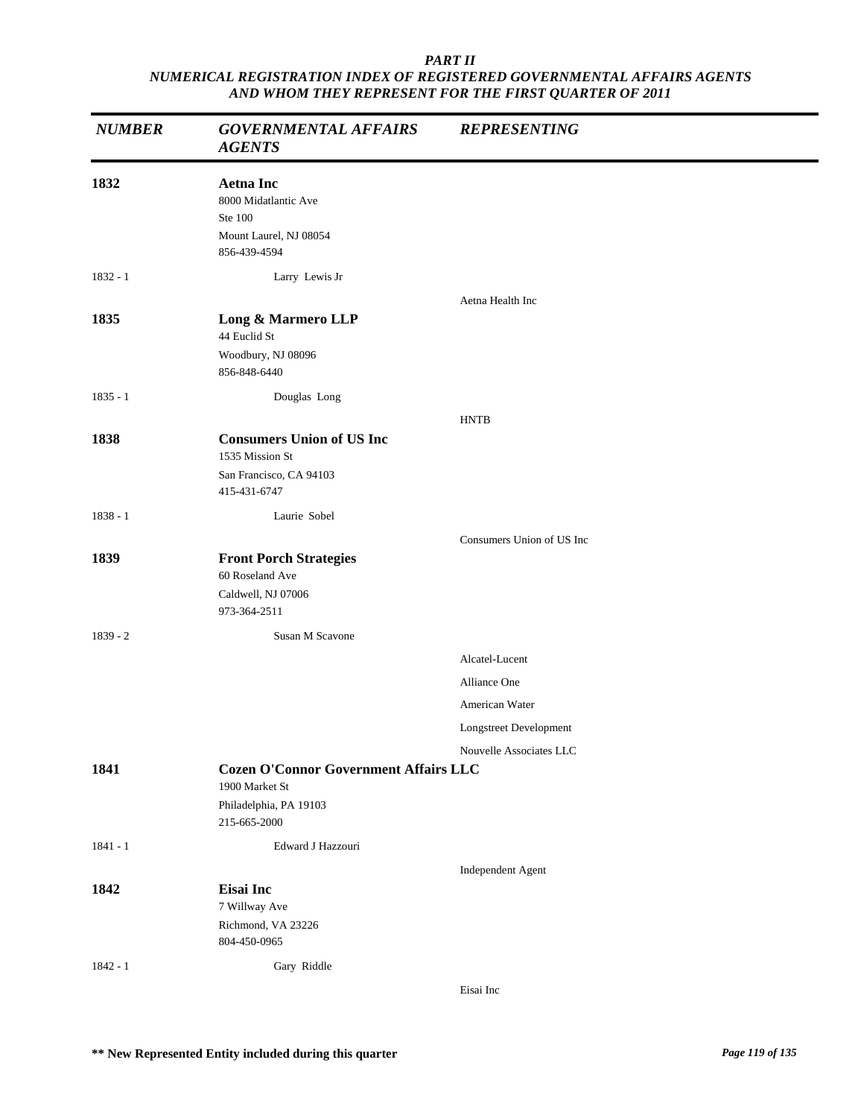| <b>NUMBER</b> | <b>GOVERNMENTAL AFFAIRS</b><br><b>AGENTS</b>                                                             | <b>REPRESENTING</b>       |
|---------------|----------------------------------------------------------------------------------------------------------|---------------------------|
| 1832          | <b>Aetna Inc</b><br>8000 Midatlantic Ave<br>Ste 100<br>Mount Laurel, NJ 08054<br>856-439-4594            |                           |
| $1832 - 1$    | Larry Lewis Jr                                                                                           |                           |
| 1835          | Long & Marmero LLP<br>44 Euclid St<br>Woodbury, NJ 08096<br>856-848-6440                                 | Aetna Health Inc          |
| $1835 - 1$    | Douglas Long                                                                                             |                           |
|               |                                                                                                          | <b>HNTB</b>               |
| 1838          | <b>Consumers Union of US Inc</b><br>1535 Mission St<br>San Francisco, CA 94103<br>415-431-6747           |                           |
| $1838 - 1$    | Laurie Sobel                                                                                             |                           |
|               |                                                                                                          | Consumers Union of US Inc |
| 1839          | <b>Front Porch Strategies</b><br>60 Roseland Ave<br>Caldwell, NJ 07006<br>973-364-2511                   |                           |
| $1839 - 2$    | Susan M Scavone                                                                                          |                           |
|               |                                                                                                          | Alcatel-Lucent            |
|               |                                                                                                          | Alliance One              |
|               |                                                                                                          | American Water            |
|               |                                                                                                          | Longstreet Development    |
|               |                                                                                                          | Nouvelle Associates LLC   |
| 1841          | <b>Cozen O'Connor Government Affairs LLC</b><br>1900 Market St<br>Philadelphia, PA 19103<br>215-665-2000 |                           |
| $1841 - 1$    | Edward J Hazzouri                                                                                        |                           |
| 1842          | Eisai Inc<br>7 Willway Ave<br>Richmond, VA 23226<br>804-450-0965                                         | Independent Agent         |
| $1842 - 1$    | Gary Riddle                                                                                              |                           |
|               |                                                                                                          | Eisai Inc                 |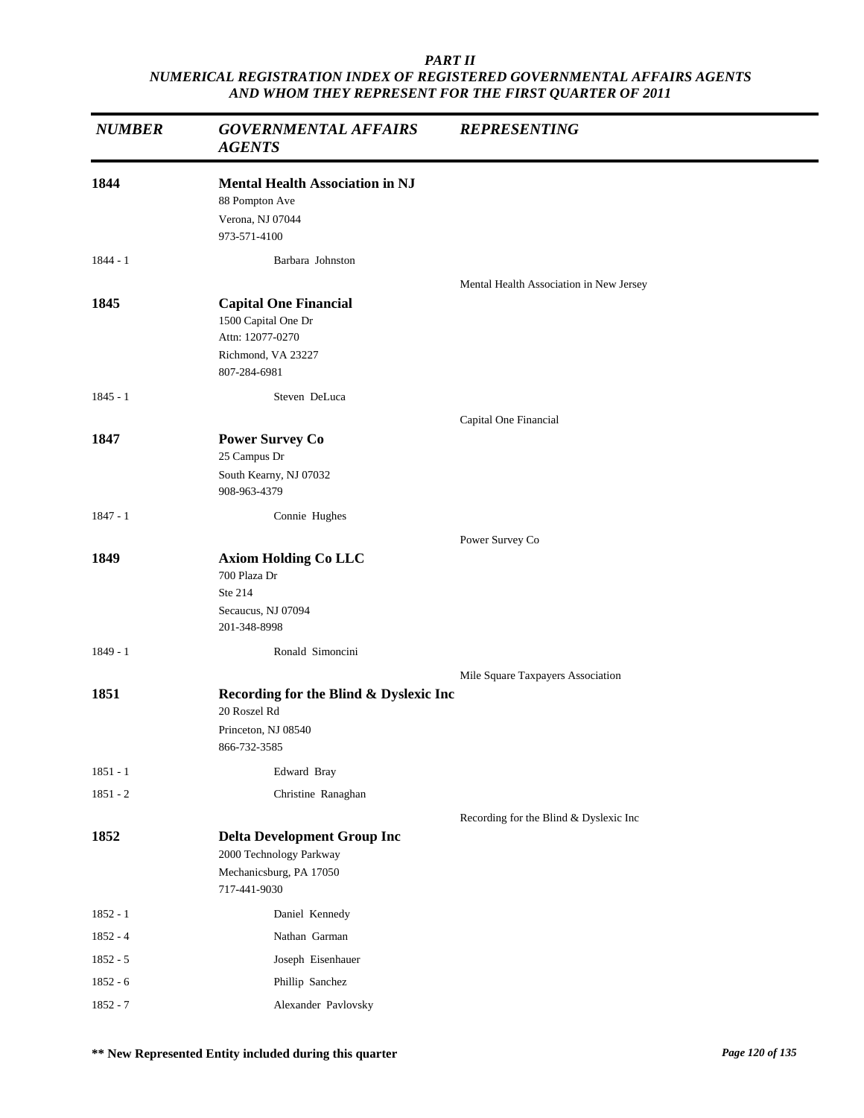| <b>NUMBER</b> | <b>GOVERNMENTAL AFFAIRS</b><br><b>AGENTS</b>                                                                  | <b>REPRESENTING</b>                     |  |
|---------------|---------------------------------------------------------------------------------------------------------------|-----------------------------------------|--|
| 1844          | <b>Mental Health Association in NJ</b><br>88 Pompton Ave<br>Verona, NJ 07044<br>973-571-4100                  |                                         |  |
| $1844 - 1$    | Barbara Johnston                                                                                              |                                         |  |
| 1845          | <b>Capital One Financial</b><br>1500 Capital One Dr<br>Attn: 12077-0270<br>Richmond, VA 23227<br>807-284-6981 | Mental Health Association in New Jersey |  |
| $1845 - 1$    | Steven DeLuca                                                                                                 |                                         |  |
| 1847          | <b>Power Survey Co</b><br>25 Campus Dr<br>South Kearny, NJ 07032<br>908-963-4379                              | Capital One Financial                   |  |
| $1847 - 1$    | Connie Hughes                                                                                                 |                                         |  |
|               |                                                                                                               | Power Survey Co                         |  |
| 1849          | <b>Axiom Holding Co LLC</b><br>700 Plaza Dr<br>Ste 214<br>Secaucus, NJ 07094<br>201-348-8998                  |                                         |  |
| $1849 - 1$    | Ronald Simoncini                                                                                              |                                         |  |
| 1851          | Recording for the Blind & Dyslexic Inc<br>20 Roszel Rd<br>Princeton, NJ 08540<br>866-732-3585                 | Mile Square Taxpayers Association       |  |
| $1851 - 1$    | Edward Bray                                                                                                   |                                         |  |
| $1851 - 2$    | Christine Ranaghan                                                                                            |                                         |  |
| 1852          | <b>Delta Development Group Inc</b><br>2000 Technology Parkway<br>Mechanicsburg, PA 17050<br>717-441-9030      | Recording for the Blind & Dyslexic Inc  |  |
| $1852 - 1$    | Daniel Kennedy                                                                                                |                                         |  |
| $1852 - 4$    | Nathan Garman                                                                                                 |                                         |  |
| $1852 - 5$    | Joseph Eisenhauer                                                                                             |                                         |  |
| $1852 - 6$    | Phillip Sanchez                                                                                               |                                         |  |
| 1852 - 7      | Alexander Pavlovsky                                                                                           |                                         |  |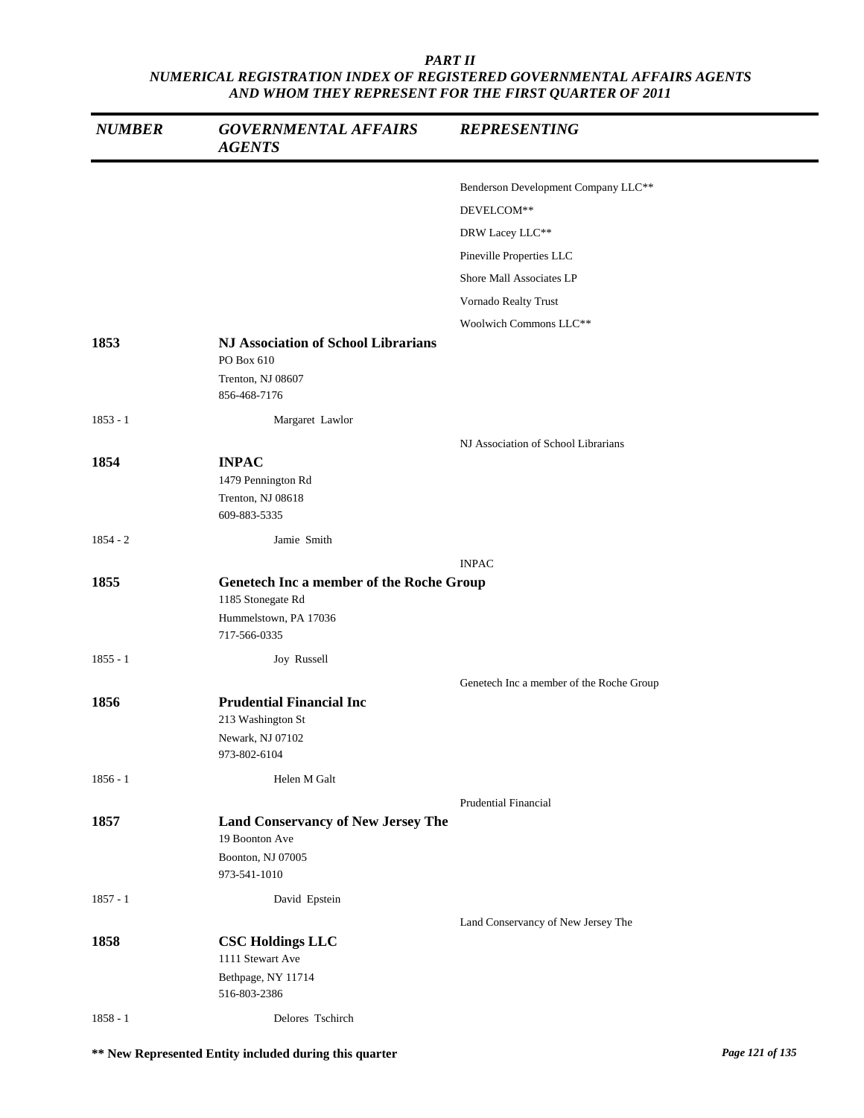| <b>NUMBER</b> | <b>GOVERNMENTAL AFFAIRS</b><br><b>AGENTS</b>      | <b>REPRESENTING</b>                      |
|---------------|---------------------------------------------------|------------------------------------------|
|               |                                                   | Benderson Development Company LLC**      |
|               |                                                   | DEVELCOM**                               |
|               |                                                   | DRW Lacey LLC**                          |
|               |                                                   |                                          |
|               |                                                   | Pineville Properties LLC                 |
|               |                                                   | Shore Mall Associates LP                 |
|               |                                                   | Vornado Realty Trust                     |
|               |                                                   | Woolwich Commons LLC**                   |
| 1853          | NJ Association of School Librarians<br>PO Box 610 |                                          |
|               | Trenton, NJ 08607                                 |                                          |
|               | 856-468-7176                                      |                                          |
| $1853 - 1$    | Margaret Lawlor                                   |                                          |
|               |                                                   | NJ Association of School Librarians      |
| 1854          | <b>INPAC</b>                                      |                                          |
|               | 1479 Pennington Rd                                |                                          |
|               | Trenton, NJ 08618                                 |                                          |
|               | 609-883-5335                                      |                                          |
| $1854 - 2$    | Jamie Smith                                       |                                          |
|               |                                                   | <b>INPAC</b>                             |
| 1855          | Genetech Inc a member of the Roche Group          |                                          |
|               | 1185 Stonegate Rd<br>Hummelstown, PA 17036        |                                          |
|               | 717-566-0335                                      |                                          |
| $1855 - 1$    | Joy Russell                                       |                                          |
|               |                                                   | Genetech Inc a member of the Roche Group |
| 1856          | <b>Prudential Financial Inc</b>                   |                                          |
|               | 213 Washington St                                 |                                          |
|               | Newark, NJ 07102                                  |                                          |
|               | 973-802-6104                                      |                                          |
| $1856 - 1$    | Helen M Galt                                      |                                          |
|               |                                                   | <b>Prudential Financial</b>              |
| 1857          | <b>Land Conservancy of New Jersey The</b>         |                                          |
|               | 19 Boonton Ave                                    |                                          |
|               | Boonton, NJ 07005                                 |                                          |
|               | 973-541-1010                                      |                                          |
| $1857 - 1$    | David Epstein                                     |                                          |
|               |                                                   | Land Conservancy of New Jersey The       |
| 1858          | <b>CSC Holdings LLC</b><br>1111 Stewart Ave       |                                          |
|               | Bethpage, NY 11714                                |                                          |
|               |                                                   |                                          |
|               | 516-803-2386                                      |                                          |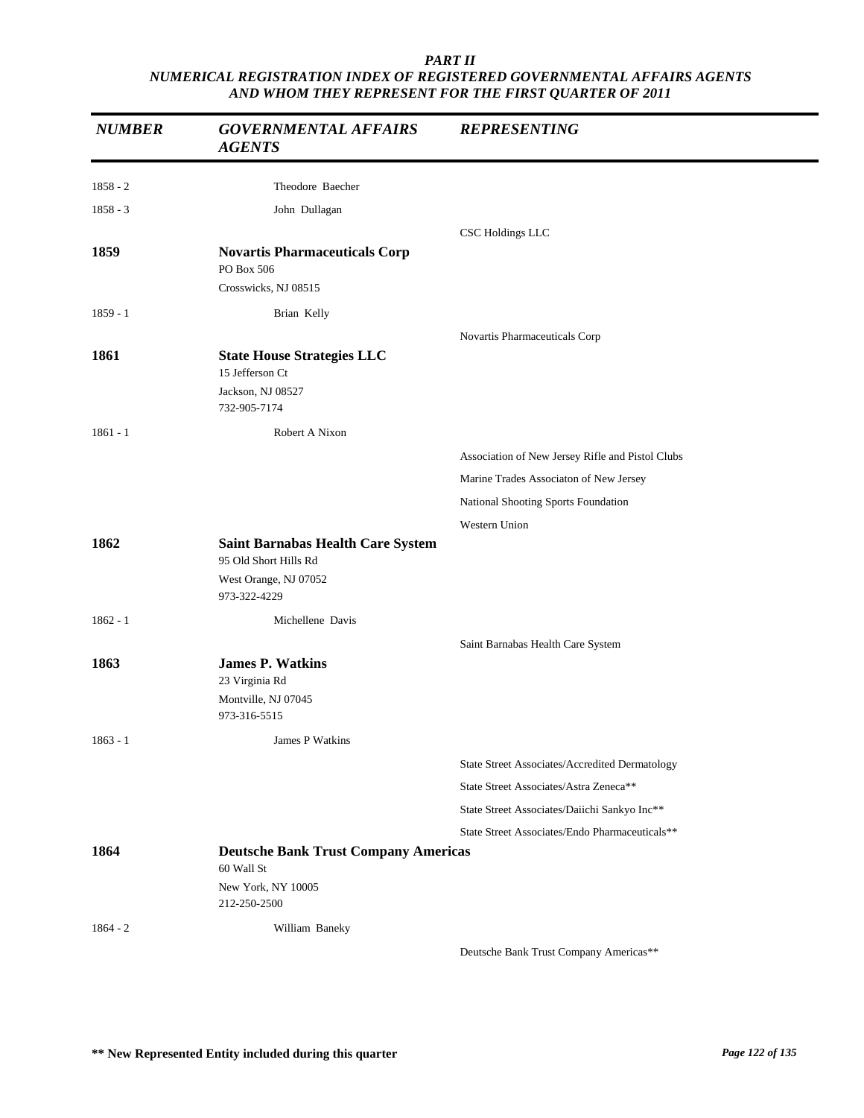| <b>NUMBER</b> | <b>GOVERNMENTAL AFFAIRS</b><br><b>AGENTS</b>                      | <b>REPRESENTING</b>                              |
|---------------|-------------------------------------------------------------------|--------------------------------------------------|
| 1858 - 2      | Theodore Baecher                                                  |                                                  |
| $1858 - 3$    | John Dullagan                                                     |                                                  |
|               |                                                                   | CSC Holdings LLC                                 |
| 1859          | <b>Novartis Pharmaceuticals Corp</b><br>PO Box 506                |                                                  |
|               | Crosswicks, NJ 08515                                              |                                                  |
| $1859 - 1$    | Brian Kelly                                                       |                                                  |
|               |                                                                   | Novartis Pharmaceuticals Corp                    |
| 1861          | <b>State House Strategies LLC</b><br>15 Jefferson Ct              |                                                  |
|               | Jackson, NJ 08527<br>732-905-7174                                 |                                                  |
| $1861 - 1$    | Robert A Nixon                                                    |                                                  |
|               |                                                                   | Association of New Jersey Rifle and Pistol Clubs |
|               |                                                                   | Marine Trades Associaton of New Jersey           |
|               |                                                                   | National Shooting Sports Foundation              |
|               |                                                                   | Western Union                                    |
| 1862          | <b>Saint Barnabas Health Care System</b><br>95 Old Short Hills Rd |                                                  |
|               | West Orange, NJ 07052<br>973-322-4229                             |                                                  |
| $1862 - 1$    | Michellene Davis                                                  |                                                  |
|               |                                                                   | Saint Barnabas Health Care System                |
| 1863          | <b>James P. Watkins</b>                                           |                                                  |
|               | 23 Virginia Rd                                                    |                                                  |
|               | Montville, NJ 07045<br>973-316-5515                               |                                                  |
| $1863 - 1$    | James P Watkins                                                   |                                                  |
|               |                                                                   | State Street Associates/Accredited Dermatology   |
|               |                                                                   | State Street Associates/Astra Zeneca**           |
|               |                                                                   | State Street Associates/Daiichi Sankyo Inc**     |
|               |                                                                   | State Street Associates/Endo Pharmaceuticals**   |
| 1864          | <b>Deutsche Bank Trust Company Americas</b><br>60 Wall St         |                                                  |
|               | New York, NY 10005<br>212-250-2500                                |                                                  |
| $1864 - 2$    | William Baneky                                                    |                                                  |
|               |                                                                   | Deutsche Bank Trust Company Americas**           |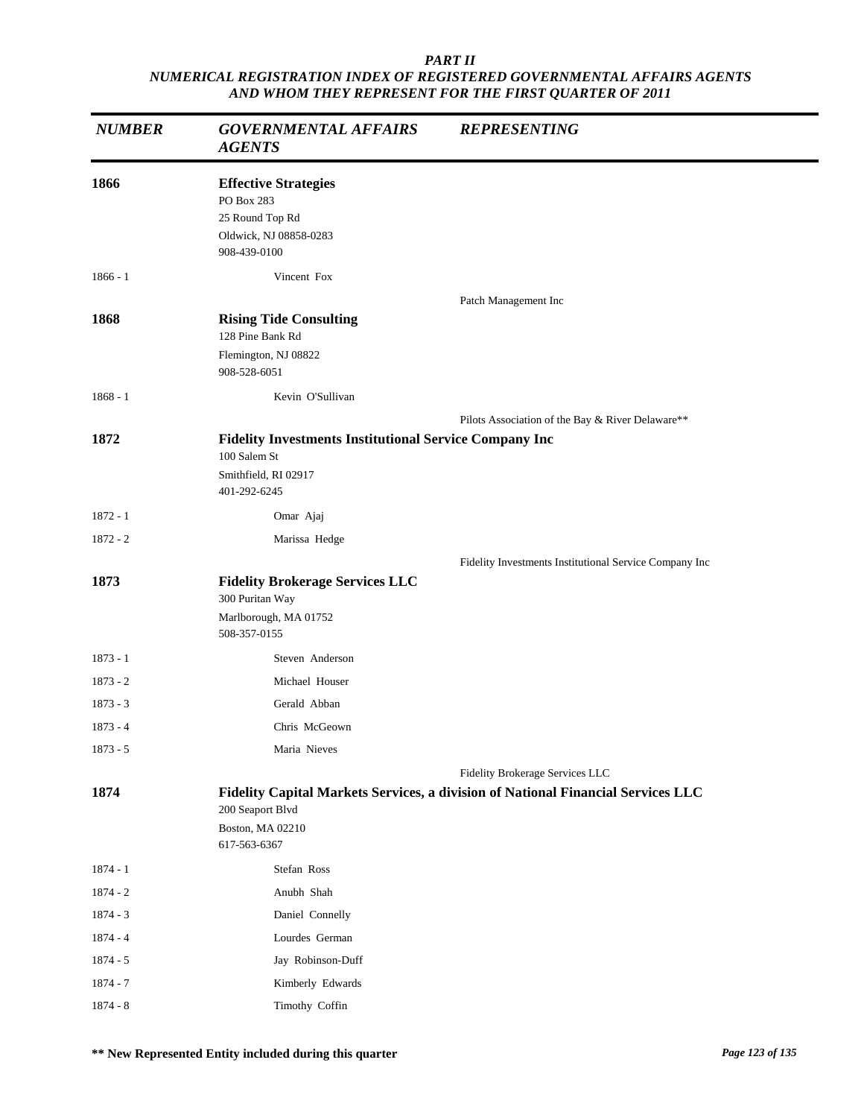| <b>NUMBER</b> | <b>GOVERNMENTAL AFFAIRS</b><br><b>AGENTS</b>                                                                          | <b>REPRESENTING</b>                                                              |
|---------------|-----------------------------------------------------------------------------------------------------------------------|----------------------------------------------------------------------------------|
| 1866          | <b>Effective Strategies</b><br>PO Box 283<br>25 Round Top Rd<br>Oldwick, NJ 08858-0283                                |                                                                                  |
|               | 908-439-0100                                                                                                          |                                                                                  |
| $1866 - 1$    | Vincent Fox                                                                                                           |                                                                                  |
|               |                                                                                                                       | Patch Management Inc                                                             |
| 1868          | <b>Rising Tide Consulting</b><br>128 Pine Bank Rd                                                                     |                                                                                  |
|               | Flemington, NJ 08822<br>908-528-6051                                                                                  |                                                                                  |
| $1868 - 1$    | Kevin O'Sullivan                                                                                                      |                                                                                  |
|               |                                                                                                                       | Pilots Association of the Bay & River Delaware**                                 |
| 1872          | <b>Fidelity Investments Institutional Service Company Inc</b><br>100 Salem St<br>Smithfield, RI 02917<br>401-292-6245 |                                                                                  |
| $1872 - 1$    | Omar Ajaj                                                                                                             |                                                                                  |
| $1872 - 2$    | Marissa Hedge                                                                                                         |                                                                                  |
|               |                                                                                                                       | Fidelity Investments Institutional Service Company Inc                           |
| 1873          | <b>Fidelity Brokerage Services LLC</b><br>300 Puritan Way                                                             |                                                                                  |
|               | Marlborough, MA 01752<br>508-357-0155                                                                                 |                                                                                  |
| $1873 - 1$    | Steven Anderson                                                                                                       |                                                                                  |
| $1873 - 2$    | Michael Houser                                                                                                        |                                                                                  |
| $1873 - 3$    | Gerald Abban                                                                                                          |                                                                                  |
| $1873 - 4$    | Chris McGeown                                                                                                         |                                                                                  |
| $1873 - 5$    | Maria Nieves                                                                                                          |                                                                                  |
|               |                                                                                                                       | Fidelity Brokerage Services LLC                                                  |
| 1874          | 200 Seaport Blvd                                                                                                      | Fidelity Capital Markets Services, a division of National Financial Services LLC |
|               | Boston, MA 02210<br>617-563-6367                                                                                      |                                                                                  |
| $1874 - 1$    | Stefan Ross                                                                                                           |                                                                                  |
| $1874 - 2$    | Anubh Shah                                                                                                            |                                                                                  |
| $1874 - 3$    | Daniel Connelly                                                                                                       |                                                                                  |
| 1874 - 4      | Lourdes German                                                                                                        |                                                                                  |
| 1874 - 5      | Jay Robinson-Duff                                                                                                     |                                                                                  |
| $1874 - 7$    | Kimberly Edwards                                                                                                      |                                                                                  |
| $1874 - 8$    | Timothy Coffin                                                                                                        |                                                                                  |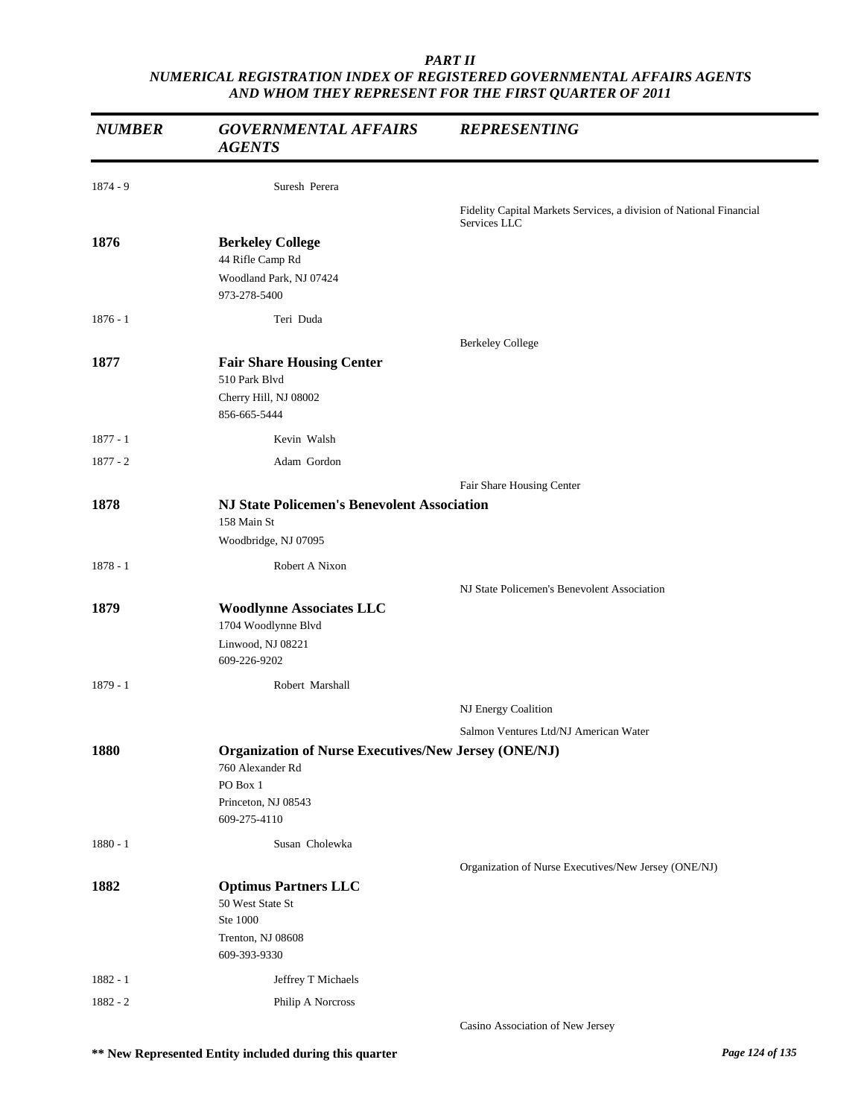| <b>NUMBER</b> | <b>GOVERNMENTAL AFFAIRS</b><br><b>AGENTS</b>                | <b>REPRESENTING</b>                                                 |
|---------------|-------------------------------------------------------------|---------------------------------------------------------------------|
| $1874 - 9$    | Suresh Perera                                               |                                                                     |
|               |                                                             | Fidelity Capital Markets Services, a division of National Financial |
|               |                                                             | Services LLC                                                        |
| 1876          | <b>Berkeley College</b><br>44 Rifle Camp Rd                 |                                                                     |
|               | Woodland Park, NJ 07424                                     |                                                                     |
|               | 973-278-5400                                                |                                                                     |
| $1876 - 1$    | Teri Duda                                                   |                                                                     |
|               |                                                             | <b>Berkeley College</b>                                             |
| 1877          | <b>Fair Share Housing Center</b>                            |                                                                     |
|               | 510 Park Blvd                                               |                                                                     |
|               | Cherry Hill, NJ 08002<br>856-665-5444                       |                                                                     |
| $1877 - 1$    | Kevin Walsh                                                 |                                                                     |
| $1877 - 2$    | Adam Gordon                                                 |                                                                     |
|               |                                                             | Fair Share Housing Center                                           |
| 1878          | <b>NJ State Policemen's Benevolent Association</b>          |                                                                     |
|               | 158 Main St                                                 |                                                                     |
|               | Woodbridge, NJ 07095                                        |                                                                     |
| $1878 - 1$    | Robert A Nixon                                              |                                                                     |
|               |                                                             | NJ State Policemen's Benevolent Association                         |
| 1879          | <b>Woodlynne Associates LLC</b>                             |                                                                     |
|               | 1704 Woodlynne Blvd<br>Linwood, NJ 08221                    |                                                                     |
|               | 609-226-9202                                                |                                                                     |
| $1879 - 1$    | Robert Marshall                                             |                                                                     |
|               |                                                             | NJ Energy Coalition                                                 |
|               |                                                             | Salmon Ventures Ltd/NJ American Water                               |
| 1880          | <b>Organization of Nurse Executives/New Jersey (ONE/NJ)</b> |                                                                     |
|               | 760 Alexander Rd<br>PO Box 1                                |                                                                     |
|               | Princeton, NJ 08543                                         |                                                                     |
|               | 609-275-4110                                                |                                                                     |
| $1880 - 1$    | Susan Cholewka                                              |                                                                     |
|               |                                                             | Organization of Nurse Executives/New Jersey (ONE/NJ)                |
| 1882          | <b>Optimus Partners LLC</b>                                 |                                                                     |
|               | 50 West State St                                            |                                                                     |
|               | Ste 1000<br>Trenton, NJ 08608                               |                                                                     |
|               | 609-393-9330                                                |                                                                     |
| $1882 - 1$    | Jeffrey T Michaels                                          |                                                                     |
| $1882 - 2$    | Philip A Norcross                                           |                                                                     |
|               |                                                             | Casino Association of New Jersey                                    |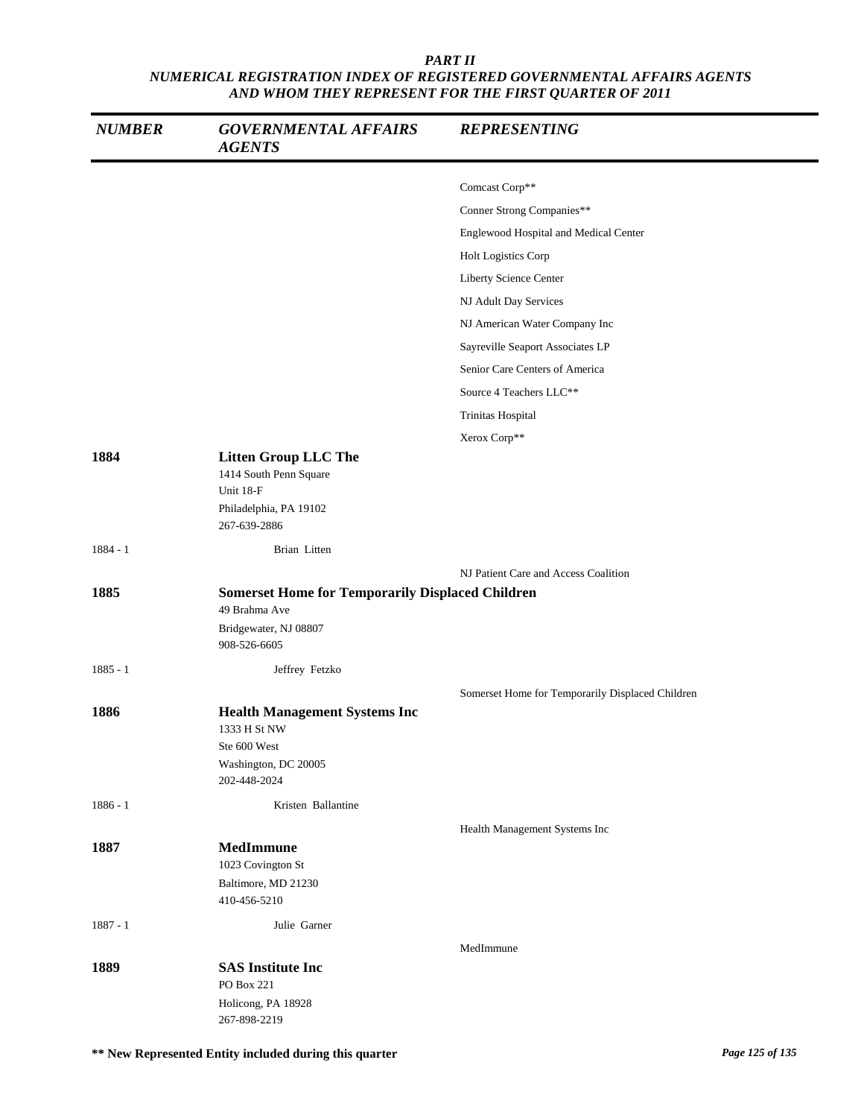| <b>NUMBER</b> | <b>GOVERNMENTAL AFFAIRS</b><br><b>AGENTS</b>                                                                      | <b>REPRESENTING</b>                              |
|---------------|-------------------------------------------------------------------------------------------------------------------|--------------------------------------------------|
|               |                                                                                                                   | Comcast Corp**                                   |
|               |                                                                                                                   | Conner Strong Companies**                        |
|               |                                                                                                                   | Englewood Hospital and Medical Center            |
|               |                                                                                                                   | Holt Logistics Corp                              |
|               |                                                                                                                   | Liberty Science Center                           |
|               |                                                                                                                   | NJ Adult Day Services                            |
|               |                                                                                                                   | NJ American Water Company Inc                    |
|               |                                                                                                                   | Sayreville Seaport Associates LP                 |
|               |                                                                                                                   | Senior Care Centers of America                   |
|               |                                                                                                                   | Source 4 Teachers LLC**                          |
|               |                                                                                                                   | Trinitas Hospital                                |
|               |                                                                                                                   | Xerox Corp**                                     |
| 1884          | <b>Litten Group LLC The</b><br>1414 South Penn Square<br>Unit 18-F<br>Philadelphia, PA 19102<br>267-639-2886      |                                                  |
| $1884 - 1$    | Brian Litten                                                                                                      |                                                  |
|               |                                                                                                                   | NJ Patient Care and Access Coalition             |
| 1885          | <b>Somerset Home for Temporarily Displaced Children</b><br>49 Brahma Ave<br>Bridgewater, NJ 08807<br>908-526-6605 |                                                  |
| $1885 - 1$    | Jeffrey Fetzko                                                                                                    |                                                  |
|               |                                                                                                                   |                                                  |
| 1886          | <b>Health Management Systems Inc</b><br>1333 H St NW<br>Ste 600 West<br>Washington, DC 20005<br>202-448-2024      | Somerset Home for Temporarily Displaced Children |
| $1886 - 1$    | Kristen Ballantine                                                                                                |                                                  |
|               |                                                                                                                   | Health Management Systems Inc                    |
| 1887          | MedImmune<br>1023 Covington St<br>Baltimore, MD 21230<br>410-456-5210                                             |                                                  |
| $1887 - 1$    | Julie Garner                                                                                                      |                                                  |
|               |                                                                                                                   | MedImmune                                        |
| 1889          | <b>SAS Institute Inc</b><br>PO Box 221<br>Holicong, PA 18928<br>267-898-2219                                      |                                                  |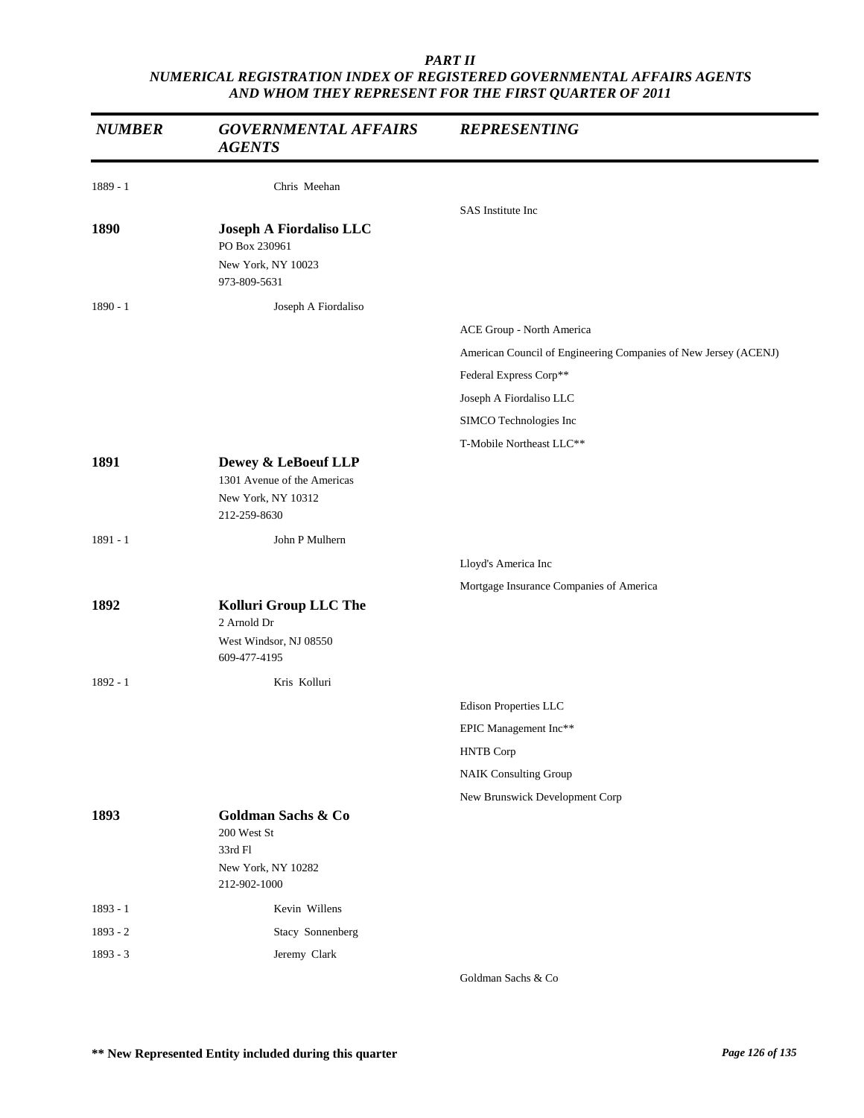| <b>NUMBER</b> | <b>GOVERNMENTAL AFFAIRS</b><br><b>AGENTS</b>                                             | <b>REPRESENTING</b>                                             |
|---------------|------------------------------------------------------------------------------------------|-----------------------------------------------------------------|
| 1889 - 1      | Chris Meehan                                                                             |                                                                 |
|               |                                                                                          | SAS Institute Inc                                               |
| 1890          | Joseph A Fiordaliso LLC<br>PO Box 230961<br>New York, NY 10023<br>973-809-5631           |                                                                 |
| $1890 - 1$    | Joseph A Fiordaliso                                                                      |                                                                 |
|               |                                                                                          | ACE Group - North America                                       |
|               |                                                                                          | American Council of Engineering Companies of New Jersey (ACENJ) |
|               |                                                                                          | Federal Express Corp**                                          |
|               |                                                                                          | Joseph A Fiordaliso LLC                                         |
|               |                                                                                          | SIMCO Technologies Inc                                          |
|               |                                                                                          | T-Mobile Northeast LLC**                                        |
| 1891          | Dewey & LeBoeuf LLP<br>1301 Avenue of the Americas<br>New York, NY 10312<br>212-259-8630 |                                                                 |
| $1891 - 1$    | John P Mulhern                                                                           |                                                                 |
|               |                                                                                          | Lloyd's America Inc                                             |
|               |                                                                                          | Mortgage Insurance Companies of America                         |
| 1892          | Kolluri Group LLC The<br>2 Arnold Dr<br>West Windsor, NJ 08550<br>609-477-4195           |                                                                 |
| 1892 - 1      | Kris Kolluri                                                                             |                                                                 |
|               |                                                                                          | Edison Properties LLC                                           |
|               |                                                                                          | EPIC Management Inc**                                           |
|               |                                                                                          | <b>HNTB</b> Corp                                                |
|               |                                                                                          | <b>NAIK Consulting Group</b>                                    |
|               |                                                                                          | New Brunswick Development Corp                                  |
| 1893          | Goldman Sachs & Co<br>200 West St<br>33rd Fl<br>New York, NY 10282<br>212-902-1000       |                                                                 |
| $1893 - 1$    | Kevin Willens                                                                            |                                                                 |
| 1893 - 2      | Stacy Sonnenberg                                                                         |                                                                 |
| $1893 - 3$    | Jeremy Clark                                                                             |                                                                 |
|               |                                                                                          | Goldman Sachs & Co                                              |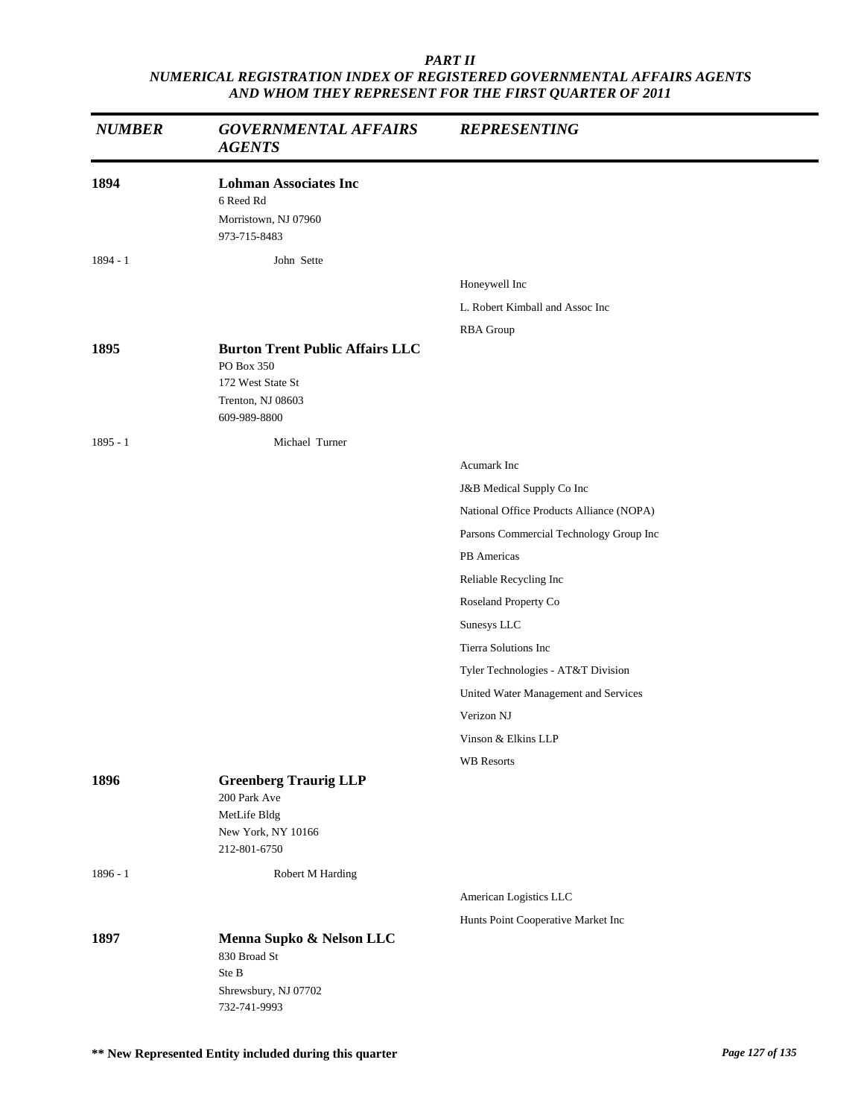| <b>NUMBER</b> | <b>GOVERNMENTAL AFFAIRS</b><br><b>AGENTS</b>                                                       | <b>REPRESENTING</b>                      |
|---------------|----------------------------------------------------------------------------------------------------|------------------------------------------|
| 1894          | <b>Lohman Associates Inc</b><br>6 Reed Rd<br>Morristown, NJ 07960<br>973-715-8483                  |                                          |
| $1894 - 1$    | John Sette                                                                                         |                                          |
|               |                                                                                                    | Honeywell Inc                            |
|               |                                                                                                    | L. Robert Kimball and Assoc Inc          |
|               |                                                                                                    | <b>RBA</b> Group                         |
| 1895          | <b>Burton Trent Public Affairs LLC</b><br>PO Box 350<br>172 West State St<br>Trenton, NJ 08603     |                                          |
|               | 609-989-8800                                                                                       |                                          |
| $1895 - 1$    | Michael Turner                                                                                     |                                          |
|               |                                                                                                    | Acumark Inc                              |
|               |                                                                                                    | J&B Medical Supply Co Inc                |
|               |                                                                                                    | National Office Products Alliance (NOPA) |
|               |                                                                                                    | Parsons Commercial Technology Group Inc  |
|               |                                                                                                    | PB Americas                              |
|               |                                                                                                    | Reliable Recycling Inc                   |
|               |                                                                                                    | Roseland Property Co                     |
|               |                                                                                                    | Sunesys LLC                              |
|               |                                                                                                    | Tierra Solutions Inc                     |
|               |                                                                                                    | Tyler Technologies - AT&T Division       |
|               |                                                                                                    | United Water Management and Services     |
|               |                                                                                                    | Verizon NJ                               |
|               |                                                                                                    | Vinson & Elkins LLP                      |
|               |                                                                                                    | <b>WB</b> Resorts                        |
| 1896          | <b>Greenberg Traurig LLP</b><br>200 Park Ave<br>MetLife Bldg<br>New York, NY 10166<br>212-801-6750 |                                          |
| $1896 - 1$    | Robert M Harding                                                                                   |                                          |
|               |                                                                                                    | American Logistics LLC                   |
|               |                                                                                                    | Hunts Point Cooperative Market Inc       |
| 1897          | Menna Supko & Nelson LLC<br>830 Broad St<br>Ste B<br>Shrewsbury, NJ 07702<br>732-741-9993          |                                          |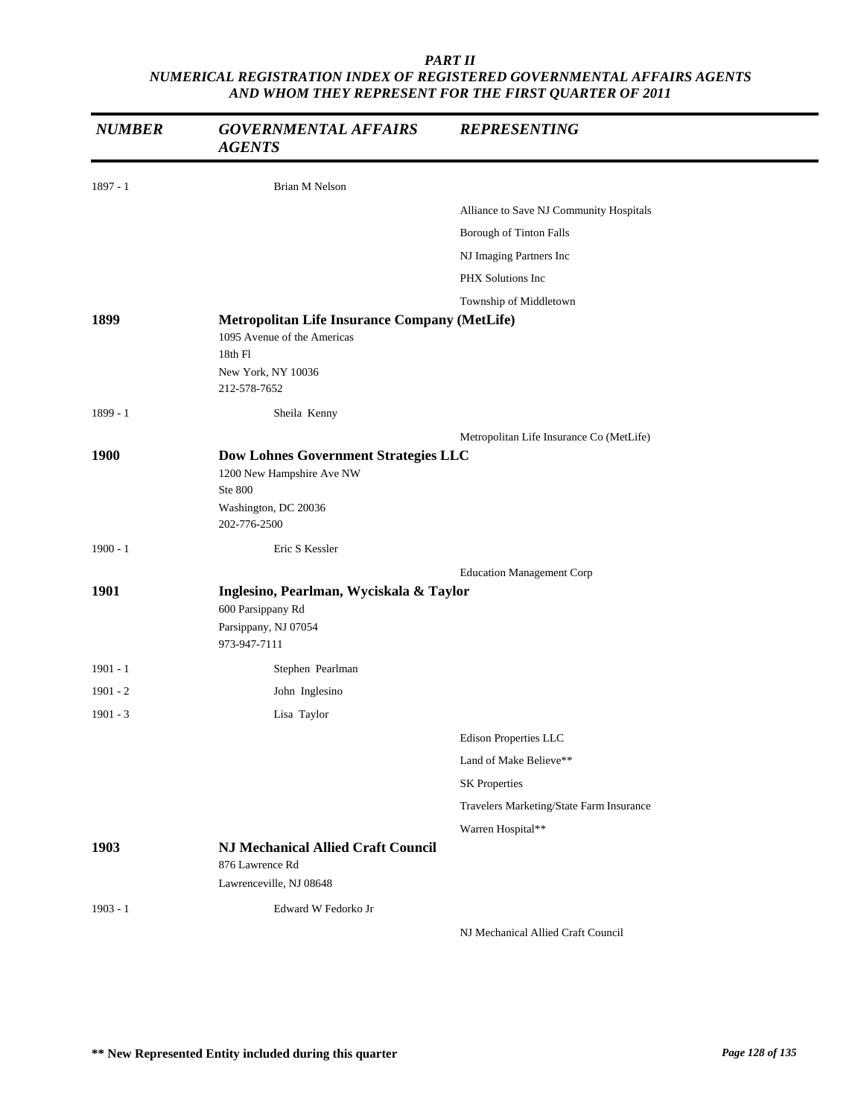| <b>NUMBER</b> | <b>GOVERNMENTAL AFFAIRS</b><br><b>AGENTS</b>                                                                                | <b>REPRESENTING</b>                      |  |
|---------------|-----------------------------------------------------------------------------------------------------------------------------|------------------------------------------|--|
| $1897 - 1$    | <b>Brian M Nelson</b>                                                                                                       |                                          |  |
|               |                                                                                                                             | Alliance to Save NJ Community Hospitals  |  |
|               |                                                                                                                             | Borough of Tinton Falls                  |  |
|               |                                                                                                                             | NJ Imaging Partners Inc                  |  |
|               |                                                                                                                             | PHX Solutions Inc                        |  |
|               |                                                                                                                             | Township of Middletown                   |  |
| 1899          | Metropolitan Life Insurance Company (MetLife)<br>1095 Avenue of the Americas<br>18th Fl<br>New York, NY 10036               |                                          |  |
|               | 212-578-7652                                                                                                                |                                          |  |
| 1899 - 1      | Sheila Kenny                                                                                                                |                                          |  |
|               |                                                                                                                             | Metropolitan Life Insurance Co (MetLife) |  |
| <b>1900</b>   | <b>Dow Lohnes Government Strategies LLC</b><br>1200 New Hampshire Ave NW<br>Ste 800<br>Washington, DC 20036<br>202-776-2500 |                                          |  |
| $1900 - 1$    | Eric S Kessler                                                                                                              |                                          |  |
|               |                                                                                                                             | <b>Education Management Corp</b>         |  |
| 1901          | Inglesino, Pearlman, Wyciskala & Taylor<br>600 Parsippany Rd                                                                |                                          |  |
|               | Parsippany, NJ 07054<br>973-947-7111                                                                                        |                                          |  |
| $1901 - 1$    | Stephen Pearlman                                                                                                            |                                          |  |
| $1901 - 2$    | John Inglesino                                                                                                              |                                          |  |
| $1901 - 3$    | Lisa Taylor                                                                                                                 |                                          |  |
|               |                                                                                                                             | Edison Properties LLC                    |  |
|               |                                                                                                                             | Land of Make Believe**                   |  |
|               |                                                                                                                             | <b>SK Properties</b>                     |  |
|               |                                                                                                                             | Travelers Marketing/State Farm Insurance |  |
|               |                                                                                                                             | Warren Hospital**                        |  |
| 1903          | <b>NJ Mechanical Allied Craft Council</b><br>876 Lawrence Rd                                                                |                                          |  |
|               | Lawrenceville, NJ 08648                                                                                                     |                                          |  |
| $1903 - 1$    | Edward W Fedorko Jr                                                                                                         | NJ Mechanical Allied Craft Council       |  |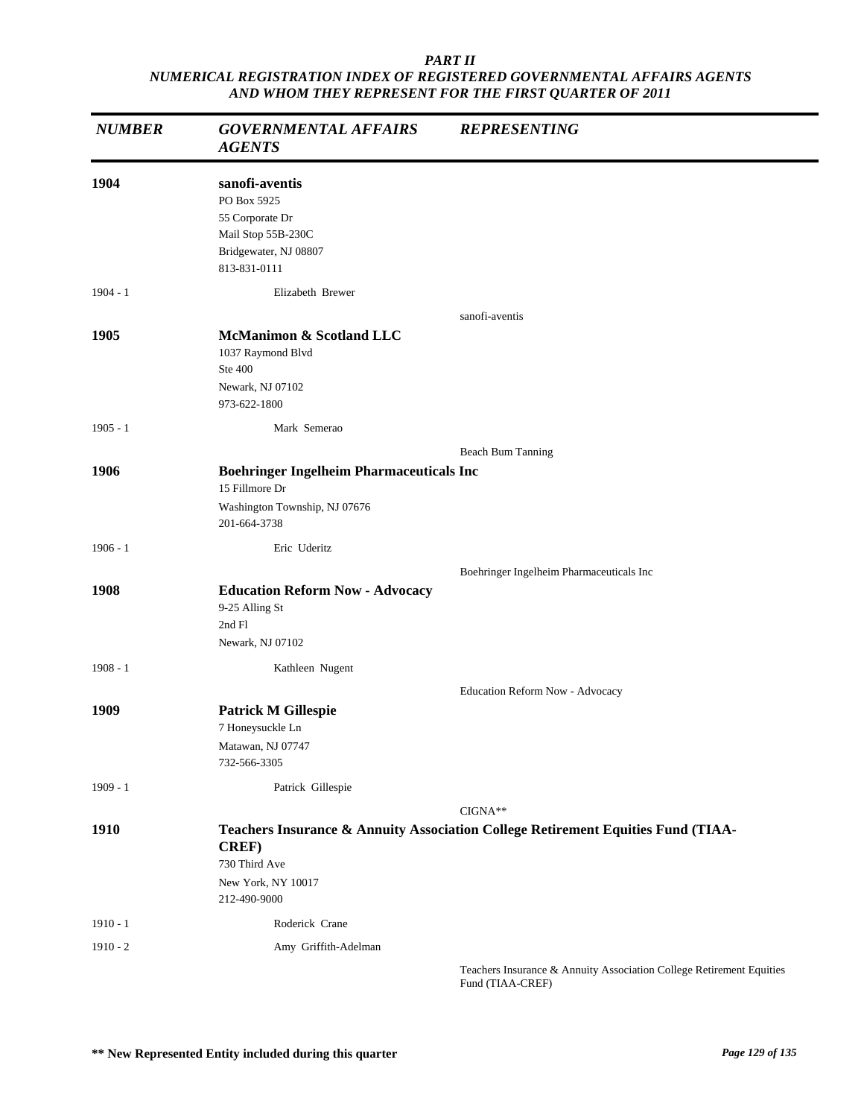| <b>NUMBER</b> | <b>GOVERNMENTAL AFFAIRS</b><br><b>AGENTS</b>                                                                    | <b>REPRESENTING</b>                                                                           |
|---------------|-----------------------------------------------------------------------------------------------------------------|-----------------------------------------------------------------------------------------------|
| 1904          | sanofi-aventis<br>PO Box 5925<br>55 Corporate Dr<br>Mail Stop 55B-230C<br>Bridgewater, NJ 08807<br>813-831-0111 |                                                                                               |
| $1904 - 1$    | Elizabeth Brewer                                                                                                |                                                                                               |
| 1905          | McManimon & Scotland LLC<br>1037 Raymond Blvd<br>Ste 400<br>Newark, NJ 07102<br>973-622-1800                    | sanofi-aventis                                                                                |
| $1905 - 1$    | Mark Semerao                                                                                                    |                                                                                               |
| 1906          | <b>Boehringer Ingelheim Pharmaceuticals Inc</b><br>15 Fillmore Dr                                               | Beach Bum Tanning                                                                             |
|               | Washington Township, NJ 07676<br>201-664-3738                                                                   |                                                                                               |
| $1906 - 1$    | Eric Uderitz                                                                                                    |                                                                                               |
| 1908          | <b>Education Reform Now - Advocacy</b><br>9-25 Alling St<br>2nd Fl<br>Newark, NJ 07102                          | Boehringer Ingelheim Pharmaceuticals Inc                                                      |
| $1908 - 1$    | Kathleen Nugent                                                                                                 |                                                                                               |
| 1909          | <b>Patrick M Gillespie</b><br>7 Honeysuckle Ln<br>Matawan, NJ 07747<br>732-566-3305                             | Education Reform Now - Advocacy                                                               |
| $1909 - 1$    | Patrick Gillespie                                                                                               |                                                                                               |
| 1910          | <b>CREF)</b><br>730 Third Ave<br>New York, NY 10017<br>212-490-9000                                             | $CIGNA**$<br>Teachers Insurance & Annuity Association College Retirement Equities Fund (TIAA- |
| $1910 - 1$    | Roderick Crane                                                                                                  |                                                                                               |
| $1910 - 2$    | Amy Griffith-Adelman                                                                                            | Topohors Insurance & Annuity Association College Petirement Equities                          |

Teachers Insurance & Annuity Association College Retirement Equities Fund (TIAA-CREF)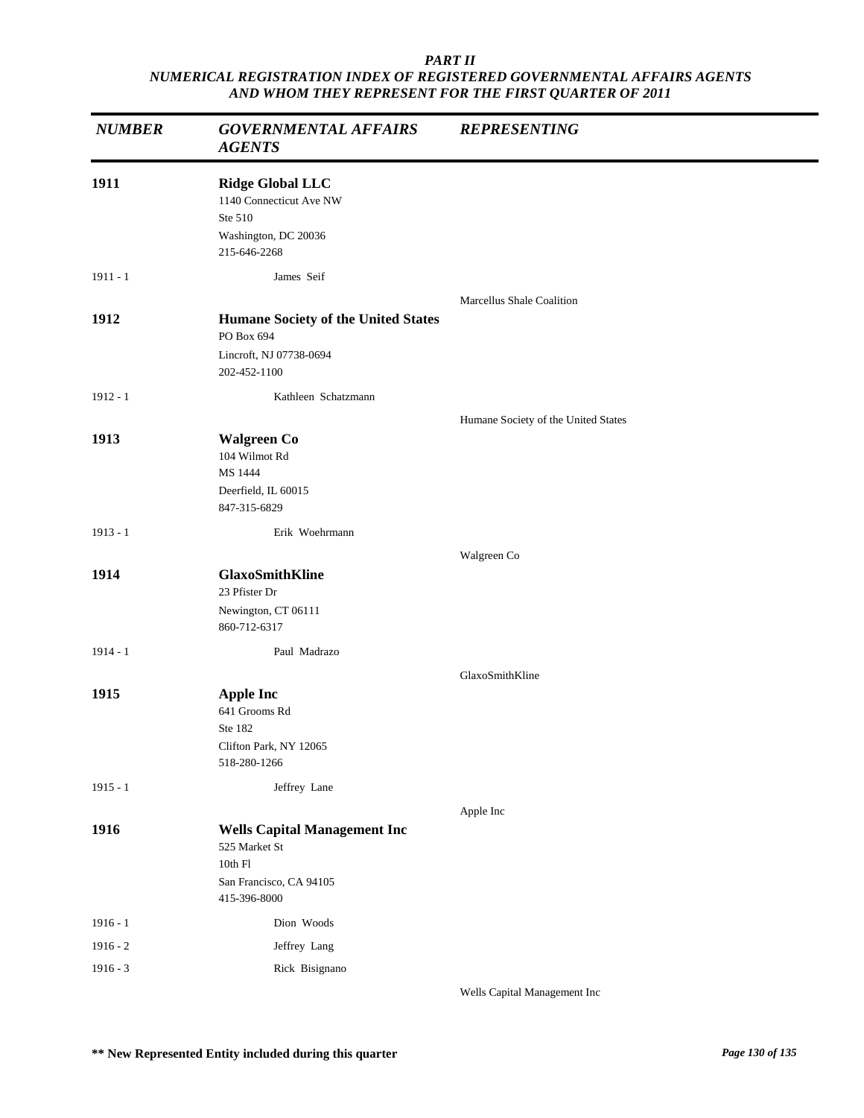| <b>NUMBER</b> | <b>GOVERNMENTAL AFFAIRS</b><br><b>AGENTS</b>                                                               | <b>REPRESENTING</b>                 |
|---------------|------------------------------------------------------------------------------------------------------------|-------------------------------------|
| 1911          | <b>Ridge Global LLC</b><br>1140 Connecticut Ave NW<br>Ste 510<br>Washington, DC 20036<br>215-646-2268      |                                     |
| $1911 - 1$    | James Seif                                                                                                 |                                     |
| 1912          | <b>Humane Society of the United States</b><br>PO Box 694<br>Lincroft, NJ 07738-0694<br>202-452-1100        | <b>Marcellus Shale Coalition</b>    |
| $1912 - 1$    | Kathleen Schatzmann                                                                                        |                                     |
| 1913          | <b>Walgreen Co</b><br>104 Wilmot Rd<br>MS 1444<br>Deerfield, IL 60015<br>847-315-6829                      | Humane Society of the United States |
| $1913 - 1$    | Erik Woehrmann                                                                                             |                                     |
|               |                                                                                                            | Walgreen Co                         |
| 1914          | <b>GlaxoSmithKline</b><br>23 Pfister Dr<br>Newington, CT 06111<br>860-712-6317                             |                                     |
| $1914 - 1$    | Paul Madrazo                                                                                               | GlaxoSmithKline                     |
| 1915          | <b>Apple Inc</b><br>641 Grooms Rd<br>Ste 182<br>Clifton Park, NY 12065<br>518-280-1266                     |                                     |
| $1915 - 1$    | Jeffrey Lane                                                                                               |                                     |
| 1916          | <b>Wells Capital Management Inc</b><br>525 Market St<br>10th F1<br>San Francisco, CA 94105<br>415-396-8000 | Apple Inc                           |
| $1916 - 1$    | Dion Woods                                                                                                 |                                     |
| $1916 - 2$    | Jeffrey Lang                                                                                               |                                     |
| $1916 - 3$    | Rick Bisignano                                                                                             |                                     |

Wells Capital Management Inc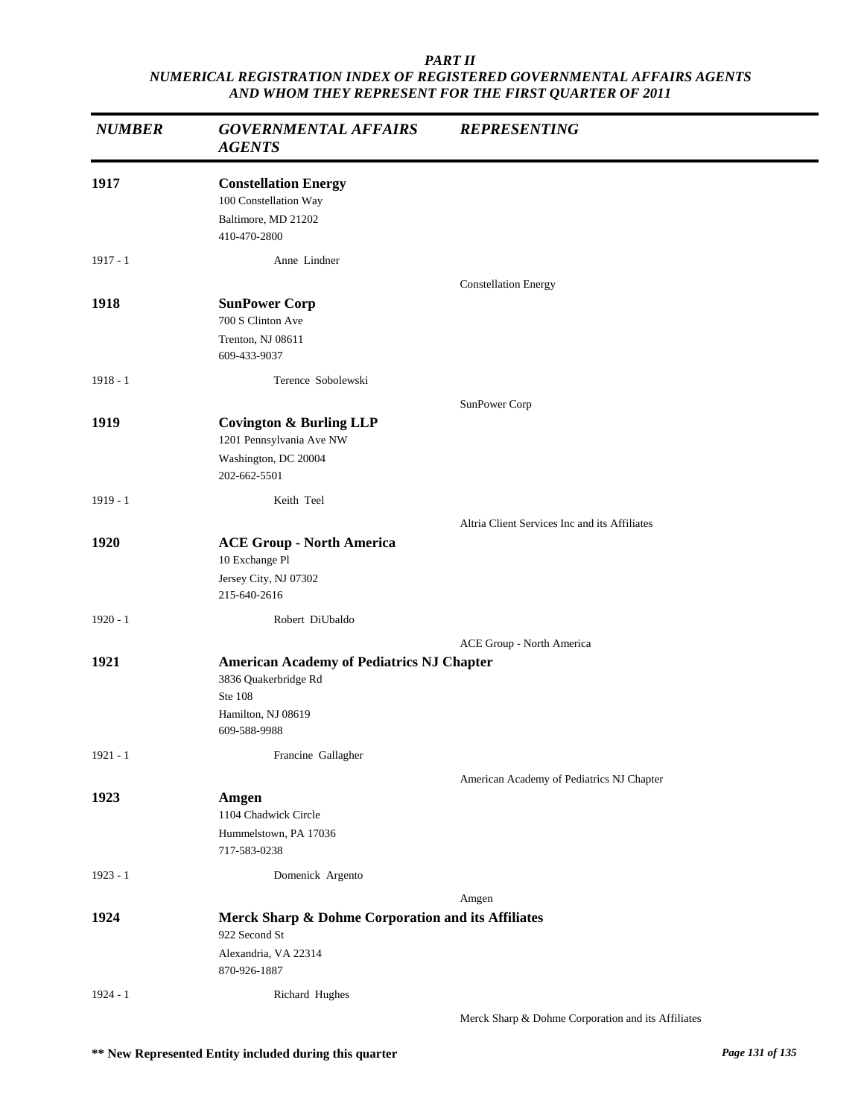| <b>NUMBER</b> | <b>GOVERNMENTAL AFFAIRS</b><br><b>AGENTS</b>                                                                                     | <b>REPRESENTING</b>                                |
|---------------|----------------------------------------------------------------------------------------------------------------------------------|----------------------------------------------------|
| 1917          | <b>Constellation Energy</b><br>100 Constellation Way<br>Baltimore, MD 21202<br>410-470-2800                                      |                                                    |
| $1917 - 1$    | Anne Lindner                                                                                                                     |                                                    |
| 1918          | <b>SunPower Corp</b><br>700 S Clinton Ave<br>Trenton, NJ 08611<br>609-433-9037                                                   | <b>Constellation Energy</b>                        |
| $1918 - 1$    | Terence Sobolewski                                                                                                               |                                                    |
| 1919          | <b>Covington &amp; Burling LLP</b><br>1201 Pennsylvania Ave NW<br>Washington, DC 20004<br>202-662-5501                           | SunPower Corp                                      |
| $1919 - 1$    | Keith Teel                                                                                                                       |                                                    |
| 1920          | <b>ACE Group - North America</b><br>10 Exchange Pl<br>Jersey City, NJ 07302<br>215-640-2616                                      | Altria Client Services Inc and its Affiliates      |
| $1920 - 1$    | Robert DiUbaldo                                                                                                                  |                                                    |
| 1921          | <b>American Academy of Pediatrics NJ Chapter</b><br>3836 Quakerbridge Rd<br><b>Ste 108</b><br>Hamilton, NJ 08619<br>609-588-9988 | ACE Group - North America                          |
| $1921 - 1$    | Francine Gallagher                                                                                                               |                                                    |
| 1923          | Amgen<br>1104 Chadwick Circle<br>Hummelstown, PA 17036<br>717-583-0238                                                           | American Academy of Pediatrics NJ Chapter          |
| $1923 - 1$    | Domenick Argento                                                                                                                 |                                                    |
|               |                                                                                                                                  | Amgen                                              |
| 1924          | Merck Sharp & Dohme Corporation and its Affiliates<br>922 Second St<br>Alexandria, VA 22314<br>870-926-1887                      |                                                    |
| $1924 - 1$    | Richard Hughes                                                                                                                   | Merck Sharp & Dohme Corporation and its Affiliates |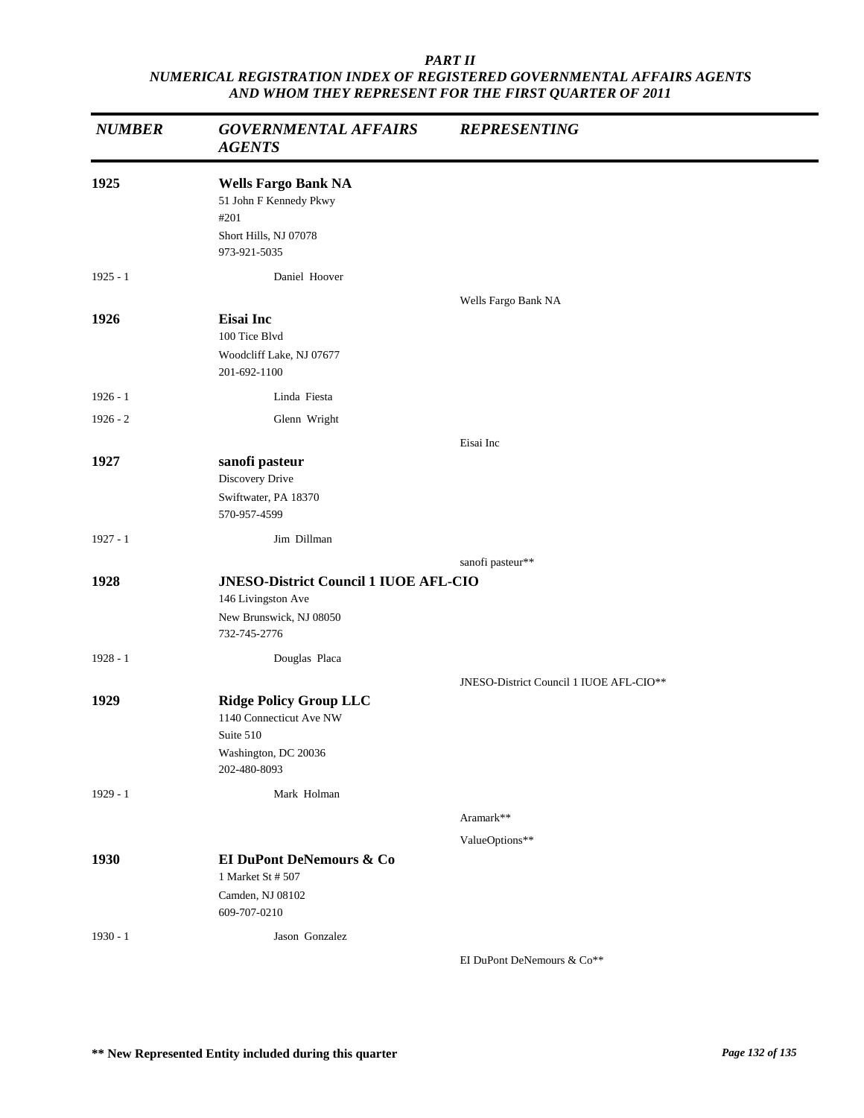| <b>NUMBER</b> | <b>GOVERNMENTAL AFFAIRS</b><br><b>AGENTS</b>                                                                  | <b>REPRESENTING</b>                     |
|---------------|---------------------------------------------------------------------------------------------------------------|-----------------------------------------|
| 1925          | <b>Wells Fargo Bank NA</b><br>51 John F Kennedy Pkwy<br>#201<br>Short Hills, NJ 07078<br>973-921-5035         |                                         |
| $1925 - 1$    | Daniel Hoover                                                                                                 |                                         |
| 1926          | <b>Eisai</b> Inc<br>100 Tice Blvd<br>Woodcliff Lake, NJ 07677<br>201-692-1100                                 | Wells Fargo Bank NA                     |
| $1926 - 1$    | Linda Fiesta                                                                                                  |                                         |
| $1926 - 2$    | Glenn Wright                                                                                                  |                                         |
|               |                                                                                                               | Eisai Inc                               |
| 1927          | sanofi pasteur<br>Discovery Drive<br>Swiftwater, PA 18370<br>570-957-4599                                     |                                         |
| $1927 - 1$    | Jim Dillman                                                                                                   |                                         |
|               |                                                                                                               | sanofi pasteur**                        |
| 1928          | <b>JNESO-District Council 1 IUOE AFL-CIO</b><br>146 Livingston Ave<br>New Brunswick, NJ 08050<br>732-745-2776 |                                         |
| $1928 - 1$    | Douglas Placa                                                                                                 |                                         |
|               |                                                                                                               | JNESO-District Council 1 IUOE AFL-CIO** |
| 1929          | <b>Ridge Policy Group LLC</b><br>1140 Connecticut Ave NW<br>Suite 510<br>Washington, DC 20036<br>202-480-8093 |                                         |
| $1929 - 1$    | Mark Holman                                                                                                   |                                         |
|               |                                                                                                               | Aramark**                               |
|               |                                                                                                               | ValueOptions**                          |
| 1930          | <b>EI DuPont DeNemours &amp; Co</b><br>1 Market St # 507<br>Camden, NJ 08102<br>609-707-0210                  |                                         |
| $1930 - 1$    | Jason Gonzalez                                                                                                | EI DuPont DeNemours & Co**              |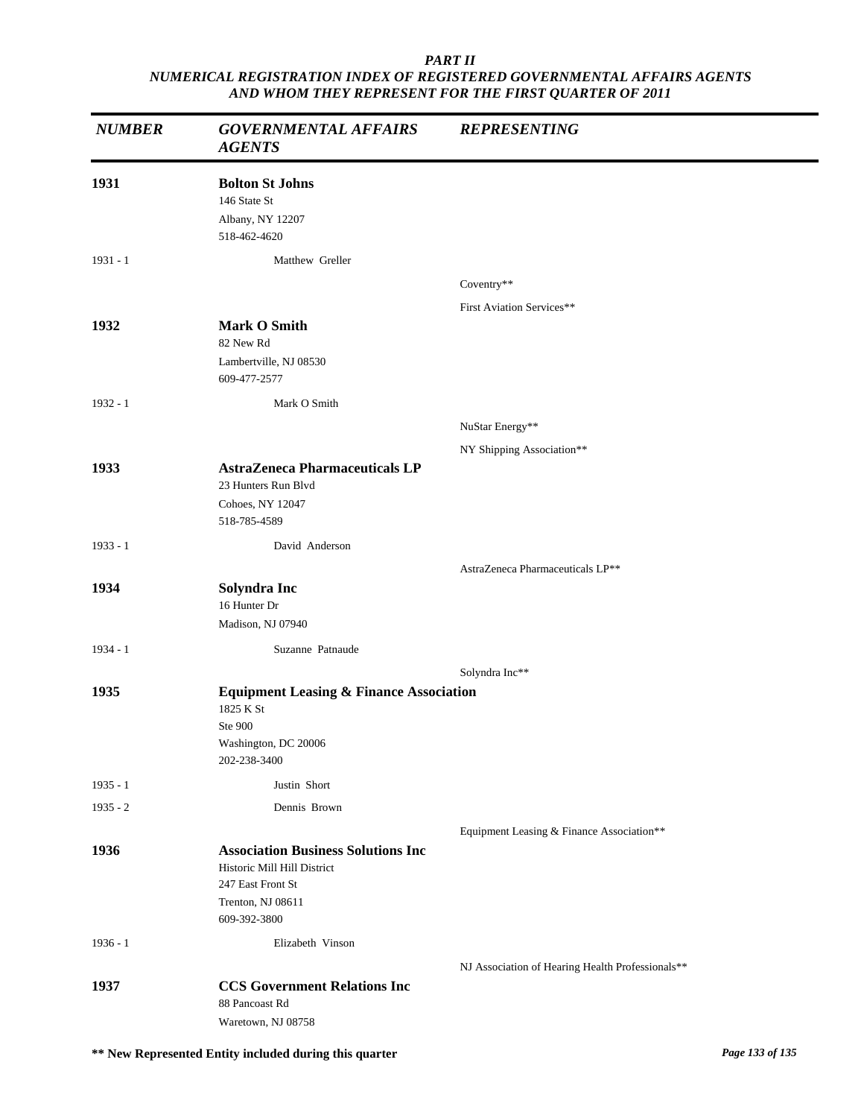| <b>NUMBER</b> | <b>GOVERNMENTAL AFFAIRS</b><br><b>AGENTS</b>                                                                                       | <b>REPRESENTING</b>                              |
|---------------|------------------------------------------------------------------------------------------------------------------------------------|--------------------------------------------------|
| 1931          | <b>Bolton St Johns</b><br>146 State St<br>Albany, NY 12207<br>518-462-4620                                                         |                                                  |
| $1931 - 1$    | Matthew Greller                                                                                                                    |                                                  |
|               |                                                                                                                                    | Coventry**                                       |
|               |                                                                                                                                    | First Aviation Services**                        |
| 1932          | <b>Mark O Smith</b><br>82 New Rd                                                                                                   |                                                  |
|               | Lambertville, NJ 08530<br>609-477-2577                                                                                             |                                                  |
| $1932 - 1$    | Mark O Smith                                                                                                                       |                                                  |
|               |                                                                                                                                    | NuStar Energy**                                  |
|               |                                                                                                                                    | NY Shipping Association**                        |
| 1933          | <b>AstraZeneca Pharmaceuticals LP</b><br>23 Hunters Run Blvd<br>Cohoes, NY 12047<br>518-785-4589                                   |                                                  |
| $1933 - 1$    | David Anderson                                                                                                                     |                                                  |
|               |                                                                                                                                    | AstraZeneca Pharmaceuticals LP**                 |
| 1934          | Solyndra Inc<br>16 Hunter Dr<br>Madison, NJ 07940                                                                                  |                                                  |
| 1934 - 1      | Suzanne Patnaude                                                                                                                   |                                                  |
|               |                                                                                                                                    | Solyndra Inc**                                   |
| 1935          | <b>Equipment Leasing &amp; Finance Association</b><br>1825 K St<br>Ste 900<br>Washington, DC 20006<br>202-238-3400                 |                                                  |
| 1935 - 1      | Justin Short                                                                                                                       |                                                  |
| $1935 - 2$    | Dennis Brown                                                                                                                       |                                                  |
|               |                                                                                                                                    | Equipment Leasing & Finance Association**        |
| 1936          | <b>Association Business Solutions Inc</b><br>Historic Mill Hill District<br>247 East Front St<br>Trenton, NJ 08611<br>609-392-3800 |                                                  |
| $1936 - 1$    | Elizabeth Vinson                                                                                                                   |                                                  |
|               |                                                                                                                                    | NJ Association of Hearing Health Professionals** |
| 1937          | <b>CCS Government Relations Inc</b><br>88 Pancoast Rd<br>Waretown, NJ 08758                                                        |                                                  |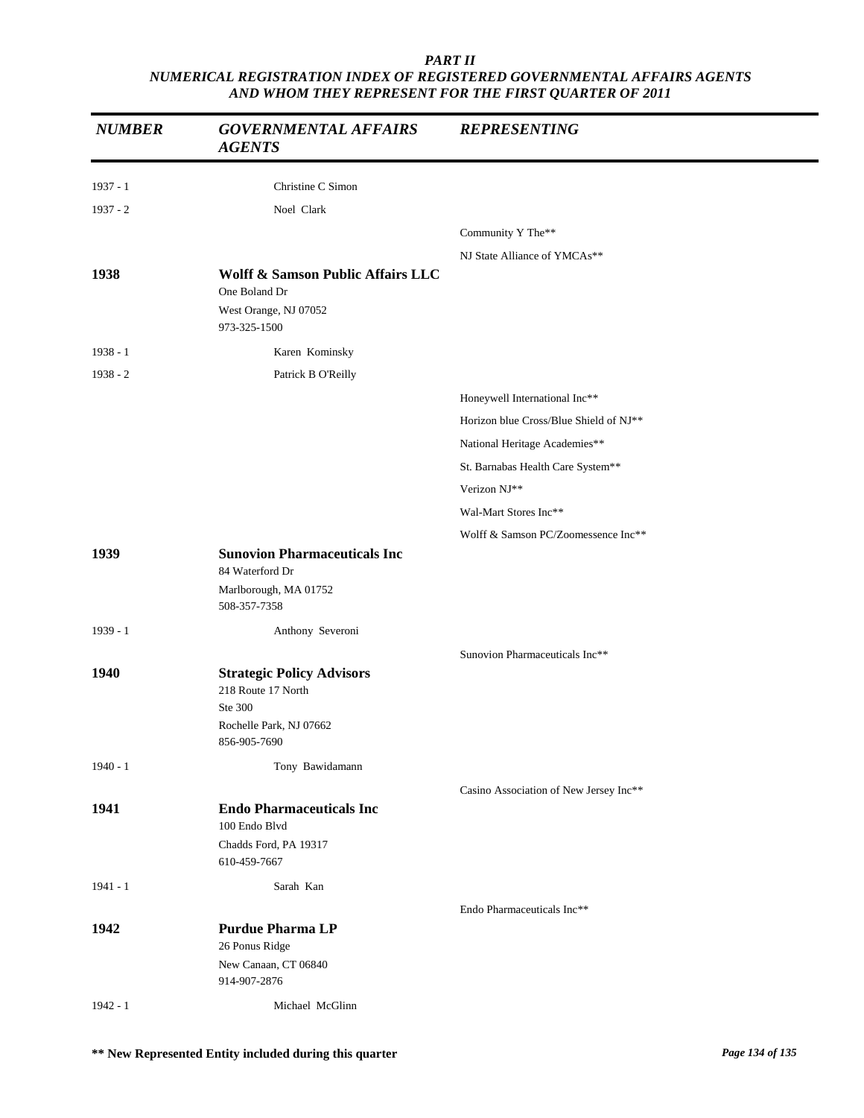| <b>NUMBER</b> | <b>GOVERNMENTAL AFFAIRS</b><br><b>AGENTS</b>                                                                 | <b>REPRESENTING</b>                    |
|---------------|--------------------------------------------------------------------------------------------------------------|----------------------------------------|
| $1937 - 1$    | Christine C Simon                                                                                            |                                        |
| $1937 - 2$    | Noel Clark                                                                                                   |                                        |
|               |                                                                                                              | Community Y The**                      |
|               |                                                                                                              | NJ State Alliance of YMCAs**           |
| 1938          | <b>Wolff &amp; Samson Public Affairs LLC</b><br>One Boland Dr<br>West Orange, NJ 07052                       |                                        |
|               | 973-325-1500                                                                                                 |                                        |
| 1938 - 1      | Karen Kominsky                                                                                               |                                        |
| $1938 - 2$    | Patrick B O'Reilly                                                                                           |                                        |
|               |                                                                                                              | Honeywell International Inc**          |
|               |                                                                                                              | Horizon blue Cross/Blue Shield of NJ** |
|               |                                                                                                              | National Heritage Academies**          |
|               |                                                                                                              | St. Barnabas Health Care System**      |
|               |                                                                                                              | Verizon NJ**                           |
|               |                                                                                                              | Wal-Mart Stores Inc**                  |
|               |                                                                                                              | Wolff & Samson PC/Zoomessence Inc**    |
| 1939          | <b>Sunovion Pharmaceuticals Inc</b><br>84 Waterford Dr<br>Marlborough, MA 01752<br>508-357-7358              |                                        |
|               |                                                                                                              |                                        |
| 1939 - 1      | Anthony Severoni                                                                                             |                                        |
| 1940          | <b>Strategic Policy Advisors</b><br>218 Route 17 North<br>Ste 300<br>Rochelle Park, NJ 07662<br>856-905-7690 | Sunovion Pharmaceuticals Inc**         |
| $1940 - 1$    | Tony Bawidamann                                                                                              |                                        |
|               |                                                                                                              | Casino Association of New Jersey Inc** |
| 1941          | <b>Endo Pharmaceuticals Inc</b><br>100 Endo Blvd                                                             |                                        |
|               | Chadds Ford, PA 19317<br>610-459-7667                                                                        |                                        |
| $1941 - 1$    | Sarah Kan                                                                                                    |                                        |
| 1942          | <b>Purdue Pharma LP</b><br>26 Ponus Ridge<br>New Canaan, CT 06840                                            | Endo Pharmaceuticals Inc**             |
| $1942 - 1$    | 914-907-2876<br>Michael McGlinn                                                                              |                                        |